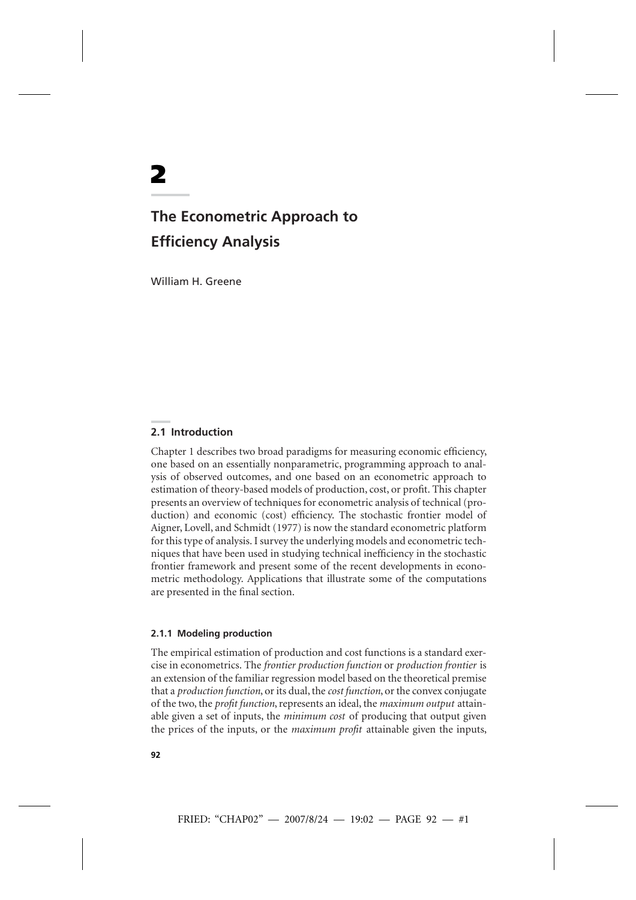# **The Econometric Approach to Efficiency Analysis**

William H. Greene

2

# **2.1 Introduction**

Chapter 1 describes two broad paradigms for measuring economic efficiency, one based on an essentially nonparametric, programming approach to analysis of observed outcomes, and one based on an econometric approach to estimation of theory-based models of production, cost, or profit. This chapter presents an overview of techniques for econometric analysis of technical (production) and economic (cost) efficiency. The stochastic frontier model of Aigner, Lovell, and Schmidt (1977) is now the standard econometric platform for this type of analysis. I survey the underlying models and econometric techniques that have been used in studying technical inefficiency in the stochastic frontier framework and present some of the recent developments in econometric methodology. Applications that illustrate some of the computations are presented in the final section.

## **2.1.1 Modeling production**

The empirical estimation of production and cost functions is a standard exercise in econometrics. The *frontier production function* or *production frontier* is an extension of the familiar regression model based on the theoretical premise that a *production function*, or its dual, the *cost function*, or the convex conjugate of the two, the *profit function*, represents an ideal, the *maximum output* attainable given a set of inputs, the *minimum cost* of producing that output given the prices of the inputs, or the *maximum profit* attainable given the inputs,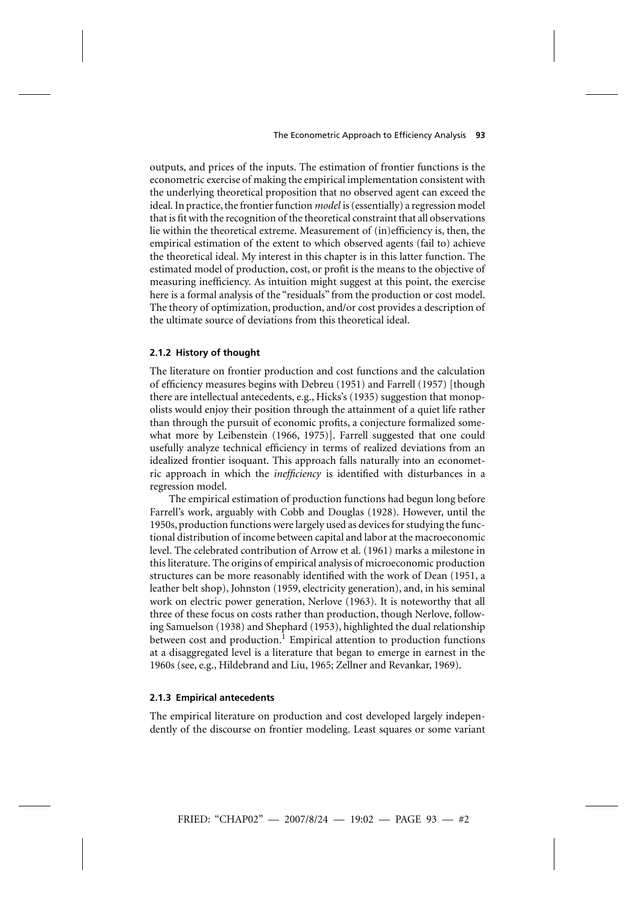outputs, and prices of the inputs. The estimation of frontier functions is the econometric exercise of making the empirical implementation consistent with the underlying theoretical proposition that no observed agent can exceed the ideal. In practice, the frontier function *model* is (essentially) a regression model that is fit with the recognition of the theoretical constraint that all observations lie within the theoretical extreme. Measurement of (in)efficiency is, then, the empirical estimation of the extent to which observed agents (fail to) achieve the theoretical ideal. My interest in this chapter is in this latter function. The estimated model of production, cost, or profit is the means to the objective of measuring inefficiency. As intuition might suggest at this point, the exercise here is a formal analysis of the "residuals" from the production or cost model. The theory of optimization, production, and/or cost provides a description of the ultimate source of deviations from this theoretical ideal.

# **2.1.2 History of thought**

The literature on frontier production and cost functions and the calculation of efficiency measures begins with Debreu (1951) and Farrell (1957) [though there are intellectual antecedents, e.g., Hicks's (1935) suggestion that monopolists would enjoy their position through the attainment of a quiet life rather than through the pursuit of economic profits, a conjecture formalized somewhat more by Leibenstein (1966, 1975)]. Farrell suggested that one could usefully analyze technical efficiency in terms of realized deviations from an idealized frontier isoquant. This approach falls naturally into an econometric approach in which the *inefficiency* is identified with disturbances in a regression model.

The empirical estimation of production functions had begun long before Farrell's work, arguably with Cobb and Douglas (1928). However, until the 1950s, production functions were largely used as devices for studying the functional distribution of income between capital and labor at the macroeconomic level. The celebrated contribution of Arrow et al. (1961) marks a milestone in this literature. The origins of empirical analysis of microeconomic production structures can be more reasonably identified with the work of Dean (1951, a leather belt shop), Johnston (1959, electricity generation), and, in his seminal work on electric power generation, Nerlove (1963). It is noteworthy that all three of these focus on costs rather than production, though Nerlove, following Samuelson (1938) and Shephard (1953), highlighted the dual relationship between cost and production.<sup>1</sup> Empirical attention to production functions at a disaggregated level is a literature that began to emerge in earnest in the 1960s (see, e.g., Hildebrand and Liu, 1965; Zellner and Revankar, 1969).

# **2.1.3 Empirical antecedents**

The empirical literature on production and cost developed largely independently of the discourse on frontier modeling. Least squares or some variant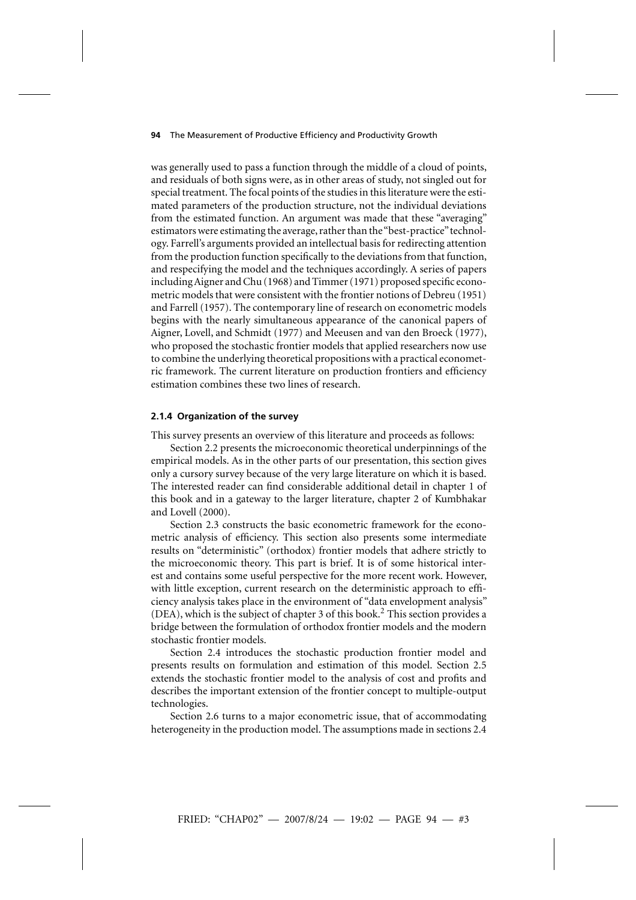was generally used to pass a function through the middle of a cloud of points, and residuals of both signs were, as in other areas of study, not singled out for special treatment. The focal points of the studies in this literature were the estimated parameters of the production structure, not the individual deviations from the estimated function. An argument was made that these "averaging" estimators were estimating the average, rather than the"best-practice" technology. Farrell's arguments provided an intellectual basis for redirecting attention from the production function specifically to the deviations from that function, and respecifying the model and the techniques accordingly. A series of papers includingAigner and Chu (1968) and Timmer (1971) proposed specific econometric models that were consistent with the frontier notions of Debreu (1951) and Farrell (1957). The contemporary line of research on econometric models begins with the nearly simultaneous appearance of the canonical papers of Aigner, Lovell, and Schmidt (1977) and Meeusen and van den Broeck (1977), who proposed the stochastic frontier models that applied researchers now use to combine the underlying theoretical propositions with a practical econometric framework. The current literature on production frontiers and efficiency estimation combines these two lines of research.

#### **2.1.4 Organization of the survey**

This survey presents an overview of this literature and proceeds as follows:

Section 2.2 presents the microeconomic theoretical underpinnings of the empirical models. As in the other parts of our presentation, this section gives only a cursory survey because of the very large literature on which it is based. The interested reader can find considerable additional detail in chapter 1 of this book and in a gateway to the larger literature, chapter 2 of Kumbhakar and Lovell (2000).

Section 2.3 constructs the basic econometric framework for the econometric analysis of efficiency. This section also presents some intermediate results on "deterministic" (orthodox) frontier models that adhere strictly to the microeconomic theory. This part is brief. It is of some historical interest and contains some useful perspective for the more recent work. However, with little exception, current research on the deterministic approach to efficiency analysis takes place in the environment of "data envelopment analysis" (DEA), which is the subject of chapter 3 of this book.<sup>2</sup> This section provides a bridge between the formulation of orthodox frontier models and the modern stochastic frontier models.

Section 2.4 introduces the stochastic production frontier model and presents results on formulation and estimation of this model. Section 2.5 extends the stochastic frontier model to the analysis of cost and profits and describes the important extension of the frontier concept to multiple-output technologies.

Section 2.6 turns to a major econometric issue, that of accommodating heterogeneity in the production model. The assumptions made in sections 2.4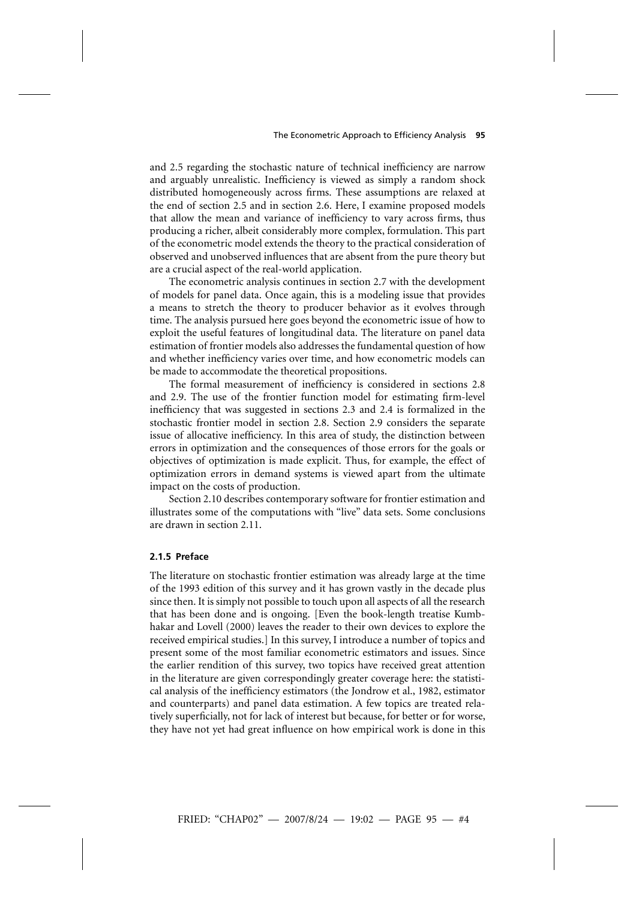and 2.5 regarding the stochastic nature of technical inefficiency are narrow and arguably unrealistic. Inefficiency is viewed as simply a random shock distributed homogeneously across firms. These assumptions are relaxed at the end of section 2.5 and in section 2.6. Here, I examine proposed models that allow the mean and variance of inefficiency to vary across firms, thus producing a richer, albeit considerably more complex, formulation. This part of the econometric model extends the theory to the practical consideration of observed and unobserved influences that are absent from the pure theory but are a crucial aspect of the real-world application.

The econometric analysis continues in section 2.7 with the development of models for panel data. Once again, this is a modeling issue that provides a means to stretch the theory to producer behavior as it evolves through time. The analysis pursued here goes beyond the econometric issue of how to exploit the useful features of longitudinal data. The literature on panel data estimation of frontier models also addresses the fundamental question of how and whether inefficiency varies over time, and how econometric models can be made to accommodate the theoretical propositions.

The formal measurement of inefficiency is considered in sections 2.8 and 2.9. The use of the frontier function model for estimating firm-level inefficiency that was suggested in sections 2.3 and 2.4 is formalized in the stochastic frontier model in section 2.8. Section 2.9 considers the separate issue of allocative inefficiency. In this area of study, the distinction between errors in optimization and the consequences of those errors for the goals or objectives of optimization is made explicit. Thus, for example, the effect of optimization errors in demand systems is viewed apart from the ultimate impact on the costs of production.

Section 2.10 describes contemporary software for frontier estimation and illustrates some of the computations with "live" data sets. Some conclusions are drawn in section 2.11.

## **2.1.5 Preface**

The literature on stochastic frontier estimation was already large at the time of the 1993 edition of this survey and it has grown vastly in the decade plus since then. It is simply not possible to touch upon all aspects of all the research that has been done and is ongoing. [Even the book-length treatise Kumbhakar and Lovell (2000) leaves the reader to their own devices to explore the received empirical studies.] In this survey, I introduce a number of topics and present some of the most familiar econometric estimators and issues. Since the earlier rendition of this survey, two topics have received great attention in the literature are given correspondingly greater coverage here: the statistical analysis of the inefficiency estimators (the Jondrow et al., 1982, estimator and counterparts) and panel data estimation. A few topics are treated relatively superficially, not for lack of interest but because, for better or for worse, they have not yet had great influence on how empirical work is done in this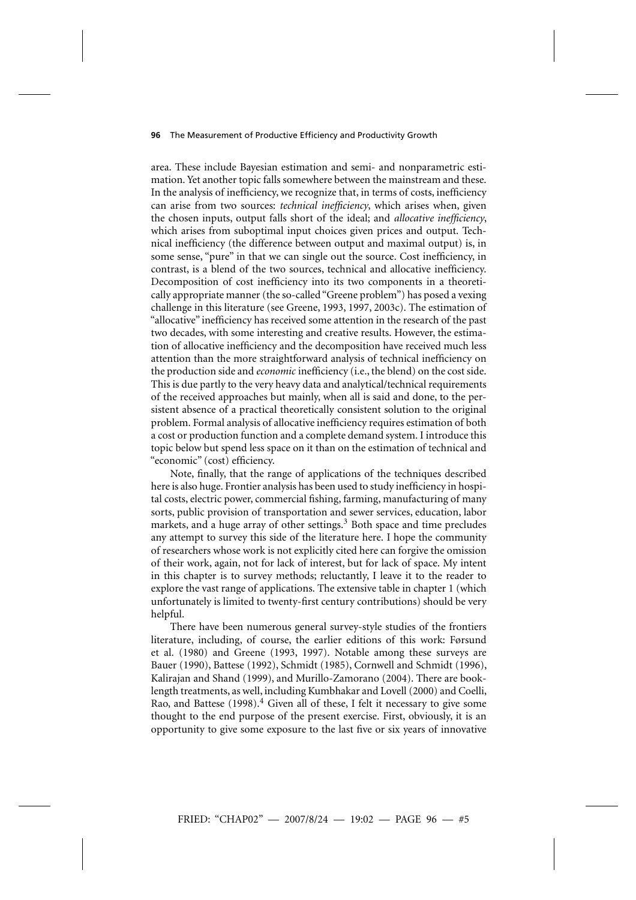area. These include Bayesian estimation and semi- and nonparametric estimation. Yet another topic falls somewhere between the mainstream and these. In the analysis of inefficiency, we recognize that, in terms of costs, inefficiency can arise from two sources: *technical inefficiency*, which arises when, given the chosen inputs, output falls short of the ideal; and *allocative inefficiency*, which arises from suboptimal input choices given prices and output. Technical inefficiency (the difference between output and maximal output) is, in some sense, "pure" in that we can single out the source. Cost inefficiency, in contrast, is a blend of the two sources, technical and allocative inefficiency. Decomposition of cost inefficiency into its two components in a theoretically appropriate manner (the so-called "Greene problem") has posed a vexing challenge in this literature (see Greene, 1993, 1997, 2003c). The estimation of "allocative" inefficiency has received some attention in the research of the past two decades, with some interesting and creative results. However, the estimation of allocative inefficiency and the decomposition have received much less attention than the more straightforward analysis of technical inefficiency on the production side and *economic* inefficiency (i.e., the blend) on the cost side. This is due partly to the very heavy data and analytical/technical requirements of the received approaches but mainly, when all is said and done, to the persistent absence of a practical theoretically consistent solution to the original problem. Formal analysis of allocative inefficiency requires estimation of both a cost or production function and a complete demand system. I introduce this topic below but spend less space on it than on the estimation of technical and "economic" (cost) efficiency.

Note, finally, that the range of applications of the techniques described here is also huge. Frontier analysis has been used to study inefficiency in hospital costs, electric power, commercial fishing, farming, manufacturing of many sorts, public provision of transportation and sewer services, education, labor markets, and a huge array of other settings. $3$  Both space and time precludes any attempt to survey this side of the literature here. I hope the community of researchers whose work is not explicitly cited here can forgive the omission of their work, again, not for lack of interest, but for lack of space. My intent in this chapter is to survey methods; reluctantly, I leave it to the reader to explore the vast range of applications. The extensive table in chapter 1 (which unfortunately is limited to twenty-first century contributions) should be very helpful.

There have been numerous general survey-style studies of the frontiers literature, including, of course, the earlier editions of this work: Førsund et al. (1980) and Greene (1993, 1997). Notable among these surveys are Bauer (1990), Battese (1992), Schmidt (1985), Cornwell and Schmidt (1996), Kalirajan and Shand (1999), and Murillo-Zamorano (2004). There are booklength treatments, as well, including Kumbhakar and Lovell (2000) and Coelli, Rao, and Battese (1998).<sup>4</sup> Given all of these, I felt it necessary to give some thought to the end purpose of the present exercise. First, obviously, it is an opportunity to give some exposure to the last five or six years of innovative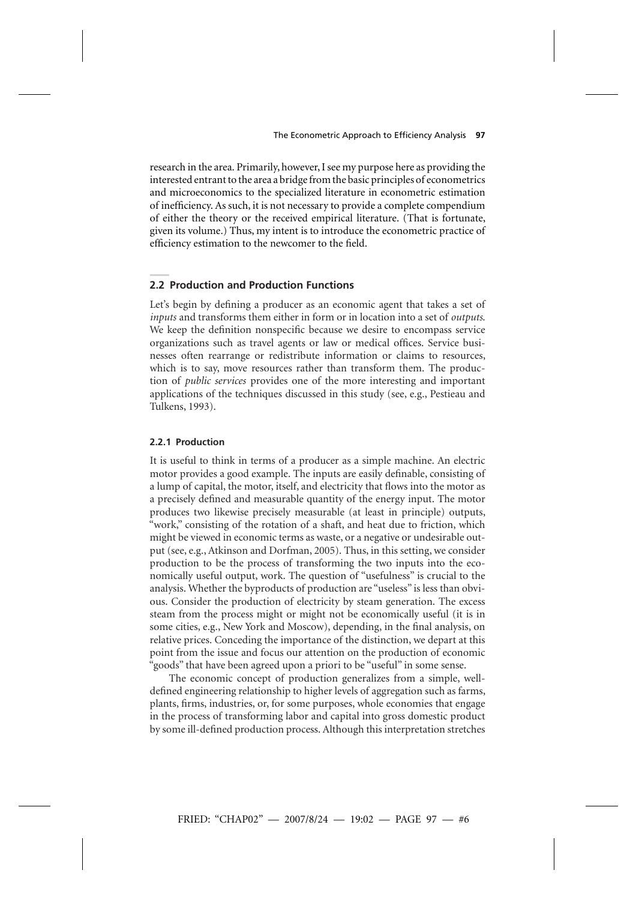research in the area. Primarily, however, I see my purpose here as providing the interested entrant to the area a bridge from the basic principles of econometrics and microeconomics to the specialized literature in econometric estimation of inefficiency. As such, it is not necessary to provide a complete compendium of either the theory or the received empirical literature. (That is fortunate, given its volume.) Thus, my intent is to introduce the econometric practice of efficiency estimation to the newcomer to the field.

# **2.2 Production and Production Functions**

Let's begin by defining a producer as an economic agent that takes a set of *inputs* and transforms them either in form or in location into a set of *outputs*. We keep the definition nonspecific because we desire to encompass service organizations such as travel agents or law or medical offices. Service businesses often rearrange or redistribute information or claims to resources, which is to say, move resources rather than transform them. The production of *public services* provides one of the more interesting and important applications of the techniques discussed in this study (see, e.g., Pestieau and Tulkens, 1993).

#### **2.2.1 Production**

It is useful to think in terms of a producer as a simple machine. An electric motor provides a good example. The inputs are easily definable, consisting of a lump of capital, the motor, itself, and electricity that flows into the motor as a precisely defined and measurable quantity of the energy input. The motor produces two likewise precisely measurable (at least in principle) outputs, "work," consisting of the rotation of a shaft, and heat due to friction, which might be viewed in economic terms as waste, or a negative or undesirable output (see, e.g., Atkinson and Dorfman, 2005). Thus, in this setting, we consider production to be the process of transforming the two inputs into the economically useful output, work. The question of "usefulness" is crucial to the analysis. Whether the byproducts of production are "useless" is less than obvious. Consider the production of electricity by steam generation. The excess steam from the process might or might not be economically useful (it is in some cities, e.g., New York and Moscow), depending, in the final analysis, on relative prices. Conceding the importance of the distinction, we depart at this point from the issue and focus our attention on the production of economic "goods" that have been agreed upon a priori to be "useful" in some sense.

The economic concept of production generalizes from a simple, welldefined engineering relationship to higher levels of aggregation such as farms, plants, firms, industries, or, for some purposes, whole economies that engage in the process of transforming labor and capital into gross domestic product by some ill-defined production process. Although this interpretation stretches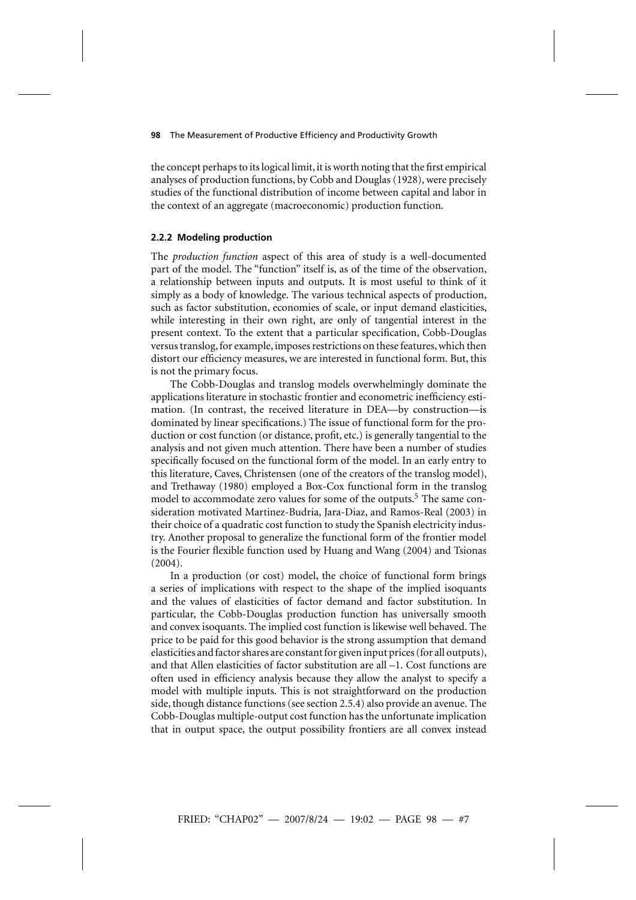the concept perhaps to its logical limit, it is worth noting that the first empirical analyses of production functions, by Cobb and Douglas (1928), were precisely studies of the functional distribution of income between capital and labor in the context of an aggregate (macroeconomic) production function.

## **2.2.2 Modeling production**

The *production function* aspect of this area of study is a well-documented part of the model. The "function" itself is, as of the time of the observation, a relationship between inputs and outputs. It is most useful to think of it simply as a body of knowledge. The various technical aspects of production, such as factor substitution, economies of scale, or input demand elasticities, while interesting in their own right, are only of tangential interest in the present context. To the extent that a particular specification, Cobb-Douglas versus translog, for example, imposes restrictions on these features, which then distort our efficiency measures, we are interested in functional form. But, this is not the primary focus.

The Cobb-Douglas and translog models overwhelmingly dominate the applications literature in stochastic frontier and econometric inefficiency estimation. (In contrast, the received literature in DEA—by construction—is dominated by linear specifications.) The issue of functional form for the production or cost function (or distance, profit, etc.) is generally tangential to the analysis and not given much attention. There have been a number of studies specifically focused on the functional form of the model. In an early entry to this literature, Caves, Christensen (one of the creators of the translog model), and Trethaway (1980) employed a Box-Cox functional form in the translog model to accommodate zero values for some of the outputs.<sup>5</sup> The same consideration motivated Martinez-Budria, Jara-Diaz, and Ramos-Real (2003) in their choice of a quadratic cost function to study the Spanish electricity industry. Another proposal to generalize the functional form of the frontier model is the Fourier flexible function used by Huang and Wang (2004) and Tsionas (2004).

In a production (or cost) model, the choice of functional form brings a series of implications with respect to the shape of the implied isoquants and the values of elasticities of factor demand and factor substitution. In particular, the Cobb-Douglas production function has universally smooth and convex isoquants. The implied cost function is likewise well behaved. The price to be paid for this good behavior is the strong assumption that demand elasticities and factor shares are constant for given input prices (for all outputs), and that Allen elasticities of factor substitution are all –1. Cost functions are often used in efficiency analysis because they allow the analyst to specify a model with multiple inputs. This is not straightforward on the production side, though distance functions (see section 2.5.4) also provide an avenue. The Cobb-Douglas multiple-output cost function has the unfortunate implication that in output space, the output possibility frontiers are all convex instead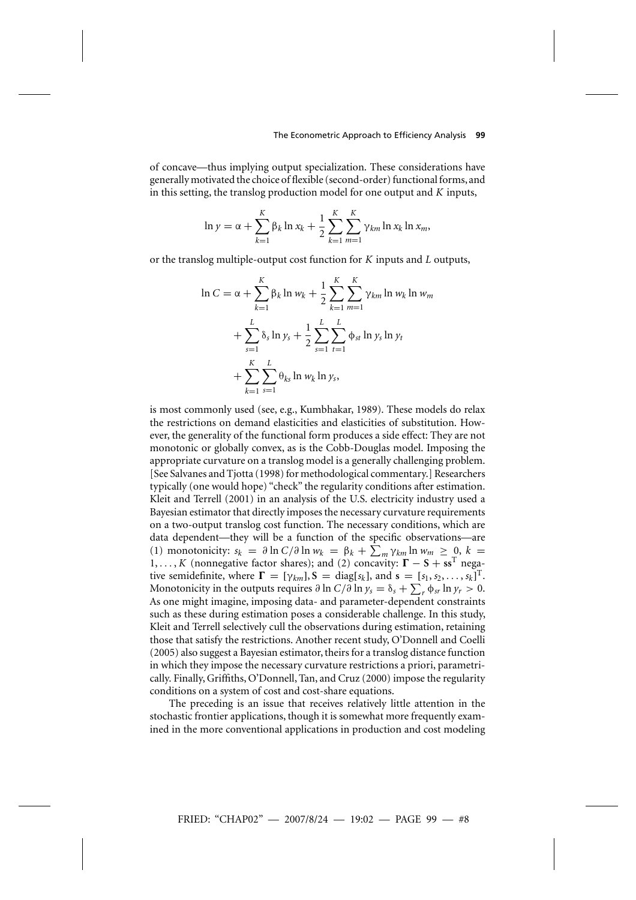of concave—thus implying output specialization. These considerations have generally motivated the choice of flexible (second-order) functional forms, and in this setting, the translog production model for one output and *K* inputs,

$$
\ln y = \alpha + \sum_{k=1}^{K} \beta_k \ln x_k + \frac{1}{2} \sum_{k=1}^{K} \sum_{m=1}^{K} \gamma_{km} \ln x_k \ln x_m,
$$

or the translog multiple-output cost function for *K* inputs and *L* outputs,

$$
\ln C = \alpha + \sum_{k=1}^{K} \beta_k \ln w_k + \frac{1}{2} \sum_{k=1}^{K} \sum_{m=1}^{K} \gamma_{km} \ln w_k \ln w_m
$$
  
+ 
$$
\sum_{s=1}^{L} \delta_s \ln y_s + \frac{1}{2} \sum_{s=1}^{L} \sum_{t=1}^{L} \phi_{st} \ln y_s \ln y_t
$$
  
+ 
$$
\sum_{k=1}^{K} \sum_{s=1}^{L} \theta_{ks} \ln w_k \ln y_s,
$$

is most commonly used (see, e.g., Kumbhakar, 1989). These models do relax the restrictions on demand elasticities and elasticities of substitution. However, the generality of the functional form produces a side effect: They are not monotonic or globally convex, as is the Cobb-Douglas model. Imposing the appropriate curvature on a translog model is a generally challenging problem. [See Salvanes and Tjotta (1998) for methodological commentary.] Researchers typically (one would hope) "check" the regularity conditions after estimation. Kleit and Terrell (2001) in an analysis of the U.S. electricity industry used a Bayesian estimator that directly imposes the necessary curvature requirements on a two-output translog cost function. The necessary conditions, which are data dependent—they will be a function of the specific observations—are (1) monotonicity:  $s_k = \partial \ln C / \partial \ln w_k = \beta_k + \sum_m \gamma_{km} \ln w_m \geq 0, k =$ 1, ..., *K* (nonnegative factor shares); and (2) concavity:  $\mathbf{\Gamma} - \mathbf{S} + \mathbf{s}\mathbf{s}^T$  negative semidefinite, where  $\mathbf{\Gamma} = [\gamma_{km}], \mathbf{S} = \text{diag}[s_k],$  and  $\mathbf{s} = [s_1, s_2, \dots, s_k]^T$ . Monotonicity in the outputs requires  $\partial \ln C / \partial \ln y_s = \delta_s + \sum_r \phi_{sr} \ln y_r > 0$ . As one might imagine, imposing data- and parameter-dependent constraints such as these during estimation poses a considerable challenge. In this study, Kleit and Terrell selectively cull the observations during estimation, retaining those that satisfy the restrictions. Another recent study, O'Donnell and Coelli (2005) also suggest a Bayesian estimator, theirs for a translog distance function in which they impose the necessary curvature restrictions a priori, parametrically. Finally, Griffiths, O'Donnell, Tan, and Cruz (2000) impose the regularity conditions on a system of cost and cost-share equations.

The preceding is an issue that receives relatively little attention in the stochastic frontier applications, though it is somewhat more frequently examined in the more conventional applications in production and cost modeling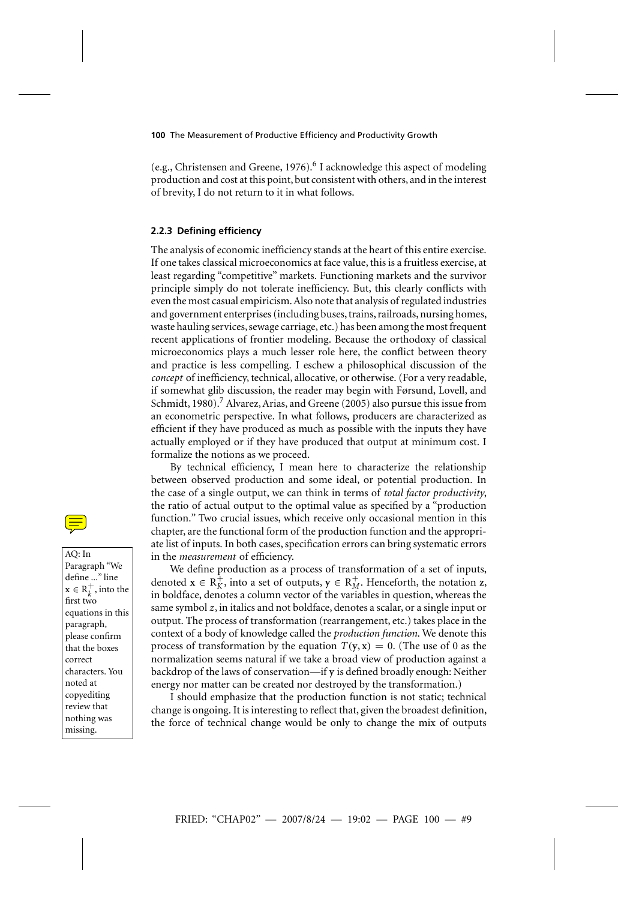(e.g., Christensen and Greene, 1976).<sup>6</sup> I acknowledge this aspect of modeling production and cost at this point, but consistent with others, and in the interest of brevity, I do not return to it in what follows.

#### **2.2.3 Defining efficiency**

The analysis of economic inefficiency stands at the heart of this entire exercise. If one takes classical microeconomics at face value, this is a fruitless exercise, at least regarding "competitive" markets. Functioning markets and the survivor principle simply do not tolerate inefficiency. But, this clearly conflicts with even the most casual empiricism. Also note that analysis of regulated industries and government enterprises (including buses, trains, railroads, nursing homes, waste hauling services, sewage carriage, etc.) has been among the most frequent recent applications of frontier modeling. Because the orthodoxy of classical microeconomics plays a much lesser role here, the conflict between theory and practice is less compelling. I eschew a philosophical discussion of the *concept* of inefficiency, technical, allocative, or otherwise. (For a very readable, if somewhat glib discussion, the reader may begin with Førsund, Lovell, and Schmidt, 1980).<sup>7</sup> Alvarez, Arias, and Greene (2005) also pursue this issue from an econometric perspective. In what follows, producers are characterized as efficient if they have produced as much as possible with the inputs they have actually employed or if they have produced that output at minimum cost. I formalize the notions as we proceed.

By technical efficiency, I mean here to characterize the relationship between observed production and some ideal, or potential production. In the case of a single output, we can think in terms of *total factor productivity*, the ratio of actual output to the optimal value as specified by a "production function." Two crucial issues, which receive only occasional mention in this chapter, are the functional form of the production function and the appropriate list of inputs. In both cases, specification errors can bring systematic errors in the *measurement* of efficiency.

We define production as a process of transformation of a set of inputs, denoted  $\mathbf{x} \in \mathbb{R}_K^+$ , into a set of outputs,  $\mathbf{y} \in \mathbb{R}_M^+$ . Henceforth, the notation  $\mathbf{z}$ , in boldface, denotes a column vector of the variables in question, whereas the same symbol*z*, in italics and not boldface, denotes a scalar, or a single input or output. The process of transformation (rearrangement, etc.) takes place in the context of a body of knowledge called the *production function*. We denote this process of transformation by the equation  $T(y, x) = 0$ . (The use of 0 as the normalization seems natural if we take a broad view of production against a backdrop of the laws of conservation—if **y** is defined broadly enough: Neither energy nor matter can be created nor destroyed by the transformation.)

I should emphasize that the production function is not static; technical change is ongoing. It is interesting to reflect that, given the broadest definition, the force of technical change would be only to change the mix of outputs



AQ: In Paragraph "We define ..." line  $\mathbf{x} \in \mathbb{R}^+_{k}$ , into the first two equations in this paragraph, please confirm that the boxes correct characters. You noted at copyediting review that nothing was missing.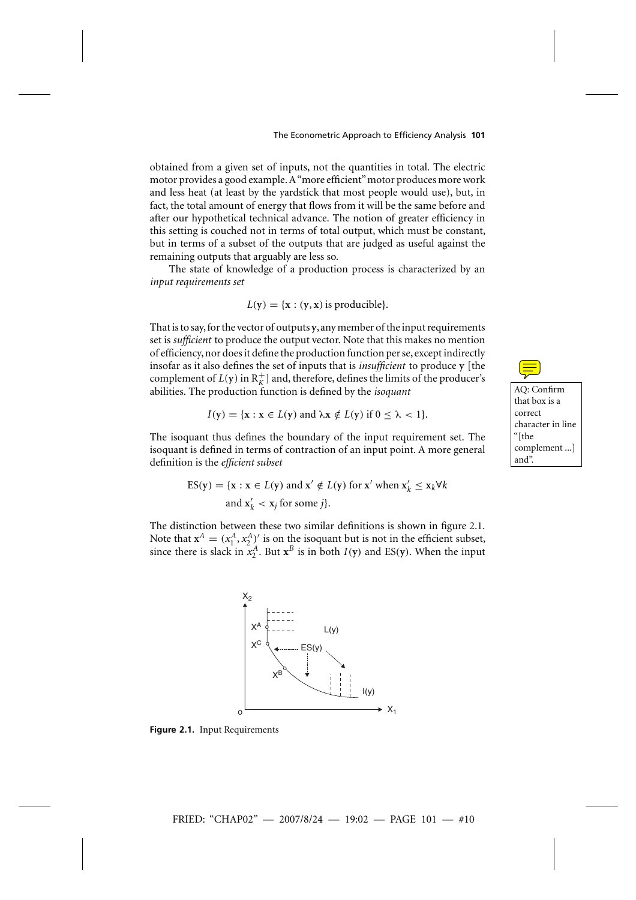## The Econometric Approach to Efficiency Analysis **101**

obtained from a given set of inputs, not the quantities in total. The electric motor provides a good example. A"more efficient"motor produces more work and less heat (at least by the yardstick that most people would use), but, in fact, the total amount of energy that flows from it will be the same before and after our hypothetical technical advance. The notion of greater efficiency in this setting is couched not in terms of total output, which must be constant, but in terms of a subset of the outputs that are judged as useful against the remaining outputs that arguably are less so.

The state of knowledge of a production process is characterized by an *input requirements set*

$$
L(y) = \{x : (y, x) \text{ is producible}\}.
$$

That is to say,for the vector of outputs **y**, any member of the input requirements set is *sufficient* to produce the output vector. Note that this makes no mention of efficiency, nor does it define the production function per se, except indirectly insofar as it also defines the set of inputs that is *insufficient* to produce **y** [the complement of  $L(y)$  in  $R_K^+$ ] and, therefore, defines the limits of the producer's abilities. The production function is defined by the *isoquant*

$$
I(y) = \{x : x \in L(y) \text{ and } \lambda x \notin L(y) \text{ if } 0 \leq \lambda < 1\}.
$$

The isoquant thus defines the boundary of the input requirement set. The isoquant is defined in terms of contraction of an input point. A more general definition is the *efficient subset*

$$
ES(y) = \{x : x \in L(y) \text{ and } x' \notin L(y) \text{ for } x' \text{ when } x'_k \le x_k \forall k
$$
  
and  $x'_k < x_j \text{ for some } j\}.$ 

The distinction between these two similar definitions is shown in figure 2.1. Note that  $x^A = (x_1^A, x_2^A)'$  is on the isoquant but is not in the efficient subset, since there is slack in  $x_2^A$ . But  $x^B$  is in both *I*(*y*) and ES(*y*). When the input



**Figure 2.1.** Input Requirements

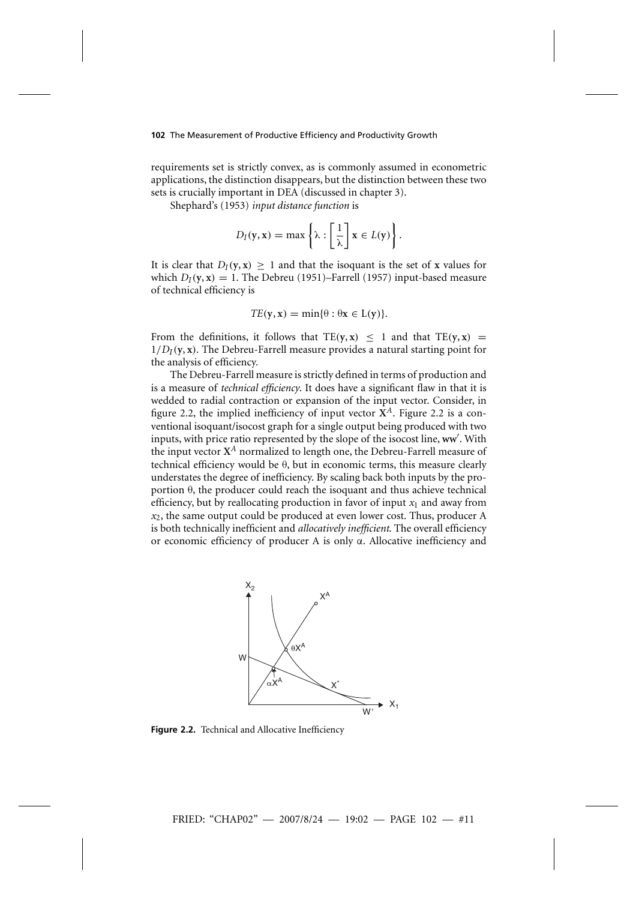requirements set is strictly convex, as is commonly assumed in econometric applications, the distinction disappears, but the distinction between these two sets is crucially important in DEA (discussed in chapter 3).

Shephard's (1953) *input distance function* is

$$
D_I(\mathbf{y}, \mathbf{x}) = \max \left\{ \lambda : \left[ \frac{1}{\lambda} \right] \mathbf{x} \in L(\mathbf{y}) \right\}.
$$

It is clear that  $D_I(y, x) \geq 1$  and that the isoquant is the set of **x** values for which  $D_I(y, x) = 1$ . The Debreu (1951)–Farrell (1957) input-based measure of technical efficiency is

$$
TE(y, x) = \min\{\theta : \theta x \in L(y)\}.
$$

From the definitions, it follows that  $TE(y, x) \le 1$  and that  $TE(y, x) =$ 1/*DI*(**y**, **x**). The Debreu-Farrell measure provides a natural starting point for the analysis of efficiency.

The Debreu-Farrell measure is strictly defined in terms of production and is a measure of *technical efficiency*. It does have a significant flaw in that it is wedded to radial contraction or expansion of the input vector. Consider, in figure 2.2, the implied inefficiency of input vector  $X^A$ . Figure 2.2 is a conventional isoquant/isocost graph for a single output being produced with two inputs, with price ratio represented by the slope of the isocost line, **ww** . With the input vector **X***<sup>A</sup>* normalized to length one, the Debreu-Farrell measure of technical efficiency would be θ, but in economic terms, this measure clearly understates the degree of inefficiency. By scaling back both inputs by the proportion θ, the producer could reach the isoquant and thus achieve technical efficiency, but by reallocating production in favor of input  $x_1$  and away from *x*2, the same output could be produced at even lower cost. Thus, producer A is both technically inefficient and *allocatively inefficient*. The overall efficiency or economic efficiency of producer A is only α. Allocative inefficiency and



**Figure 2.2.** Technical and Allocative Inefficiency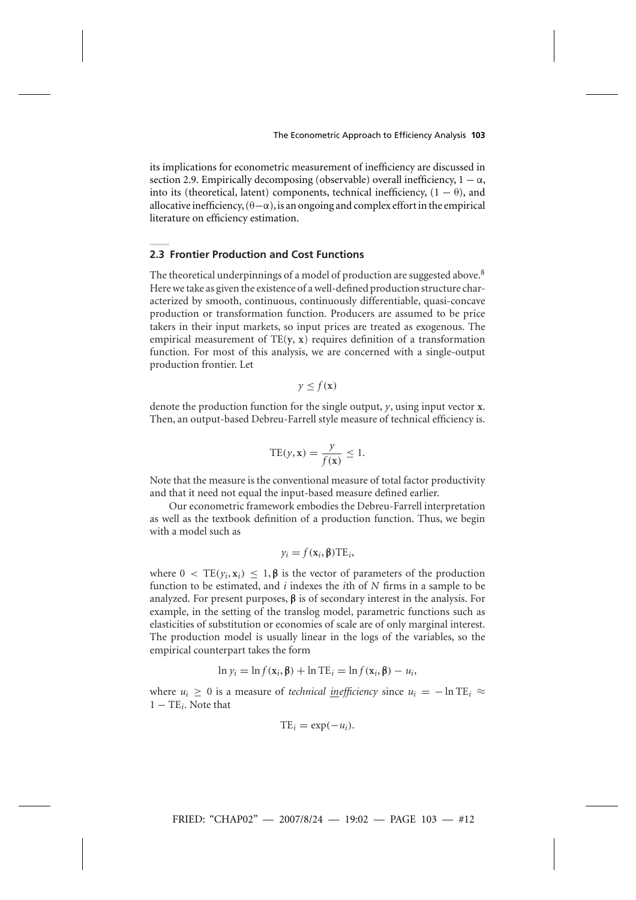its implications for econometric measurement of inefficiency are discussed in section 2.9. Empirically decomposing (observable) overall inefficiency,  $1 - \alpha$ , into its (theoretical, latent) components, technical inefficiency,  $(1 - \theta)$ , and allocative inefficiency,  $(\theta - \alpha)$ , is an ongoing and complex effort in the empirical literature on efficiency estimation.

## **2.3 Frontier Production and Cost Functions**

The theoretical underpinnings of a model of production are suggested above.<sup>8</sup> Here we take as given the existence of a well-defined production structure characterized by smooth, continuous, continuously differentiable, quasi-concave production or transformation function. Producers are assumed to be price takers in their input markets, so input prices are treated as exogenous. The empirical measurement of TE(**y**, **x**) requires definition of a transformation function. For most of this analysis, we are concerned with a single-output production frontier. Let

$$
y \le f(\mathbf{x})
$$

denote the production function for the single output, *y*, using input vector **x**. Then, an output-based Debreu-Farrell style measure of technical efficiency is.

$$
\text{TE}(y, \mathbf{x}) = \frac{y}{f(\mathbf{x})} \le 1.
$$

Note that the measure is the conventional measure of total factor productivity and that it need not equal the input-based measure defined earlier.

Our econometric framework embodies the Debreu-Farrell interpretation as well as the textbook definition of a production function. Thus, we begin with a model such as

$$
y_i = f(\mathbf{x}_i, \boldsymbol{\beta}) \mathrm{TE}_i,
$$

where  $0 < \text{TE}(y_i, \mathbf{x}_i) \leq 1$ ,  $\beta$  is the vector of parameters of the production function to be estimated, and *i* indexes the *i*th of *N* firms in a sample to be analyzed. For present purposes, **β** is of secondary interest in the analysis. For example, in the setting of the translog model, parametric functions such as elasticities of substitution or economies of scale are of only marginal interest. The production model is usually linear in the logs of the variables, so the empirical counterpart takes the form

$$
\ln y_i = \ln f(\mathbf{x}_i, \mathbf{\beta}) + \ln \mathrm{TE}_i = \ln f(\mathbf{x}_i, \mathbf{\beta}) - u_i,
$$

where  $u_i$  ≥ 0 is a measure of *technical* <u>inefficiency</u> since  $u_i$  = − ln TE<sub>*i*</sub> ≈ 1 − TE*i*. Note that

$$
TE_i = \exp(-u_i).
$$

FRIED: "CHAP02" — 2007/8/24 — 19:02 — PAGE 103 — #12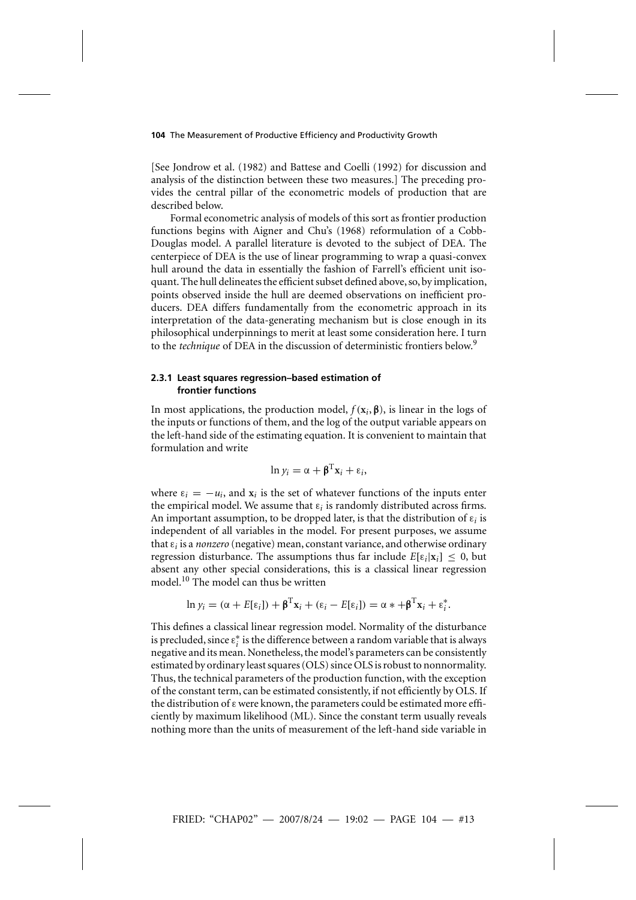[See Jondrow et al. (1982) and Battese and Coelli (1992) for discussion and analysis of the distinction between these two measures.] The preceding provides the central pillar of the econometric models of production that are described below.

Formal econometric analysis of models of this sort as frontier production functions begins with Aigner and Chu's (1968) reformulation of a Cobb-Douglas model. A parallel literature is devoted to the subject of DEA. The centerpiece of DEA is the use of linear programming to wrap a quasi-convex hull around the data in essentially the fashion of Farrell's efficient unit isoquant. The hull delineates the efficient subset defined above, so, by implication, points observed inside the hull are deemed observations on inefficient producers. DEA differs fundamentally from the econometric approach in its interpretation of the data-generating mechanism but is close enough in its philosophical underpinnings to merit at least some consideration here. I turn to the *technique* of DEA in the discussion of deterministic frontiers below.<sup>9</sup>

## **2.3.1 Least squares regression–based estimation of frontier functions**

In most applications, the production model,  $f(\mathbf{x}_i, \boldsymbol{\beta})$ , is linear in the logs of the inputs or functions of them, and the log of the output variable appears on the left-hand side of the estimating equation. It is convenient to maintain that formulation and write

$$
\ln y_i = \alpha + \beta^{\mathrm{T}} \mathbf{x}_i + \varepsilon_i,
$$

where  $\varepsilon_i = -u_i$ , and  $\mathbf{x}_i$  is the set of whatever functions of the inputs enter the empirical model. We assume that  $\varepsilon_i$  is randomly distributed across firms. An important assumption, to be dropped later, is that the distribution of ε*<sup>i</sup>* is independent of all variables in the model. For present purposes, we assume thatε*<sup>i</sup>* is a *nonzero* (negative) mean, constant variance, and otherwise ordinary regression disturbance. The assumptions thus far include  $E[\epsilon_i|\mathbf{x}_i] \leq 0$ , but absent any other special considerations, this is a classical linear regression model.<sup>10</sup> The model can thus be written

$$
\ln y_i = (\alpha + E[\epsilon_i]) + \beta^{\mathrm{T}} x_i + (\epsilon_i - E[\epsilon_i]) = \alpha * + \beta^{\mathrm{T}} x_i + \epsilon_i^*.
$$

This defines a classical linear regression model. Normality of the disturbance is precluded, since  $\varepsilon_i^*$  is the difference between a random variable that is always negative and its mean. Nonetheless, the model's parameters can be consistently estimated by ordinary least squares (OLS) since OLS is robust to nonnormality. Thus, the technical parameters of the production function, with the exception of the constant term, can be estimated consistently, if not efficiently by OLS. If the distribution of ε were known, the parameters could be estimated more efficiently by maximum likelihood (ML). Since the constant term usually reveals nothing more than the units of measurement of the left-hand side variable in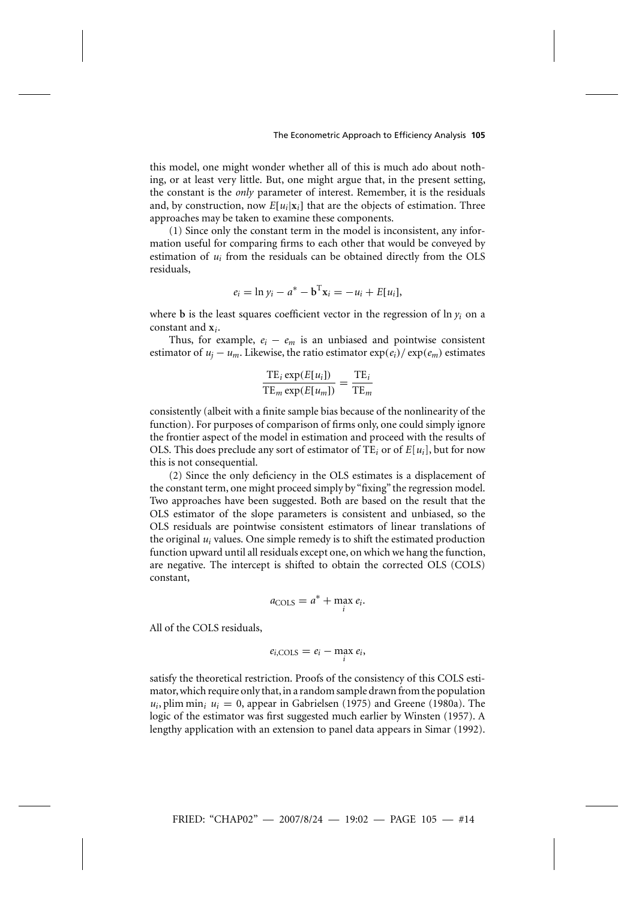this model, one might wonder whether all of this is much ado about nothing, or at least very little. But, one might argue that, in the present setting, the constant is the *only* parameter of interest. Remember, it is the residuals and, by construction, now  $E[u_i|\mathbf{x}_i]$  that are the objects of estimation. Three approaches may be taken to examine these components.

(1) Since only the constant term in the model is inconsistent, any information useful for comparing firms to each other that would be conveyed by estimation of *ui* from the residuals can be obtained directly from the OLS residuals,

$$
e_i = \ln y_i - a^* - \mathbf{b}^{\mathrm{T}} \mathbf{x}_i = -u_i + E[u_i],
$$

where **b** is the least squares coefficient vector in the regression of  $\ln y_i$  on a constant and **x***i*.

Thus, for example,  $e_i - e_m$  is an unbiased and pointwise consistent estimator of  $u_i - u_m$ . Likewise, the ratio estimator  $\exp(e_i)/\exp(e_m)$  estimates

$$
\frac{\text{TE}_i \exp(E[u_i])}{\text{TE}_m \exp(E[u_m])} = \frac{\text{TE}_i}{\text{TE}_m}
$$

consistently (albeit with a finite sample bias because of the nonlinearity of the function). For purposes of comparison of firms only, one could simply ignore the frontier aspect of the model in estimation and proceed with the results of OLS. This does preclude any sort of estimator of TE*<sup>i</sup>* or of *E*[*ui*], but for now this is not consequential.

(2) Since the only deficiency in the OLS estimates is a displacement of the constant term, one might proceed simply by "fixing" the regression model. Two approaches have been suggested. Both are based on the result that the OLS estimator of the slope parameters is consistent and unbiased, so the OLS residuals are pointwise consistent estimators of linear translations of the original *ui* values. One simple remedy is to shift the estimated production function upward until all residuals except one, on which we hang the function, are negative. The intercept is shifted to obtain the corrected OLS (COLS) constant,

$$
a_{\text{COLS}} = a^* + \max_i e_i.
$$

All of the COLS residuals,

$$
e_{i,\text{COLS}} = e_i - \max_i e_i,
$$

satisfy the theoretical restriction. Proofs of the consistency of this COLS estimator, which require only that, in a random sample drawn from the population  $u_i$ , plim min<sub>i</sub>  $u_i = 0$ , appear in Gabrielsen (1975) and Greene (1980a). The logic of the estimator was first suggested much earlier by Winsten (1957). A lengthy application with an extension to panel data appears in Simar (1992).

FRIED: "CHAP02" — 2007/8/24 — 19:02 — PAGE 105 — #14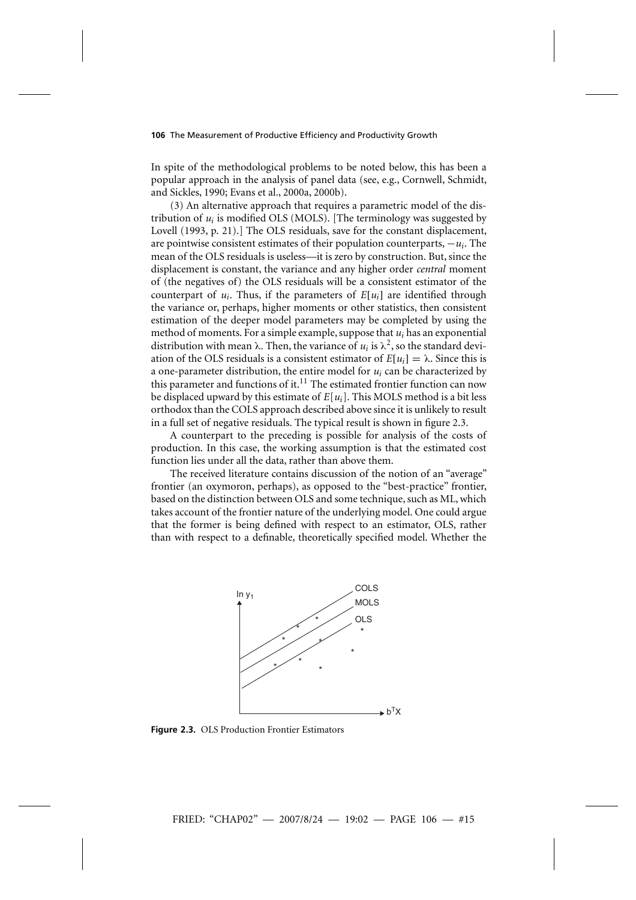In spite of the methodological problems to be noted below, this has been a popular approach in the analysis of panel data (see, e.g., Cornwell, Schmidt, and Sickles, 1990; Evans et al., 2000a, 2000b).

(3) An alternative approach that requires a parametric model of the distribution of *ui* is modified OLS (MOLS). [The terminology was suggested by Lovell (1993, p. 21).] The OLS residuals, save for the constant displacement, are pointwise consistent estimates of their population counterparts,  $-*u*<sub>i</sub>$ . The mean of the OLS residuals is useless—it is zero by construction. But, since the displacement is constant, the variance and any higher order *central* moment of (the negatives of) the OLS residuals will be a consistent estimator of the counterpart of  $u_i$ . Thus, if the parameters of  $E[u_i]$  are identified through the variance or, perhaps, higher moments or other statistics, then consistent estimation of the deeper model parameters may be completed by using the method of moments. For a simple example, suppose that *ui* has an exponential distribution with mean  $\lambda$ . Then, the variance of  $u_i$  is  $\lambda^2$ , so the standard deviation of the OLS residuals is a consistent estimator of  $E[u_i] = \lambda$ . Since this is a one-parameter distribution, the entire model for  $u_i$  can be characterized by this parameter and functions of it. $^{11}$  The estimated frontier function can now be displaced upward by this estimate of  $E[u_i]$ . This MOLS method is a bit less orthodox than the COLS approach described above since it is unlikely to result in a full set of negative residuals. The typical result is shown in figure 2.3.

A counterpart to the preceding is possible for analysis of the costs of production. In this case, the working assumption is that the estimated cost function lies under all the data, rather than above them.

The received literature contains discussion of the notion of an "average" frontier (an oxymoron, perhaps), as opposed to the "best-practice" frontier, based on the distinction between OLS and some technique, such as ML, which takes account of the frontier nature of the underlying model. One could argue that the former is being defined with respect to an estimator, OLS, rather than with respect to a definable, theoretically specified model. Whether the



**Figure 2.3.** OLS Production Frontier Estimators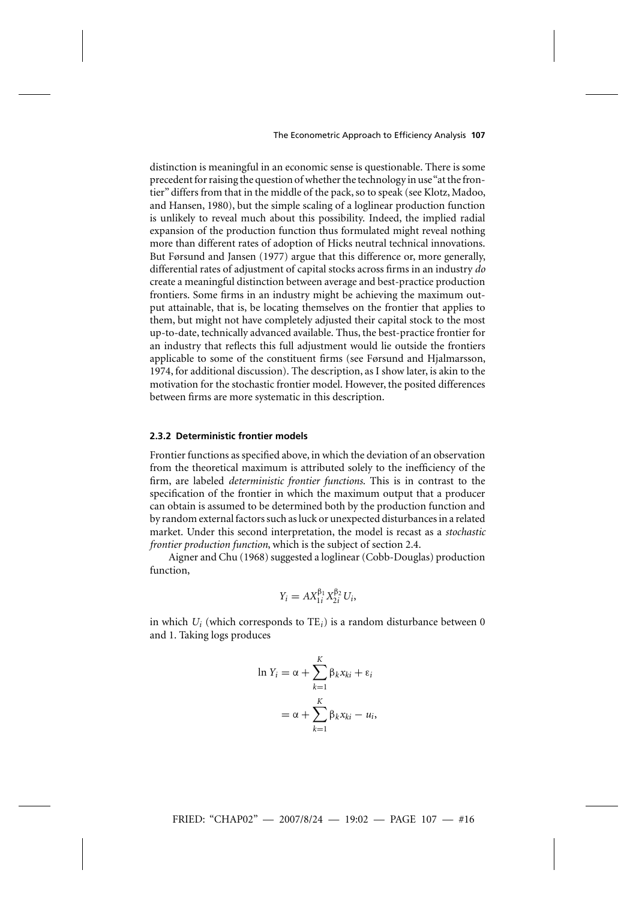#### The Econometric Approach to Efficiency Analysis **107**

distinction is meaningful in an economic sense is questionable. There is some precedent for raising the question of whether the technology in use "at the frontier" differs from that in the middle of the pack, so to speak (see Klotz, Madoo, and Hansen, 1980), but the simple scaling of a loglinear production function is unlikely to reveal much about this possibility. Indeed, the implied radial expansion of the production function thus formulated might reveal nothing more than different rates of adoption of Hicks neutral technical innovations. But Førsund and Jansen (1977) argue that this difference or, more generally, differential rates of adjustment of capital stocks across firms in an industry *do* create a meaningful distinction between average and best-practice production frontiers. Some firms in an industry might be achieving the maximum output attainable, that is, be locating themselves on the frontier that applies to them, but might not have completely adjusted their capital stock to the most up-to-date, technically advanced available. Thus, the best-practice frontier for an industry that reflects this full adjustment would lie outside the frontiers applicable to some of the constituent firms (see Førsund and Hjalmarsson, 1974, for additional discussion). The description, as I show later, is akin to the motivation for the stochastic frontier model. However, the posited differences between firms are more systematic in this description.

## **2.3.2 Deterministic frontier models**

Frontier functions as specified above, in which the deviation of an observation from the theoretical maximum is attributed solely to the inefficiency of the firm, are labeled *deterministic frontier functions*. This is in contrast to the specification of the frontier in which the maximum output that a producer can obtain is assumed to be determined both by the production function and by random external factors such as luck or unexpected disturbances in a related market. Under this second interpretation, the model is recast as a *stochastic frontier production function*, which is the subject of section 2.4.

Aigner and Chu (1968) suggested a loglinear (Cobb-Douglas) production function,

$$
Y_i = AX_{1i}^{\beta_1} X_{2i}^{\beta_2} U_i,
$$

in which  $U_i$  (which corresponds to  $TE_i$ ) is a random disturbance between 0 and 1. Taking logs produces

$$
\ln Y_i = \alpha + \sum_{k=1}^{K} \beta_k x_{ki} + \varepsilon_i
$$

$$
= \alpha + \sum_{k=1}^{K} \beta_k x_{ki} - u_i,
$$

FRIED: "CHAP02" — 2007/8/24 — 19:02 — PAGE 107 — #16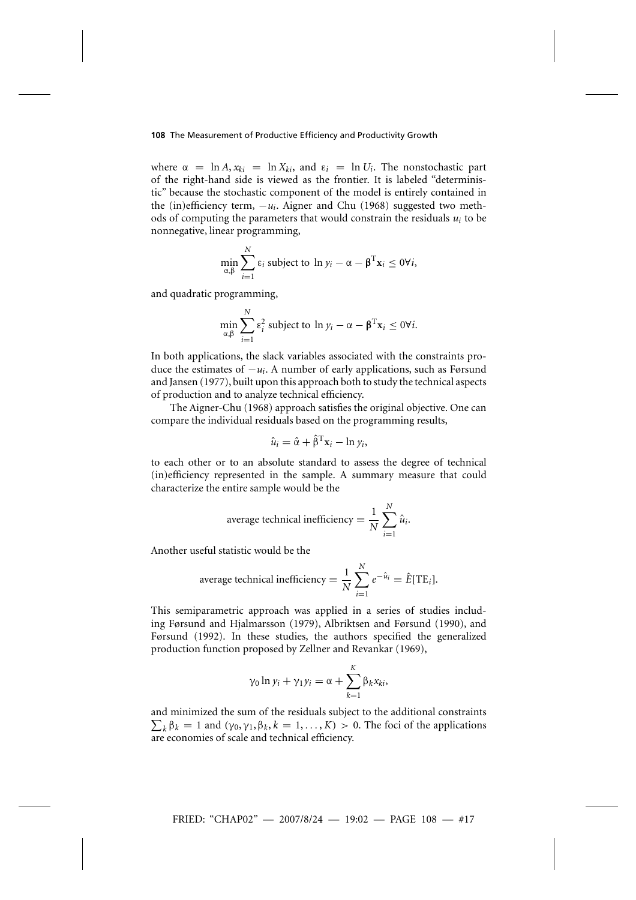where  $\alpha = \ln A$ ,  $x_{ki} = \ln X_{ki}$ , and  $\varepsilon_i = \ln U_i$ . The nonstochastic part of the right-hand side is viewed as the frontier. It is labeled "deterministic" because the stochastic component of the model is entirely contained in the (in)efficiency term, −*ui*. Aigner and Chu (1968) suggested two methods of computing the parameters that would constrain the residuals *ui* to be nonnegative, linear programming,

$$
\min_{\alpha,\beta} \sum_{i=1}^N \varepsilon_i \text{ subject to } \ln y_i - \alpha - \beta^{\mathrm{T}} \mathbf{x}_i \le 0 \forall i,
$$

and quadratic programming,

$$
\min_{\alpha,\beta} \sum_{i=1}^N \varepsilon_i^2
$$
 subject to  $\ln y_i - \alpha - \beta^T x_i \le 0 \forall i$ .

In both applications, the slack variables associated with the constraints produce the estimates of −*ui*. A number of early applications, such as Førsund and Jansen (1977), built upon this approach both to study the technical aspects of production and to analyze technical efficiency.

The Aigner-Chu (1968) approach satisfies the original objective. One can compare the individual residuals based on the programming results,

$$
\hat{u}_i = \hat{\alpha} + \hat{\beta}^{\mathrm{T}} \mathbf{x}_i - \ln y_i,
$$

to each other or to an absolute standard to assess the degree of technical (in)efficiency represented in the sample. A summary measure that could characterize the entire sample would be the

average technical inefficiency = 
$$
\frac{1}{N} \sum_{i=1}^{N} \hat{u}_i
$$
.

Another useful statistic would be the

average technical inefficiency = 
$$
\frac{1}{N} \sum_{i=1}^{N} e^{-\hat{u}_i} = \hat{E}[TE_i].
$$

This semiparametric approach was applied in a series of studies including Førsund and Hjalmarsson (1979), Albriktsen and Førsund (1990), and Førsund (1992). In these studies, the authors specified the generalized production function proposed by Zellner and Revankar (1969),

$$
\gamma_0 \ln y_i + \gamma_1 y_i = \alpha + \sum_{k=1}^K \beta_k x_{ki},
$$

and minimized the sum of the residuals subject to the additional constraints  $\sum_{k} \beta_k = 1$  and  $(\gamma_0, \gamma_1, \beta_k, k = 1, ..., K) > 0$ . The foci of the applications are economies of scale and technical efficiency.

FRIED: "CHAP02" — 2007/8/24 — 19:02 — PAGE 108 — #17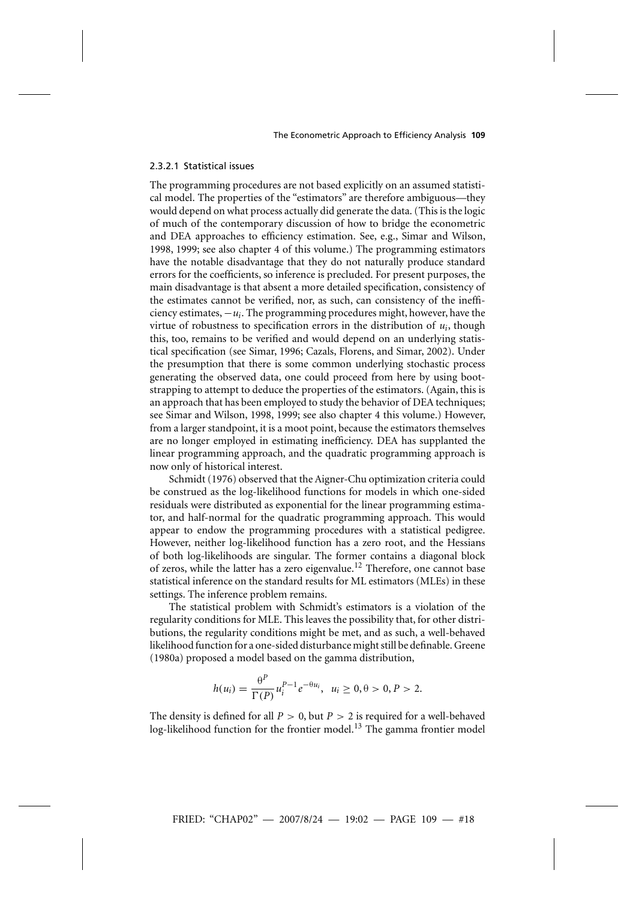#### 2.3.2.1 Statistical issues

The programming procedures are not based explicitly on an assumed statistical model. The properties of the "estimators" are therefore ambiguous—they would depend on what process actually did generate the data. (This is the logic of much of the contemporary discussion of how to bridge the econometric and DEA approaches to efficiency estimation. See, e.g., Simar and Wilson, 1998, 1999; see also chapter 4 of this volume.) The programming estimators have the notable disadvantage that they do not naturally produce standard errors for the coefficients, so inference is precluded. For present purposes, the main disadvantage is that absent a more detailed specification, consistency of the estimates cannot be verified, nor, as such, can consistency of the inefficiency estimates, −*ui*. The programming procedures might, however, have the virtue of robustness to specification errors in the distribution of  $u_i$ , though this, too, remains to be verified and would depend on an underlying statistical specification (see Simar, 1996; Cazals, Florens, and Simar, 2002). Under the presumption that there is some common underlying stochastic process generating the observed data, one could proceed from here by using bootstrapping to attempt to deduce the properties of the estimators. (Again, this is an approach that has been employed to study the behavior of DEA techniques; see Simar and Wilson, 1998, 1999; see also chapter 4 this volume.) However, from a larger standpoint, it is a moot point, because the estimators themselves are no longer employed in estimating inefficiency. DEA has supplanted the linear programming approach, and the quadratic programming approach is now only of historical interest.

Schmidt (1976) observed that the Aigner-Chu optimization criteria could be construed as the log-likelihood functions for models in which one-sided residuals were distributed as exponential for the linear programming estimator, and half-normal for the quadratic programming approach. This would appear to endow the programming procedures with a statistical pedigree. However, neither log-likelihood function has a zero root, and the Hessians of both log-likelihoods are singular. The former contains a diagonal block of zeros, while the latter has a zero eigenvalue.<sup>12</sup> Therefore, one cannot base statistical inference on the standard results for ML estimators (MLEs) in these settings. The inference problem remains.

The statistical problem with Schmidt's estimators is a violation of the regularity conditions for MLE. This leaves the possibility that, for other distributions, the regularity conditions might be met, and as such, a well-behaved likelihood function for a one-sided disturbance might still be definable. Greene (1980a) proposed a model based on the gamma distribution,

$$
h(u_i) = \frac{\theta^P}{\Gamma(P)} u_i^{P-1} e^{-\theta u_i}, \ \ u_i \ge 0, \theta > 0, P > 2.
$$

The density is defined for all  $P > 0$ , but  $P > 2$  is required for a well-behaved log-likelihood function for the frontier model.<sup>13</sup> The gamma frontier model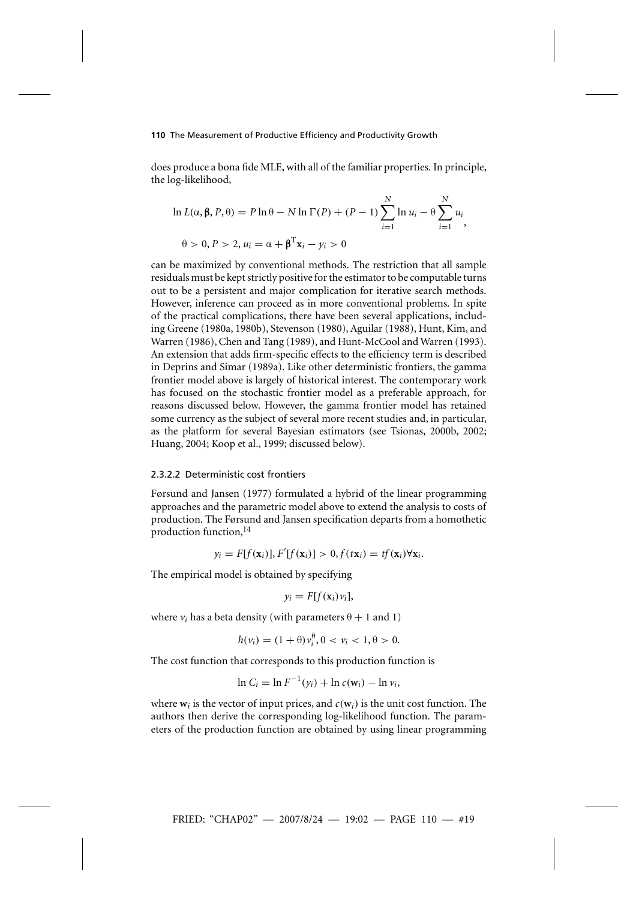does produce a bona fide MLE, with all of the familiar properties. In principle, the log-likelihood,

$$
\ln L(\alpha, \beta, P, \theta) = P \ln \theta - N \ln \Gamma(P) + (P - 1) \sum_{i=1}^{N} \ln u_i - \theta \sum_{i=1}^{N} u_i,
$$
  

$$
\theta > 0, P > 2, u_i = \alpha + \beta^{T} x_i - y_i > 0
$$

can be maximized by conventional methods. The restriction that all sample residuals must be kept strictly positive for the estimator to be computable turns out to be a persistent and major complication for iterative search methods. However, inference can proceed as in more conventional problems. In spite of the practical complications, there have been several applications, including Greene (1980a, 1980b), Stevenson (1980), Aguilar (1988), Hunt, Kim, and Warren (1986), Chen and Tang (1989), and Hunt-McCool and Warren (1993). An extension that adds firm-specific effects to the efficiency term is described in Deprins and Simar (1989a). Like other deterministic frontiers, the gamma frontier model above is largely of historical interest. The contemporary work has focused on the stochastic frontier model as a preferable approach, for reasons discussed below. However, the gamma frontier model has retained some currency as the subject of several more recent studies and, in particular, as the platform for several Bayesian estimators (see Tsionas, 2000b, 2002; Huang, 2004; Koop et al., 1999; discussed below).

#### 2.3.2.2 Deterministic cost frontiers

Førsund and Jansen (1977) formulated a hybrid of the linear programming approaches and the parametric model above to extend the analysis to costs of production. The Førsund and Jansen specification departs from a homothetic production function,14

$$
y_i = F[f(\mathbf{x}_i)], F'[f(\mathbf{x}_i)] > 0, f(t\mathbf{x}_i) = tf(\mathbf{x}_i)\forall \mathbf{x}_i.
$$

The empirical model is obtained by specifying

$$
y_i = F[f(\mathbf{x}_i)v_i],
$$

where  $v_i$  has a beta density (with parameters  $\theta + 1$  and 1)

$$
h(v_i)=(1+\theta)v_i^{\theta}, 0 < v_i < 1, \theta > 0.
$$

The cost function that corresponds to this production function is

$$
\ln C_i = \ln F^{-1}(y_i) + \ln c(\mathbf{w}_i) - \ln v_i,
$$

where  $w_i$  is the vector of input prices, and  $c(w_i)$  is the unit cost function. The authors then derive the corresponding log-likelihood function. The parameters of the production function are obtained by using linear programming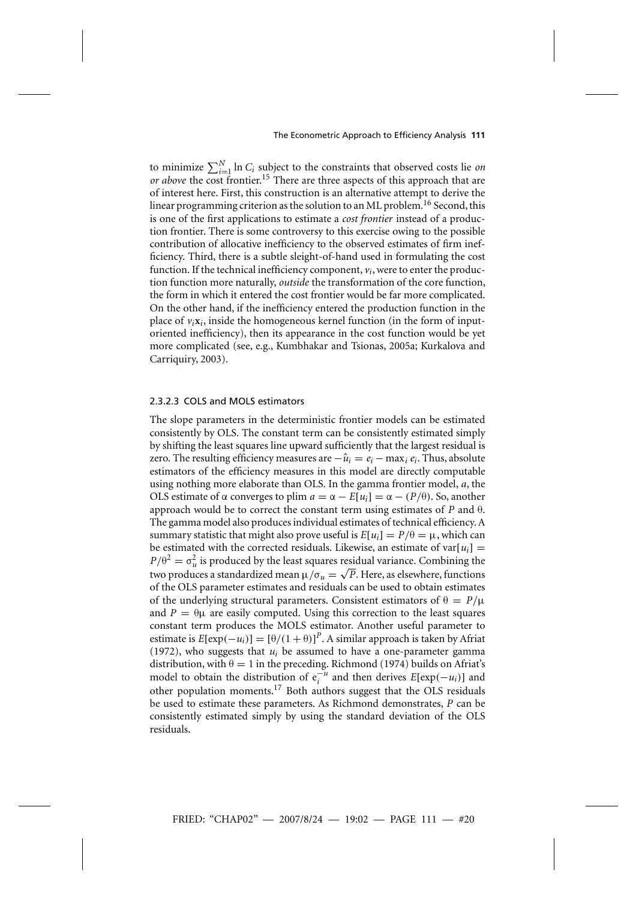#### The Econometric Approach to Efficiency Analysis **111**

to minimize  $\sum_{i=1}^{N} \ln C_i$  subject to the constraints that observed costs lie *on or above* the cost frontier.<sup>15</sup> There are three aspects of this approach that are of interest here. First, this construction is an alternative attempt to derive the linear programming criterion as the solution to an ML problem.<sup>16</sup> Second, this is one of the first applications to estimate a *cost frontier* instead of a production frontier. There is some controversy to this exercise owing to the possible contribution of allocative inefficiency to the observed estimates of firm inefficiency. Third, there is a subtle sleight-of-hand used in formulating the cost function. If the technical inefficiency component, *vi*, were to enter the production function more naturally, *outside* the transformation of the core function, the form in which it entered the cost frontier would be far more complicated. On the other hand, if the inefficiency entered the production function in the place of  $v_i$ **x**<sub>i</sub>, inside the homogeneous kernel function (in the form of inputoriented inefficiency), then its appearance in the cost function would be yet more complicated (see, e.g., Kumbhakar and Tsionas, 2005a; Kurkalova and Carriquiry, 2003).

## 2.3.2.3 COLS and MOLS estimators

The slope parameters in the deterministic frontier models can be estimated consistently by OLS. The constant term can be consistently estimated simply by shifting the least squares line upward sufficiently that the largest residual is zero. The resulting efficiency measures are  $-\hat{u}_i = e_i - \max_i e_i$ . Thus, absolute estimators of the efficiency measures in this model are directly computable using nothing more elaborate than OLS. In the gamma frontier model, *a*, the OLS estimate of α converges to plim  $a = \alpha - E[u_i] = \alpha - (P/\theta)$ . So, another approach would be to correct the constant term using estimates of *P* and θ. The gamma model also produces individual estimates of technical efficiency. A summary statistic that might also prove useful is  $E[u_i] = P/\theta = \mu$ , which can be estimated with the corrected residuals. Likewise, an estimate of var $[u_i]$  =  $P/\theta^2 = \sigma_u^2$  is produced by the least squares residual variance. Combining the two produces a standardized mean  $\mu/\sigma_u = \sqrt{P}$ . Here, as elsewhere, functions of the OLS parameter estimates and residuals can be used to obtain estimates of the underlying structural parameters. Consistent estimators of  $\theta = P/\mu$ and  $P = \theta \mu$  are easily computed. Using this correction to the least squares constant term produces the MOLS estimator. Another useful parameter to estimate is  $E[\exp(-u_i)] = [\theta/(1 + \theta)]^P$ . A similar approach is taken by Afriat (1972), who suggests that  $u_i$  be assumed to have a one-parameter gamma distribution, with  $\theta = 1$  in the preceding. Richmond (1974) builds on Afriat's model to obtain the distribution of  $e_i^{-u}$  and then derives  $E[\exp(-u_i)]$  and other population moments.17 Both authors suggest that the OLS residuals be used to estimate these parameters. As Richmond demonstrates, *P* can be consistently estimated simply by using the standard deviation of the OLS residuals.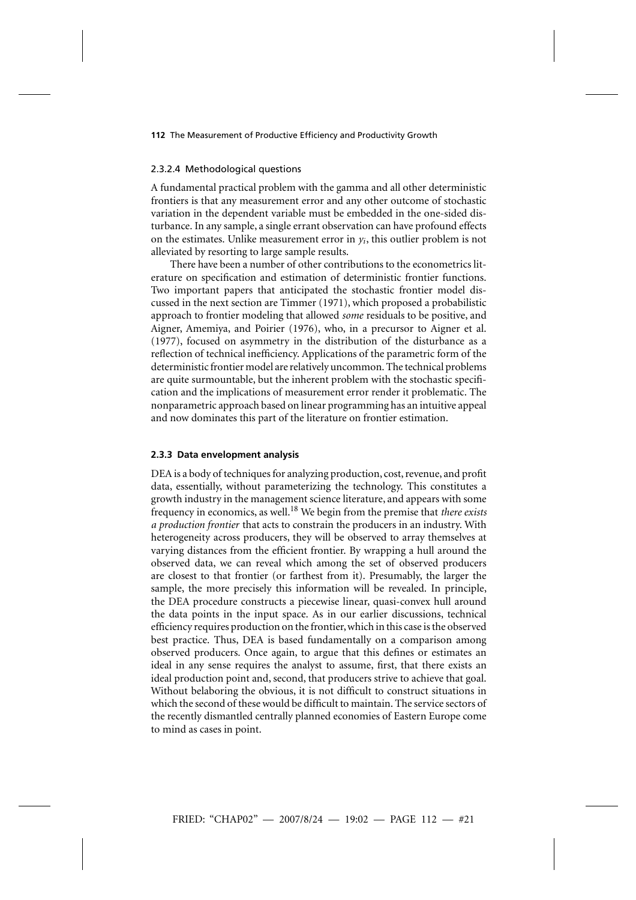# 2.3.2.4 Methodological questions

A fundamental practical problem with the gamma and all other deterministic frontiers is that any measurement error and any other outcome of stochastic variation in the dependent variable must be embedded in the one-sided disturbance. In any sample, a single errant observation can have profound effects on the estimates. Unlike measurement error in  $y_i$ , this outlier problem is not alleviated by resorting to large sample results.

There have been a number of other contributions to the econometrics literature on specification and estimation of deterministic frontier functions. Two important papers that anticipated the stochastic frontier model discussed in the next section are Timmer (1971), which proposed a probabilistic approach to frontier modeling that allowed *some* residuals to be positive, and Aigner, Amemiya, and Poirier (1976), who, in a precursor to Aigner et al. (1977), focused on asymmetry in the distribution of the disturbance as a reflection of technical inefficiency. Applications of the parametric form of the deterministic frontier model are relatively uncommon. The technical problems are quite surmountable, but the inherent problem with the stochastic specification and the implications of measurement error render it problematic. The nonparametric approach based on linear programming has an intuitive appeal and now dominates this part of the literature on frontier estimation.

## **2.3.3 Data envelopment analysis**

DEA is a body of techniques for analyzing production, cost, revenue, and profit data, essentially, without parameterizing the technology. This constitutes a growth industry in the management science literature, and appears with some frequency in economics, as well.18 We begin from the premise that *there exists a production frontier* that acts to constrain the producers in an industry. With heterogeneity across producers, they will be observed to array themselves at varying distances from the efficient frontier. By wrapping a hull around the observed data, we can reveal which among the set of observed producers are closest to that frontier (or farthest from it). Presumably, the larger the sample, the more precisely this information will be revealed. In principle, the DEA procedure constructs a piecewise linear, quasi-convex hull around the data points in the input space. As in our earlier discussions, technical efficiency requires production on the frontier,which in this case is the observed best practice. Thus, DEA is based fundamentally on a comparison among observed producers. Once again, to argue that this defines or estimates an ideal in any sense requires the analyst to assume, first, that there exists an ideal production point and, second, that producers strive to achieve that goal. Without belaboring the obvious, it is not difficult to construct situations in which the second of these would be difficult to maintain. The service sectors of the recently dismantled centrally planned economies of Eastern Europe come to mind as cases in point.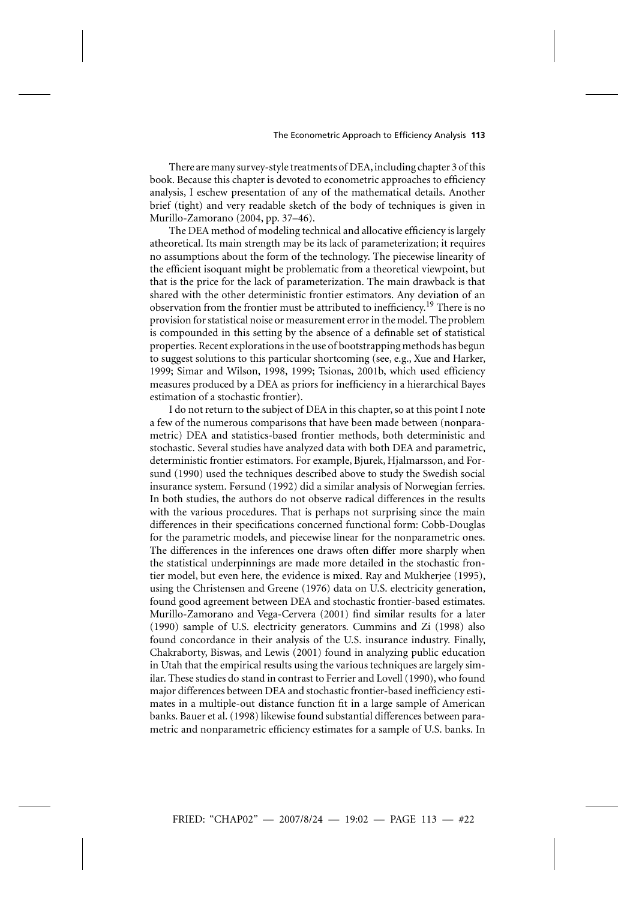## The Econometric Approach to Efficiency Analysis **113**

There are many survey-style treatments of DEA, including chapter 3 of this book. Because this chapter is devoted to econometric approaches to efficiency analysis, I eschew presentation of any of the mathematical details. Another brief (tight) and very readable sketch of the body of techniques is given in Murillo-Zamorano (2004, pp. 37–46).

The DEA method of modeling technical and allocative efficiency is largely atheoretical. Its main strength may be its lack of parameterization; it requires no assumptions about the form of the technology. The piecewise linearity of the efficient isoquant might be problematic from a theoretical viewpoint, but that is the price for the lack of parameterization. The main drawback is that shared with the other deterministic frontier estimators. Any deviation of an observation from the frontier must be attributed to inefficiency.<sup>19</sup> There is no provision for statistical noise or measurement error in the model. The problem is compounded in this setting by the absence of a definable set of statistical properties. Recent explorations in the use of bootstrapping methods has begun to suggest solutions to this particular shortcoming (see, e.g., Xue and Harker, 1999; Simar and Wilson, 1998, 1999; Tsionas, 2001b, which used efficiency measures produced by a DEA as priors for inefficiency in a hierarchical Bayes estimation of a stochastic frontier).

I do not return to the subject of DEA in this chapter, so at this point I note a few of the numerous comparisons that have been made between (nonparametric) DEA and statistics-based frontier methods, both deterministic and stochastic. Several studies have analyzed data with both DEA and parametric, deterministic frontier estimators. For example, Bjurek, Hjalmarsson, and Forsund (1990) used the techniques described above to study the Swedish social insurance system. Førsund (1992) did a similar analysis of Norwegian ferries. In both studies, the authors do not observe radical differences in the results with the various procedures. That is perhaps not surprising since the main differences in their specifications concerned functional form: Cobb-Douglas for the parametric models, and piecewise linear for the nonparametric ones. The differences in the inferences one draws often differ more sharply when the statistical underpinnings are made more detailed in the stochastic frontier model, but even here, the evidence is mixed. Ray and Mukherjee (1995), using the Christensen and Greene (1976) data on U.S. electricity generation, found good agreement between DEA and stochastic frontier-based estimates. Murillo-Zamorano and Vega-Cervera (2001) find similar results for a later (1990) sample of U.S. electricity generators. Cummins and Zi (1998) also found concordance in their analysis of the U.S. insurance industry. Finally, Chakraborty, Biswas, and Lewis (2001) found in analyzing public education in Utah that the empirical results using the various techniques are largely similar. These studies do stand in contrast to Ferrier and Lovell (1990), who found major differences between DEA and stochastic frontier-based inefficiency estimates in a multiple-out distance function fit in a large sample of American banks. Bauer et al. (1998) likewise found substantial differences between parametric and nonparametric efficiency estimates for a sample of U.S. banks. In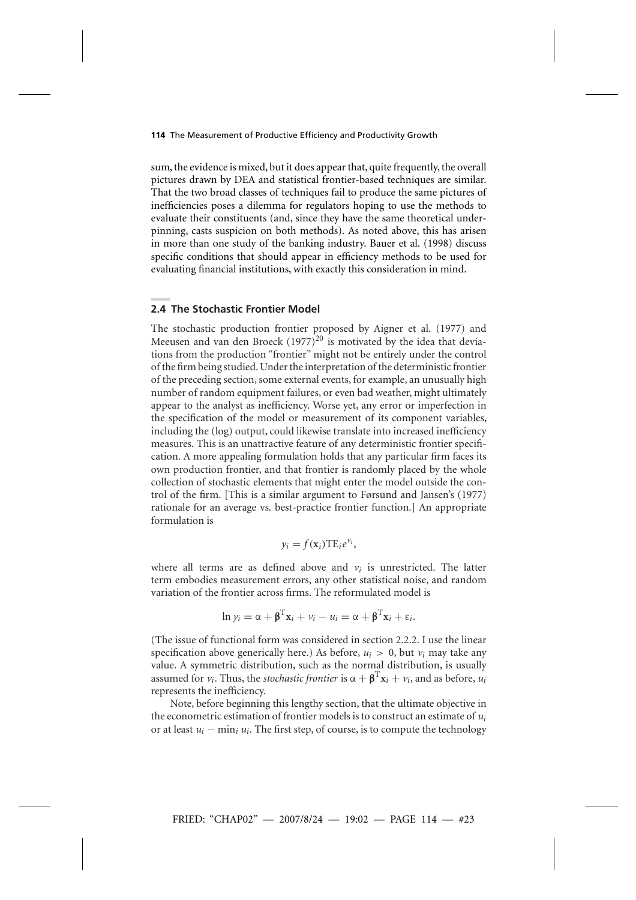sum, the evidence is mixed, but it does appear that, quite frequently, the overall pictures drawn by DEA and statistical frontier-based techniques are similar. That the two broad classes of techniques fail to produce the same pictures of inefficiencies poses a dilemma for regulators hoping to use the methods to evaluate their constituents (and, since they have the same theoretical underpinning, casts suspicion on both methods). As noted above, this has arisen in more than one study of the banking industry. Bauer et al. (1998) discuss specific conditions that should appear in efficiency methods to be used for evaluating financial institutions, with exactly this consideration in mind.

# **2.4 The Stochastic Frontier Model**

The stochastic production frontier proposed by Aigner et al. (1977) and Meeusen and van den Broeck  $(1977)^{20}$  is motivated by the idea that deviations from the production "frontier" might not be entirely under the control of the firm being studied. Under the interpretation of the deterministic frontier of the preceding section, some external events, for example, an unusually high number of random equipment failures, or even bad weather, might ultimately appear to the analyst as inefficiency. Worse yet, any error or imperfection in the specification of the model or measurement of its component variables, including the (log) output, could likewise translate into increased inefficiency measures. This is an unattractive feature of any deterministic frontier specification. A more appealing formulation holds that any particular firm faces its own production frontier, and that frontier is randomly placed by the whole collection of stochastic elements that might enter the model outside the control of the firm. [This is a similar argument to Førsund and Jansen's (1977) rationale for an average vs. best-practice frontier function.] An appropriate formulation is

$$
y_i = f(\mathbf{x}_i) \mathrm{TE}_i e^{\nu_i},
$$

where all terms are as defined above and  $v_i$  is unrestricted. The latter term embodies measurement errors, any other statistical noise, and random variation of the frontier across firms. The reformulated model is

$$
\ln y_i = \alpha + \beta^{T} x_i + v_i - u_i = \alpha + \beta^{T} x_i + \varepsilon_i.
$$

(The issue of functional form was considered in section 2.2.2. I use the linear specification above generically here.) As before,  $u_i > 0$ , but  $v_i$  may take any value. A symmetric distribution, such as the normal distribution, is usually assumed for  $v_i$ . Thus, the *stochastic frontier* is  $\alpha + \beta^T x_i + v_i$ , and as before,  $u_i$ represents the inefficiency.

Note, before beginning this lengthy section, that the ultimate objective in the econometric estimation of frontier models is to construct an estimate of *ui* or at least *ui* − min*<sup>i</sup> ui*. The first step, of course, is to compute the technology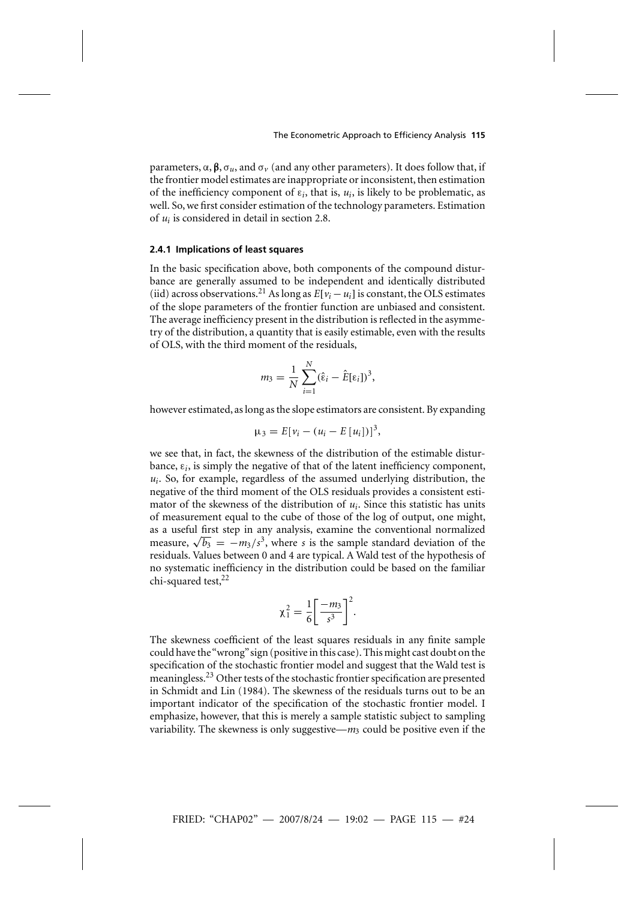parameters,  $\alpha$ ,  $\beta$ ,  $\sigma$ <sub>*u*</sub>, and  $\sigma$ <sub>*v*</sub> (and any other parameters). It does follow that, if the frontier model estimates are inappropriate or inconsistent, then estimation of the inefficiency component of  $\varepsilon_i$ , that is,  $u_i$ , is likely to be problematic, as well. So, we first consider estimation of the technology parameters. Estimation of *ui* is considered in detail in section 2.8.

## **2.4.1 Implications of least squares**

In the basic specification above, both components of the compound disturbance are generally assumed to be independent and identically distributed (iid) across observations.<sup>21</sup> As long as  $E[v_i - u_i]$  is constant, the OLS estimates of the slope parameters of the frontier function are unbiased and consistent. The average inefficiency present in the distribution is reflected in the asymmetry of the distribution, a quantity that is easily estimable, even with the results of OLS, with the third moment of the residuals,

$$
m_3 = \frac{1}{N} \sum_{i=1}^N (\hat{\varepsilon}_i - \hat{E}[\varepsilon_i])^3,
$$

however estimated, as long as the slope estimators are consistent. By expanding

$$
\mu_3 = E[v_i - (u_i - E[u_i])]^3,
$$

we see that, in fact, the skewness of the distribution of the estimable disturbance, ε*i*, is simply the negative of that of the latent inefficiency component, *ui*. So, for example, regardless of the assumed underlying distribution, the negative of the third moment of the OLS residuals provides a consistent estimator of the skewness of the distribution of *ui*. Since this statistic has units of measurement equal to the cube of those of the log of output, one might, as a useful first step in any analysis, examine the conventional normalized measure,  $\sqrt{b_3} = -m_3/s^3$ , where *s* is the sample standard deviation of the residuals. Values between 0 and 4 are typical. A Wald test of the hypothesis of no systematic inefficiency in the distribution could be based on the familiar chi-squared test,<sup>22</sup>

$$
\chi_1^2 = \frac{1}{6} \left[ \frac{-m_3}{s^3} \right]^2.
$$

The skewness coefficient of the least squares residuals in any finite sample could have the"wrong" sign (positive in this case). This might cast doubt on the specification of the stochastic frontier model and suggest that the Wald test is meaningless.<sup>23</sup> Other tests of the stochastic frontier specification are presented in Schmidt and Lin (1984). The skewness of the residuals turns out to be an important indicator of the specification of the stochastic frontier model. I emphasize, however, that this is merely a sample statistic subject to sampling variability. The skewness is only suggestive— $m_3$  could be positive even if the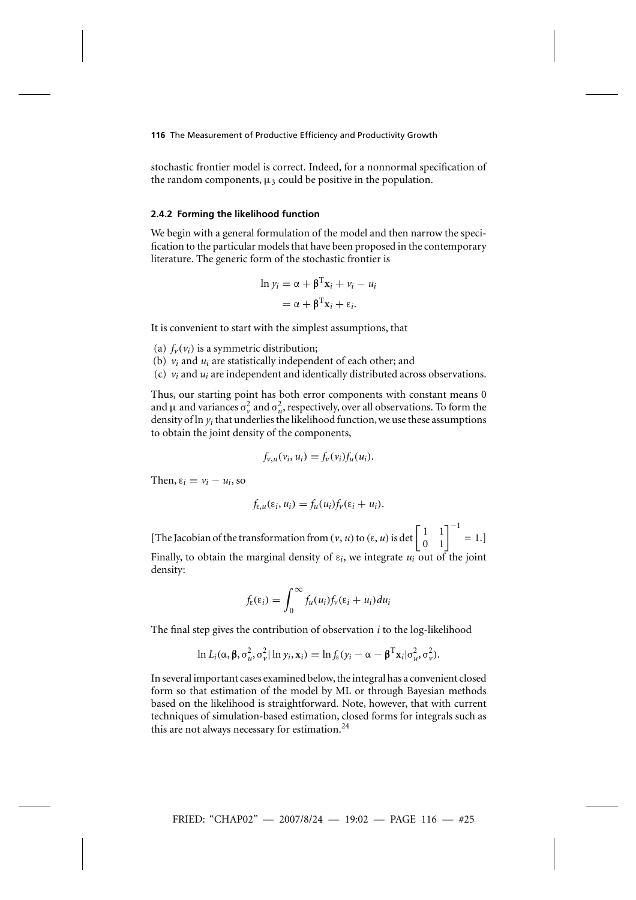stochastic frontier model is correct. Indeed, for a nonnormal specification of the random components,  $\mu_3$  could be positive in the population.

## **2.4.2 Forming the likelihood function**

We begin with a general formulation of the model and then narrow the specification to the particular models that have been proposed in the contemporary literature. The generic form of the stochastic frontier is

$$
\ln y_i = \alpha + \beta^{\mathrm{T}} x_i + v_i - u_i
$$
  
=  $\alpha + \beta^{\mathrm{T}} x_i + \varepsilon_i$ .

It is convenient to start with the simplest assumptions, that

- (a)  $f_v(v_i)$  is a symmetric distribution;
- (b)  $v_i$  and  $u_i$  are statistically independent of each other; and
- (c)  $v_i$  and  $u_i$  are independent and identically distributed across observations.

Thus, our starting point has both error components with constant means 0 and  $\mu$  and variances  $\sigma_{\nu}^2$  and  $\sigma_{u}^2$ , respectively, over all observations. To form the density of  $\ln y_i$  that underlies the likelihood function, we use these assumptions to obtain the joint density of the components,

$$
f_{v,u}(v_i, u_i) = f_v(v_i) f_u(u_i).
$$

Then,  $\varepsilon_i = v_i - u_i$ , so

$$
f_{\varepsilon,u}(\varepsilon_i,u_i)=f_u(u_i)f_v(\varepsilon_i+u_i).
$$

[The Jacobian of the transformation from  $(v, u)$  to  $(\varepsilon, u)$  is det  $\begin{bmatrix} 1 & 1 \\ 0 & 1 \end{bmatrix}^{-1} = 1$ .]

Finally, to obtain the marginal density of  $\varepsilon_i$ , we integrate  $u_i$  out of the joint density:

$$
f_{\varepsilon}(\varepsilon_i) = \int_0^\infty f_u(u_i) f_v(\varepsilon_i + u_i) du_i
$$

The final step gives the contribution of observation *i* to the log-likelihood

$$
\ln L_i(\alpha, \beta, \sigma_u^2, \sigma_v^2 | \ln y_i, \mathbf{x}_i) = \ln f_{\varepsilon}(y_i - \alpha - \beta^{\mathrm{T}} \mathbf{x}_i | \sigma_u^2, \sigma_v^2).
$$

In several important cases examined below, the integral has a convenient closed form so that estimation of the model by ML or through Bayesian methods based on the likelihood is straightforward. Note, however, that with current techniques of simulation-based estimation, closed forms for integrals such as this are not always necessary for estimation. $24$ 

FRIED: "CHAP02" — 2007/8/24 — 19:02 — PAGE 116 — #25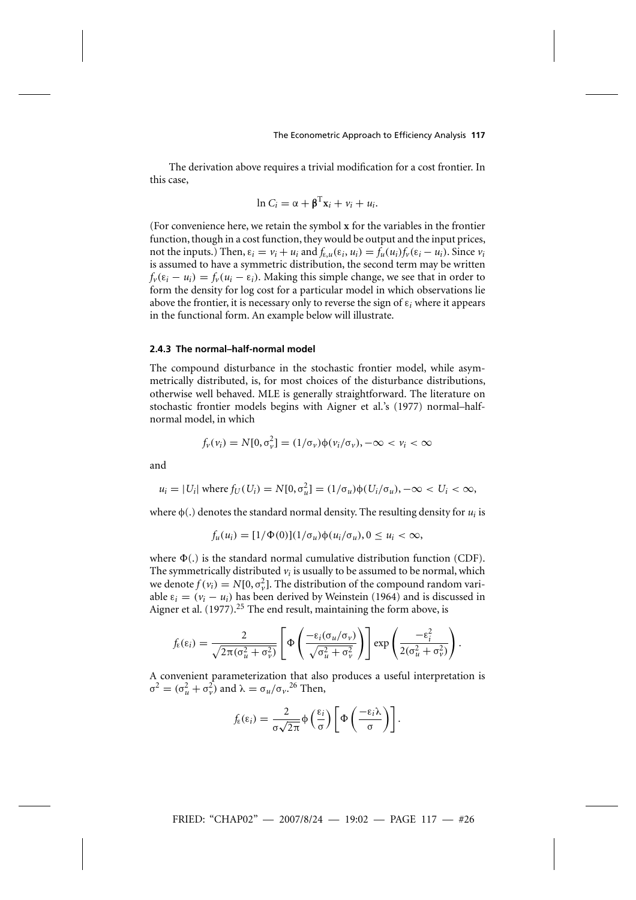The derivation above requires a trivial modification for a cost frontier. In this case,

$$
\ln C_i = \alpha + \beta^{\mathrm{T}} \mathbf{x}_i + v_i + u_i.
$$

(For convenience here, we retain the symbol **x** for the variables in the frontier function, though in a cost function, they would be output and the input prices, not the inputs.) Then,  $\varepsilon_i = v_i + u_i$  and  $f_{\varepsilon_i u}(\varepsilon_i, u_i) = f_u(u_i) f_v(\varepsilon_i - u_i)$ . Since  $v_i$ is assumed to have a symmetric distribution, the second term may be written  $f_v(\varepsilon_i - u_i) = f_v(u_i - \varepsilon_i)$ . Making this simple change, we see that in order to form the density for log cost for a particular model in which observations lie above the frontier, it is necessary only to reverse the sign of ε*<sup>i</sup>* where it appears in the functional form. An example below will illustrate.

## **2.4.3 The normal–half-normal model**

The compound disturbance in the stochastic frontier model, while asymmetrically distributed, is, for most choices of the disturbance distributions, otherwise well behaved. MLE is generally straightforward. The literature on stochastic frontier models begins with Aigner et al.'s (1977) normal–halfnormal model, in which

$$
f_{\nu}(v_i) = N[0, \sigma_{\nu}^2] = (1/\sigma_{\nu})\phi(v_i/\sigma_{\nu}), -\infty < v_i < \infty
$$

and

$$
u_i = |U_i| \text{ where } f_U(U_i) = N[0, \sigma_u^2] = (1/\sigma_u)\phi(U_i/\sigma_u), -\infty < U_i < \infty,
$$

where  $\phi(.)$  denotes the standard normal density. The resulting density for  $u_i$  is

$$
f_u(u_i) = [1/\Phi(0)](1/\sigma_u)\phi(u_i/\sigma_u), 0 \le u_i < \infty,
$$

where  $\Phi(.)$  is the standard normal cumulative distribution function (CDF). The symmetrically distributed  $v_i$  is usually to be assumed to be normal, which we denote  $f(v_i) = N[0, \sigma_v^2]$ . The distribution of the compound random variable  $\varepsilon_i = (v_i - u_i)$  has been derived by Weinstein (1964) and is discussed in Aigner et al.  $(1977)$ .<sup>25</sup> The end result, maintaining the form above, is

$$
f_{\varepsilon}(\varepsilon_i) = \frac{2}{\sqrt{2\pi(\sigma_u^2 + \sigma_v^2)}} \left[ \Phi\left(\frac{-\varepsilon_i(\sigma_u/\sigma_v)}{\sqrt{\sigma_u^2 + \sigma_v^2}}\right) \right] \exp\left(\frac{-\varepsilon_i^2}{2(\sigma_u^2 + \sigma_v^2)}\right).
$$

A convenient parameterization that also produces a useful interpretation is  $\sigma^2 = (\sigma_u^2 + \sigma_v^2)$  and  $\lambda = \sigma_u / \sigma_v^2$ . Then,

$$
f_{\varepsilon}(\varepsilon_i) = \frac{2}{\sigma\sqrt{2\pi}}\Phi\left(\frac{\varepsilon_i}{\sigma}\right)\left[\Phi\left(\frac{-\varepsilon_i\lambda}{\sigma}\right)\right].
$$

FRIED: "CHAP02" — 2007/8/24 — 19:02 — PAGE 117 — #26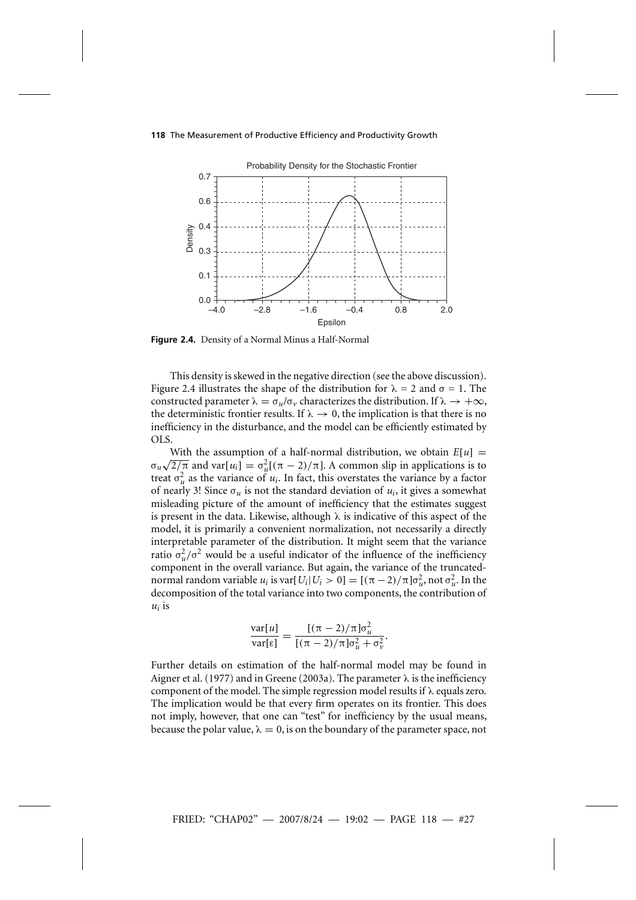

**Figure 2.4.** Density of a Normal Minus a Half-Normal

This density is skewed in the negative direction (see the above discussion). Figure 2.4 illustrates the shape of the distribution for  $\lambda = 2$  and  $\sigma = 1$ . The constructed parameter  $\lambda = \sigma_u/\sigma_v$  characterizes the distribution. If  $\lambda \to +\infty$ , the deterministic frontier results. If  $\lambda \rightarrow 0$ , the implication is that there is no inefficiency in the disturbance, and the model can be efficiently estimated by OLS.

With the assumption of a half-normal distribution, we obtain  $E[u]$  = With the assumption of a nail-normal distribution, we obtain  $E[u]$  =  $σ_u/\sqrt{2/π}$  and var[ $u_i$ ] =  $σ_u^2[(π − 2)/π]$ . A common slip in applications is to treat  $\sigma_u^2$  as the variance of  $u_i$ . In fact, this overstates the variance by a factor of nearly 3! Since  $\sigma_u$  is not the standard deviation of  $u_i$ , it gives a somewhat misleading picture of the amount of inefficiency that the estimates suggest is present in the data. Likewise, although  $\lambda$  is indicative of this aspect of the model, it is primarily a convenient normalization, not necessarily a directly interpretable parameter of the distribution. It might seem that the variance ratio  $\sigma_u^2/\sigma^2$  would be a useful indicator of the influence of the inefficiency component in the overall variance. But again, the variance of the truncatednormal random variable  $u_i$  is var $[U_i | U_i > 0] = [(\pi - 2)/\pi] \sigma_u^2$ , not  $\sigma_u^2$ . In the decomposition of the total variance into two components, the contribution of  $u_i$  is

$$
\frac{\text{var}[u]}{\text{var}[{\varepsilon}]} = \frac{[(\pi - 2)/\pi] \sigma_u^2}{[(\pi - 2)/\pi] \sigma_u^2 + \sigma_v^2}.
$$

Further details on estimation of the half-normal model may be found in Aigner et al. (1977) and in Greene (2003a). The parameter  $\lambda$  is the inefficiency component of the model. The simple regression model results if λ equals zero. The implication would be that every firm operates on its frontier. This does not imply, however, that one can "test" for inefficiency by the usual means, because the polar value,  $\lambda = 0$ , is on the boundary of the parameter space, not

FRIED: "CHAP02" — 2007/8/24 — 19:02 — PAGE 118 — #27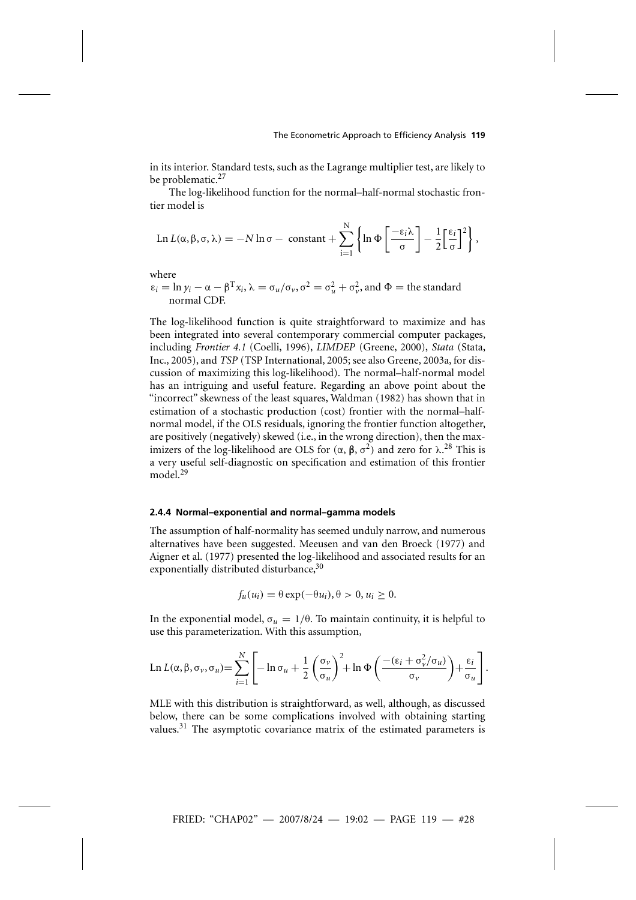in its interior. Standard tests, such as the Lagrange multiplier test, are likely to be problematic.<sup>27</sup>

The log-likelihood function for the normal–half-normal stochastic frontier model is

$$
\ln L(\alpha, \beta, \sigma, \lambda) = -N \ln \sigma - \text{ constant} + \sum_{i=1}^{N} \left\{ \ln \Phi \left[ \frac{-\epsilon_i \lambda}{\sigma} \right] - \frac{1}{2} \left[ \frac{\epsilon_i}{\sigma} \right]^2 \right\},\,
$$

where

 $\varepsilon_i = \ln y_i - \alpha - \beta^T x_i$ ,  $\lambda = \sigma_u/\sigma_v$ ,  $\sigma^2 = \sigma_u^2 + \sigma_v^2$ , and  $\Phi =$  the standard normal CDF.

The log-likelihood function is quite straightforward to maximize and has been integrated into several contemporary commercial computer packages, including *Frontier 4.1* (Coelli, 1996), *LIMDEP* (Greene, 2000), *Stata* (Stata, Inc., 2005), and *TSP* (TSP International, 2005; see also Greene, 2003a, for discussion of maximizing this log-likelihood). The normal–half-normal model has an intriguing and useful feature. Regarding an above point about the "incorrect" skewness of the least squares, Waldman (1982) has shown that in estimation of a stochastic production (cost) frontier with the normal–halfnormal model, if the OLS residuals, ignoring the frontier function altogether, are positively (negatively) skewed (i.e., in the wrong direction), then the maximizers of the log-likelihood are OLS for  $(α, β, σ<sup>2</sup>)$  and zero for  $λ<sup>28</sup>$  This is a very useful self-diagnostic on specification and estimation of this frontier model.<sup>29</sup>

## **2.4.4 Normal–exponential and normal–gamma models**

The assumption of half-normality has seemed unduly narrow, and numerous alternatives have been suggested. Meeusen and van den Broeck (1977) and Aigner et al. (1977) presented the log-likelihood and associated results for an exponentially distributed disturbance,<sup>30</sup>

$$
f_u(u_i) = \theta \exp(-\theta u_i), \theta > 0, u_i \ge 0.
$$

In the exponential model,  $\sigma_u = 1/\theta$ . To maintain continuity, it is helpful to use this parameterization. With this assumption,

$$
\ln L(\alpha, \beta, \sigma_{\nu}, \sigma_{u}) = \sum_{i=1}^{N} \left[ -\ln \sigma_{u} + \frac{1}{2} \left( \frac{\sigma_{\nu}}{\sigma_{u}} \right)^{2} + \ln \Phi \left( \frac{-(\epsilon_{i} + \sigma_{\nu}^{2}/\sigma_{u})}{\sigma_{\nu}} \right) + \frac{\epsilon_{i}}{\sigma_{u}} \right].
$$

MLE with this distribution is straightforward, as well, although, as discussed below, there can be some complications involved with obtaining starting values.<sup>31</sup> The asymptotic covariance matrix of the estimated parameters is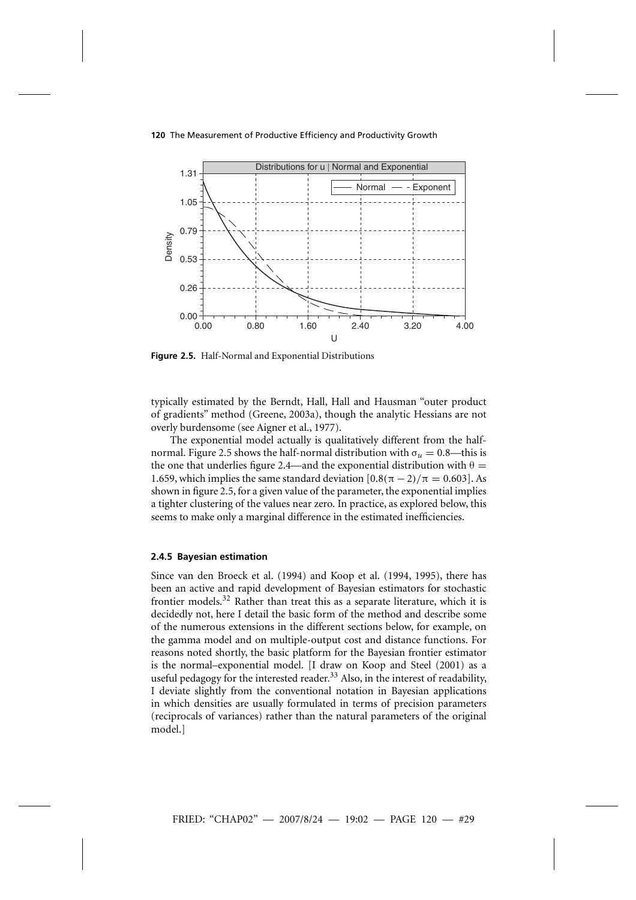

**Figure 2.5.** Half-Normal and Exponential Distributions

typically estimated by the Berndt, Hall, Hall and Hausman "outer product of gradients" method (Greene, 2003a), though the analytic Hessians are not overly burdensome (see Aigner et al., 1977).

The exponential model actually is qualitatively different from the halfnormal. Figure 2.5 shows the half-normal distribution with  $\sigma_u = 0.8$ —this is the one that underlies figure 2.4—and the exponential distribution with  $\theta =$ 1.659, which implies the same standard deviation  $[0.8(\pi-2)/\pi = 0.603]$ . As shown in figure 2.5, for a given value of the parameter, the exponential implies a tighter clustering of the values near zero. In practice, as explored below, this seems to make only a marginal difference in the estimated inefficiencies.

#### **2.4.5 Bayesian estimation**

Since van den Broeck et al. (1994) and Koop et al. (1994, 1995), there has been an active and rapid development of Bayesian estimators for stochastic frontier models.<sup>32</sup> Rather than treat this as a separate literature, which it is decidedly not, here I detail the basic form of the method and describe some of the numerous extensions in the different sections below, for example, on the gamma model and on multiple-output cost and distance functions. For reasons noted shortly, the basic platform for the Bayesian frontier estimator is the normal–exponential model. [I draw on Koop and Steel (2001) as a useful pedagogy for the interested reader.<sup>33</sup> Also, in the interest of readability, I deviate slightly from the conventional notation in Bayesian applications in which densities are usually formulated in terms of precision parameters (reciprocals of variances) rather than the natural parameters of the original model.]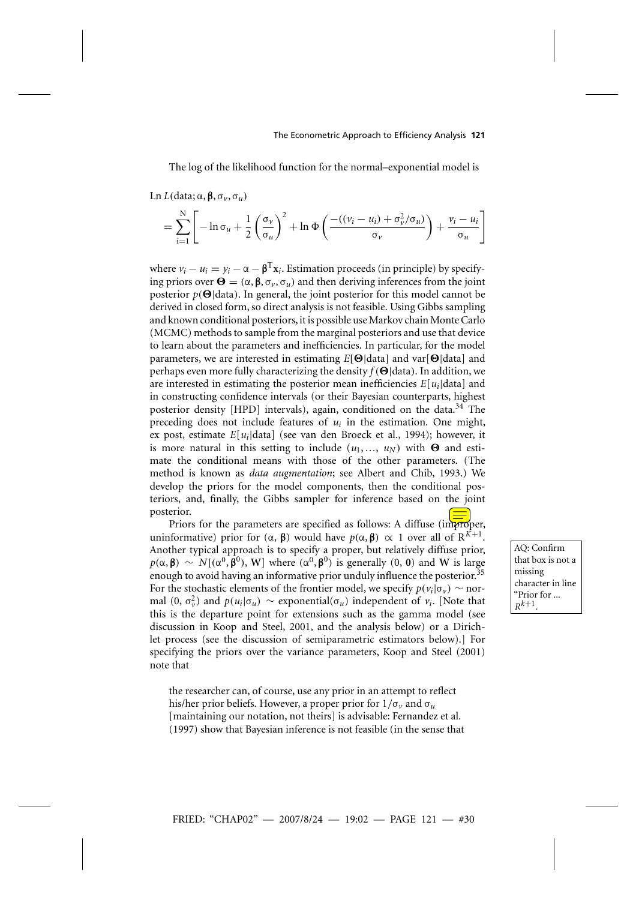The log of the likelihood function for the normal–exponential model is

$$
\text{Ln } L(\text{data}; \alpha, \beta, \sigma_{\nu}, \sigma_{u})
$$

$$
= \sum_{i=1}^{N} \left[ -\ln \sigma_u + \frac{1}{2} \left( \frac{\sigma_v}{\sigma_u} \right)^2 + \ln \Phi \left( \frac{-(\left(\nu_i - u_i\right) + \sigma_v^2/\sigma_u)}{\sigma_v} \right) + \frac{\nu_i - u_i}{\sigma_u} \right]
$$

where  $v_i - u_i = y_i - \alpha - \beta^T x_i$ . Estimation proceeds (in principle) by specifying priors over  $\mathbf{\Theta} = (\alpha, \beta, \sigma_v, \sigma_u)$  and then deriving inferences from the joint posterior  $p(\Theta | data)$ . In general, the joint posterior for this model cannot be derived in closed form, so direct analysis is not feasible. Using Gibbs sampling and known conditional posteriors, it is possible use Markov chain Monte Carlo (MCMC) methods to sample from the marginal posteriors and use that device to learn about the parameters and inefficiencies. In particular, for the model parameters, we are interested in estimating  $E[\Theta|{\rm data}]$  and var $[\Theta|{\rm data}]$  and perhaps even more fully characterizing the density  $f(\mathbf{\Theta} | \text{data})$ . In addition, we are interested in estimating the posterior mean inefficiencies  $E[u_i]$ data] and in constructing confidence intervals (or their Bayesian counterparts, highest posterior density [HPD] intervals), again, conditioned on the data.<sup>34</sup> The preceding does not include features of  $u_i$  in the estimation. One might, ex post, estimate *E*[*ui*|data] (see van den Broeck et al., 1994); however, it is more natural in this setting to include  $(u_1, ..., u_N)$  with  $\Theta$  and estimate the conditional means with those of the other parameters. (The method is known as *data augmentation*; see Albert and Chib, 1993.) We develop the priors for the model components, then the conditional posteriors, and, finally, the Gibbs sampler for inference based on the joint posterior.

Priors for the parameters are specified as follows: A diffuse (improper, uninformative) prior for (α, **β**) would have  $p(\alpha, \beta) \propto 1$  over all of  $R^{K+1}$ . Another typical approach is to specify a proper, but relatively diffuse prior,  $p(\alpha, \beta) \sim N[(\alpha^0, \beta^0), W]$  where  $(\alpha^0, \beta^0)$  is generally  $(0, 0)$  and W is large enough to avoid having an informative prior unduly influence the posterior.<sup>35</sup> For the stochastic elements of the frontier model, we specify  $p(v_i|\sigma_v) \sim$  normal  $(0, \sigma_v^2)$  and  $p(u_i | \sigma_u) \sim$  exponential( $\sigma_u$ ) independent of  $v_i$ . [Note that this is the departure point for extensions such as the gamma model (see discussion in Koop and Steel, 2001, and the analysis below) or a Dirichlet process (see the discussion of semiparametric estimators below).] For specifying the priors over the variance parameters, Koop and Steel (2001) note that

the researcher can, of course, use any prior in an attempt to reflect his/her prior beliefs. However, a proper prior for 1/σ*<sup>v</sup>* and σ*<sup>u</sup>* [maintaining our notation, not theirs] is advisable: Fernandez et al. (1997) show that Bayesian inference is not feasible (in the sense that AQ: Confirm that box is not a missing character in line "Prior for ...  $R^{k+1}$ .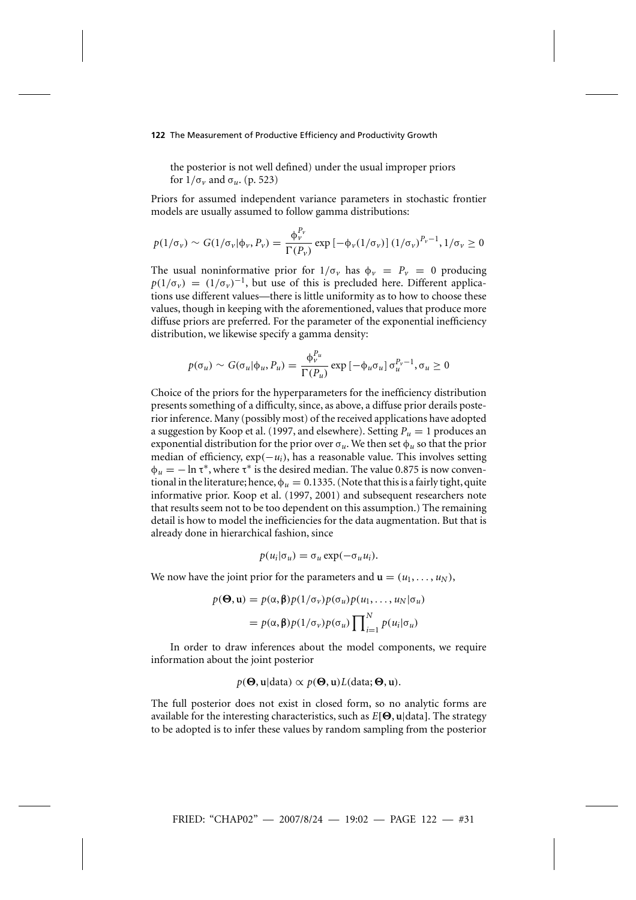the posterior is not well defined) under the usual improper priors for  $1/\sigma_{\nu}$  and  $\sigma_{\mu}$ . (p. 523)

Priors for assumed independent variance parameters in stochastic frontier models are usually assumed to follow gamma distributions:

$$
p(1/\sigma_{\nu}) \sim G(1/\sigma_{\nu}|\phi_{\nu}, P_{\nu}) = \frac{\phi_{\nu}^{P_{\nu}}}{\Gamma(P_{\nu})} \exp \left[-\phi_{\nu}(1/\sigma_{\nu})\right] (1/\sigma_{\nu})^{P_{\nu}-1}, 1/\sigma_{\nu} \ge 0
$$

The usual noninformative prior for  $1/\sigma_{\nu}$  has  $\phi_{\nu} = P_{\nu} = 0$  producing  $p(1/\sigma_v) = (1/\sigma_v)^{-1}$ , but use of this is precluded here. Different applications use different values—there is little uniformity as to how to choose these values, though in keeping with the aforementioned, values that produce more diffuse priors are preferred. For the parameter of the exponential inefficiency distribution, we likewise specify a gamma density:

$$
p(\sigma_u) \sim G(\sigma_u | \phi_u, P_u) = \frac{\phi_v^{P_u}}{\Gamma(P_u)} \exp \left[ -\phi_u \sigma_u \right] \sigma_u^{P_v - 1}, \sigma_u \ge 0
$$

Choice of the priors for the hyperparameters for the inefficiency distribution presents something of a difficulty, since, as above, a diffuse prior derails posterior inference. Many (possibly most) of the received applications have adopted a suggestion by Koop et al. (1997, and elsewhere). Setting  $P_u = 1$  produces an exponential distribution for the prior over  $\sigma_u$ . We then set  $\phi_u$  so that the prior median of efficiency,  $exp(-u_i)$ , has a reasonable value. This involves setting  $\phi_u = -\ln \tau^*$ , where  $\tau^*$  is the desired median. The value 0.875 is now conventional in the literature; hence,  $\phi_u = 0.1335$ . (Note that this is a fairly tight, quite informative prior. Koop et al. (1997, 2001) and subsequent researchers note that results seem not to be too dependent on this assumption.) The remaining detail is how to model the inefficiencies for the data augmentation. But that is already done in hierarchical fashion, since

$$
p(u_i|\sigma_u) = \sigma_u \exp(-\sigma_u u_i).
$$

We now have the joint prior for the parameters and  $\mathbf{u} = (u_1, \dots, u_N)$ ,

$$
p(\mathbf{\Theta}, \mathbf{u}) = p(\alpha, \beta) p(1/\sigma_{\nu}) p(\sigma_{u}) p(u_1, \dots, u_N | \sigma_{u})
$$

$$
= p(\alpha, \beta) p(1/\sigma_{\nu}) p(\sigma_{u}) \prod_{i=1}^{N} p(u_i | \sigma_{u})
$$

In order to draw inferences about the model components, we require information about the joint posterior

$$
p(\mathbf{\Theta}, \mathbf{u} | \text{data}) \propto p(\mathbf{\Theta}, \mathbf{u}) L(\text{data}; \mathbf{\Theta}, \mathbf{u}).
$$

The full posterior does not exist in closed form, so no analytic forms are available for the interesting characteristics, such as  $E[\Theta, \mathbf{u} | \text{data}]$ . The strategy to be adopted is to infer these values by random sampling from the posterior

FRIED: "CHAP02" — 2007/8/24 — 19:02 — PAGE 122 — #31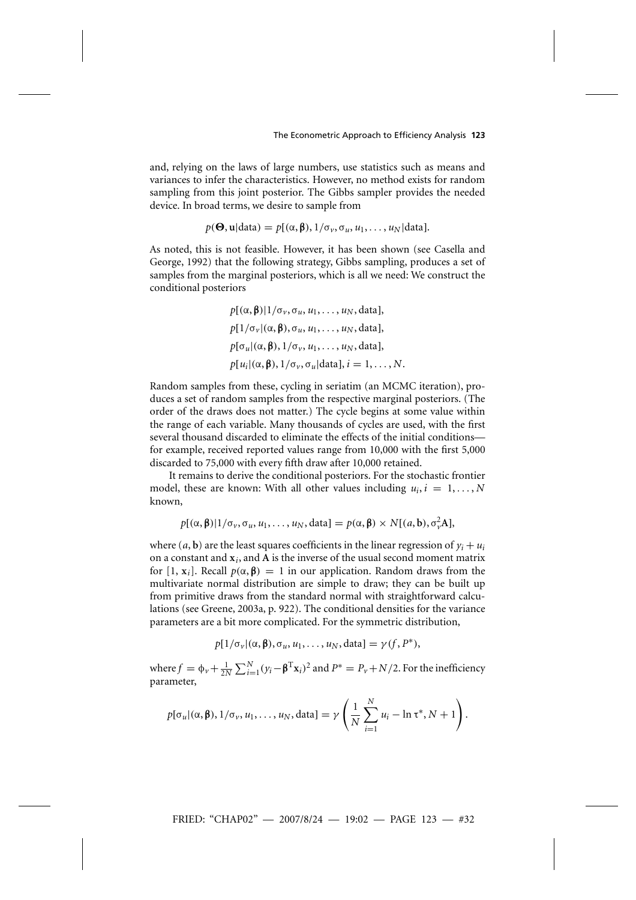and, relying on the laws of large numbers, use statistics such as means and variances to infer the characteristics. However, no method exists for random sampling from this joint posterior. The Gibbs sampler provides the needed device. In broad terms, we desire to sample from

 $p(\mathbf{\Theta}, \mathbf{u} | \text{data}) = p[(\alpha, \beta), 1/\sigma_{\nu}, \sigma_{\nu}, u_1, \dots, u_N | \text{data}].$ 

As noted, this is not feasible. However, it has been shown (see Casella and George, 1992) that the following strategy, Gibbs sampling, produces a set of samples from the marginal posteriors, which is all we need: We construct the conditional posteriors

$$
p[(\alpha, \beta)|1/\sigma_v, \sigma_u, u_1, \dots, u_N, \text{data}],
$$
  
\n
$$
p[1/\sigma_v | (\alpha, \beta), \sigma_u, u_1, \dots, u_N, \text{data}],
$$
  
\n
$$
p[\sigma_u | (\alpha, \beta), 1/\sigma_v, u_1, \dots, u_N, \text{data}],
$$
  
\n
$$
p[u_i | (\alpha, \beta), 1/\sigma_v, \sigma_u | \text{data}], i = 1, \dots, N
$$

Random samples from these, cycling in seriatim (an MCMC iteration), produces a set of random samples from the respective marginal posteriors. (The order of the draws does not matter.) The cycle begins at some value within the range of each variable. Many thousands of cycles are used, with the first several thousand discarded to eliminate the effects of the initial conditions for example, received reported values range from 10,000 with the first 5,000 discarded to 75,000 with every fifth draw after 10,000 retained.

It remains to derive the conditional posteriors. For the stochastic frontier model, these are known: With all other values including  $u_i$ ,  $i = 1, \ldots, N$ known,

$$
p[(\alpha, \beta)|1/\sigma_{\nu}, \sigma_{u}, u_1, \ldots, u_N, \text{data}] = p(\alpha, \beta) \times N[(a, b), \sigma_{\nu}^2 A],
$$

where  $(a, b)$  are the least squares coefficients in the linear regression of  $y_i + u_i$ on a constant and **x***i*, and **A** is the inverse of the usual second moment matrix for [1,  $\mathbf{x}_i$ ]. Recall  $p(\alpha, \beta) = 1$  in our application. Random draws from the multivariate normal distribution are simple to draw; they can be built up from primitive draws from the standard normal with straightforward calculations (see Greene, 2003a, p. 922). The conditional densities for the variance parameters are a bit more complicated. For the symmetric distribution,

$$
p[1/\sigma_{\nu}|(\alpha, \beta), \sigma_{u}, u_1, \ldots, u_N, \text{data}] = \gamma(f, P^*),
$$

where  $f = \phi_v + \frac{1}{2N} \sum_{i=1}^N (y_i - \mathbf{\beta}^T \mathbf{x}_i)^2$  and  $P^* = P_v + N/2$ . For the inefficiency parameter,

$$
p[\sigma_u | (\alpha, \beta), 1/\sigma_v, u_1, \ldots, u_N, \text{data}] = \gamma \left( \frac{1}{N} \sum_{i=1}^N u_i - \ln \tau^*, N+1 \right).
$$

FRIED: "CHAP02" — 2007/8/24 — 19:02 — PAGE 123 — #32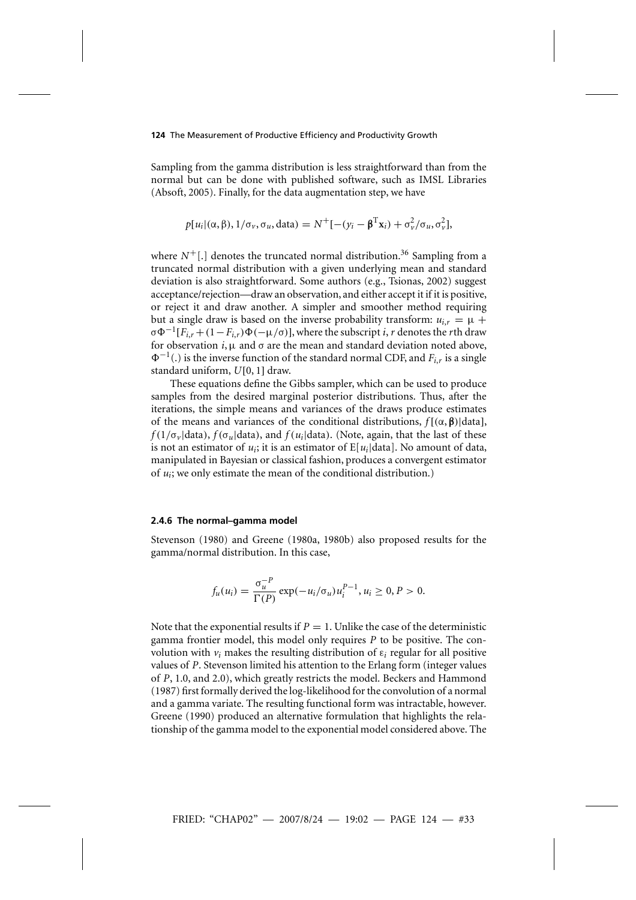Sampling from the gamma distribution is less straightforward than from the normal but can be done with published software, such as IMSL Libraries (Absoft, 2005). Finally, for the data augmentation step, we have

$$
p[u_i|(\alpha,\beta), 1/\sigma_{\nu}, \sigma_u, \text{data}) = N^+[-(y_i - \beta^T \mathbf{x}_i) + \sigma_{\nu}^2/\sigma_u, \sigma_{\nu}^2],
$$

where  $N^+$ [.] denotes the truncated normal distribution.<sup>36</sup> Sampling from a truncated normal distribution with a given underlying mean and standard deviation is also straightforward. Some authors (e.g., Tsionas, 2002) suggest acceptance/rejection—draw an observation, and either accept it if it is positive, or reject it and draw another. A simpler and smoother method requiring but a single draw is based on the inverse probability transform:  $u_{i,r} = \mu +$  $\sigma \Phi^{-1}[F_{i,r} + (1 - F_{i,r})\Phi(-\mu/\sigma)]$ , where the subscript *i*, *r* denotes the *r*th draw for observation  $i, \mu$  and  $\sigma$  are the mean and standard deviation noted above, <sup>−</sup>1(.) is the inverse function of the standard normal CDF, and *Fi*,*<sup>r</sup>* is a single standard uniform, *U*[0, 1] draw.

These equations define the Gibbs sampler, which can be used to produce samples from the desired marginal posterior distributions. Thus, after the iterations, the simple means and variances of the draws produce estimates of the means and variances of the conditional distributions,  $f[(\alpha, \beta)]$ data],  $f(1/\sigma_{\nu})$ data),  $f(\sigma_{\nu})$ data), and  $f(u_i)$ data). (Note, again, that the last of these is not an estimator of  $u_i$ ; it is an estimator of  $E[u_i|data]$ . No amount of data, manipulated in Bayesian or classical fashion, produces a convergent estimator of *ui*; we only estimate the mean of the conditional distribution.)

#### **2.4.6 The normal–gamma model**

Stevenson (1980) and Greene (1980a, 1980b) also proposed results for the gamma/normal distribution. In this case,

$$
f_u(u_i) = \frac{\sigma_u^{-p}}{\Gamma(P)} \exp(-u_i/\sigma_u) u_i^{p-1}, u_i \ge 0, P > 0.
$$

Note that the exponential results if  $P = 1$ . Unlike the case of the deterministic gamma frontier model, this model only requires *P* to be positive. The convolution with  $v_i$  makes the resulting distribution of  $\varepsilon_i$  regular for all positive values of *P*. Stevenson limited his attention to the Erlang form (integer values of *P*, 1.0, and 2.0), which greatly restricts the model. Beckers and Hammond (1987) first formally derived the log-likelihood for the convolution of a normal and a gamma variate. The resulting functional form was intractable, however. Greene (1990) produced an alternative formulation that highlights the relationship of the gamma model to the exponential model considered above. The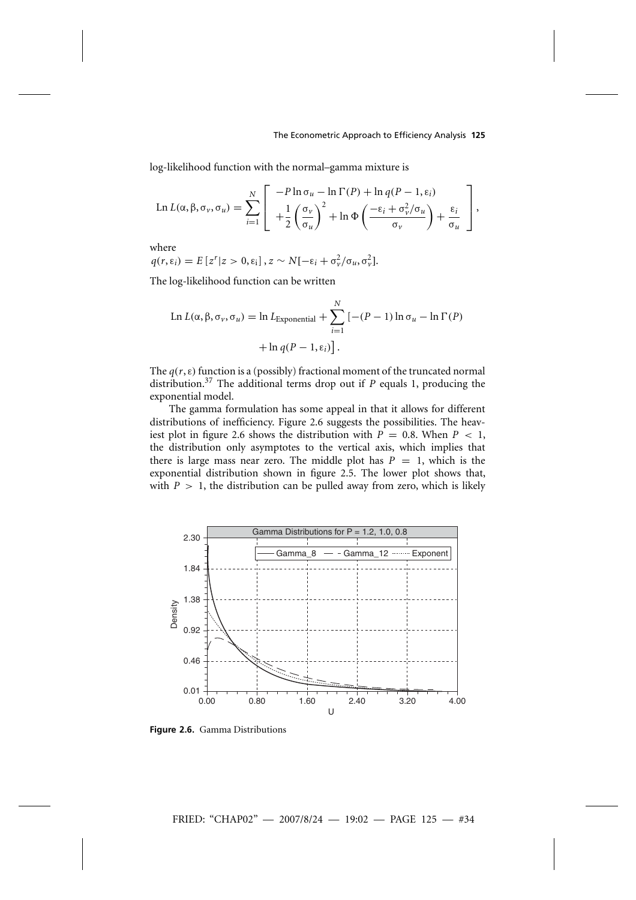# The Econometric Approach to Efficiency Analysis **125**

log-likelihood function with the normal–gamma mixture is

$$
\ln L(\alpha, \beta, \sigma_{\nu}, \sigma_{u}) = \sum_{i=1}^{N} \left[ \begin{array}{c} -P \ln \sigma_{u} - \ln \Gamma(P) + \ln q(P-1, \varepsilon_{i}) \\ + \frac{1}{2} \left( \frac{\sigma_{\nu}}{\sigma_{u}} \right)^{2} + \ln \Phi \left( \frac{-\varepsilon_{i} + \sigma_{\nu}^{2} / \sigma_{u}}{\sigma_{\nu}} \right) + \frac{\varepsilon_{i}}{\sigma_{u}} \end{array} \right],
$$

where

 $q(r, \varepsilon_i) = E[z^r | z > 0, \varepsilon_i], z \sim N[-\varepsilon_i + \sigma_v^2/\sigma_u, \sigma_v^2].$ 

The log-likelihood function can be written

$$
\text{Ln } L(\alpha, \beta, \sigma_v, \sigma_u) = \ln L_{\text{Exponential}} + \sum_{i=1}^{N} \left[ -(P - 1) \ln \sigma_u - \ln \Gamma(P) \right. \\ + \ln q(P - 1, \varepsilon_i) \Big].
$$

The  $q(r, \varepsilon)$  function is a (possibly) fractional moment of the truncated normal distribution.37 The additional terms drop out if *P* equals 1, producing the exponential model.

The gamma formulation has some appeal in that it allows for different distributions of inefficiency. Figure 2.6 suggests the possibilities. The heaviest plot in figure 2.6 shows the distribution with  $P = 0.8$ . When  $P < 1$ , the distribution only asymptotes to the vertical axis, which implies that there is large mass near zero. The middle plot has  $P = 1$ , which is the exponential distribution shown in figure 2.5. The lower plot shows that, with  $P > 1$ , the distribution can be pulled away from zero, which is likely



**Figure 2.6.** Gamma Distributions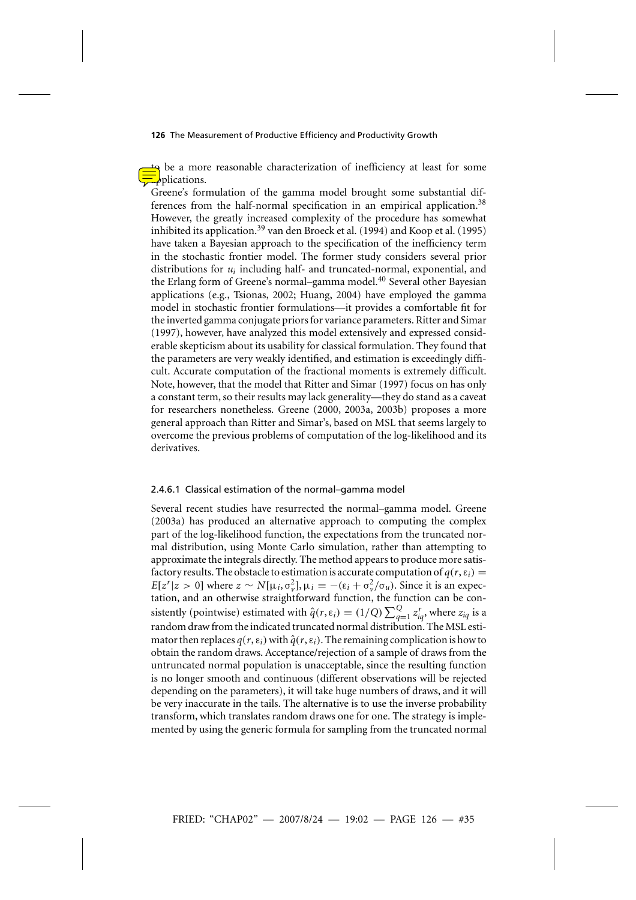to be a more reasonable characterization of inefficiency at least for some  $\frac{1}{2}$ plications.

Greene's formulation of the gamma model brought some substantial differences from the half-normal specification in an empirical application.<sup>38</sup> However, the greatly increased complexity of the procedure has somewhat inhibited its application.<sup>39</sup> van den Broeck et al. (1994) and Koop et al. (1995) have taken a Bayesian approach to the specification of the inefficiency term in the stochastic frontier model. The former study considers several prior distributions for *ui* including half- and truncated-normal, exponential, and the Erlang form of Greene's normal–gamma model.<sup>40</sup> Several other Bayesian applications (e.g., Tsionas, 2002; Huang, 2004) have employed the gamma model in stochastic frontier formulations—it provides a comfortable fit for the inverted gamma conjugate priors for variance parameters. Ritter and Simar (1997), however, have analyzed this model extensively and expressed considerable skepticism about its usability for classical formulation. They found that the parameters are very weakly identified, and estimation is exceedingly difficult. Accurate computation of the fractional moments is extremely difficult. Note, however, that the model that Ritter and Simar (1997) focus on has only a constant term, so their results may lack generality—they do stand as a caveat for researchers nonetheless. Greene (2000, 2003a, 2003b) proposes a more general approach than Ritter and Simar's, based on MSL that seems largely to overcome the previous problems of computation of the log-likelihood and its derivatives.

## 2.4.6.1 Classical estimation of the normal–gamma model

Several recent studies have resurrected the normal–gamma model. Greene (2003a) has produced an alternative approach to computing the complex part of the log-likelihood function, the expectations from the truncated normal distribution, using Monte Carlo simulation, rather than attempting to approximate the integrals directly. The method appears to produce more satisfactory results. The obstacle to estimation is accurate computation of  $q(r, \varepsilon_i)$  =  $E[z^r | z > 0]$  where  $z \sim N[\mu_i, \sigma_v^2], \mu_i = -(\varepsilon_i + \sigma_v^2/\sigma_u)$ . Since it is an expectation, and an otherwise straightforward function, the function can be consistently (pointwise) estimated with  $\hat{q}(r, \varepsilon_i) = (1/Q) \sum_{q=1}^{Q} z_{iq}^r$ , where  $z_{iq}$  is a random draw from the indicated truncated normal distribution. The MSL estimator then replaces  $q(r, \varepsilon_i)$  with  $\hat{q}(r, \varepsilon_i)$ . The remaining complication is how to obtain the random draws. Acceptance/rejection of a sample of draws from the untruncated normal population is unacceptable, since the resulting function is no longer smooth and continuous (different observations will be rejected depending on the parameters), it will take huge numbers of draws, and it will be very inaccurate in the tails. The alternative is to use the inverse probability transform, which translates random draws one for one. The strategy is implemented by using the generic formula for sampling from the truncated normal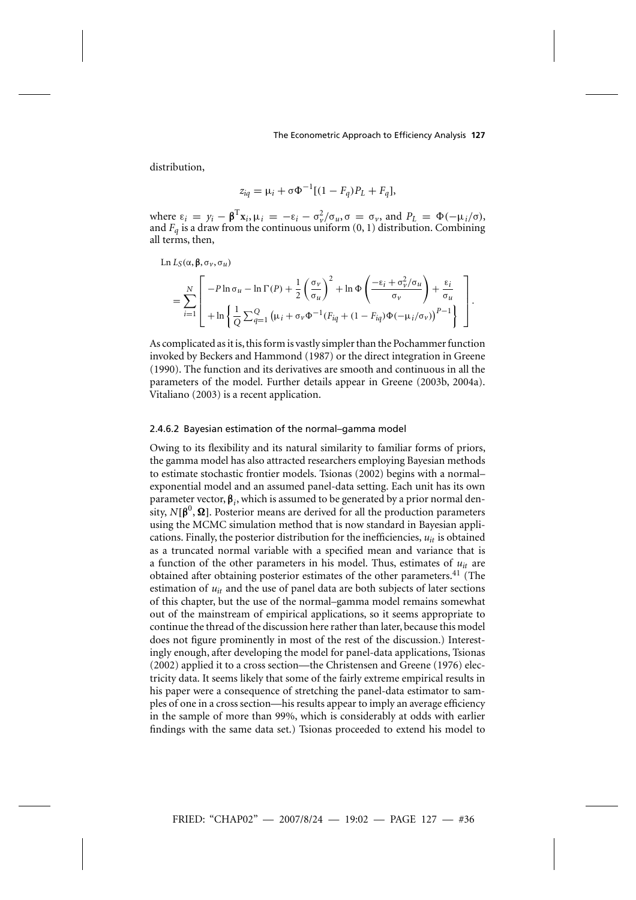#### The Econometric Approach to Efficiency Analysis **127**

distribution,

$$
z_{iq} = \mu_i + \sigma \Phi^{-1} [(1 - F_q)P_L + F_q],
$$

where  $\varepsilon_i = y_i - \beta^T \mathbf{x}_i, \mu_i = -\varepsilon_i - \sigma_v^2 / \sigma_u, \sigma = \sigma_v$ , and  $P_L = \Phi(-\mu_i / \sigma)$ , and  $F_q$  is a draw from the continuous uniform  $(0, 1)$  distribution. Combining all terms, then,

$$
\text{Ln } L_S(\alpha, \beta, \sigma_{\nu}, \sigma_{u})
$$

$$
= \sum_{i=1}^{N} \left[ \begin{array}{c} -P\ln \sigma_{u} - \ln \Gamma(P) + \frac{1}{2} \left(\frac{\sigma_{v}}{\sigma_{u}}\right)^{2} + \ln \Phi\left(\frac{-\varepsilon_{i} + \sigma_{v}^{2}/\sigma_{u}}{\sigma_{v}}\right) + \frac{\varepsilon_{i}}{\sigma_{u}}\\ + \ln \left\{ \frac{1}{Q} \sum_{q=1}^{Q} \left(\mu_{i} + \sigma_{v} \Phi^{-1}(F_{iq} + (1 - F_{iq}) \Phi(-\mu_{i}/\sigma_{v})\right)^{P-1} \right\} \end{array} \right].
$$

As complicated as it is, this form is vastly simpler than the Pochammer function invoked by Beckers and Hammond (1987) or the direct integration in Greene (1990). The function and its derivatives are smooth and continuous in all the parameters of the model. Further details appear in Greene (2003b, 2004a). Vitaliano (2003) is a recent application.

#### 2.4.6.2 Bayesian estimation of the normal–gamma model

Owing to its flexibility and its natural similarity to familiar forms of priors, the gamma model has also attracted researchers employing Bayesian methods to estimate stochastic frontier models. Tsionas (2002) begins with a normal– exponential model and an assumed panel-data setting. Each unit has its own parameter vector,  $\beta$ <sub>*i*</sub>, which is assumed to be generated by a prior normal density,  $N[\beta^0, \Omega]$ . Posterior means are derived for all the production parameters using the MCMC simulation method that is now standard in Bayesian applications. Finally, the posterior distribution for the inefficiencies,  $u_{it}$  is obtained as a truncated normal variable with a specified mean and variance that is a function of the other parameters in his model. Thus, estimates of *uit* are obtained after obtaining posterior estimates of the other parameters.<sup>41</sup> (The estimation of  $u_{it}$  and the use of panel data are both subjects of later sections of this chapter, but the use of the normal–gamma model remains somewhat out of the mainstream of empirical applications, so it seems appropriate to continue the thread of the discussion here rather than later, because this model does not figure prominently in most of the rest of the discussion.) Interestingly enough, after developing the model for panel-data applications, Tsionas (2002) applied it to a cross section—the Christensen and Greene (1976) electricity data. It seems likely that some of the fairly extreme empirical results in his paper were a consequence of stretching the panel-data estimator to samples of one in a cross section—his results appear to imply an average efficiency in the sample of more than 99%, which is considerably at odds with earlier findings with the same data set.) Tsionas proceeded to extend his model to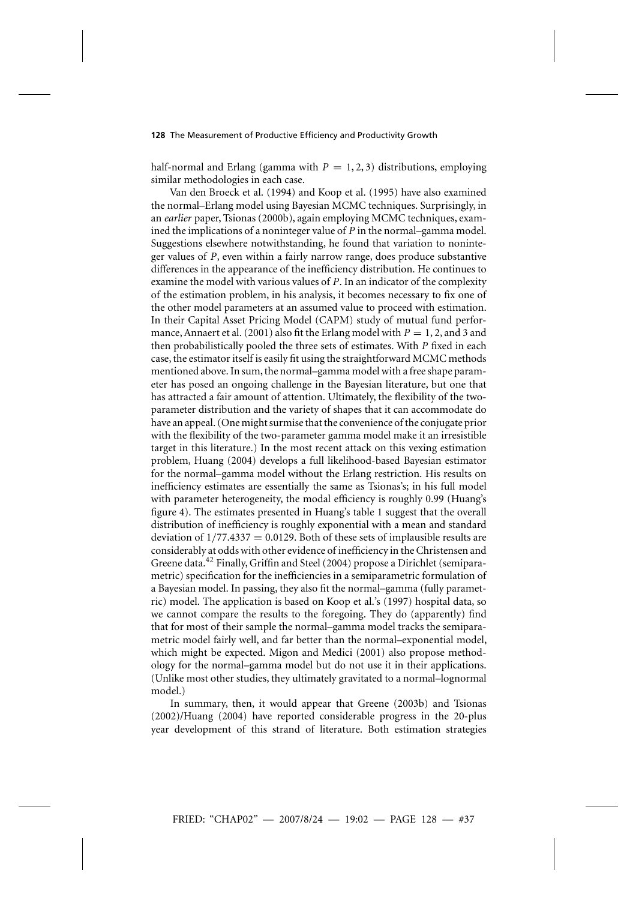half-normal and Erlang (gamma with  $P = 1, 2, 3$ ) distributions, employing similar methodologies in each case.

Van den Broeck et al. (1994) and Koop et al. (1995) have also examined the normal–Erlang model using Bayesian MCMC techniques. Surprisingly, in an *earlier* paper, Tsionas (2000b), again employing MCMC techniques, examined the implications of a noninteger value of *P* in the normal–gamma model. Suggestions elsewhere notwithstanding, he found that variation to noninteger values of *P*, even within a fairly narrow range, does produce substantive differences in the appearance of the inefficiency distribution. He continues to examine the model with various values of *P*. In an indicator of the complexity of the estimation problem, in his analysis, it becomes necessary to fix one of the other model parameters at an assumed value to proceed with estimation. In their Capital Asset Pricing Model (CAPM) study of mutual fund performance, Annaert et al. (2001) also fit the Erlang model with  $P = 1, 2$ , and 3 and then probabilistically pooled the three sets of estimates. With *P* fixed in each case, the estimator itself is easily fit using the straightforward MCMC methods mentioned above. In sum, the normal–gamma model with a free shape parameter has posed an ongoing challenge in the Bayesian literature, but one that has attracted a fair amount of attention. Ultimately, the flexibility of the twoparameter distribution and the variety of shapes that it can accommodate do have an appeal. (One might surmise that the convenience of the conjugate prior with the flexibility of the two-parameter gamma model make it an irresistible target in this literature.) In the most recent attack on this vexing estimation problem, Huang (2004) develops a full likelihood-based Bayesian estimator for the normal–gamma model without the Erlang restriction. His results on inefficiency estimates are essentially the same as Tsionas's; in his full model with parameter heterogeneity, the modal efficiency is roughly 0.99 (Huang's figure 4). The estimates presented in Huang's table 1 suggest that the overall distribution of inefficiency is roughly exponential with a mean and standard deviation of  $1/77.4337 = 0.0129$ . Both of these sets of implausible results are considerably at odds with other evidence of inefficiency in the Christensen and Greene data.42 Finally, Griffin and Steel (2004) propose a Dirichlet (semiparametric) specification for the inefficiencies in a semiparametric formulation of a Bayesian model. In passing, they also fit the normal–gamma (fully parametric) model. The application is based on Koop et al.'s (1997) hospital data, so we cannot compare the results to the foregoing. They do (apparently) find that for most of their sample the normal–gamma model tracks the semiparametric model fairly well, and far better than the normal–exponential model, which might be expected. Migon and Medici (2001) also propose methodology for the normal–gamma model but do not use it in their applications. (Unlike most other studies, they ultimately gravitated to a normal–lognormal model.)

In summary, then, it would appear that Greene (2003b) and Tsionas (2002)/Huang (2004) have reported considerable progress in the 20-plus year development of this strand of literature. Both estimation strategies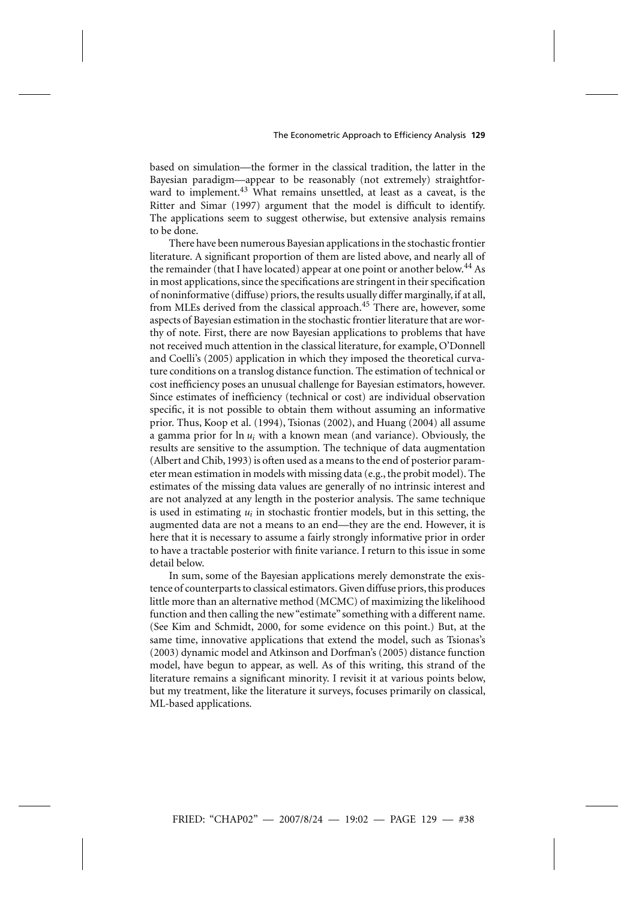# The Econometric Approach to Efficiency Analysis **129**

based on simulation—the former in the classical tradition, the latter in the Bayesian paradigm—appear to be reasonably (not extremely) straightforward to implement.<sup>43</sup> What remains unsettled, at least as a caveat, is the Ritter and Simar (1997) argument that the model is difficult to identify. The applications seem to suggest otherwise, but extensive analysis remains to be done.

There have been numerous Bayesian applications in the stochastic frontier literature. A significant proportion of them are listed above, and nearly all of the remainder (that I have located) appear at one point or another below.<sup>44</sup> As in most applications, since the specifications are stringent in their specification of noninformative (diffuse) priors, the results usually differ marginally, if at all, from MLEs derived from the classical approach.<sup>45</sup> There are, however, some aspects of Bayesian estimation in the stochastic frontier literature that are worthy of note. First, there are now Bayesian applications to problems that have not received much attention in the classical literature, for example, O'Donnell and Coelli's (2005) application in which they imposed the theoretical curvature conditions on a translog distance function. The estimation of technical or cost inefficiency poses an unusual challenge for Bayesian estimators, however. Since estimates of inefficiency (technical or cost) are individual observation specific, it is not possible to obtain them without assuming an informative prior. Thus, Koop et al. (1994), Tsionas (2002), and Huang (2004) all assume a gamma prior for ln *ui* with a known mean (and variance). Obviously, the results are sensitive to the assumption. The technique of data augmentation (Albert and Chib, 1993) is often used as a means to the end of posterior parameter mean estimation in models with missing data (e.g., the probit model). The estimates of the missing data values are generally of no intrinsic interest and are not analyzed at any length in the posterior analysis. The same technique is used in estimating  $u_i$  in stochastic frontier models, but in this setting, the augmented data are not a means to an end—they are the end. However, it is here that it is necessary to assume a fairly strongly informative prior in order to have a tractable posterior with finite variance. I return to this issue in some detail below.

In sum, some of the Bayesian applications merely demonstrate the existence of counterparts to classical estimators. Given diffuse priors, this produces little more than an alternative method (MCMC) of maximizing the likelihood function and then calling the new "estimate" something with a different name. (See Kim and Schmidt, 2000, for some evidence on this point.) But, at the same time, innovative applications that extend the model, such as Tsionas's (2003) dynamic model and Atkinson and Dorfman's (2005) distance function model, have begun to appear, as well. As of this writing, this strand of the literature remains a significant minority. I revisit it at various points below, but my treatment, like the literature it surveys, focuses primarily on classical, ML-based applications.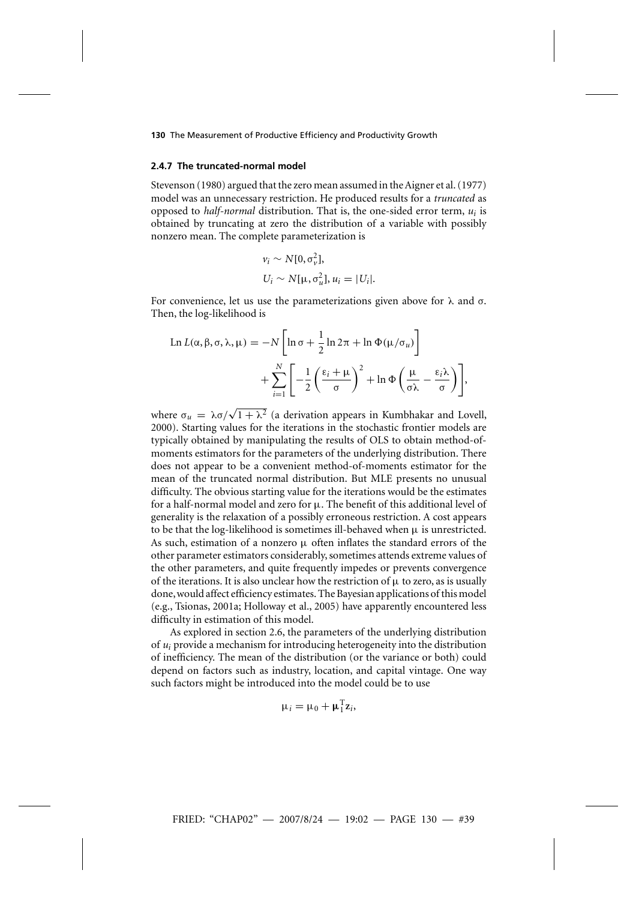# **2.4.7 The truncated-normal model**

Stevenson (1980) argued that the zero mean assumed in the Aigner et al. (1977) model was an unnecessary restriction. He produced results for a *truncated* as opposed to *half-normal* distribution. That is, the one-sided error term, *ui* is obtained by truncating at zero the distribution of a variable with possibly nonzero mean. The complete parameterization is

$$
\begin{aligned} v_i &\sim N[0, \sigma_v^2], \\ U_i &\sim N[\mu, \sigma_u^2], u_i = |U_i|. \end{aligned}
$$

For convenience, let us use the parameterizations given above for λ and σ. Then, the log-likelihood is

$$
\ln L(\alpha, \beta, \sigma, \lambda, \mu) = -N \left[ \ln \sigma + \frac{1}{2} \ln 2\pi + \ln \Phi(\mu/\sigma_u) \right] + \sum_{i=1}^{N} \left[ -\frac{1}{2} \left( \frac{\varepsilon_i + \mu}{\sigma} \right)^2 + \ln \Phi \left( \frac{\mu}{\sigma \lambda} - \frac{\varepsilon_i \lambda}{\sigma} \right) \right]
$$

,

where  $\sigma_u = \lambda \sigma /$ √  $\overline{1 + \lambda^2}$  (a derivation appears in Kumbhakar and Lovell, 2000). Starting values for the iterations in the stochastic frontier models are typically obtained by manipulating the results of OLS to obtain method-ofmoments estimators for the parameters of the underlying distribution. There does not appear to be a convenient method-of-moments estimator for the mean of the truncated normal distribution. But MLE presents no unusual difficulty. The obvious starting value for the iterations would be the estimates for a half-normal model and zero for  $\mu$ . The benefit of this additional level of generality is the relaxation of a possibly erroneous restriction. A cost appears to be that the log-likelihood is sometimes ill-behaved when  $\mu$  is unrestricted. As such, estimation of a nonzero  $\mu$  often inflates the standard errors of the other parameter estimators considerably, sometimes attends extreme values of the other parameters, and quite frequently impedes or prevents convergence of the iterations. It is also unclear how the restriction of  $\mu$  to zero, as is usually done,would affect efficiency estimates. The Bayesian applications of this model (e.g., Tsionas, 2001a; Holloway et al., 2005) have apparently encountered less difficulty in estimation of this model.

As explored in section 2.6, the parameters of the underlying distribution of *ui* provide a mechanism for introducing heterogeneity into the distribution of inefficiency. The mean of the distribution (or the variance or both) could depend on factors such as industry, location, and capital vintage. One way such factors might be introduced into the model could be to use

$$
\mu_i = \mu_0 + \mu_1^T z_i,
$$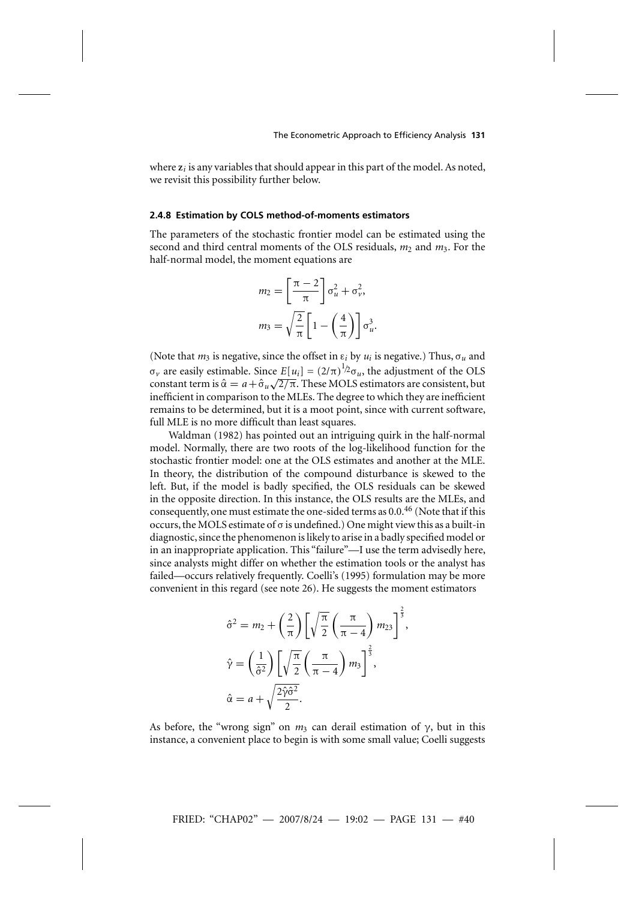where **z***<sup>i</sup>* is any variables that should appear in this part of the model. As noted, we revisit this possibility further below.

# **2.4.8 Estimation by COLS method-of-moments estimators**

The parameters of the stochastic frontier model can be estimated using the second and third central moments of the OLS residuals, *m*<sup>2</sup> and *m*3. For the half-normal model, the moment equations are

$$
m_2 = \left[\frac{\pi - 2}{\pi}\right] \sigma_u^2 + \sigma_v^2,
$$
  

$$
m_3 = \sqrt{\frac{2}{\pi}} \left[1 - \left(\frac{4}{\pi}\right)\right] \sigma_u^3.
$$

(Note that  $m_3$  is negative, since the offset in  $\varepsilon_i$  by  $u_i$  is negative.) Thus,  $\sigma_u$  and σ*<sup>v</sup>* are easily estimable. Since *E*[*ui*] = (2/π) <sup>1</sup>/2σ*u*, the adjustment of the OLS  $\sigma_v$  are easily estimable. Since  $E[u_i] = (2/\pi)^{1/2} \sigma_u$ , the adjustment of the OLS constant term is  $\hat{\alpha} = a + \hat{\sigma}_u \sqrt{2/\pi}$ . These MOLS estimators are consistent, but inefficient in comparison to the MLEs. The degree to which they are inefficient remains to be determined, but it is a moot point, since with current software, full MLE is no more difficult than least squares.

Waldman (1982) has pointed out an intriguing quirk in the half-normal model. Normally, there are two roots of the log-likelihood function for the stochastic frontier model: one at the OLS estimates and another at the MLE. In theory, the distribution of the compound disturbance is skewed to the left. But, if the model is badly specified, the OLS residuals can be skewed in the opposite direction. In this instance, the OLS results are the MLEs, and consequently, one must estimate the one-sided terms as 0.0.46 (Note that if this occurs, the MOLS estimate of σ is undefined.) One might view this as a built-in diagnostic, since the phenomenon is likely to arise in a badly specified model or in an inappropriate application. This "failure"—I use the term advisedly here, since analysts might differ on whether the estimation tools or the analyst has failed—occurs relatively frequently. Coelli's (1995) formulation may be more convenient in this regard (see note 26). He suggests the moment estimators

$$
\hat{\sigma}^2 = m_2 + \left(\frac{2}{\pi}\right) \left[\sqrt{\frac{\pi}{2}} \left(\frac{\pi}{\pi - 4}\right) m_{23}\right]^{\frac{2}{3}},
$$

$$
\hat{\gamma} = \left(\frac{1}{\hat{\sigma}^2}\right) \left[\sqrt{\frac{\pi}{2}} \left(\frac{\pi}{\pi - 4}\right) m_3\right]^{\frac{2}{3}},
$$

$$
\hat{\alpha} = a + \sqrt{\frac{2\hat{\gamma}\hat{\sigma}^2}{2}}.
$$

As before, the "wrong sign" on  $m_3$  can derail estimation of  $\gamma$ , but in this instance, a convenient place to begin is with some small value; Coelli suggests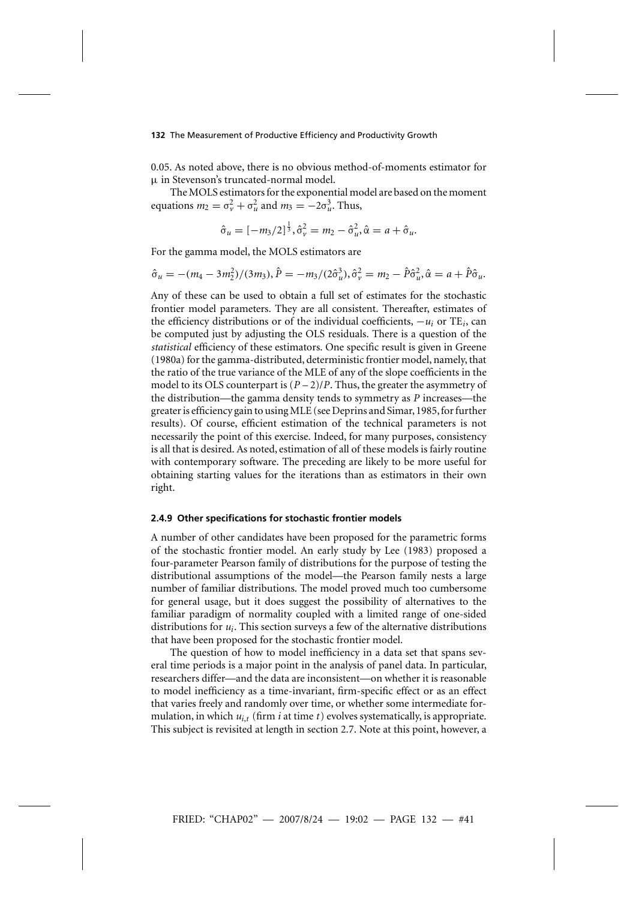0.05. As noted above, there is no obvious method-of-moments estimator for µ in Stevenson's truncated-normal model.

The MOLS estimators for the exponential model are based on the moment equations  $m_2 = \sigma_v^2 + \sigma_u^2$  and  $m_3 = -2\sigma_u^3$ . Thus,

$$
\hat{\sigma}_u = [-m_3/2]^{\frac{1}{3}}, \hat{\sigma}_v^2 = m_2 - \hat{\sigma}_u^2, \hat{\alpha} = a + \hat{\sigma}_u.
$$

For the gamma model, the MOLS estimators are

$$
\hat{\sigma}_u = -(m_4 - 3m_2^2)/(3m_3), \hat{P} = -m_3/(2\hat{\sigma}_u^3), \hat{\sigma}_v^2 = m_2 - \hat{P}\hat{\sigma}_u^2, \hat{\alpha} = a + \hat{P}\hat{\sigma}_u.
$$

Any of these can be used to obtain a full set of estimates for the stochastic frontier model parameters. They are all consistent. Thereafter, estimates of the efficiency distributions or of the individual coefficients, −*ui* or TE*i*, can be computed just by adjusting the OLS residuals. There is a question of the *statistical* efficiency of these estimators. One specific result is given in Greene (1980a) for the gamma-distributed, deterministic frontier model, namely, that the ratio of the true variance of the MLE of any of the slope coefficients in the model to its OLS counterpart is  $(P-2)/P$ . Thus, the greater the asymmetry of the distribution—the gamma density tends to symmetry as *P* increases—the greater is efficiency gain to using MLE (see Deprins and Simar, 1985, for further results). Of course, efficient estimation of the technical parameters is not necessarily the point of this exercise. Indeed, for many purposes, consistency is all that is desired. As noted, estimation of all of these models is fairly routine with contemporary software. The preceding are likely to be more useful for obtaining starting values for the iterations than as estimators in their own right.

#### **2.4.9 Other specifications for stochastic frontier models**

A number of other candidates have been proposed for the parametric forms of the stochastic frontier model. An early study by Lee (1983) proposed a four-parameter Pearson family of distributions for the purpose of testing the distributional assumptions of the model—the Pearson family nests a large number of familiar distributions. The model proved much too cumbersome for general usage, but it does suggest the possibility of alternatives to the familiar paradigm of normality coupled with a limited range of one-sided distributions for *ui*. This section surveys a few of the alternative distributions that have been proposed for the stochastic frontier model.

The question of how to model inefficiency in a data set that spans several time periods is a major point in the analysis of panel data. In particular, researchers differ—and the data are inconsistent—on whether it is reasonable to model inefficiency as a time-invariant, firm-specific effect or as an effect that varies freely and randomly over time, or whether some intermediate formulation, in which  $u_{i,t}$  (firm *i* at time *t*) evolves systematically, is appropriate. This subject is revisited at length in section 2.7. Note at this point, however, a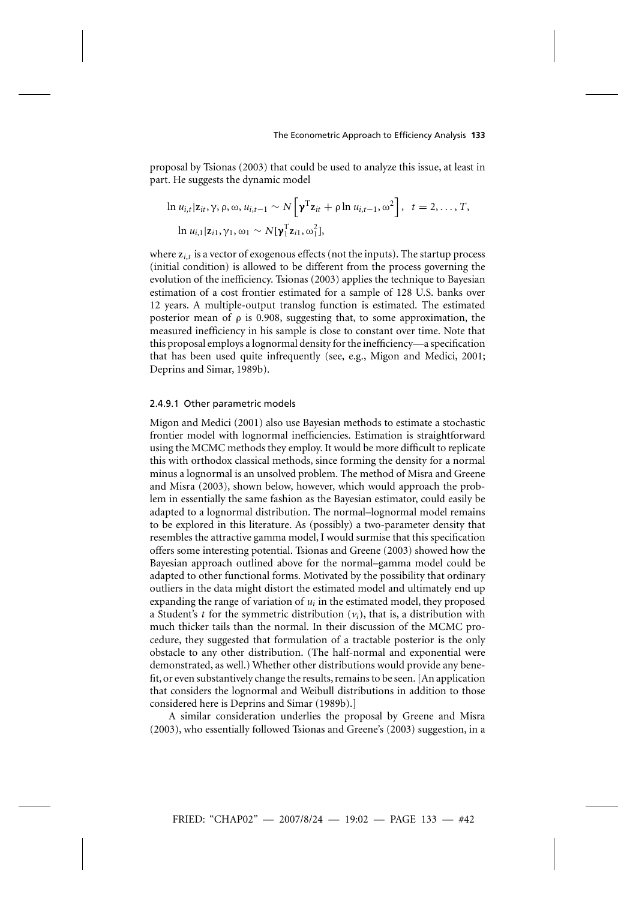proposal by Tsionas (2003) that could be used to analyze this issue, at least in part. He suggests the dynamic model

$$
\ln u_{i,t} | \mathbf{z}_{it}, \gamma, \rho, \omega, u_{i,t-1} \sim N \left[ \mathbf{\gamma}^{\mathrm{T}} \mathbf{z}_{it} + \rho \ln u_{i,t-1}, \omega^2 \right], \quad t = 2, \ldots, T,
$$
  

$$
\ln u_{i,1} | \mathbf{z}_{i1}, \gamma_1, \omega_1 \sim N[\mathbf{\gamma}_1^{\mathrm{T}} \mathbf{z}_{i1}, \omega_1^2],
$$

where  $z_{i,t}$  is a vector of exogenous effects (not the inputs). The startup process (initial condition) is allowed to be different from the process governing the evolution of the inefficiency. Tsionas (2003) applies the technique to Bayesian estimation of a cost frontier estimated for a sample of 128 U.S. banks over 12 years. A multiple-output translog function is estimated. The estimated posterior mean of  $\rho$  is 0.908, suggesting that, to some approximation, the measured inefficiency in his sample is close to constant over time. Note that this proposal employs a lognormal density for the inefficiency—a specification that has been used quite infrequently (see, e.g., Migon and Medici, 2001; Deprins and Simar, 1989b).

# 2.4.9.1 Other parametric models

Migon and Medici (2001) also use Bayesian methods to estimate a stochastic frontier model with lognormal inefficiencies. Estimation is straightforward using the MCMC methods they employ. It would be more difficult to replicate this with orthodox classical methods, since forming the density for a normal minus a lognormal is an unsolved problem. The method of Misra and Greene and Misra (2003), shown below, however, which would approach the problem in essentially the same fashion as the Bayesian estimator, could easily be adapted to a lognormal distribution. The normal–lognormal model remains to be explored in this literature. As (possibly) a two-parameter density that resembles the attractive gamma model, I would surmise that this specification offers some interesting potential. Tsionas and Greene (2003) showed how the Bayesian approach outlined above for the normal–gamma model could be adapted to other functional forms. Motivated by the possibility that ordinary outliers in the data might distort the estimated model and ultimately end up expanding the range of variation of *ui* in the estimated model, they proposed a Student's *t* for the symmetric distribution  $(v_i)$ , that is, a distribution with much thicker tails than the normal. In their discussion of the MCMC procedure, they suggested that formulation of a tractable posterior is the only obstacle to any other distribution. (The half-normal and exponential were demonstrated, as well.) Whether other distributions would provide any benefit, or even substantively change the results, remains to be seen. [An application that considers the lognormal and Weibull distributions in addition to those considered here is Deprins and Simar (1989b).]

A similar consideration underlies the proposal by Greene and Misra (2003), who essentially followed Tsionas and Greene's (2003) suggestion, in a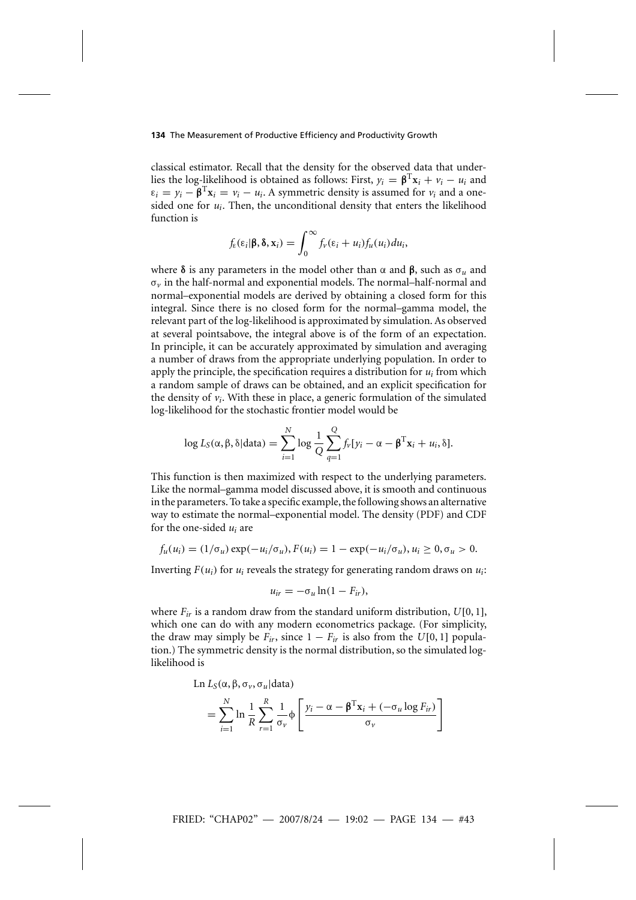classical estimator. Recall that the density for the observed data that underlies the log-likelihood is obtained as follows: First,  $y_i = \beta^T x_i + v_i - u_i$  and  $\varepsilon_i = y_i - \beta^T x_i = v_i - u_i$ . A symmetric density is assumed for  $v_i$  and a onesided one for *ui*. Then, the unconditional density that enters the likelihood function is

$$
f_{\varepsilon}(\varepsilon_i|\boldsymbol{\beta},\boldsymbol{\delta},\mathbf{x}_i)=\int_0^{\infty}f_{\nu}(\varepsilon_i+u_i)f_{\nu}(u_i)du_i,
$$

where **δ** is any parameters in the model other than  $\alpha$  and **β**, such as  $\sigma$ <sub>*u*</sub> and σ*<sup>v</sup>* in the half-normal and exponential models. The normal–half-normal and normal–exponential models are derived by obtaining a closed form for this integral. Since there is no closed form for the normal–gamma model, the relevant part of the log-likelihood is approximated by simulation. As observed at several pointsabove, the integral above is of the form of an expectation. In principle, it can be accurately approximated by simulation and averaging a number of draws from the appropriate underlying population. In order to apply the principle, the specification requires a distribution for  $u_i$  from which a random sample of draws can be obtained, and an explicit specification for the density of  $v_i$ . With these in place, a generic formulation of the simulated log-likelihood for the stochastic frontier model would be

$$
\log L_{S}(\alpha, \beta, \delta | \text{data}) = \sum_{i=1}^{N} \log \frac{1}{Q} \sum_{q=1}^{Q} f_{\nu}[y_{i} - \alpha - \beta^{T}x_{i} + u_{i}, \delta].
$$

This function is then maximized with respect to the underlying parameters. Like the normal–gamma model discussed above, it is smooth and continuous in the parameters. To take a specific example, the following shows an alternative way to estimate the normal–exponential model. The density (PDF) and CDF for the one-sided *ui* are

$$
f_u(u_i) = (1/\sigma_u) \exp(-u_i/\sigma_u), F(u_i) = 1 - \exp(-u_i/\sigma_u), u_i \ge 0, \sigma_u > 0.
$$

Inverting  $F(u_i)$  for  $u_i$  reveals the strategy for generating random draws on  $u_i$ :

$$
u_{ir}=-\sigma_u\ln(1-F_{ir}),
$$

where *Fir* is a random draw from the standard uniform distribution, *U*[0, 1], which one can do with any modern econometrics package. (For simplicity, the draw may simply be  $F_{ir}$ , since  $1 - F_{ir}$  is also from the  $U[0, 1]$  population.) The symmetric density is the normal distribution, so the simulated loglikelihood is

Ln 
$$
L_S(\alpha, \beta, \sigma_v, \sigma_u | \text{data})
$$
  
= 
$$
\sum_{i=1}^N \ln \frac{1}{R} \sum_{r=1}^R \frac{1}{\sigma_v} \phi \left[ \frac{y_i - \alpha - \beta^T x_i + (-\sigma_u \log F_{ir})}{\sigma_v} \right]
$$

FRIED: "CHAP02" — 2007/8/24 — 19:02 — PAGE 134 — #43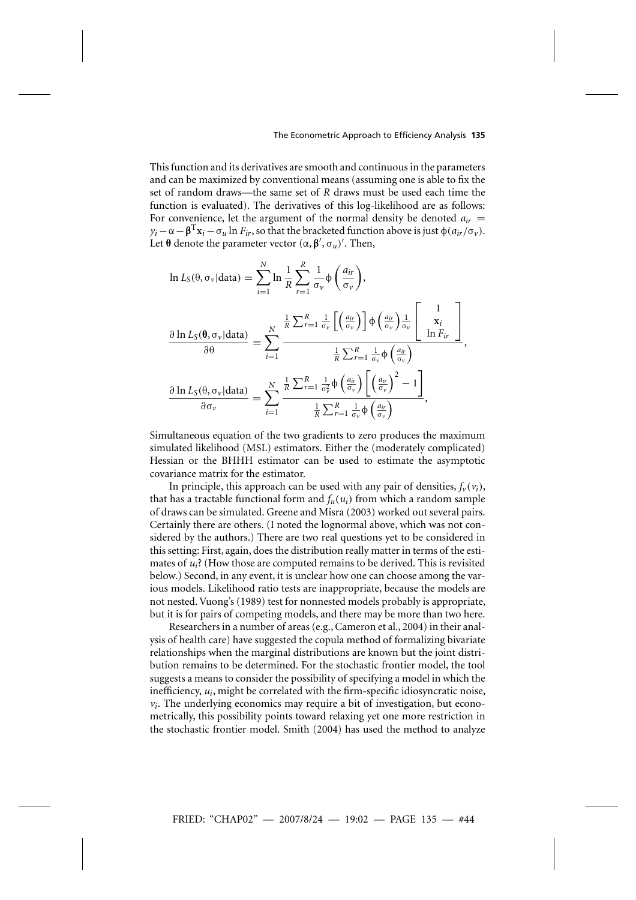# The Econometric Approach to Efficiency Analysis **135**

This function and its derivatives are smooth and continuous in the parameters and can be maximized by conventional means (assuming one is able to fix the set of random draws—the same set of *R* draws must be used each time the function is evaluated). The derivatives of this log-likelihood are as follows: For convenience, let the argument of the normal density be denoted  $a_{ir}$  =  $y_i - \alpha - \beta^T x_i - \sigma_u \ln F_{ir}$ , so that the bracketed function above is just  $\phi(a_{ir}/\sigma_v)$ . Let  $\theta$  denote the parameter vector  $(\alpha, \beta', \sigma_u)'$ . Then,

$$
\ln L_{S}(\theta, \sigma_{\nu} | \text{data}) = \sum_{i=1}^{N} \ln \frac{1}{R} \sum_{r=1}^{R} \frac{1}{\sigma_{\nu}} \phi \left( \frac{a_{ir}}{\sigma_{\nu}} \right),
$$

$$
\frac{\partial \ln L_{S}(\theta, \sigma_{\nu} | \text{data})}{\partial \theta} = \sum_{i=1}^{N} \frac{\frac{1}{R} \sum_{r=1}^{R} \frac{1}{\sigma_{\nu}} \left[ \left( \frac{a_{ir}}{\sigma_{\nu}} \right) \right] \phi \left( \frac{a_{ir}}{\sigma_{\nu}} \right) \frac{1}{\sigma_{\nu}} \left[ \frac{1}{\ln F_{ir}} \right]}{\frac{1}{R} \sum_{r=1}^{R} \frac{1}{\sigma_{\nu}} \phi \left( \frac{a_{ir}}{\sigma_{\nu}} \right)}.
$$

$$
\frac{\partial \ln L_{S}(\theta, \sigma_{\nu} | \text{data})}{\partial \sigma_{\nu}} = \sum_{i=1}^{N} \frac{\frac{1}{R} \sum_{r=1}^{R} \frac{1}{\sigma_{\nu}^{2}} \phi \left( \frac{a_{ir}}{\sigma_{\nu}} \right) \left[ \left( \frac{a_{ir}}{\sigma_{\nu}} \right)^{2} - 1 \right]}{\frac{1}{R} \sum_{r=1}^{R} \frac{1}{\sigma_{\nu}} \phi \left( \frac{a_{ir}}{\sigma_{\nu}} \right)}.
$$

Simultaneous equation of the two gradients to zero produces the maximum simulated likelihood (MSL) estimators. Either the (moderately complicated) Hessian or the BHHH estimator can be used to estimate the asymptotic covariance matrix for the estimator.

In principle, this approach can be used with any pair of densities,  $f_{\nu}(v_i)$ , that has a tractable functional form and  $f_u(u_i)$  from which a random sample of draws can be simulated. Greene and Misra (2003) worked out several pairs. Certainly there are others. (I noted the lognormal above, which was not considered by the authors.) There are two real questions yet to be considered in this setting: First, again, does the distribution really matter in terms of the estimates of *ui*? (How those are computed remains to be derived. This is revisited below.) Second, in any event, it is unclear how one can choose among the various models. Likelihood ratio tests are inappropriate, because the models are not nested. Vuong's (1989) test for nonnested models probably is appropriate, but it is for pairs of competing models, and there may be more than two here.

Researchers in a number of areas (e.g., Cameron et al., 2004) in their analysis of health care) have suggested the copula method of formalizing bivariate relationships when the marginal distributions are known but the joint distribution remains to be determined. For the stochastic frontier model, the tool suggests a means to consider the possibility of specifying a model in which the inefficiency, *ui*, might be correlated with the firm-specific idiosyncratic noise,  $v_i$ . The underlying economics may require a bit of investigation, but econometrically, this possibility points toward relaxing yet one more restriction in the stochastic frontier model. Smith (2004) has used the method to analyze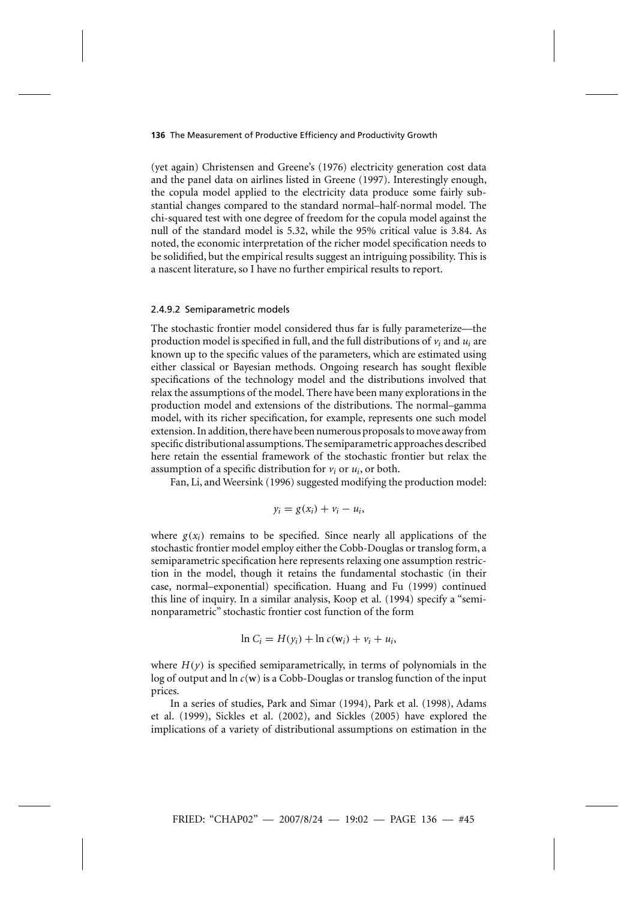(yet again) Christensen and Greene's (1976) electricity generation cost data and the panel data on airlines listed in Greene (1997). Interestingly enough, the copula model applied to the electricity data produce some fairly substantial changes compared to the standard normal–half-normal model. The chi-squared test with one degree of freedom for the copula model against the null of the standard model is 5.32, while the 95% critical value is 3.84. As noted, the economic interpretation of the richer model specification needs to be solidified, but the empirical results suggest an intriguing possibility. This is a nascent literature, so I have no further empirical results to report.

# 2.4.9.2 Semiparametric models

The stochastic frontier model considered thus far is fully parameterize—the production model is specified in full, and the full distributions of *vi* and *ui* are known up to the specific values of the parameters, which are estimated using either classical or Bayesian methods. Ongoing research has sought flexible specifications of the technology model and the distributions involved that relax the assumptions of the model. There have been many explorations in the production model and extensions of the distributions. The normal–gamma model, with its richer specification, for example, represents one such model extension. In addition, there have been numerous proposals to move away from specific distributional assumptions. The semiparametric approaches described here retain the essential framework of the stochastic frontier but relax the assumption of a specific distribution for  $v_i$  or  $u_i$ , or both.

Fan, Li, and Weersink (1996) suggested modifying the production model:

$$
y_i = g(x_i) + v_i - u_i,
$$

where  $g(x_i)$  remains to be specified. Since nearly all applications of the stochastic frontier model employ either the Cobb-Douglas or translog form, a semiparametric specification here represents relaxing one assumption restriction in the model, though it retains the fundamental stochastic (in their case, normal–exponential) specification. Huang and Fu (1999) continued this line of inquiry. In a similar analysis, Koop et al. (1994) specify a "seminonparametric" stochastic frontier cost function of the form

$$
\ln C_i = H(y_i) + \ln c(\mathbf{w}_i) + v_i + u_i,
$$

where  $H(y)$  is specified semiparametrically, in terms of polynomials in the log of output and ln *c*(**w**) is a Cobb-Douglas or translog function of the input prices.

In a series of studies, Park and Simar (1994), Park et al. (1998), Adams et al. (1999), Sickles et al. (2002), and Sickles (2005) have explored the implications of a variety of distributional assumptions on estimation in the

FRIED: "CHAP02" — 2007/8/24 — 19:02 — PAGE 136 — #45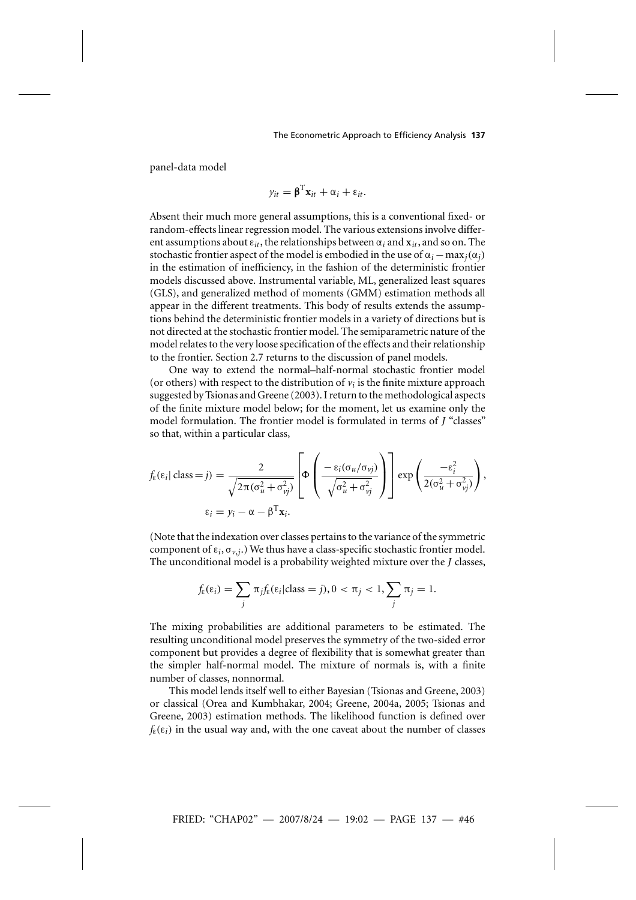panel-data model

$$
y_{it} = \beta^{\mathrm{T}} \mathbf{x}_{it} + \alpha_i + \varepsilon_{it}.
$$

Absent their much more general assumptions, this is a conventional fixed- or random-effects linear regression model. The various extensions involve different assumptions about  $\varepsilon_{it}$ , the relationships between  $\alpha_i$  and  $\mathbf{x}_{it}$ , and so on. The stochastic frontier aspect of the model is embodied in the use of  $\alpha_i - \max_i(\alpha_i)$ in the estimation of inefficiency, in the fashion of the deterministic frontier models discussed above. Instrumental variable, ML, generalized least squares (GLS), and generalized method of moments (GMM) estimation methods all appear in the different treatments. This body of results extends the assumptions behind the deterministic frontier models in a variety of directions but is not directed at the stochastic frontier model. The semiparametric nature of the model relates to the very loose specification of the effects and their relationship to the frontier. Section 2.7 returns to the discussion of panel models.

One way to extend the normal–half-normal stochastic frontier model (or others) with respect to the distribution of  $v_i$  is the finite mixture approach suggested by Tsionas and Greene (2003). I return to the methodological aspects of the finite mixture model below; for the moment, let us examine only the model formulation. The frontier model is formulated in terms of *J* "classes" so that, within a particular class,

$$
f_{\varepsilon}(\varepsilon_i \mid \text{class} = j) = \frac{2}{\sqrt{2\pi(\sigma_u^2 + \sigma_{vj}^2)}} \left[ \Phi\left(\frac{-\varepsilon_i(\sigma_u/\sigma_{vj})}{\sqrt{\sigma_u^2 + \sigma_{vj}^2}}\right) \right] \exp\left(\frac{-\varepsilon_i^2}{2(\sigma_u^2 + \sigma_{vj}^2)}\right),
$$
  

$$
\varepsilon_i = y_i - \alpha - \beta^T \mathbf{x}_i.
$$

(Note that the indexation over classes pertains to the variance of the symmetric component of  $\varepsilon_i$ ,  $\sigma_{v,i}$ .) We thus have a class-specific stochastic frontier model. The unconditional model is a probability weighted mixture over the *J* classes,

$$
f_{\varepsilon}(\varepsilon_i) = \sum_j \pi_j f_{\varepsilon}(\varepsilon_i | \text{class} = j), 0 < \pi_j < 1, \sum_j \pi_j = 1.
$$

The mixing probabilities are additional parameters to be estimated. The resulting unconditional model preserves the symmetry of the two-sided error component but provides a degree of flexibility that is somewhat greater than the simpler half-normal model. The mixture of normals is, with a finite number of classes, nonnormal.

This model lends itself well to either Bayesian (Tsionas and Greene, 2003) or classical (Orea and Kumbhakar, 2004; Greene, 2004a, 2005; Tsionas and Greene, 2003) estimation methods. The likelihood function is defined over  $f_{\varepsilon}(\varepsilon_i)$  in the usual way and, with the one caveat about the number of classes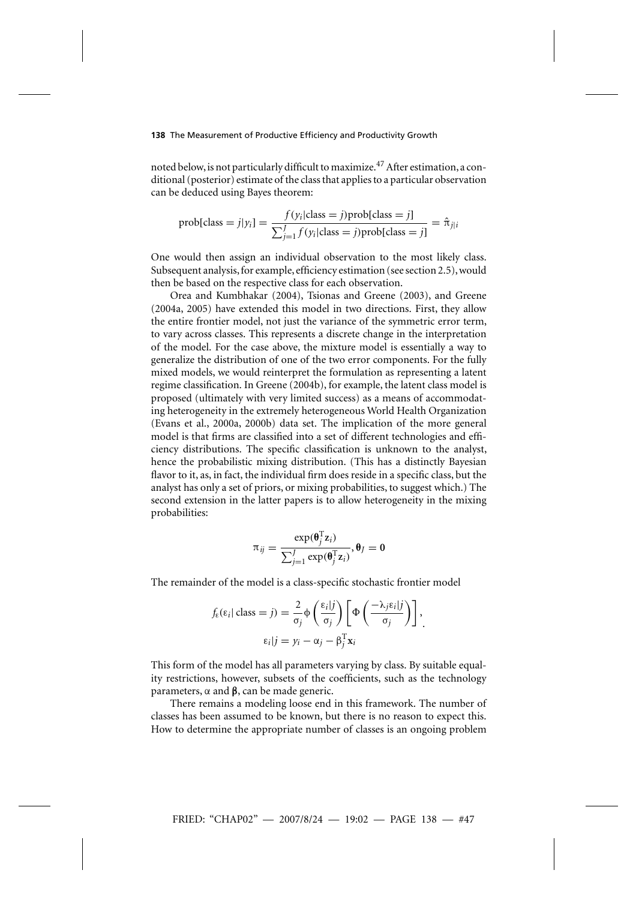noted below, is not particularly difficult to maximize.<sup>47</sup> After estimation, a conditional (posterior) estimate of the class that applies to a particular observation can be deduced using Bayes theorem:

$$
prob[class = j|y_i] = \frac{f(y_i|class = j)prob[class = j]}{\sum_{j=1}^{J} f(y_i|class = j)prob[class = j]} = \hat{\pi}_{ji}
$$

One would then assign an individual observation to the most likely class. Subsequent analysis, for example, efficiency estimation (see section 2.5), would then be based on the respective class for each observation.

Orea and Kumbhakar (2004), Tsionas and Greene (2003), and Greene (2004a, 2005) have extended this model in two directions. First, they allow the entire frontier model, not just the variance of the symmetric error term, to vary across classes. This represents a discrete change in the interpretation of the model. For the case above, the mixture model is essentially a way to generalize the distribution of one of the two error components. For the fully mixed models, we would reinterpret the formulation as representing a latent regime classification. In Greene (2004b), for example, the latent class model is proposed (ultimately with very limited success) as a means of accommodating heterogeneity in the extremely heterogeneous World Health Organization (Evans et al., 2000a, 2000b) data set. The implication of the more general model is that firms are classified into a set of different technologies and efficiency distributions. The specific classification is unknown to the analyst, hence the probabilistic mixing distribution. (This has a distinctly Bayesian flavor to it, as, in fact, the individual firm does reside in a specific class, but the analyst has only a set of priors, or mixing probabilities, to suggest which.) The second extension in the latter papers is to allow heterogeneity in the mixing probabilities:

$$
\pi_{ij} = \frac{\exp(\boldsymbol{\theta}_j^{\mathrm{T}} \mathbf{z}_i)}{\sum_{j=1}^J \exp(\boldsymbol{\theta}_j^{\mathrm{T}} \mathbf{z}_i)}, \boldsymbol{\theta}_J = 0
$$

The remainder of the model is a class-specific stochastic frontier model

$$
f_{\varepsilon}(\varepsilon_i | \text{ class } = j) = \frac{2}{\sigma_j} \phi \left( \frac{\varepsilon_i |j}{\sigma_j} \right) \left[ \Phi \left( \frac{-\lambda_j \varepsilon_i |j}{\sigma_j} \right) \right],
$$
  

$$
\varepsilon_i |j = y_i - \alpha_j - \beta_j^{\text{T}} \mathbf{x}_i
$$

This form of the model has all parameters varying by class. By suitable equality restrictions, however, subsets of the coefficients, such as the technology parameters, α and **β**, can be made generic.

There remains a modeling loose end in this framework. The number of classes has been assumed to be known, but there is no reason to expect this. How to determine the appropriate number of classes is an ongoing problem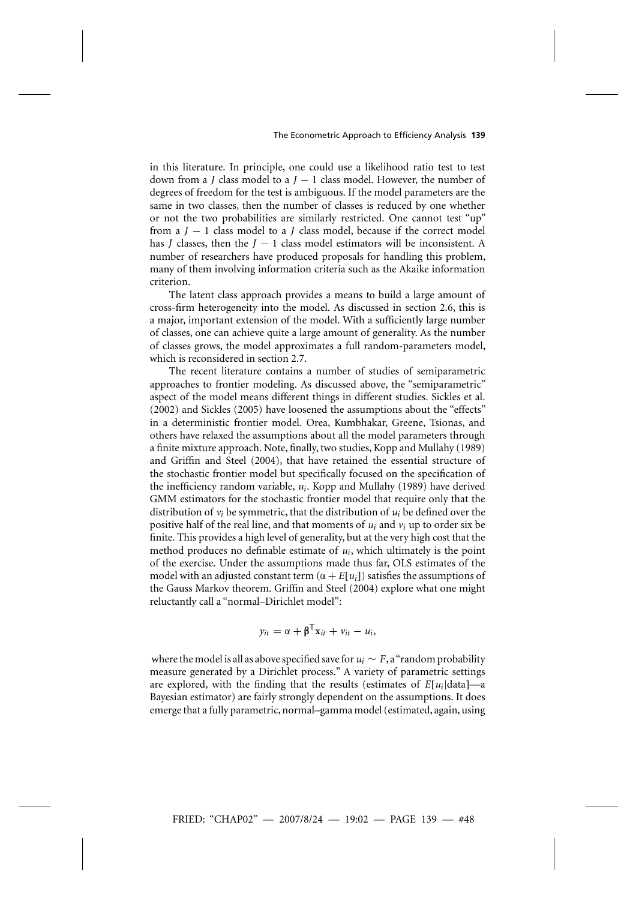in this literature. In principle, one could use a likelihood ratio test to test down from a *J* class model to a *J* − 1 class model. However, the number of degrees of freedom for the test is ambiguous. If the model parameters are the same in two classes, then the number of classes is reduced by one whether or not the two probabilities are similarly restricted. One cannot test "up" from a *J* − 1 class model to a *J* class model, because if the correct model has *J* classes, then the  $J - 1$  class model estimators will be inconsistent. A number of researchers have produced proposals for handling this problem, many of them involving information criteria such as the Akaike information criterion.

The latent class approach provides a means to build a large amount of cross-firm heterogeneity into the model. As discussed in section 2.6, this is a major, important extension of the model. With a sufficiently large number of classes, one can achieve quite a large amount of generality. As the number of classes grows, the model approximates a full random-parameters model, which is reconsidered in section 2.7.

The recent literature contains a number of studies of semiparametric approaches to frontier modeling. As discussed above, the "semiparametric" aspect of the model means different things in different studies. Sickles et al. (2002) and Sickles (2005) have loosened the assumptions about the "effects" in a deterministic frontier model. Orea, Kumbhakar, Greene, Tsionas, and others have relaxed the assumptions about all the model parameters through a finite mixture approach. Note, finally, two studies, Kopp and Mullahy (1989) and Griffin and Steel (2004), that have retained the essential structure of the stochastic frontier model but specifically focused on the specification of the inefficiency random variable, *ui*. Kopp and Mullahy (1989) have derived GMM estimators for the stochastic frontier model that require only that the distribution of *vi* be symmetric, that the distribution of *ui* be defined over the positive half of the real line, and that moments of  $u_i$  and  $v_i$  up to order six be finite. This provides a high level of generality, but at the very high cost that the method produces no definable estimate of *ui*, which ultimately is the point of the exercise. Under the assumptions made thus far, OLS estimates of the model with an adjusted constant term  $(\alpha + E[u_i])$  satisfies the assumptions of the Gauss Markov theorem. Griffin and Steel (2004) explore what one might reluctantly call a "normal–Dirichlet model":

$$
y_{it} = \alpha + \beta^{T} x_{it} + v_{it} - u_{i},
$$

where the model is all as above specified save for  $u_i \sim F$ , a "random probability" measure generated by a Dirichlet process." A variety of parametric settings are explored, with the finding that the results (estimates of *E*[*ui*|data]—a Bayesian estimator) are fairly strongly dependent on the assumptions. It does emerge that a fully parametric, normal–gamma model (estimated, again, using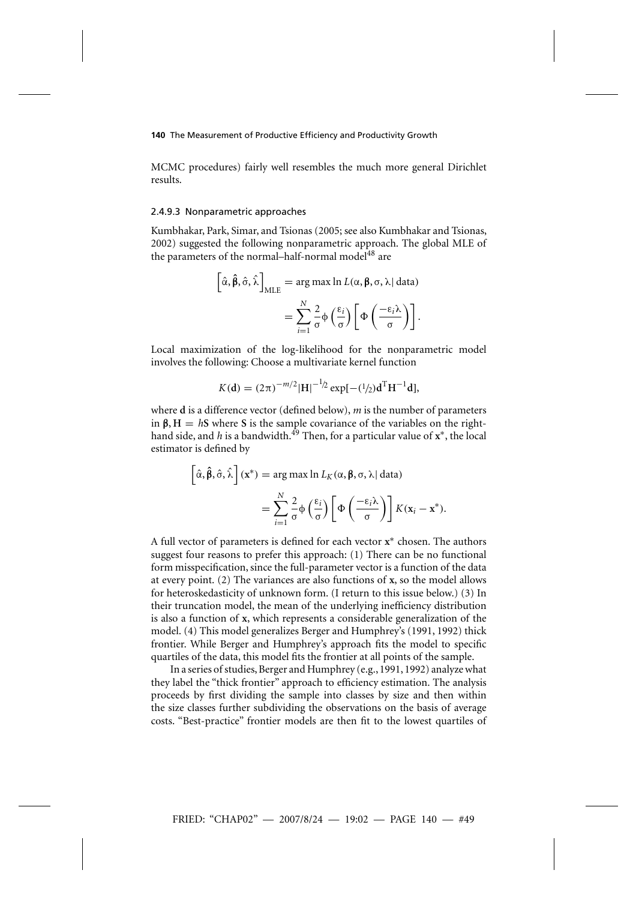MCMC procedures) fairly well resembles the much more general Dirichlet results.

## 2.4.9.3 Nonparametric approaches

Kumbhakar, Park, Simar, and Tsionas (2005; see also Kumbhakar and Tsionas, 2002) suggested the following nonparametric approach. The global MLE of the parameters of the normal-half-normal model<sup>48</sup> are

$$
\[\hat{\alpha}, \hat{\beta}, \hat{\sigma}, \hat{\lambda}\]_{MLE} = \arg \max \ln L(\alpha, \beta, \sigma, \lambda | \text{ data})\]
$$

$$
= \sum_{i=1}^{N} \frac{2}{\sigma} \phi\left(\frac{\varepsilon_i}{\sigma}\right) \left[ \Phi\left(\frac{-\varepsilon_i \lambda}{\sigma}\right) \right].
$$

Local maximization of the log-likelihood for the nonparametric model involves the following: Choose a multivariate kernel function

$$
K(\mathbf{d}) = (2\pi)^{-m/2} |\mathbf{H}|^{-1/2} \exp[-(1/2)\mathbf{d}^{\mathrm{T}} \mathbf{H}^{-1} \mathbf{d}],
$$

where **d** is a difference vector (defined below), *m* is the number of parameters in **β**, **H** = *h***S** where **S** is the sample covariance of the variables on the righthand side, and *h* is a bandwidth.<sup>49</sup> Then, for a particular value of  $x^*$ , the local estimator is defined by

$$
\left[\hat{\alpha}, \hat{\beta}, \hat{\sigma}, \hat{\lambda}\right](\mathbf{x}^*) = \arg \max \ln L_K(\alpha, \beta, \sigma, \lambda | \text{ data})
$$

$$
= \sum_{i=1}^N \frac{2}{\sigma} \phi\left(\frac{\varepsilon_i}{\sigma}\right) \left[\Phi\left(\frac{-\varepsilon_i \lambda}{\sigma}\right)\right] K(\mathbf{x}_i - \mathbf{x}^*).
$$

A full vector of parameters is defined for each vector **x**<sup>∗</sup> chosen. The authors suggest four reasons to prefer this approach: (1) There can be no functional form misspecification, since the full-parameter vector is a function of the data at every point. (2) The variances are also functions of **x**, so the model allows for heteroskedasticity of unknown form. (I return to this issue below.) (3) In their truncation model, the mean of the underlying inefficiency distribution is also a function of **x**, which represents a considerable generalization of the model. (4) This model generalizes Berger and Humphrey's (1991, 1992) thick frontier. While Berger and Humphrey's approach fits the model to specific quartiles of the data, this model fits the frontier at all points of the sample.

In a series of studies, Berger and Humphrey (e.g., 1991, 1992) analyze what they label the "thick frontier" approach to efficiency estimation. The analysis proceeds by first dividing the sample into classes by size and then within the size classes further subdividing the observations on the basis of average costs. "Best-practice" frontier models are then fit to the lowest quartiles of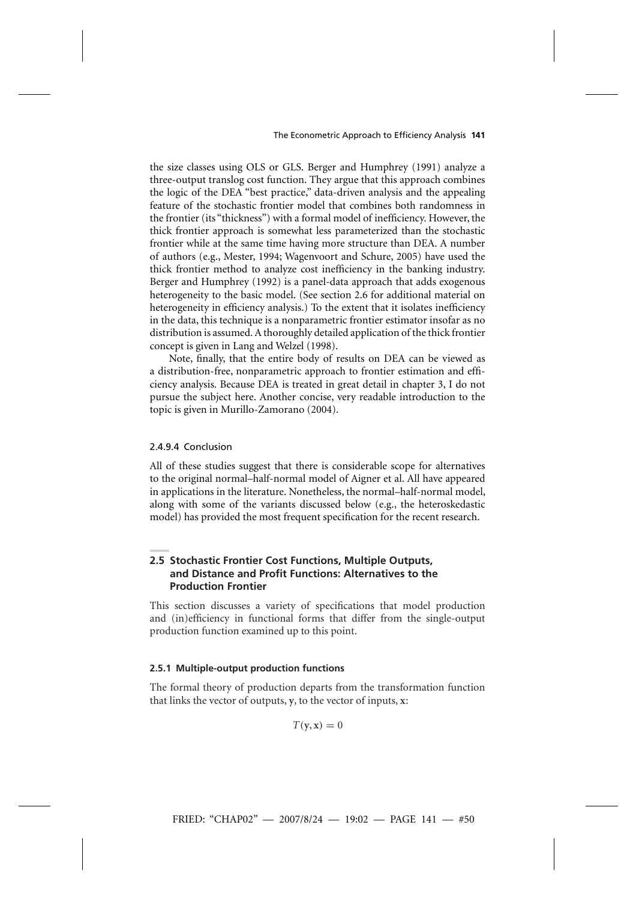# The Econometric Approach to Efficiency Analysis **141**

the size classes using OLS or GLS. Berger and Humphrey (1991) analyze a three-output translog cost function. They argue that this approach combines the logic of the DEA "best practice," data-driven analysis and the appealing feature of the stochastic frontier model that combines both randomness in the frontier (its "thickness") with a formal model of inefficiency. However, the thick frontier approach is somewhat less parameterized than the stochastic frontier while at the same time having more structure than DEA. A number of authors (e.g., Mester, 1994; Wagenvoort and Schure, 2005) have used the thick frontier method to analyze cost inefficiency in the banking industry. Berger and Humphrey (1992) is a panel-data approach that adds exogenous heterogeneity to the basic model. (See section 2.6 for additional material on heterogeneity in efficiency analysis.) To the extent that it isolates inefficiency in the data, this technique is a nonparametric frontier estimator insofar as no distribution is assumed. A thoroughly detailed application of the thick frontier concept is given in Lang and Welzel (1998).

Note, finally, that the entire body of results on DEA can be viewed as a distribution-free, nonparametric approach to frontier estimation and efficiency analysis. Because DEA is treated in great detail in chapter 3, I do not pursue the subject here. Another concise, very readable introduction to the topic is given in Murillo-Zamorano (2004).

# 2.4.9.4 Conclusion

All of these studies suggest that there is considerable scope for alternatives to the original normal–half-normal model of Aigner et al. All have appeared in applications in the literature. Nonetheless, the normal–half-normal model, along with some of the variants discussed below (e.g., the heteroskedastic model) has provided the most frequent specification for the recent research.

# **2.5 Stochastic Frontier Cost Functions, Multiple Outputs, and Distance and Profit Functions: Alternatives to the Production Frontier**

This section discusses a variety of specifications that model production and (in)efficiency in functional forms that differ from the single-output production function examined up to this point.

#### **2.5.1 Multiple-output production functions**

The formal theory of production departs from the transformation function that links the vector of outputs, **y**, to the vector of inputs, **x**:

$$
T(y, x) = 0
$$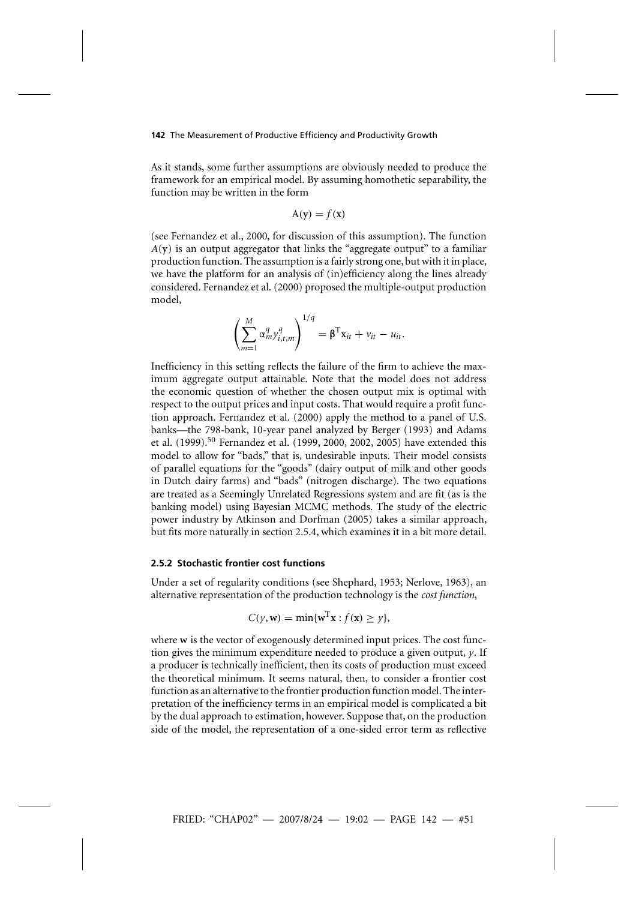As it stands, some further assumptions are obviously needed to produce the framework for an empirical model. By assuming homothetic separability, the function may be written in the form

$$
A(y) = f(x)
$$

(see Fernandez et al., 2000, for discussion of this assumption). The function *A*(**y**) is an output aggregator that links the "aggregate output" to a familiar production function. The assumption is a fairly strong one, but with it in place, we have the platform for an analysis of (in)efficiency along the lines already considered. Fernandez et al. (2000) proposed the multiple-output production model,

$$
\left(\sum_{m=1}^M \alpha_m^q y_{i,t,m}^q\right)^{1/q} = \beta^{\mathrm{T}} \mathbf{x}_{it} + v_{it} - u_{it}.
$$

Inefficiency in this setting reflects the failure of the firm to achieve the maximum aggregate output attainable. Note that the model does not address the economic question of whether the chosen output mix is optimal with respect to the output prices and input costs. That would require a profit function approach. Fernandez et al. (2000) apply the method to a panel of U.S. banks—the 798-bank, 10-year panel analyzed by Berger (1993) and Adams et al. (1999).<sup>50</sup> Fernandez et al. (1999, 2000, 2002, 2005) have extended this model to allow for "bads," that is, undesirable inputs. Their model consists of parallel equations for the "goods" (dairy output of milk and other goods in Dutch dairy farms) and "bads" (nitrogen discharge). The two equations are treated as a Seemingly Unrelated Regressions system and are fit (as is the banking model) using Bayesian MCMC methods. The study of the electric power industry by Atkinson and Dorfman (2005) takes a similar approach, but fits more naturally in section 2.5.4, which examines it in a bit more detail.

#### **2.5.2 Stochastic frontier cost functions**

Under a set of regularity conditions (see Shephard, 1953; Nerlove, 1963), an alternative representation of the production technology is the *cost function*,

$$
C(y, \mathbf{w}) = \min\{\mathbf{w}^{\mathrm{T}}\mathbf{x} : f(\mathbf{x}) \ge y\},\
$$

where **w** is the vector of exogenously determined input prices. The cost function gives the minimum expenditure needed to produce a given output, *y*. If a producer is technically inefficient, then its costs of production must exceed the theoretical minimum. It seems natural, then, to consider a frontier cost function as an alternative to the frontier production function model. The interpretation of the inefficiency terms in an empirical model is complicated a bit by the dual approach to estimation, however. Suppose that, on the production side of the model, the representation of a one-sided error term as reflective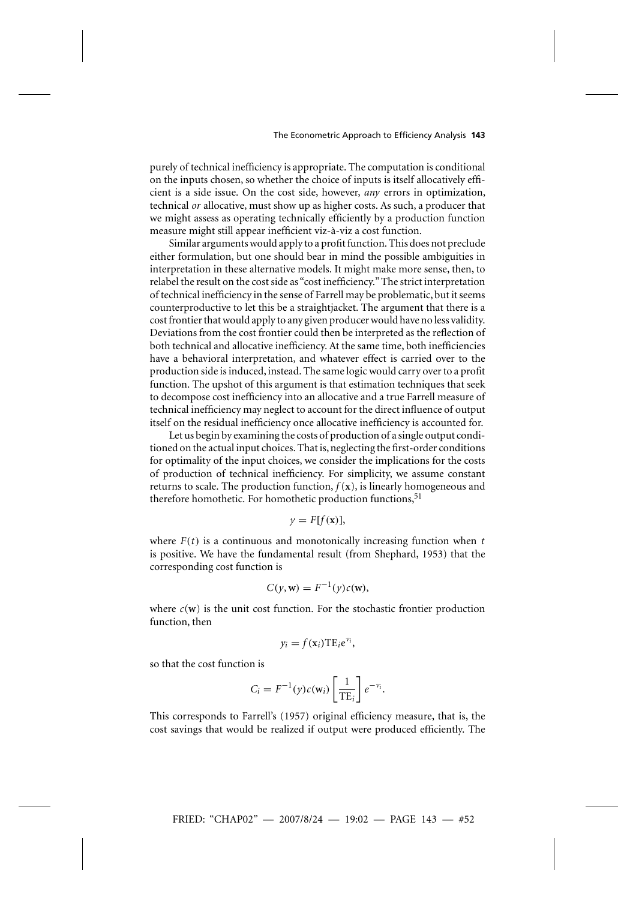### The Econometric Approach to Efficiency Analysis **143**

purely of technical inefficiency is appropriate. The computation is conditional on the inputs chosen, so whether the choice of inputs is itself allocatively efficient is a side issue. On the cost side, however, *any* errors in optimization, technical *or* allocative, must show up as higher costs. As such, a producer that we might assess as operating technically efficiently by a production function measure might still appear inefficient viz-à-viz a cost function.

Similar arguments would apply to a profit function. This does not preclude either formulation, but one should bear in mind the possible ambiguities in interpretation in these alternative models. It might make more sense, then, to relabel the result on the cost side as "cost inefficiency."The strict interpretation of technical inefficiency in the sense of Farrell may be problematic, but it seems counterproductive to let this be a straightjacket. The argument that there is a cost frontier that would apply to any given producer would have no less validity. Deviations from the cost frontier could then be interpreted as the reflection of both technical and allocative inefficiency. At the same time, both inefficiencies have a behavioral interpretation, and whatever effect is carried over to the production side is induced, instead. The same logic would carry over to a profit function. The upshot of this argument is that estimation techniques that seek to decompose cost inefficiency into an allocative and a true Farrell measure of technical inefficiency may neglect to account for the direct influence of output itself on the residual inefficiency once allocative inefficiency is accounted for.

Let us begin by examining the costs of production of a single output conditioned on the actual input choices. Thatis, neglecting the first-order conditions for optimality of the input choices, we consider the implications for the costs of production of technical inefficiency. For simplicity, we assume constant returns to scale. The production function,  $f(\mathbf{x})$ , is linearly homogeneous and therefore homothetic. For homothetic production functions,<sup>51</sup>

$$
y = F[f(\mathbf{x})],
$$

where  $F(t)$  is a continuous and monotonically increasing function when  $t$ is positive. We have the fundamental result (from Shephard, 1953) that the corresponding cost function is

$$
C(y, w) = F^{-1}(y)c(w),
$$

where  $c(w)$  is the unit cost function. For the stochastic frontier production function, then

$$
y_i = f(\mathbf{x}_i) \mathrm{TE}_i e^{\nu_i},
$$

so that the cost function is

$$
C_i = F^{-1}(y)c(\mathbf{w}_i) \left[ \frac{1}{\mathrm{TE}_i} \right] e^{-\nu_i}.
$$

This corresponds to Farrell's (1957) original efficiency measure, that is, the cost savings that would be realized if output were produced efficiently. The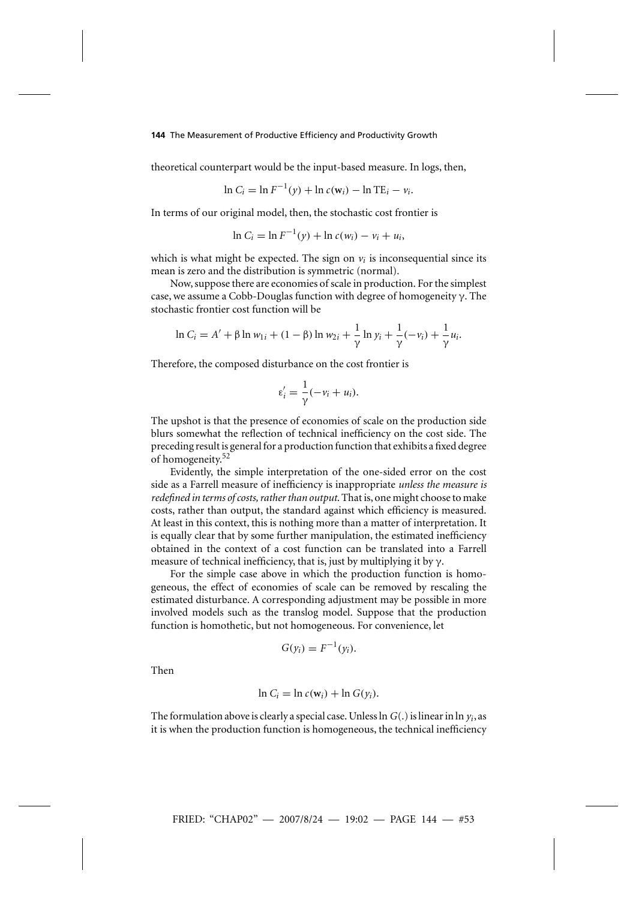theoretical counterpart would be the input-based measure. In logs, then,

$$
\ln C_i = \ln F^{-1}(y) + \ln c(\mathbf{w}_i) - \ln \mathrm{TE}_i - v_i.
$$

In terms of our original model, then, the stochastic cost frontier is

$$
\ln C_i = \ln F^{-1}(y) + \ln c(w_i) - v_i + u_i,
$$

which is what might be expected. The sign on  $v_i$  is inconsequential since its mean is zero and the distribution is symmetric (normal).

Now, suppose there are economies of scale in production. For the simplest case, we assume a Cobb-Douglas function with degree of homogeneity γ. The stochastic frontier cost function will be

$$
\ln C_i = A' + \beta \ln w_{1i} + (1 - \beta) \ln w_{2i} + \frac{1}{\gamma} \ln y_i + \frac{1}{\gamma} (-v_i) + \frac{1}{\gamma} u_i.
$$

Therefore, the composed disturbance on the cost frontier is

$$
\varepsilon_i' = \frac{1}{\gamma}(-v_i + u_i).
$$

The upshot is that the presence of economies of scale on the production side blurs somewhat the reflection of technical inefficiency on the cost side. The preceding result is general for a production function that exhibits a fixed degree of homogeneity.<sup>52</sup>

Evidently, the simple interpretation of the one-sided error on the cost side as a Farrell measure of inefficiency is inappropriate *unless the measure is redefined in terms of costs, rather than output*. That is, one might choose to make costs, rather than output, the standard against which efficiency is measured. At least in this context, this is nothing more than a matter of interpretation. It is equally clear that by some further manipulation, the estimated inefficiency obtained in the context of a cost function can be translated into a Farrell measure of technical inefficiency, that is, just by multiplying it by  $\gamma$ .

For the simple case above in which the production function is homogeneous, the effect of economies of scale can be removed by rescaling the estimated disturbance. A corresponding adjustment may be possible in more involved models such as the translog model. Suppose that the production function is homothetic, but not homogeneous. For convenience, let

$$
G(y_i) = F^{-1}(y_i).
$$

Then

$$
\ln C_i = \ln c(\mathbf{w}_i) + \ln G(y_i).
$$

The formulation above is clearly a special case. Unless  $\ln G(.)$  is linear in  $\ln \gamma_i$ , as it is when the production function is homogeneous, the technical inefficiency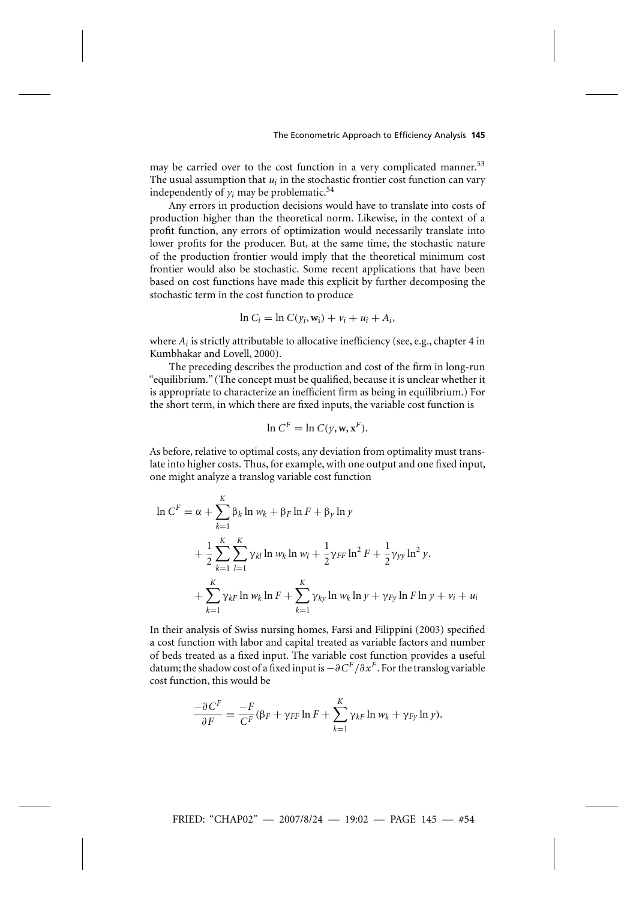may be carried over to the cost function in a very complicated manner.<sup>53</sup> The usual assumption that  $u_i$  in the stochastic frontier cost function can vary independently of  $y_i$  may be problematic.<sup>54</sup>

Any errors in production decisions would have to translate into costs of production higher than the theoretical norm. Likewise, in the context of a profit function, any errors of optimization would necessarily translate into lower profits for the producer. But, at the same time, the stochastic nature of the production frontier would imply that the theoretical minimum cost frontier would also be stochastic. Some recent applications that have been based on cost functions have made this explicit by further decomposing the stochastic term in the cost function to produce

$$
\ln C_i = \ln C(y_i, \mathbf{w}_i) + v_i + u_i + A_i,
$$

where *Ai* is strictly attributable to allocative inefficiency (see, e.g., chapter 4 in Kumbhakar and Lovell, 2000).

The preceding describes the production and cost of the firm in long-run "equilibrium." (The concept must be qualified, because it is unclear whether it is appropriate to characterize an inefficient firm as being in equilibrium.) For the short term, in which there are fixed inputs, the variable cost function is

$$
\ln C^F = \ln C(y, \mathbf{w}, \mathbf{x}^F).
$$

As before, relative to optimal costs, any deviation from optimality must translate into higher costs. Thus, for example, with one output and one fixed input, one might analyze a translog variable cost function

$$
\ln C^{F} = \alpha + \sum_{k=1}^{K} \beta_{k} \ln w_{k} + \beta_{F} \ln F + \beta_{y} \ln y
$$
  
+  $\frac{1}{2} \sum_{k=1}^{K} \sum_{l=1}^{K} \gamma_{kl} \ln w_{k} \ln w_{l} + \frac{1}{2} \gamma_{FF} \ln^{2} F + \frac{1}{2} \gamma_{yy} \ln^{2} y.$   
+  $\sum_{k=1}^{K} \gamma_{kF} \ln w_{k} \ln F + \sum_{k=1}^{K} \gamma_{ky} \ln w_{k} \ln y + \gamma_{Fy} \ln F \ln y + v_{i} + u_{i}$ 

In their analysis of Swiss nursing homes, Farsi and Filippini (2003) specified a cost function with labor and capital treated as variable factors and number of beds treated as a fixed input. The variable cost function provides a useful datum; the shadow cost of a fixed input is  $-\partial C^F / \partial x^F$ . For the translog variable cost function, this would be

$$
\frac{-\partial C^F}{\partial F} = \frac{-F}{C^F} (\beta_F + \gamma_{FF} \ln F + \sum_{k=1}^K \gamma_{kF} \ln w_k + \gamma_{Fy} \ln y).
$$

FRIED: "CHAP02" — 2007/8/24 — 19:02 — PAGE 145 — #54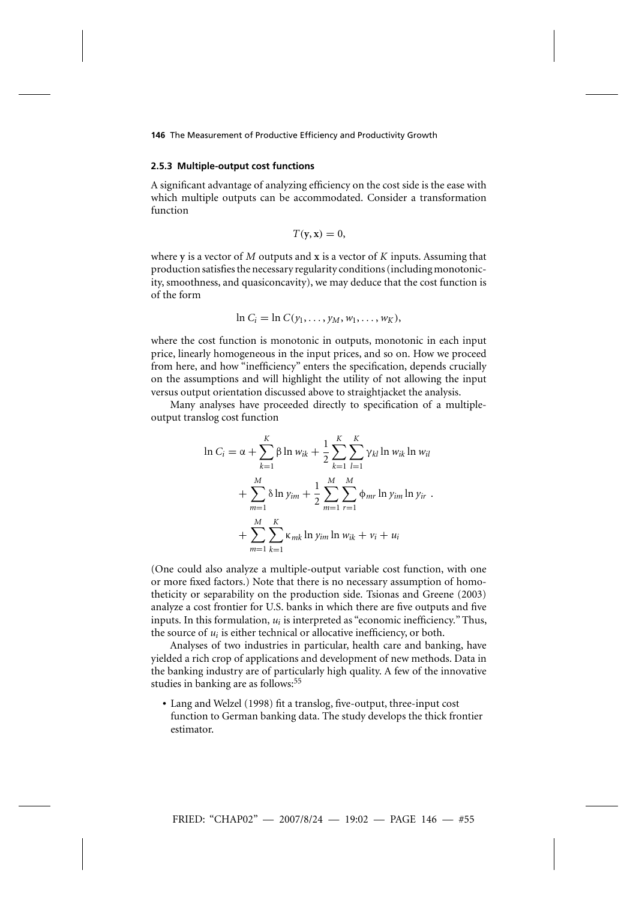#### **2.5.3 Multiple-output cost functions**

A significant advantage of analyzing efficiency on the cost side is the ease with which multiple outputs can be accommodated. Consider a transformation function

$$
T(\mathbf{y}, \mathbf{x}) = 0,
$$

where **y** is a vector of *M* outputs and **x** is a vector of *K* inputs. Assuming that production satisfies the necessary regularity conditions (including monotonicity, smoothness, and quasiconcavity), we may deduce that the cost function is of the form

$$
\ln C_i = \ln C(y_1, \ldots, y_M, w_1, \ldots, w_K),
$$

where the cost function is monotonic in outputs, monotonic in each input price, linearly homogeneous in the input prices, and so on. How we proceed from here, and how "inefficiency" enters the specification, depends crucially on the assumptions and will highlight the utility of not allowing the input versus output orientation discussed above to straightjacket the analysis.

Many analyses have proceeded directly to specification of a multipleoutput translog cost function

$$
\ln C_i = \alpha + \sum_{k=1}^{K} \beta \ln w_{ik} + \frac{1}{2} \sum_{k=1}^{K} \sum_{l=1}^{K} \gamma_{kl} \ln w_{ik} \ln w_{il}
$$
  
+ 
$$
\sum_{m=1}^{M} \delta \ln y_{im} + \frac{1}{2} \sum_{m=1}^{M} \sum_{r=1}^{M} \phi_{mr} \ln y_{im} \ln y_{ir}.
$$
  
+ 
$$
\sum_{m=1}^{M} \sum_{k=1}^{K} \kappa_{mk} \ln y_{im} \ln w_{ik} + v_i + u_i
$$

(One could also analyze a multiple-output variable cost function, with one or more fixed factors.) Note that there is no necessary assumption of homotheticity or separability on the production side. Tsionas and Greene (2003) analyze a cost frontier for U.S. banks in which there are five outputs and five inputs. In this formulation, *ui* is interpreted as "economic inefficiency." Thus, the source of *ui* is either technical or allocative inefficiency, or both.

Analyses of two industries in particular, health care and banking, have yielded a rich crop of applications and development of new methods. Data in the banking industry are of particularly high quality. A few of the innovative studies in banking are as follows:<sup>55</sup>

• Lang and Welzel (1998) fit a translog, five-output, three-input cost function to German banking data. The study develops the thick frontier estimator.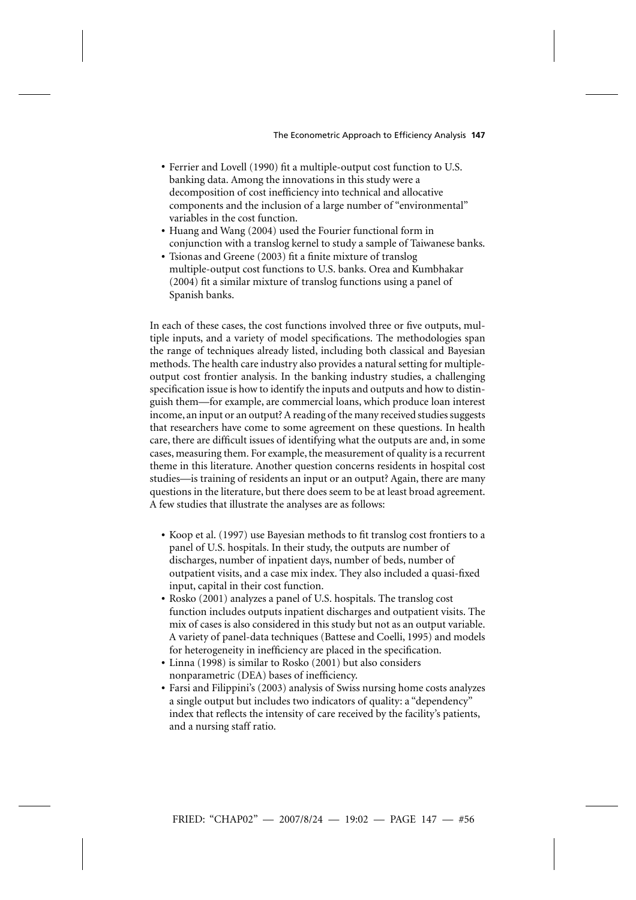# The Econometric Approach to Efficiency Analysis **147**

- Ferrier and Lovell (1990) fit a multiple-output cost function to U.S. banking data. Among the innovations in this study were a decomposition of cost inefficiency into technical and allocative components and the inclusion of a large number of "environmental" variables in the cost function.
- Huang and Wang (2004) used the Fourier functional form in conjunction with a translog kernel to study a sample of Taiwanese banks.
- Tsionas and Greene (2003) fit a finite mixture of translog multiple-output cost functions to U.S. banks. Orea and Kumbhakar (2004) fit a similar mixture of translog functions using a panel of Spanish banks.

In each of these cases, the cost functions involved three or five outputs, multiple inputs, and a variety of model specifications. The methodologies span the range of techniques already listed, including both classical and Bayesian methods. The health care industry also provides a natural setting for multipleoutput cost frontier analysis. In the banking industry studies, a challenging specification issue is how to identify the inputs and outputs and how to distinguish them—for example, are commercial loans, which produce loan interest income, an input or an output? A reading of the many received studies suggests that researchers have come to some agreement on these questions. In health care, there are difficult issues of identifying what the outputs are and, in some cases, measuring them. For example, the measurement of quality is a recurrent theme in this literature. Another question concerns residents in hospital cost studies—is training of residents an input or an output? Again, there are many questions in the literature, but there does seem to be at least broad agreement. A few studies that illustrate the analyses are as follows:

- Koop et al. (1997) use Bayesian methods to fit translog cost frontiers to a panel of U.S. hospitals. In their study, the outputs are number of discharges, number of inpatient days, number of beds, number of outpatient visits, and a case mix index. They also included a quasi-fixed input, capital in their cost function.
- Rosko (2001) analyzes a panel of U.S. hospitals. The translog cost function includes outputs inpatient discharges and outpatient visits. The mix of cases is also considered in this study but not as an output variable. A variety of panel-data techniques (Battese and Coelli, 1995) and models for heterogeneity in inefficiency are placed in the specification.
- Linna (1998) is similar to Rosko (2001) but also considers nonparametric (DEA) bases of inefficiency.
- Farsi and Filippini's (2003) analysis of Swiss nursing home costs analyzes a single output but includes two indicators of quality: a "dependency" index that reflects the intensity of care received by the facility's patients, and a nursing staff ratio.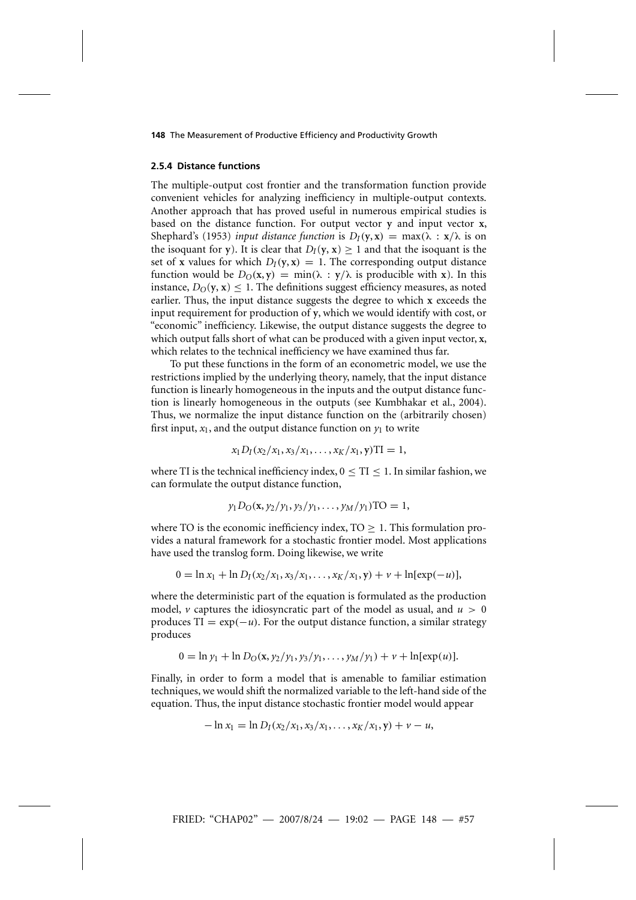#### **2.5.4 Distance functions**

The multiple-output cost frontier and the transformation function provide convenient vehicles for analyzing inefficiency in multiple-output contexts. Another approach that has proved useful in numerous empirical studies is based on the distance function. For output vector **y** and input vector **x**, Shephard's (1953) *input distance function* is  $D_I(y, x) = \max(\lambda : x/\lambda)$  is on the isoquant for **y**). It is clear that  $D_I(y, x) \ge 1$  and that the isoquant is the set of **x** values for which  $D_I(y, x) = 1$ . The corresponding output distance function would be  $D_O(x, y) = \min(\lambda : y/\lambda)$  is producible with **x**). In this instance,  $D_O(y, x) \leq 1$ . The definitions suggest efficiency measures, as noted earlier. Thus, the input distance suggests the degree to which **x** exceeds the input requirement for production of **y**, which we would identify with cost, or "economic" inefficiency. Likewise, the output distance suggests the degree to which output falls short of what can be produced with a given input vector, **x**, which relates to the technical inefficiency we have examined thus far.

To put these functions in the form of an econometric model, we use the restrictions implied by the underlying theory, namely, that the input distance function is linearly homogeneous in the inputs and the output distance function is linearly homogeneous in the outputs (see Kumbhakar et al., 2004). Thus, we normalize the input distance function on the (arbitrarily chosen) first input,  $x_1$ , and the output distance function on  $y_1$  to write

$$
x_1D_I(x_2/x_1, x_3/x_1, ..., x_K/x_1, y)TI = 1,
$$

where TI is the technical inefficiency index,  $0 \leq T I \leq 1$ . In similar fashion, we can formulate the output distance function,

$$
y_1D_O(x, y_2/y_1, y_3/y_1, ..., y_M/y_1)TO = 1,
$$

where TO is the economic inefficiency index, TO  $\geq 1$ . This formulation provides a natural framework for a stochastic frontier model. Most applications have used the translog form. Doing likewise, we write

 $0 = \ln x_1 + \ln D_I(x_2/x_1, x_3/x_1, \ldots, x_K/x_1, y) + v + \ln[\exp(-u)],$ 

where the deterministic part of the equation is formulated as the production model, *v* captures the idiosyncratic part of the model as usual, and  $u > 0$ produces  $TI = exp(-u)$ . For the output distance function, a similar strategy produces

$$
0 = \ln y_1 + \ln D_O(x, y_2/y_1, y_3/y_1, \ldots, y_M/y_1) + \nu + \ln[\exp(u)].
$$

Finally, in order to form a model that is amenable to familiar estimation techniques, we would shift the normalized variable to the left-hand side of the equation. Thus, the input distance stochastic frontier model would appear

$$
-\ln x_1 = \ln D_I(x_2/x_1, x_3/x_1, \ldots, x_K/x_1, y) + v - u,
$$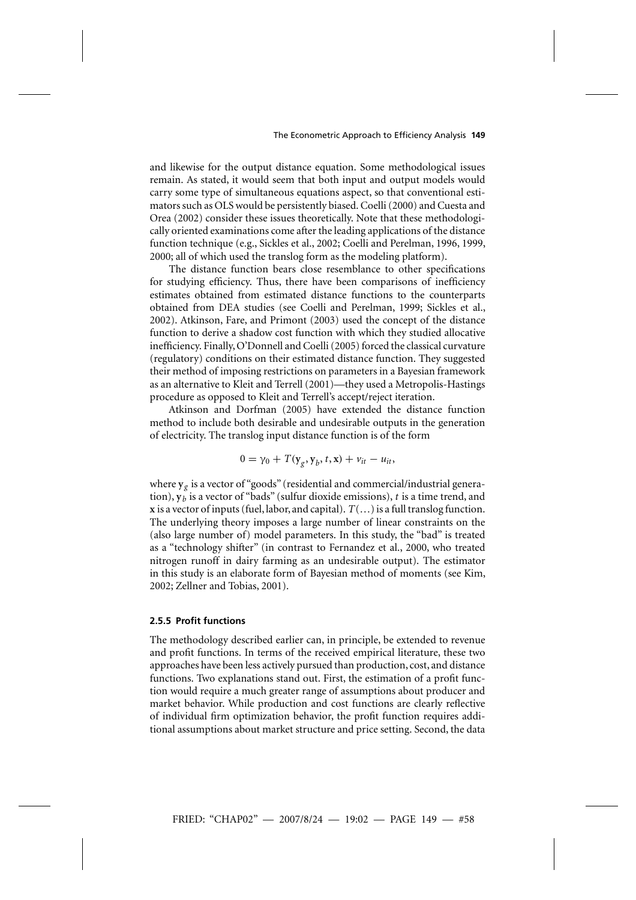and likewise for the output distance equation. Some methodological issues remain. As stated, it would seem that both input and output models would carry some type of simultaneous equations aspect, so that conventional estimators such as OLS would be persistently biased. Coelli (2000) and Cuesta and Orea (2002) consider these issues theoretically. Note that these methodologically oriented examinations come after the leading applications of the distance function technique (e.g., Sickles et al., 2002; Coelli and Perelman, 1996, 1999, 2000; all of which used the translog form as the modeling platform).

The distance function bears close resemblance to other specifications for studying efficiency. Thus, there have been comparisons of inefficiency estimates obtained from estimated distance functions to the counterparts obtained from DEA studies (see Coelli and Perelman, 1999; Sickles et al., 2002). Atkinson, Fare, and Primont (2003) used the concept of the distance function to derive a shadow cost function with which they studied allocative inefficiency. Finally, O'Donnell and Coelli (2005) forced the classical curvature (regulatory) conditions on their estimated distance function. They suggested their method of imposing restrictions on parameters in a Bayesian framework as an alternative to Kleit and Terrell (2001)—they used a Metropolis-Hastings procedure as opposed to Kleit and Terrell's accept/reject iteration.

Atkinson and Dorfman (2005) have extended the distance function method to include both desirable and undesirable outputs in the generation of electricity. The translog input distance function is of the form

$$
0 = \gamma_0 + T(\mathbf{y}_g, \mathbf{y}_b, t, \mathbf{x}) + v_{it} - u_{it},
$$

where  $y_g$  is a vector of "goods" (residential and commercial/industrial generation), **y***<sup>b</sup>* is a vector of "bads" (sulfur dioxide emissions), *t* is a time trend, and **x** is a vector of inputs (fuel, labor, and capital). *T*(…) is a full translog function. The underlying theory imposes a large number of linear constraints on the (also large number of) model parameters. In this study, the "bad" is treated as a "technology shifter" (in contrast to Fernandez et al., 2000, who treated nitrogen runoff in dairy farming as an undesirable output). The estimator in this study is an elaborate form of Bayesian method of moments (see Kim, 2002; Zellner and Tobias, 2001).

# **2.5.5 Profit functions**

The methodology described earlier can, in principle, be extended to revenue and profit functions. In terms of the received empirical literature, these two approaches have been less actively pursued than production, cost, and distance functions. Two explanations stand out. First, the estimation of a profit function would require a much greater range of assumptions about producer and market behavior. While production and cost functions are clearly reflective of individual firm optimization behavior, the profit function requires additional assumptions about market structure and price setting. Second, the data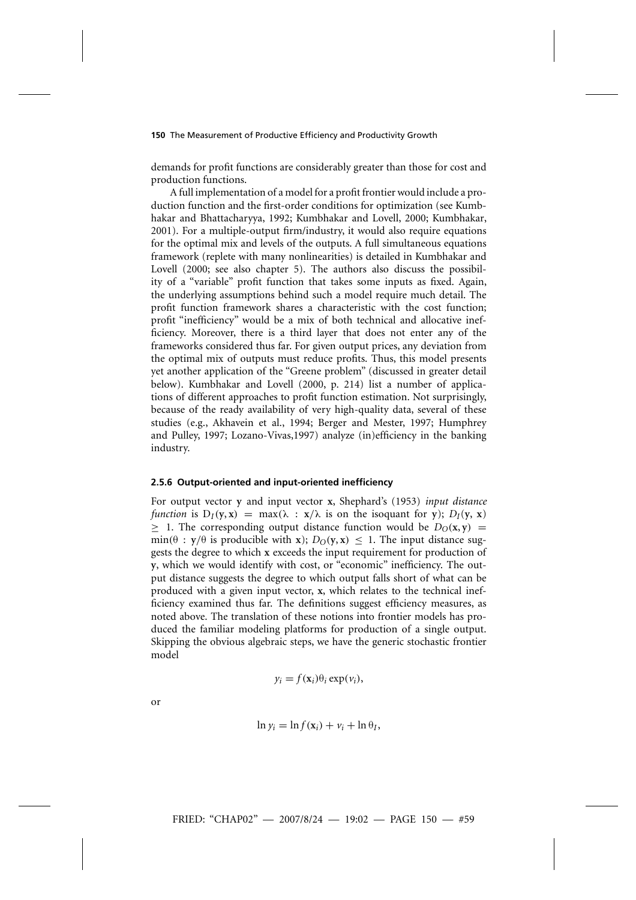demands for profit functions are considerably greater than those for cost and production functions.

A full implementation of a model for a profit frontier would include a production function and the first-order conditions for optimization (see Kumbhakar and Bhattacharyya, 1992; Kumbhakar and Lovell, 2000; Kumbhakar, 2001). For a multiple-output firm/industry, it would also require equations for the optimal mix and levels of the outputs. A full simultaneous equations framework (replete with many nonlinearities) is detailed in Kumbhakar and Lovell (2000; see also chapter 5). The authors also discuss the possibility of a "variable" profit function that takes some inputs as fixed. Again, the underlying assumptions behind such a model require much detail. The profit function framework shares a characteristic with the cost function; profit "inefficiency" would be a mix of both technical and allocative inefficiency. Moreover, there is a third layer that does not enter any of the frameworks considered thus far. For given output prices, any deviation from the optimal mix of outputs must reduce profits. Thus, this model presents yet another application of the "Greene problem" (discussed in greater detail below). Kumbhakar and Lovell (2000, p. 214) list a number of applications of different approaches to profit function estimation. Not surprisingly, because of the ready availability of very high-quality data, several of these studies (e.g., Akhavein et al., 1994; Berger and Mester, 1997; Humphrey and Pulley, 1997; Lozano-Vivas,1997) analyze (in)efficiency in the banking industry.

#### **2.5.6 Output-oriented and input-oriented inefficiency**

For output vector **y** and input vector **x**, Shephard's (1953) *input distance function* is  $D_I(y, x) = \max(\lambda : x/\lambda)$  is on the isoquant for y);  $D_I(y, x)$  $\geq$  1. The corresponding output distance function would be  $D_O(x, y)$  = min( $\theta$  :  $\mathbf{y}/\theta$  is producible with **x**);  $D_O(\mathbf{y}, \mathbf{x}) \leq 1$ . The input distance suggests the degree to which **x** exceeds the input requirement for production of **y**, which we would identify with cost, or "economic" inefficiency. The output distance suggests the degree to which output falls short of what can be produced with a given input vector, **x**, which relates to the technical inefficiency examined thus far. The definitions suggest efficiency measures, as noted above. The translation of these notions into frontier models has produced the familiar modeling platforms for production of a single output. Skipping the obvious algebraic steps, we have the generic stochastic frontier model

$$
y_i = f(\mathbf{x}_i) \theta_i \exp(v_i),
$$

or

$$
\ln y_i = \ln f(\mathbf{x}_i) + v_i + \ln \theta_i,
$$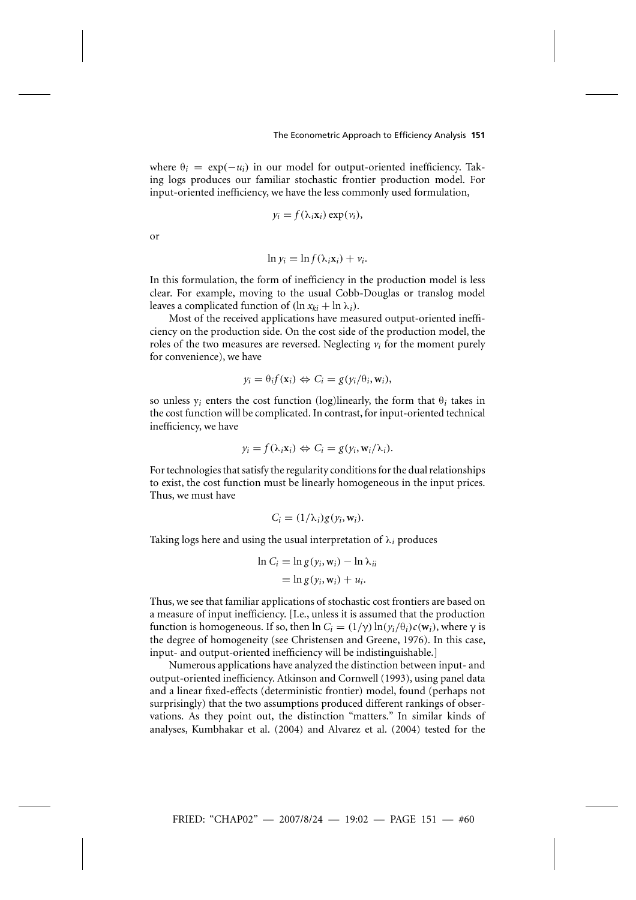where  $\theta_i = \exp(-u_i)$  in our model for output-oriented inefficiency. Taking logs produces our familiar stochastic frontier production model. For input-oriented inefficiency, we have the less commonly used formulation,

$$
y_i = f(\lambda_i \mathbf{x}_i) \exp(v_i),
$$

or

$$
\ln y_i = \ln f(\lambda_i \mathbf{x}_i) + v_i.
$$

In this formulation, the form of inefficiency in the production model is less clear. For example, moving to the usual Cobb-Douglas or translog model leaves a complicated function of  $(\ln x_{ki} + \ln \lambda_i)$ .

Most of the received applications have measured output-oriented inefficiency on the production side. On the cost side of the production model, the roles of the two measures are reversed. Neglecting  $v_i$  for the moment purely for convenience), we have

$$
y_i = \theta_i f(\mathbf{x}_i) \Leftrightarrow C_i = g(y_i/\theta_i, \mathbf{w}_i),
$$

so unless  $y_i$  enters the cost function (log)linearly, the form that  $\theta_i$  takes in the cost function will be complicated. In contrast, for input-oriented technical inefficiency, we have

$$
y_i = f(\lambda_i \mathbf{x}_i) \Leftrightarrow C_i = g(y_i, \mathbf{w}_i/\lambda_i).
$$

For technologies that satisfy the regularity conditions for the dual relationships to exist, the cost function must be linearly homogeneous in the input prices. Thus, we must have

$$
C_i = (1/\lambda_i)g(y_i, \mathbf{w}_i).
$$

Taking logs here and using the usual interpretation of λ*<sup>i</sup>* produces

$$
\ln C_i = \ln g(y_i, \mathbf{w}_i) - \ln \lambda_{ii}
$$
  
= 
$$
\ln g(y_i, \mathbf{w}_i) + u_i.
$$

Thus, we see that familiar applications of stochastic cost frontiers are based on a measure of input inefficiency. [I.e., unless it is assumed that the production function is homogeneous. If so, then  $\ln C_i = (1/\gamma) \ln(y_i/\theta_i)c(w_i)$ , where  $\gamma$  is the degree of homogeneity (see Christensen and Greene, 1976). In this case, input- and output-oriented inefficiency will be indistinguishable.]

Numerous applications have analyzed the distinction between input- and output-oriented inefficiency. Atkinson and Cornwell (1993), using panel data and a linear fixed-effects (deterministic frontier) model, found (perhaps not surprisingly) that the two assumptions produced different rankings of observations. As they point out, the distinction "matters." In similar kinds of analyses, Kumbhakar et al. (2004) and Alvarez et al. (2004) tested for the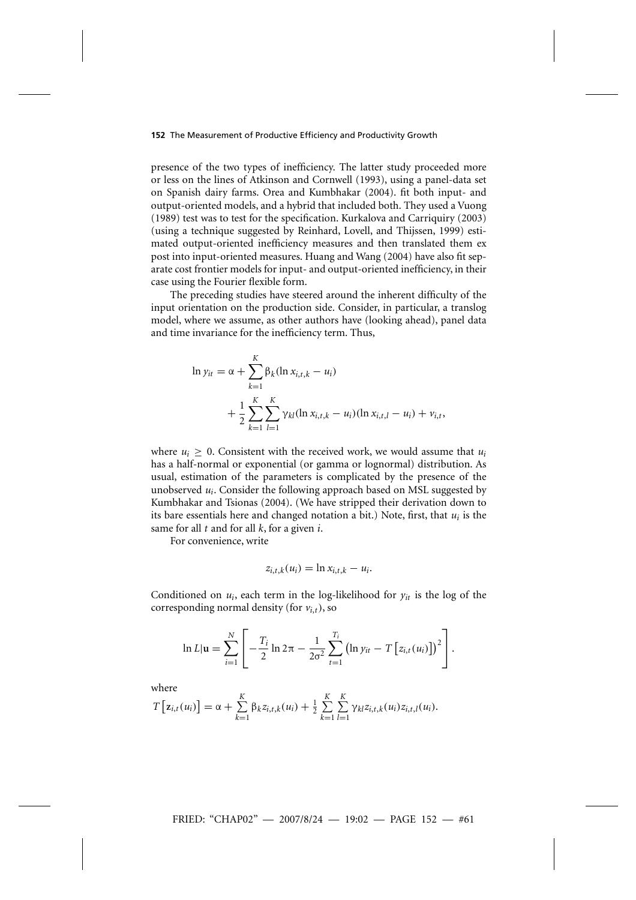presence of the two types of inefficiency. The latter study proceeded more or less on the lines of Atkinson and Cornwell (1993), using a panel-data set on Spanish dairy farms. Orea and Kumbhakar (2004). fit both input- and output-oriented models, and a hybrid that included both. They used a Vuong (1989) test was to test for the specification. Kurkalova and Carriquiry (2003) (using a technique suggested by Reinhard, Lovell, and Thijssen, 1999) estimated output-oriented inefficiency measures and then translated them ex post into input-oriented measures. Huang and Wang (2004) have also fit separate cost frontier models for input- and output-oriented inefficiency, in their case using the Fourier flexible form.

The preceding studies have steered around the inherent difficulty of the input orientation on the production side. Consider, in particular, a translog model, where we assume, as other authors have (looking ahead), panel data and time invariance for the inefficiency term. Thus,

$$
\ln y_{it} = \alpha + \sum_{k=1}^{K} \beta_k (\ln x_{i,t,k} - u_i) + \frac{1}{2} \sum_{k=1}^{K} \sum_{l=1}^{K} \gamma_{kl} (\ln x_{i,t,k} - u_i)(\ln x_{i,t,l} - u_i) + v_{i,t},
$$

where  $u_i \geq 0$ . Consistent with the received work, we would assume that  $u_i$ has a half-normal or exponential (or gamma or lognormal) distribution. As usual, estimation of the parameters is complicated by the presence of the unobserved *ui*. Consider the following approach based on MSL suggested by Kumbhakar and Tsionas (2004). (We have stripped their derivation down to its bare essentials here and changed notation a bit.) Note, first, that  $u_i$  is the same for all *t* and for all *k*, for a given *i*.

For convenience, write

$$
z_{i,t,k}(u_i) = \ln x_{i,t,k} - u_i.
$$

Conditioned on  $u_i$ , each term in the log-likelihood for  $y_{it}$  is the log of the corresponding normal density (for  $v_{i,t}$ ), so

$$
\ln L|\mathbf{u} = \sum_{i=1}^{N} \left[ -\frac{T_i}{2} \ln 2\pi - \frac{1}{2\sigma^2} \sum_{t=1}^{T_i} \left( \ln y_{it} - T \left[ z_{i,t}(u_i) \right] \right)^2 \right].
$$

where

$$
T\left[\mathbf{z}_{i,t}(u_i)\right] = \alpha + \sum_{k=1}^K \beta_k z_{i,t,k}(u_i) + \frac{1}{2} \sum_{k=1}^K \sum_{l=1}^K \gamma_{kl} z_{i,t,k}(u_i) z_{i,t,l}(u_i).
$$

FRIED: "CHAP02" — 2007/8/24 — 19:02 — PAGE 152 — #61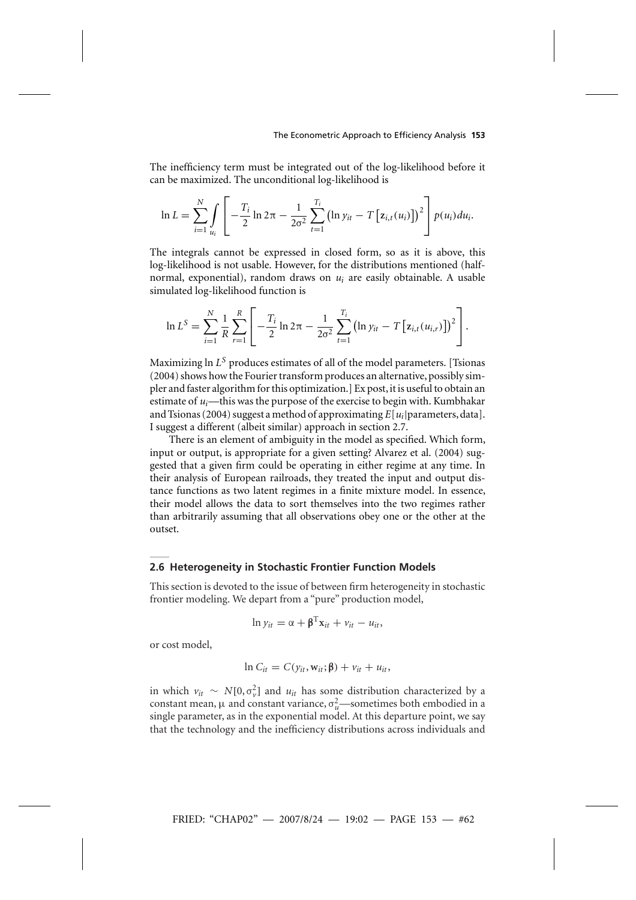# The Econometric Approach to Efficiency Analysis **153**

The inefficiency term must be integrated out of the log-likelihood before it can be maximized. The unconditional log-likelihood is

$$
\ln L = \sum_{i=1}^{N} \int_{u_i} \left[ -\frac{T_i}{2} \ln 2\pi - \frac{1}{2\sigma^2} \sum_{t=1}^{T_i} \left( \ln y_{it} - T \left[ z_{i,t}(u_i) \right] \right)^2 \right] p(u_i) du_i.
$$

The integrals cannot be expressed in closed form, so as it is above, this log-likelihood is not usable. However, for the distributions mentioned (halfnormal, exponential), random draws on  $u_i$  are easily obtainable. A usable simulated log-likelihood function is

$$
\ln L^{S} = \sum_{i=1}^{N} \frac{1}{R} \sum_{r=1}^{R} \left[ -\frac{T_i}{2} \ln 2\pi - \frac{1}{2\sigma^2} \sum_{t=1}^{T_i} \left( \ln y_{it} - T \left[ z_{i,t}(u_{i,r}) \right] \right)^2 \right].
$$

Maximizing ln *L<sup>S</sup>* produces estimates of all of the model parameters. [Tsionas (2004) shows how the Fourier transform produces an alternative, possibly simpler and faster algorithm for this optimization.] Ex post, it is useful to obtain an estimate of *ui*—this was the purpose of the exercise to begin with. Kumbhakar and Tsionas (2004) suggest a method of approximating *E*[*ui*|parameters, data]. I suggest a different (albeit similar) approach in section 2.7.

There is an element of ambiguity in the model as specified. Which form, input or output, is appropriate for a given setting? Alvarez et al. (2004) suggested that a given firm could be operating in either regime at any time. In their analysis of European railroads, they treated the input and output distance functions as two latent regimes in a finite mixture model. In essence, their model allows the data to sort themselves into the two regimes rather than arbitrarily assuming that all observations obey one or the other at the outset.

# **2.6 Heterogeneity in Stochastic Frontier Function Models**

This section is devoted to the issue of between firm heterogeneity in stochastic frontier modeling. We depart from a "pure" production model,

$$
\ln y_{it} = \alpha + \beta^{T} x_{it} + v_{it} - u_{it},
$$

or cost model,

$$
\ln C_{it} = C(y_{it}, \mathbf{w}_{it}; \boldsymbol{\beta}) + v_{it} + u_{it},
$$

in which  $v_{it}$  ∼  $N[0, \sigma_v^2]$  and  $u_{it}$  has some distribution characterized by a constant mean,  $\mu$  and constant variance,  $\sigma_u^2$ —sometimes both embodied in a single parameter, as in the exponential model. At this departure point, we say that the technology and the inefficiency distributions across individuals and

FRIED: "CHAP02" — 2007/8/24 — 19:02 — PAGE 153 — #62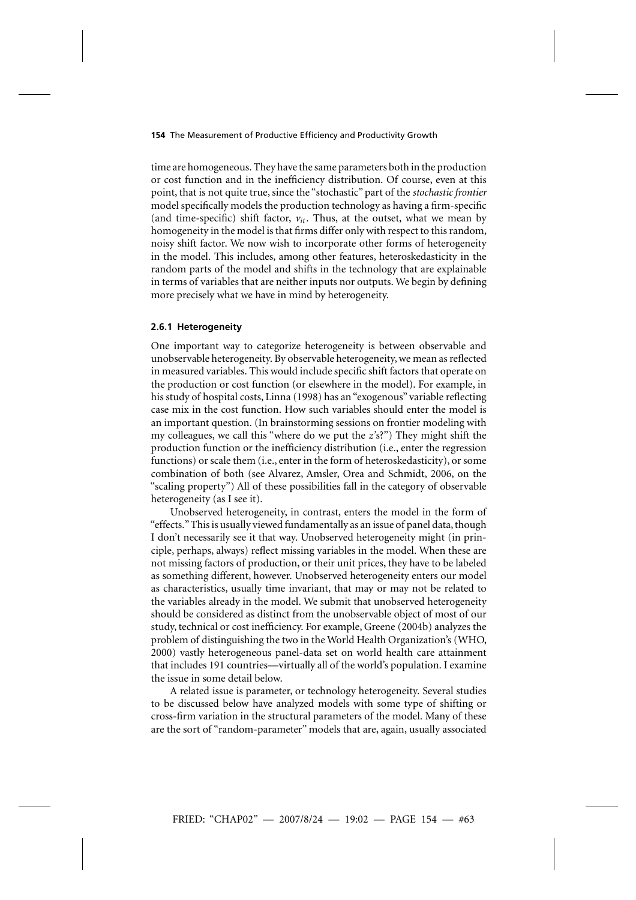time are homogeneous. They have the same parameters both in the production or cost function and in the inefficiency distribution. Of course, even at this point, that is not quite true, since the "stochastic" part of the *stochastic frontier* model specifically models the production technology as having a firm-specific (and time-specific) shift factor,  $v_{it}$ . Thus, at the outset, what we mean by homogeneity in the model is that firms differ only with respect to this random, noisy shift factor. We now wish to incorporate other forms of heterogeneity in the model. This includes, among other features, heteroskedasticity in the random parts of the model and shifts in the technology that are explainable in terms of variables that are neither inputs nor outputs. We begin by defining more precisely what we have in mind by heterogeneity.

## **2.6.1 Heterogeneity**

One important way to categorize heterogeneity is between observable and unobservable heterogeneity. By observable heterogeneity, we mean as reflected in measured variables. This would include specific shift factors that operate on the production or cost function (or elsewhere in the model). For example, in his study of hospital costs, Linna (1998) has an "exogenous" variable reflecting case mix in the cost function. How such variables should enter the model is an important question. (In brainstorming sessions on frontier modeling with my colleagues, we call this "where do we put the *z*'s?") They might shift the production function or the inefficiency distribution (i.e., enter the regression functions) or scale them (i.e., enter in the form of heteroskedasticity), or some combination of both (see Alvarez, Amsler, Orea and Schmidt, 2006, on the "scaling property") All of these possibilities fall in the category of observable heterogeneity (as I see it).

Unobserved heterogeneity, in contrast, enters the model in the form of "effects."This is usually viewed fundamentally as an issue of panel data, though I don't necessarily see it that way. Unobserved heterogeneity might (in principle, perhaps, always) reflect missing variables in the model. When these are not missing factors of production, or their unit prices, they have to be labeled as something different, however. Unobserved heterogeneity enters our model as characteristics, usually time invariant, that may or may not be related to the variables already in the model. We submit that unobserved heterogeneity should be considered as distinct from the unobservable object of most of our study, technical or cost inefficiency. For example, Greene (2004b) analyzes the problem of distinguishing the two in the World Health Organization's (WHO, 2000) vastly heterogeneous panel-data set on world health care attainment that includes 191 countries—virtually all of the world's population. I examine the issue in some detail below.

A related issue is parameter, or technology heterogeneity. Several studies to be discussed below have analyzed models with some type of shifting or cross-firm variation in the structural parameters of the model. Many of these are the sort of "random-parameter" models that are, again, usually associated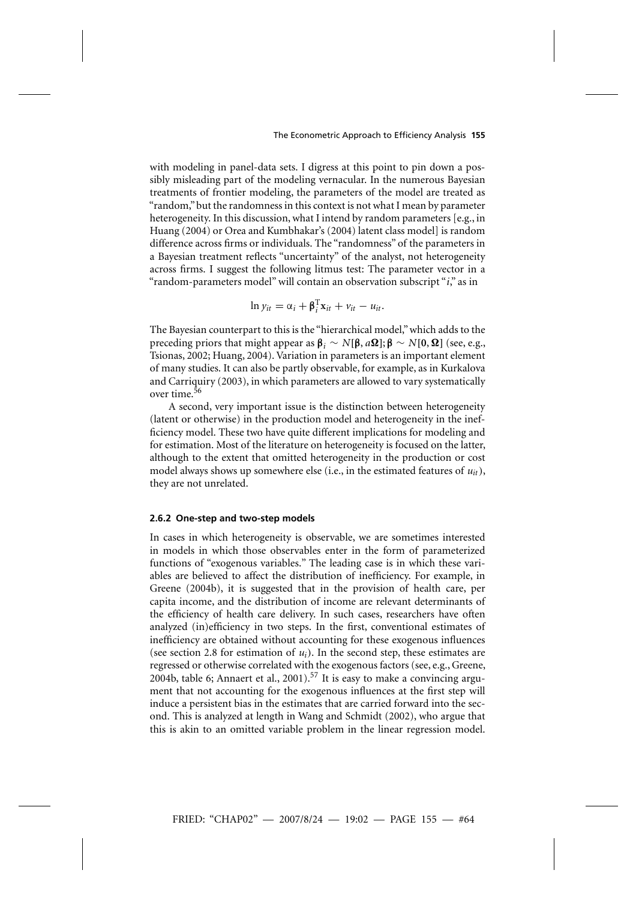with modeling in panel-data sets. I digress at this point to pin down a possibly misleading part of the modeling vernacular. In the numerous Bayesian treatments of frontier modeling, the parameters of the model are treated as "random," but the randomness in this context is not what I mean by parameter heterogeneity. In this discussion, what I intend by random parameters [e.g., in Huang (2004) or Orea and Kumbhakar's (2004) latent class model] is random difference across firms or individuals. The "randomness" of the parameters in a Bayesian treatment reflects "uncertainty" of the analyst, not heterogeneity across firms. I suggest the following litmus test: The parameter vector in a "random-parameters model" will contain an observation subscript "*i*," as in

$$
\ln y_{it} = \alpha_i + \boldsymbol{\beta}_i^{\mathrm{T}} \mathbf{x}_{it} + v_{it} - u_{it}.
$$

The Bayesian counterpart to this is the "hierarchical model,"which adds to the preceding priors that might appear as  $\beta$ <sup>*i*</sup> ∼ *N*[β, *a***Ω**];  $\beta$  ∼ *N*[0, **Ω**] (see, e.g., Tsionas, 2002; Huang, 2004). Variation in parameters is an important element of many studies. It can also be partly observable, for example, as in Kurkalova and Carriquiry (2003), in which parameters are allowed to vary systematically over time.<sup>56</sup>

A second, very important issue is the distinction between heterogeneity (latent or otherwise) in the production model and heterogeneity in the inefficiency model. These two have quite different implications for modeling and for estimation. Most of the literature on heterogeneity is focused on the latter, although to the extent that omitted heterogeneity in the production or cost model always shows up somewhere else (i.e., in the estimated features of *uit*), they are not unrelated.

#### **2.6.2 One-step and two-step models**

In cases in which heterogeneity is observable, we are sometimes interested in models in which those observables enter in the form of parameterized functions of "exogenous variables." The leading case is in which these variables are believed to affect the distribution of inefficiency. For example, in Greene (2004b), it is suggested that in the provision of health care, per capita income, and the distribution of income are relevant determinants of the efficiency of health care delivery. In such cases, researchers have often analyzed (in)efficiency in two steps. In the first, conventional estimates of inefficiency are obtained without accounting for these exogenous influences (see section 2.8 for estimation of  $u_i$ ). In the second step, these estimates are regressed or otherwise correlated with the exogenous factors (see, e.g., Greene, 2004b, table 6; Annaert et al., 2001).<sup>57</sup> It is easy to make a convincing argument that not accounting for the exogenous influences at the first step will induce a persistent bias in the estimates that are carried forward into the second. This is analyzed at length in Wang and Schmidt (2002), who argue that this is akin to an omitted variable problem in the linear regression model.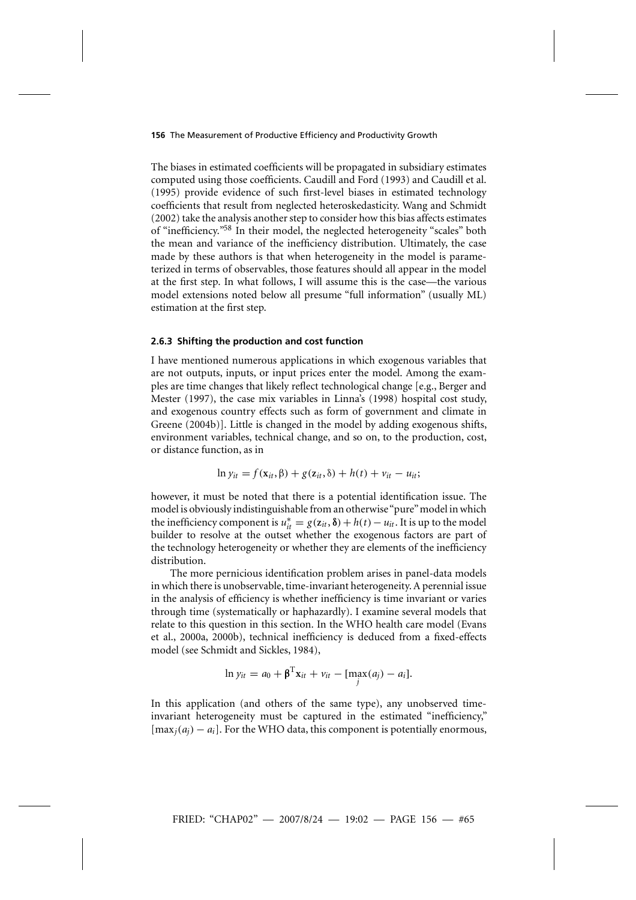The biases in estimated coefficients will be propagated in subsidiary estimates computed using those coefficients. Caudill and Ford (1993) and Caudill et al. (1995) provide evidence of such first-level biases in estimated technology coefficients that result from neglected heteroskedasticity. Wang and Schmidt (2002) take the analysis another step to consider how this bias affects estimates of "inefficiency."58 In their model, the neglected heterogeneity "scales" both the mean and variance of the inefficiency distribution. Ultimately, the case made by these authors is that when heterogeneity in the model is parameterized in terms of observables, those features should all appear in the model at the first step. In what follows, I will assume this is the case—the various model extensions noted below all presume "full information" (usually ML) estimation at the first step.

### **2.6.3 Shifting the production and cost function**

I have mentioned numerous applications in which exogenous variables that are not outputs, inputs, or input prices enter the model. Among the examples are time changes that likely reflect technological change [e.g., Berger and Mester (1997), the case mix variables in Linna's (1998) hospital cost study, and exogenous country effects such as form of government and climate in Greene (2004b)]. Little is changed in the model by adding exogenous shifts, environment variables, technical change, and so on, to the production, cost, or distance function, as in

$$
\ln y_{it} = f(\mathbf{x}_{it}, \beta) + g(\mathbf{z}_{it}, \delta) + h(t) + v_{it} - u_{it};
$$

however, it must be noted that there is a potential identification issue. The model is obviously indistinguishable from an otherwise"pure"model in which the inefficiency component is  $u_{it}^* = g(z_{it}, \delta) + h(t) - u_{it}$ . It is up to the model builder to resolve at the outset whether the exogenous factors are part of the technology heterogeneity or whether they are elements of the inefficiency distribution.

The more pernicious identification problem arises in panel-data models in which there is unobservable, time-invariant heterogeneity. A perennial issue in the analysis of efficiency is whether inefficiency is time invariant or varies through time (systematically or haphazardly). I examine several models that relate to this question in this section. In the WHO health care model (Evans et al., 2000a, 2000b), technical inefficiency is deduced from a fixed-effects model (see Schmidt and Sickles, 1984),

$$
\ln y_{it} = a_0 + \mathbf{\beta}^{\mathrm{T}} \mathbf{x}_{it} + v_{it} - [\max_j (a_j) - a_i].
$$

In this application (and others of the same type), any unobserved timeinvariant heterogeneity must be captured in the estimated "inefficiency,"  $[\max_i(a_i) - a_i]$ . For the WHO data, this component is potentially enormous,

FRIED: "CHAP02" — 2007/8/24 — 19:02 — PAGE 156 — #65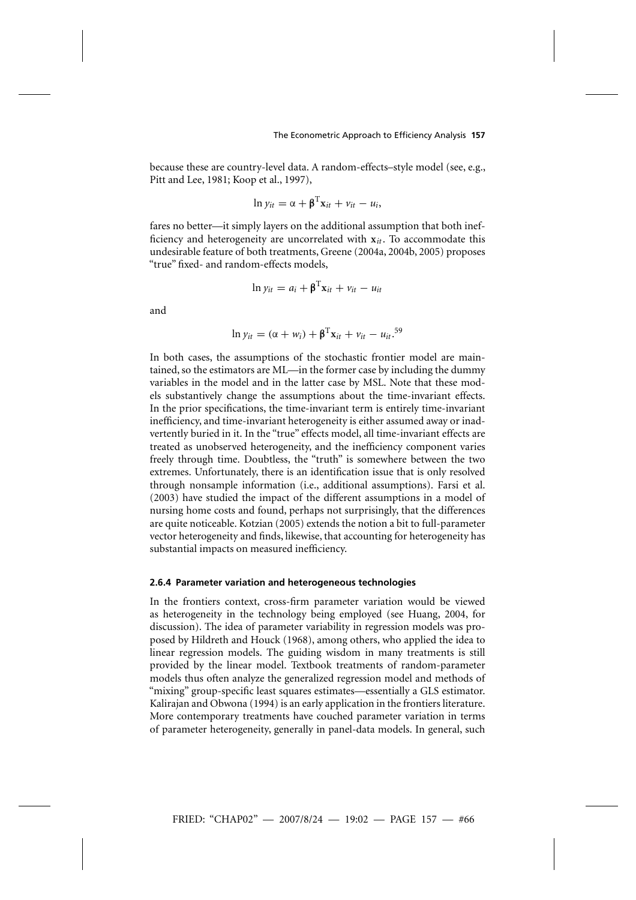because these are country-level data. A random-effects–style model (see, e.g., Pitt and Lee, 1981; Koop et al., 1997),

$$
\ln y_{it} = \alpha + \beta^{\mathrm{T}} \mathbf{x}_{it} + v_{it} - u_{i},
$$

fares no better—it simply layers on the additional assumption that both inefficiency and heterogeneity are uncorrelated with  $\mathbf{x}_{it}$ . To accommodate this undesirable feature of both treatments, Greene (2004a, 2004b, 2005) proposes "true" fixed- and random-effects models,

$$
\ln y_{it} = a_i + \beta^{\mathrm{T}} \mathbf{x}_{it} + v_{it} - u_{it}
$$

and

$$
\ln y_{it} = (\alpha + w_i) + \beta^{\mathrm{T}} x_{it} + v_{it} - u_{it}.^{59}
$$

In both cases, the assumptions of the stochastic frontier model are maintained, so the estimators are ML—in the former case by including the dummy variables in the model and in the latter case by MSL. Note that these models substantively change the assumptions about the time-invariant effects. In the prior specifications, the time-invariant term is entirely time-invariant inefficiency, and time-invariant heterogeneity is either assumed away or inadvertently buried in it. In the "true" effects model, all time-invariant effects are treated as unobserved heterogeneity, and the inefficiency component varies freely through time. Doubtless, the "truth" is somewhere between the two extremes. Unfortunately, there is an identification issue that is only resolved through nonsample information (i.e., additional assumptions). Farsi et al. (2003) have studied the impact of the different assumptions in a model of nursing home costs and found, perhaps not surprisingly, that the differences are quite noticeable. Kotzian (2005) extends the notion a bit to full-parameter vector heterogeneity and finds, likewise, that accounting for heterogeneity has substantial impacts on measured inefficiency.

# **2.6.4 Parameter variation and heterogeneous technologies**

In the frontiers context, cross-firm parameter variation would be viewed as heterogeneity in the technology being employed (see Huang, 2004, for discussion). The idea of parameter variability in regression models was proposed by Hildreth and Houck (1968), among others, who applied the idea to linear regression models. The guiding wisdom in many treatments is still provided by the linear model. Textbook treatments of random-parameter models thus often analyze the generalized regression model and methods of "mixing" group-specific least squares estimates—essentially a GLS estimator. Kalirajan and Obwona (1994) is an early application in the frontiers literature. More contemporary treatments have couched parameter variation in terms of parameter heterogeneity, generally in panel-data models. In general, such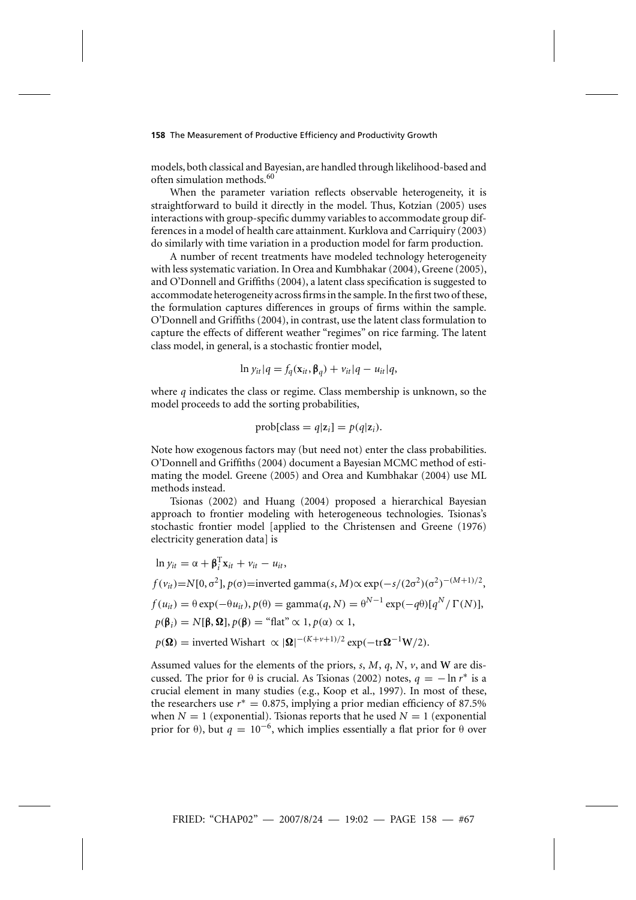models, both classical and Bayesian, are handled through likelihood-based and often simulation methods.<sup>60</sup>

When the parameter variation reflects observable heterogeneity, it is straightforward to build it directly in the model. Thus, Kotzian (2005) uses interactions with group-specific dummy variables to accommodate group differences in a model of health care attainment. Kurklova and Carriquiry (2003) do similarly with time variation in a production model for farm production.

A number of recent treatments have modeled technology heterogeneity with less systematic variation. In Orea and Kumbhakar (2004), Greene (2005), and O'Donnell and Griffiths (2004), a latent class specification is suggested to accommodate heterogeneity across firms in the sample. In the first two of these, the formulation captures differences in groups of firms within the sample. O'Donnell and Griffiths (2004), in contrast, use the latent class formulation to capture the effects of different weather "regimes" on rice farming. The latent class model, in general, is a stochastic frontier model,

$$
\ln y_{it} | q = f_q(\mathbf{x}_{it}, \boldsymbol{\beta}_q) + v_{it} | q - u_{it} | q,
$$

where *q* indicates the class or regime. Class membership is unknown, so the model proceeds to add the sorting probabilities,

$$
prob[class = q|z_i] = p(q|z_i).
$$

Note how exogenous factors may (but need not) enter the class probabilities. O'Donnell and Griffiths (2004) document a Bayesian MCMC method of estimating the model. Greene (2005) and Orea and Kumbhakar (2004) use ML methods instead.

Tsionas (2002) and Huang (2004) proposed a hierarchical Bayesian approach to frontier modeling with heterogeneous technologies. Tsionas's stochastic frontier model [applied to the Christensen and Greene (1976) electricity generation data] is

ln  $y_{it} = \alpha + \beta_i^T \mathbf{x}_{it} + v_{it} - u_{it}$ *f* (*v<sub>it</sub>*)=*N*[0, σ<sup>2</sup>], *p*(σ)=inverted gamma(*s*, *M*)∝ exp(−*s*/(2σ<sup>2</sup>)(σ<sup>2</sup>)<sup>−(*M*+1)/2</sup>,  $f(u_{it}) = \theta \exp(-\theta u_{it}), p(\theta) = \text{gamma}(q, N) = \theta^{N-1} \exp(-q\theta) [q^N / \Gamma(N)],$  $p(\beta_i) = N[\beta, \Omega], p(\beta) = \text{``flat''} \propto 1, p(\alpha) \propto 1,$  $p(\mathbf{\Omega}) = \text{inverted Wishart } \propto |\mathbf{\Omega}|^{-(K+\nu+1)/2} \exp(-\text{tr}\mathbf{\Omega}^{-1}\mathbf{W}/2).$ 

Assumed values for the elements of the priors, *s*, *M*, *q*, *N*, *v*, and **W** are discussed. The prior for  $\theta$  is crucial. As Tsionas (2002) notes,  $q = -\ln r^*$  is a crucial element in many studies (e.g., Koop et al., 1997). In most of these, the researchers use  $r^* = 0.875$ , implying a prior median efficiency of 87.5% when  $N = 1$  (exponential). Tsionas reports that he used  $N = 1$  (exponential) prior for θ), but  $q = 10^{-6}$ , which implies essentially a flat prior for θ over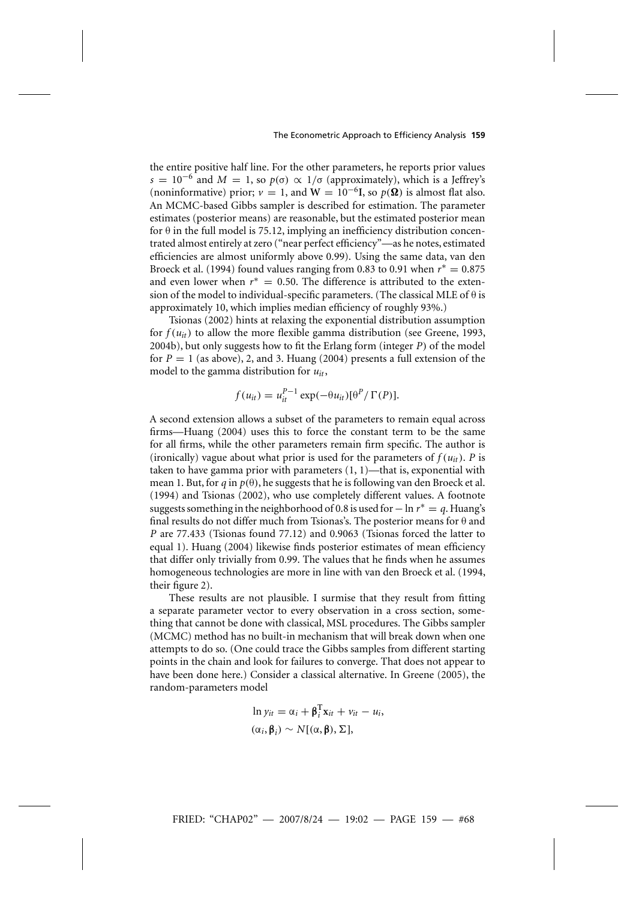the entire positive half line. For the other parameters, he reports prior values *s* =  $10^{-6}$  and *M* = 1, so *p*(σ)  $\alpha$  1/σ (approximately), which is a Jeffrey's (noninformative) prior;  $\nu = 1$ , and  $W = 10^{-6}$ **I**, so  $p(\Omega)$  is almost flat also. An MCMC-based Gibbs sampler is described for estimation. The parameter estimates (posterior means) are reasonable, but the estimated posterior mean for  $\theta$  in the full model is 75.12, implying an inefficiency distribution concentrated almost entirely at zero ("near perfect efficiency"—as he notes, estimated efficiencies are almost uniformly above 0.99). Using the same data, van den Broeck et al. (1994) found values ranging from 0.83 to 0.91 when *r*<sup>∗</sup> = 0.875 and even lower when  $r^* = 0.50$ . The difference is attributed to the extension of the model to individual-specific parameters. (The classical MLE of  $\theta$  is approximately 10, which implies median efficiency of roughly 93%.)

Tsionas (2002) hints at relaxing the exponential distribution assumption for  $f(u_{it})$  to allow the more flexible gamma distribution (see Greene, 1993, 2004b), but only suggests how to fit the Erlang form (integer *P*) of the model for  $P = 1$  (as above), 2, and 3. Huang (2004) presents a full extension of the model to the gamma distribution for  $u_{it}$ ,

$$
f(u_{it}) = u_{it}^{P-1} \exp(-\theta u_{it}) [\theta^P / \Gamma(P)].
$$

A second extension allows a subset of the parameters to remain equal across firms—Huang (2004) uses this to force the constant term to be the same for all firms, while the other parameters remain firm specific. The author is (ironically) vague about what prior is used for the parameters of  $f(u_{it})$ . *P* is taken to have gamma prior with parameters  $(1, 1)$ —that is, exponential with mean 1. But, for  $q$  in  $p(\theta)$ , he suggests that he is following van den Broeck et al. (1994) and Tsionas (2002), who use completely different values. A footnote suggests something in the neighborhood of 0.8 is used for− ln *r*<sup>∗</sup> = *q*. Huang's final results do not differ much from Tsionas's. The posterior means for  $\theta$  and *P* are 77.433 (Tsionas found 77.12) and 0.9063 (Tsionas forced the latter to equal 1). Huang (2004) likewise finds posterior estimates of mean efficiency that differ only trivially from 0.99. The values that he finds when he assumes homogeneous technologies are more in line with van den Broeck et al. (1994, their figure 2).

These results are not plausible. I surmise that they result from fitting a separate parameter vector to every observation in a cross section, something that cannot be done with classical, MSL procedures. The Gibbs sampler (MCMC) method has no built-in mechanism that will break down when one attempts to do so. (One could trace the Gibbs samples from different starting points in the chain and look for failures to converge. That does not appear to have been done here.) Consider a classical alternative. In Greene (2005), the random-parameters model

$$
\ln y_{it} = \alpha_i + \beta_i^{\mathrm{T}} x_{it} + v_{it} - u_i,
$$
  

$$
(\alpha_i, \beta_i) \sim N[(\alpha, \beta), \Sigma],
$$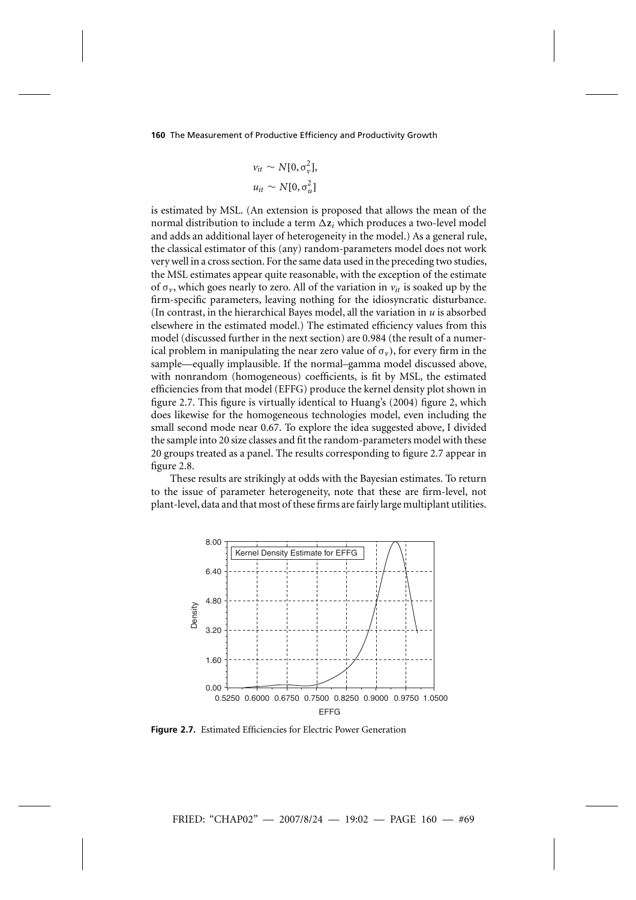$$
v_{it} \sim N[0, \sigma_v^2],
$$
  

$$
u_{it} \sim N[0, \sigma_u^2]
$$

is estimated by MSL. (An extension is proposed that allows the mean of the normal distribution to include a term  $\Delta z_i$  which produces a two-level model and adds an additional layer of heterogeneity in the model.) As a general rule, the classical estimator of this (any) random-parameters model does not work very well in a cross section. For the same data used in the preceding two studies, the MSL estimates appear quite reasonable, with the exception of the estimate of  $\sigma_v$ , which goes nearly to zero. All of the variation in  $v_{it}$  is soaked up by the firm-specific parameters, leaving nothing for the idiosyncratic disturbance. (In contrast, in the hierarchical Bayes model, all the variation in *u* is absorbed elsewhere in the estimated model.) The estimated efficiency values from this model (discussed further in the next section) are 0.984 (the result of a numerical problem in manipulating the near zero value of  $\sigma_{\nu}$ ), for every firm in the sample—equally implausible. If the normal–gamma model discussed above, with nonrandom (homogeneous) coefficients, is fit by MSL, the estimated efficiencies from that model (EFFG) produce the kernel density plot shown in figure 2.7. This figure is virtually identical to Huang's (2004) figure 2, which does likewise for the homogeneous technologies model, even including the small second mode near 0.67. To explore the idea suggested above, I divided the sample into 20 size classes and fit the random-parameters model with these 20 groups treated as a panel. The results corresponding to figure 2.7 appear in figure 2.8.

These results are strikingly at odds with the Bayesian estimates. To return to the issue of parameter heterogeneity, note that these are firm-level, not plant-level, data and that most of these firms are fairly large multiplant utilities.



**Figure 2.7.** Estimated Efficiencies for Electric Power Generation

FRIED: "CHAP02" — 2007/8/24 — 19:02 — PAGE 160 — #69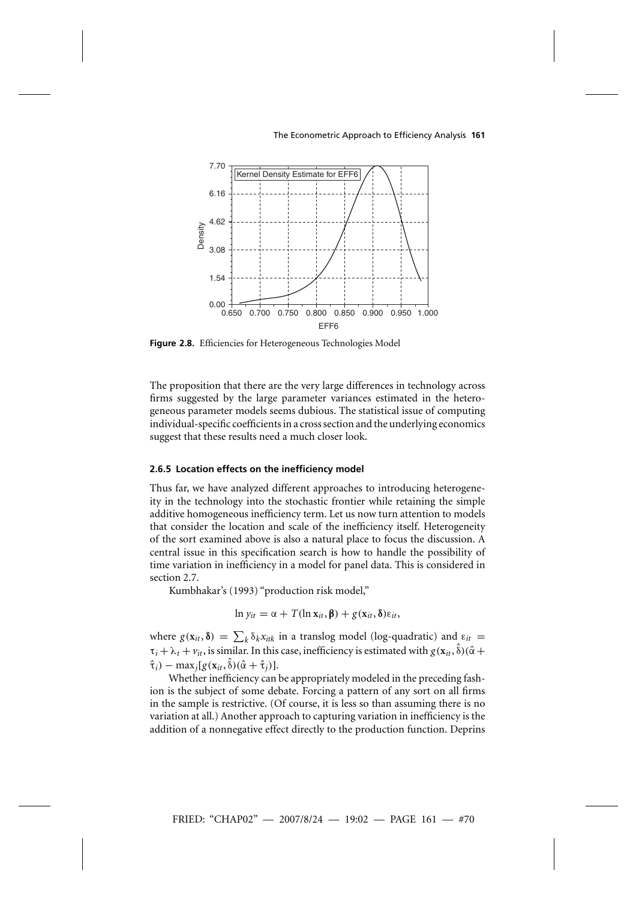## The Econometric Approach to Efficiency Analysis **161**



**Figure 2.8.** Efficiencies for Heterogeneous Technologies Model

The proposition that there are the very large differences in technology across firms suggested by the large parameter variances estimated in the heterogeneous parameter models seems dubious. The statistical issue of computing individual-specific coefficients in a cross section and the underlying economics suggest that these results need a much closer look.

# **2.6.5 Location effects on the inefficiency model**

Thus far, we have analyzed different approaches to introducing heterogeneity in the technology into the stochastic frontier while retaining the simple additive homogeneous inefficiency term. Let us now turn attention to models that consider the location and scale of the inefficiency itself. Heterogeneity of the sort examined above is also a natural place to focus the discussion. A central issue in this specification search is how to handle the possibility of time variation in inefficiency in a model for panel data. This is considered in section 2.7.

Kumbhakar's (1993) "production risk model,"

$$
\ln y_{it} = \alpha + T(\ln x_{it}, \beta) + g(x_{it}, \delta)\epsilon_{it},
$$

where  $g(\mathbf{x}_{it}, \mathbf{\delta}) = \sum_k \delta_k x_{itk}$  in a translog model (log-quadratic) and  $\varepsilon_{it}$  $\tau_i + \lambda_t + \nu_{it}$ , is similar. In this case, inefficiency is estimated with  $g(\mathbf{x}_{it}, \hat{\delta})(\hat{\alpha} + \hat{\beta}_{it})$  $\hat{\tau}_i$ ) – max<sub>*j*</sub>[g(**x**<sub>*it*</sub>,  $\hat{\delta}$ )( $\hat{\alpha}$  +  $\hat{\tau}_j$ )].

Whether inefficiency can be appropriately modeled in the preceding fashion is the subject of some debate. Forcing a pattern of any sort on all firms in the sample is restrictive. (Of course, it is less so than assuming there is no variation at all.) Another approach to capturing variation in inefficiency is the addition of a nonnegative effect directly to the production function. Deprins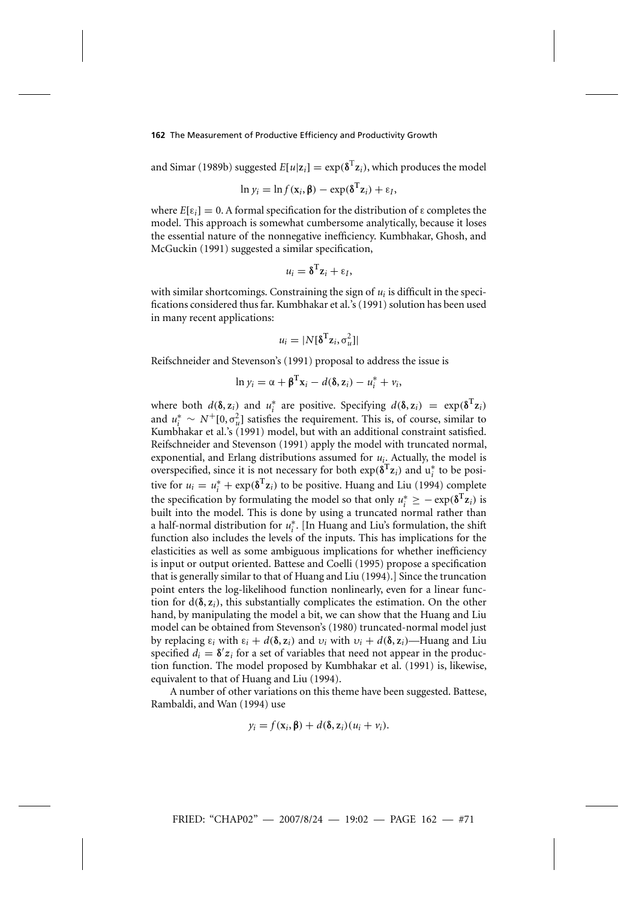and Simar (1989b) suggested  $E[u|z_i] = \exp(\delta^T z_i)$ , which produces the model

$$
\ln y_i = \ln f(\mathbf{x}_i, \boldsymbol{\beta}) - \exp(\boldsymbol{\delta}^{\mathrm{T}} \mathbf{z}_i) + \varepsilon_I,
$$

where  $E[\epsilon_i] = 0$ . A formal specification for the distribution of  $\epsilon$  completes the model. This approach is somewhat cumbersome analytically, because it loses the essential nature of the nonnegative inefficiency. Kumbhakar, Ghosh, and McGuckin (1991) suggested a similar specification,

$$
u_i = \delta^{\mathrm{T}} z_i + \varepsilon_I,
$$

with similar shortcomings. Constraining the sign of *ui* is difficult in the specifications considered thus far. Kumbhakar et al.'s (1991) solution has been used in many recent applications:

$$
u_i = |N[\delta^{\mathrm{T}} z_i, \sigma_u^2]|
$$

Reifschneider and Stevenson's (1991) proposal to address the issue is

$$
\ln y_i = \alpha + \beta^{\mathrm{T}} x_i - d(\delta, z_i) - u_i^* + v_i,
$$

where both  $d(\delta, z_i)$  and  $u_i^*$  are positive. Specifying  $d(\delta, z_i) = \exp(\delta^T z_i)$ and  $u_i^* \sim N^+[0, \sigma_u^2]$  satisfies the requirement. This is, of course, similar to Kumbhakar et al.'s (1991) model, but with an additional constraint satisfied. Reifschneider and Stevenson (1991) apply the model with truncated normal, exponential, and Erlang distributions assumed for *ui*. Actually, the model is overspecified, since it is not necessary for both  $\exp(\delta^T z_i)$  and  $u_i^*$  to be positive for  $u_i = u_i^* + \exp(\delta^T z_i)$  to be positive. Huang and Liu (1994) complete the specification by formulating the model so that only  $u_i^* \ge -\exp(\delta^T z_i)$  is built into the model. This is done by using a truncated normal rather than a half-normal distribution for  $u_i^*$ . [In Huang and Liu's formulation, the shift function also includes the levels of the inputs. This has implications for the elasticities as well as some ambiguous implications for whether inefficiency is input or output oriented. Battese and Coelli (1995) propose a specification that is generally similar to that of Huang and Liu (1994).] Since the truncation point enters the log-likelihood function nonlinearly, even for a linear function for d(**δ**, **z***i*), this substantially complicates the estimation. On the other hand, by manipulating the model a bit, we can show that the Huang and Liu model can be obtained from Stevenson's (1980) truncated-normal model just by replacing ε*<sup>i</sup>* with ε*<sup>i</sup>* + *d*(**δ**, **z***i*) and υ*<sup>i</sup>* with υ*<sup>i</sup>* + *d*(**δ**, **z***i*)—Huang and Liu specified  $d_i = \delta' z_i$  for a set of variables that need not appear in the production function. The model proposed by Kumbhakar et al. (1991) is, likewise, equivalent to that of Huang and Liu (1994).

A number of other variations on this theme have been suggested. Battese, Rambaldi, and Wan (1994) use

$$
y_i = f(\mathbf{x}_i, \boldsymbol{\beta}) + d(\boldsymbol{\delta}, \mathbf{z}_i)(u_i + v_i).
$$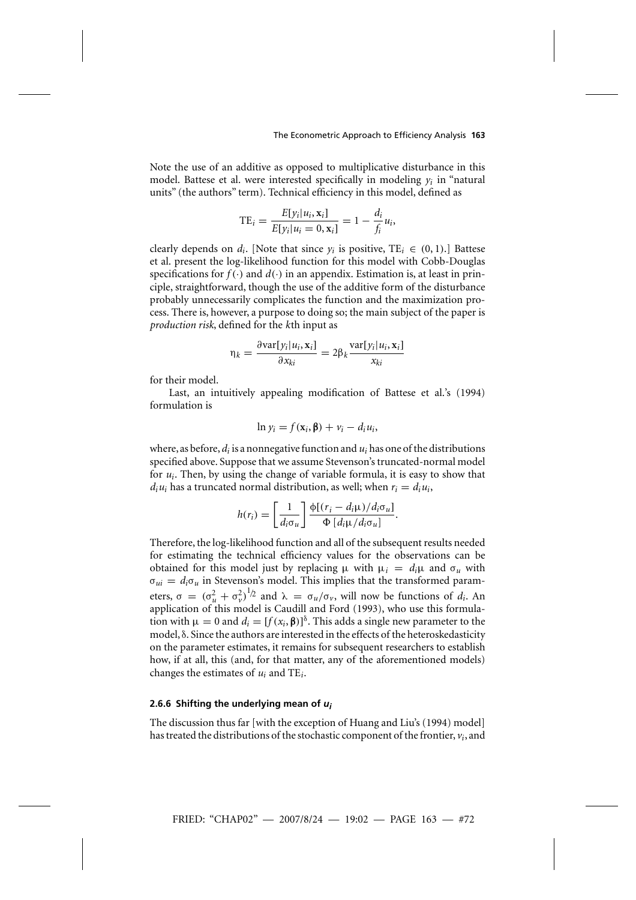Note the use of an additive as opposed to multiplicative disturbance in this model. Battese et al. were interested specifically in modeling  $y_i$  in "natural" units" (the authors" term). Technical efficiency in this model, defined as

$$
TE_i = \frac{E[y_i|u_i, \mathbf{x}_i]}{E[y_i|u_i = 0, \mathbf{x}_i]} = 1 - \frac{d_i}{f_i}u_i,
$$

clearly depends on  $d_i$ . [Note that since  $y_i$  is positive, TE<sub>i</sub>  $\in (0, 1)$ .] Battese et al. present the log-likelihood function for this model with Cobb-Douglas specifications for  $f(\cdot)$  and  $d(\cdot)$  in an appendix. Estimation is, at least in principle, straightforward, though the use of the additive form of the disturbance probably unnecessarily complicates the function and the maximization process. There is, however, a purpose to doing so; the main subject of the paper is *production risk*, defined for the *k*th input as

$$
\eta_k = \frac{\partial \text{var}[y_i|u_i, \mathbf{x}_i]}{\partial x_{ki}} = 2\beta_k \frac{\text{var}[y_i|u_i, \mathbf{x}_i]}{x_{ki}}
$$

for their model.

Last, an intuitively appealing modification of Battese et al.'s (1994) formulation is

$$
\ln y_i = f(\mathbf{x}_i, \mathbf{\beta}) + v_i - d_i u_i,
$$

where, as before,  $d_i$  is a nonnegative function and  $u_i$  has one of the distributions specified above. Suppose that we assume Stevenson's truncated-normal model for *ui*. Then, by using the change of variable formula, it is easy to show that  $d_i u_i$  has a truncated normal distribution, as well; when  $r_i = d_i u_i$ ,

$$
h(r_i) = \left[\frac{1}{d_i \sigma_u}\right] \frac{\phi[(r_i - d_i \mu)/d_i \sigma_u]}{\Phi\left[d_i \mu/d_i \sigma_u\right]}.
$$

Therefore, the log-likelihood function and all of the subsequent results needed for estimating the technical efficiency values for the observations can be obtained for this model just by replacing  $\mu$  with  $\mu_i = d_i \mu$  and  $\sigma_u$  with  $\sigma_{ui} = d_i \sigma_u$  in Stevenson's model. This implies that the transformed parameters,  $\sigma = (\sigma_u^2 + \sigma_v^2)^{1/2}$  and  $\lambda = \sigma_u/\sigma_v$ , will now be functions of  $d_i$ . An application of this model is Caudill and Ford (1993), who use this formulation with  $\mu = 0$  and  $d_i = [f(x_i, \beta)]^{\delta}$ . This adds a single new parameter to the model, δ. Since the authors are interested in the effects of the heteroskedasticity on the parameter estimates, it remains for subsequent researchers to establish how, if at all, this (and, for that matter, any of the aforementioned models) changes the estimates of *ui* and TE*i*.

## **2.6.6 Shifting the underlying mean of** *ui*

The discussion thus far [with the exception of Huang and Liu's (1994) model] has treated the distributions of the stochastic component of the frontier, *vi*, and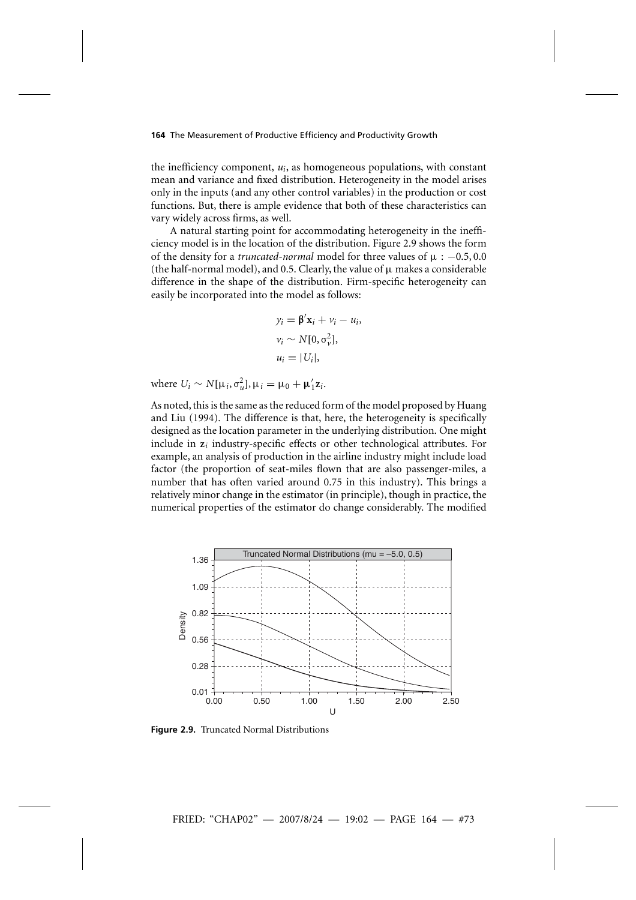the inefficiency component, *ui*, as homogeneous populations, with constant mean and variance and fixed distribution. Heterogeneity in the model arises only in the inputs (and any other control variables) in the production or cost functions. But, there is ample evidence that both of these characteristics can vary widely across firms, as well.

A natural starting point for accommodating heterogeneity in the inefficiency model is in the location of the distribution. Figure 2.9 shows the form of the density for a *truncated-normal* model for three values of µ : −0.5, 0.0 (the half-normal model), and 0.5. Clearly, the value of  $\mu$  makes a considerable difference in the shape of the distribution. Firm-specific heterogeneity can easily be incorporated into the model as follows:

$$
y_i = \mathbf{\beta}' \mathbf{x}_i + v_i - u_i,
$$
  
\n
$$
v_i \sim N[0, \sigma_v^2],
$$
  
\n
$$
u_i = |U_i|,
$$

where  $U_i \sim N[\mu_i, \sigma_u^2], \mu_i = \mu_0 + \mu'_1 z_i.$ 

As noted, this is the same as the reduced form of the model proposed by Huang and Liu (1994). The difference is that, here, the heterogeneity is specifically designed as the location parameter in the underlying distribution. One might include in **z***<sup>i</sup>* industry-specific effects or other technological attributes. For example, an analysis of production in the airline industry might include load factor (the proportion of seat-miles flown that are also passenger-miles, a number that has often varied around 0.75 in this industry). This brings a relatively minor change in the estimator (in principle), though in practice, the numerical properties of the estimator do change considerably. The modified



**Figure 2.9.** Truncated Normal Distributions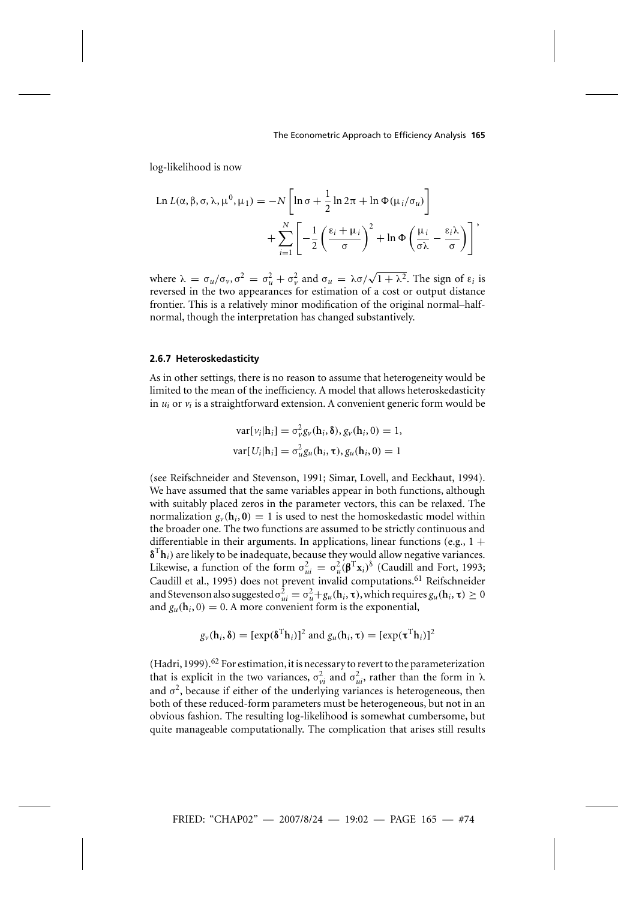log-likelihood is now

$$
\begin{aligned} \text{Ln}\,L(\alpha,\beta,\sigma,\lambda,\mu^0,\mu_1) &= -N \left[ \ln \sigma + \frac{1}{2} \ln 2\pi + \ln \Phi(\mu_i/\sigma_u) \right] \\ &+ \sum_{i=1}^N \left[ -\frac{1}{2} \left( \frac{\varepsilon_i + \mu_i}{\sigma} \right)^2 + \ln \Phi \left( \frac{\mu_i}{\sigma \lambda} - \frac{\varepsilon_i \lambda}{\sigma} \right) \right] \end{aligned}
$$

where  $\lambda = \sigma_u/\sigma_v, \sigma^2 = \sigma_u^2 + \sigma_v^2$  and  $\sigma_u = \lambda \sigma/v$ √  $1 + \lambda^2$ . The sign of  $\varepsilon_i$  is reversed in the two appearances for estimation of a cost or output distance frontier. This is a relatively minor modification of the original normal–halfnormal, though the interpretation has changed substantively.

### **2.6.7 Heteroskedasticity**

As in other settings, there is no reason to assume that heterogeneity would be limited to the mean of the inefficiency. A model that allows heteroskedasticity in  $u_i$  or  $v_i$  is a straightforward extension. A convenient generic form would be

$$
\text{var}[v_i|\mathbf{h}_i] = \sigma_v^2 g_v(\mathbf{h}_i, \delta), g_v(\mathbf{h}_i, 0) = 1,
$$
  

$$
\text{var}[U_i|\mathbf{h}_i] = \sigma_u^2 g_u(\mathbf{h}_i, \tau), g_u(\mathbf{h}_i, 0) = 1
$$

(see Reifschneider and Stevenson, 1991; Simar, Lovell, and Eeckhaut, 1994). We have assumed that the same variables appear in both functions, although with suitably placed zeros in the parameter vectors, this can be relaxed. The normalization  $g_v(\mathbf{h}_i, \mathbf{0}) = 1$  is used to nest the homoskedastic model within the broader one. The two functions are assumed to be strictly continuous and differentiable in their arguments. In applications, linear functions (e.g.,  $1 +$  $\delta<sup>T</sup>$ **h**<sub>*i*</sub>) are likely to be inadequate, because they would allow negative variances. Likewise, a function of the form  $\sigma_{ui}^2 = \sigma_u^2 (\boldsymbol{\beta}^T \mathbf{x}_i)^{\delta}$  (Caudill and Fort, 1993; Caudill et al., 1995) does not prevent invalid computations.<sup>61</sup> Reifschneider and Stevenson also suggested  $\sigma_{ui}^2 = \sigma_u^2 + g_u(\mathbf{h}_i, \mathbf{\tau})$ , which requires  $g_u(\mathbf{h}_i, \mathbf{\tau}) \geq 0$ and  $g_u(h_i, 0) = 0$ . A more convenient form is the exponential,

$$
g_{\nu}(\mathbf{h}_i, \delta) = [\exp(\delta^{\mathrm{T}} \mathbf{h}_i)]^2
$$
 and  $g_{\nu}(\mathbf{h}_i, \tau) = [\exp(\tau^{\mathrm{T}} \mathbf{h}_i)]^2$ 

(Hadri, 1999). $^{62}$  For estimation, it is necessary to revert to the parameterization that is explicit in the two variances,  $\sigma_{vi}^2$  and  $\sigma_{ui}^2$ , rather than the form in  $\lambda$ and  $\sigma^2$ , because if either of the underlying variances is heterogeneous, then both of these reduced-form parameters must be heterogeneous, but not in an obvious fashion. The resulting log-likelihood is somewhat cumbersome, but quite manageable computationally. The complication that arises still results

FRIED: "CHAP02" — 2007/8/24 — 19:02 — PAGE 165 — #74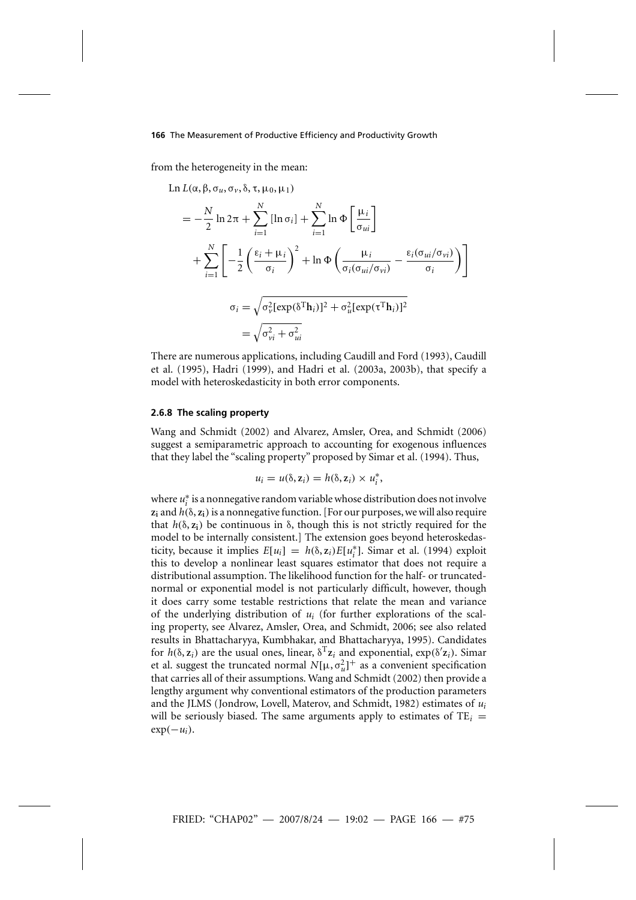from the heterogeneity in the mean:

$$
\begin{split} \text{Ln}\,L(\alpha,\beta,\sigma_{u},\sigma_{v},\delta,\tau,\mu_{0},\mu_{1}) \\ &= -\frac{N}{2}\ln 2\pi + \sum_{i=1}^{N}[\ln \sigma_{i}] + \sum_{i=1}^{N}\ln \Phi\left[\frac{\mu_{i}}{\sigma_{ui}}\right] \\ &+ \sum_{i=1}^{N}\left[-\frac{1}{2}\left(\frac{\varepsilon_{i}+\mu_{i}}{\sigma_{i}}\right)^{2} + \ln \Phi\left(\frac{\mu_{i}}{\sigma_{i}(\sigma_{ui}/\sigma_{vi})} - \frac{\varepsilon_{i}(\sigma_{ui}/\sigma_{vi})}{\sigma_{i}}\right)\right] \\ &\sigma_{i} = \sqrt{\sigma_{v}^{2}[\exp(\delta^{T}\mathbf{h}_{i})]^{2} + \sigma_{u}^{2}[\exp(\tau^{T}\mathbf{h}_{i})]^{2}} \\ &= \sqrt{\sigma_{vi}^{2} + \sigma_{ui}^{2}} \end{split}
$$

There are numerous applications, including Caudill and Ford (1993), Caudill et al. (1995), Hadri (1999), and Hadri et al. (2003a, 2003b), that specify a model with heteroskedasticity in both error components.

### **2.6.8 The scaling property**

Wang and Schmidt (2002) and Alvarez, Amsler, Orea, and Schmidt (2006) suggest a semiparametric approach to accounting for exogenous influences that they label the "scaling property" proposed by Simar et al. (1994). Thus,

$$
u_i = u(\delta, \mathbf{z}_i) = h(\delta, \mathbf{z}_i) \times u_i^*,
$$

where  $u_i^*$  is a nonnegative random variable whose distribution does not involve  $z_i$  and  $h(\delta, z_i)$  is a nonnegative function. [For our purposes, we will also require that  $h(\delta, z_i)$  be continuous in  $\delta$ , though this is not strictly required for the model to be internally consistent.] The extension goes beyond heteroskedasticity, because it implies  $E[u_i] = h(\delta, z_i)E[u_i^*]$ . Simar et al. (1994) exploit this to develop a nonlinear least squares estimator that does not require a distributional assumption. The likelihood function for the half- or truncatednormal or exponential model is not particularly difficult, however, though it does carry some testable restrictions that relate the mean and variance of the underlying distribution of *ui* (for further explorations of the scaling property, see Alvarez, Amsler, Orea, and Schmidt, 2006; see also related results in Bhattacharyya, Kumbhakar, and Bhattacharyya, 1995). Candidates for  $h(\delta, z_i)$  are the usual ones, linear,  $\delta^T z_i$  and exponential,  $\exp(\delta' z_i)$ . Simar et al. suggest the truncated normal  $N[\mu, \sigma_u^2]^+$  as a convenient specification that carries all of their assumptions. Wang and Schmidt (2002) then provide a lengthy argument why conventional estimators of the production parameters and the JLMS (Jondrow, Lovell, Materov, and Schmidt, 1982) estimates of *ui* will be seriously biased. The same arguments apply to estimates of  $TE_i$  =  $exp(-u_i)$ .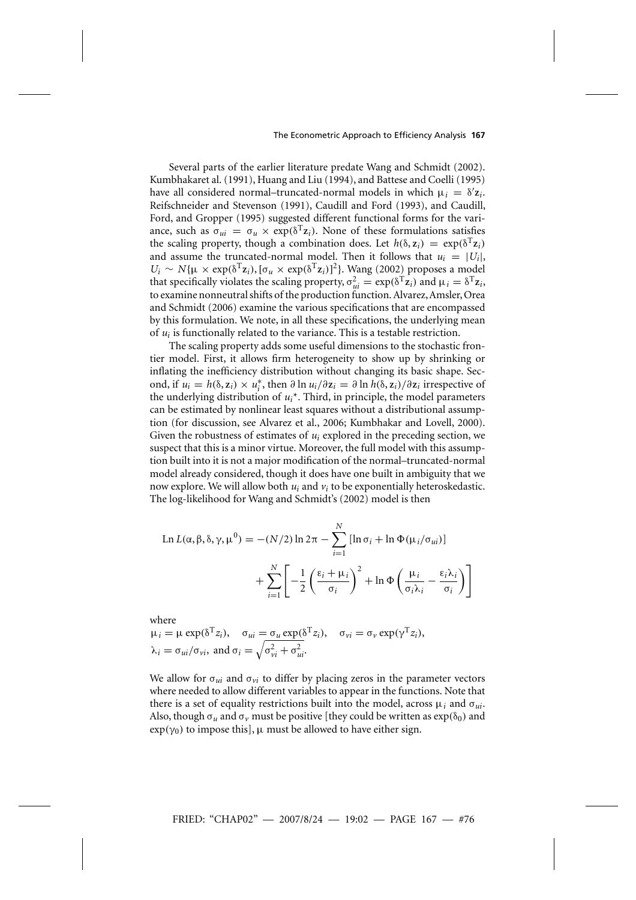Several parts of the earlier literature predate Wang and Schmidt (2002). Kumbhakaret al. (1991), Huang and Liu (1994), and Battese and Coelli (1995) have all considered normal–truncated-normal models in which  $\mu_i = \delta' \mathbf{z}_i$ . Reifschneider and Stevenson (1991), Caudill and Ford (1993), and Caudill, Ford, and Gropper (1995) suggested different functional forms for the variance, such as  $\sigma_{ui} = \sigma_u \times \exp(\delta^T z_i)$ . None of these formulations satisfies the scaling property, though a combination does. Let  $h(\delta, z_i) = \exp(\delta^T z_i)$ and assume the truncated-normal model. Then it follows that  $u_i = |U_i|$ ,  $U_i$  ∼ *N*{ $\mu$  × exp(δ<sup>T</sup>**z**<sub>*i*</sub>), [σ<sub>*u*</sub> × exp(δ<sup>T</sup>**z**<sub>*i*</sub>)]<sup>2</sup>}. Wang (2002) proposes a model that specifically violates the scaling property,  $\sigma_{ui}^2 = \exp(\delta^T \mathbf{z}_i)$  and  $\mu_i = \delta^T \mathbf{z}_i$ , to examine nonneutral shifts of the production function. Alvarez,Amsler, Orea and Schmidt (2006) examine the various specifications that are encompassed by this formulation. We note, in all these specifications, the underlying mean of *ui* is functionally related to the variance. This is a testable restriction.

The scaling property adds some useful dimensions to the stochastic frontier model. First, it allows firm heterogeneity to show up by shrinking or inflating the inefficiency distribution without changing its basic shape. Second, if  $u_i = h(\delta, z_i) \times u_i^*$ , then  $\partial \ln u_i / \partial z_i = \partial \ln h(\delta, z_i) / \partial z_i$  irrespective of the underlying distribution of *ui*\*. Third, in principle, the model parameters can be estimated by nonlinear least squares without a distributional assumption (for discussion, see Alvarez et al., 2006; Kumbhakar and Lovell, 2000). Given the robustness of estimates of *ui* explored in the preceding section, we suspect that this is a minor virtue. Moreover, the full model with this assumption built into it is not a major modification of the normal–truncated-normal model already considered, though it does have one built in ambiguity that we now explore. We will allow both  $u_i$  and  $v_i$  to be exponentially heteroskedastic. The log-likelihood for Wang and Schmidt's (2002) model is then

$$
\ln L(\alpha, \beta, \delta, \gamma, \mu^0) = -(N/2) \ln 2\pi - \sum_{i=1}^N \left[ \ln \sigma_i + \ln \Phi(\mu_i / \sigma_{ui}) \right]
$$

$$
+ \sum_{i=1}^N \left[ -\frac{1}{2} \left( \frac{\varepsilon_i + \mu_i}{\sigma_i} \right)^2 + \ln \Phi \left( \frac{\mu_i}{\sigma_i \lambda_i} - \frac{\varepsilon_i \lambda_i}{\sigma_i} \right) \right]
$$

where

 $\mu_i = \mu \exp(\delta^T z_i), \quad \sigma_{ui} = \sigma_u \exp(\delta^T z_i), \quad \sigma_{vi} = \sigma_v \exp(\gamma^T z_i),$  $\lambda_i = \sigma_{ui}/\sigma_{vi}$ , and  $\sigma_i = \sqrt{\sigma_{vi}^2 + \sigma_{ui}^2}$ .

We allow for  $\sigma_{ui}$  and  $\sigma_{vi}$  to differ by placing zeros in the parameter vectors where needed to allow different variables to appear in the functions. Note that there is a set of equality restrictions built into the model, across  $\mu_i$  and  $\sigma_{ui}$ . Also, though  $\sigma_u$  and  $\sigma_v$  must be positive [they could be written as exp( $\delta_0$ ) and  $\exp(\gamma_0)$  to impose this],  $\mu$  must be allowed to have either sign.

FRIED: "CHAP02" — 2007/8/24 — 19:02 — PAGE 167 — #76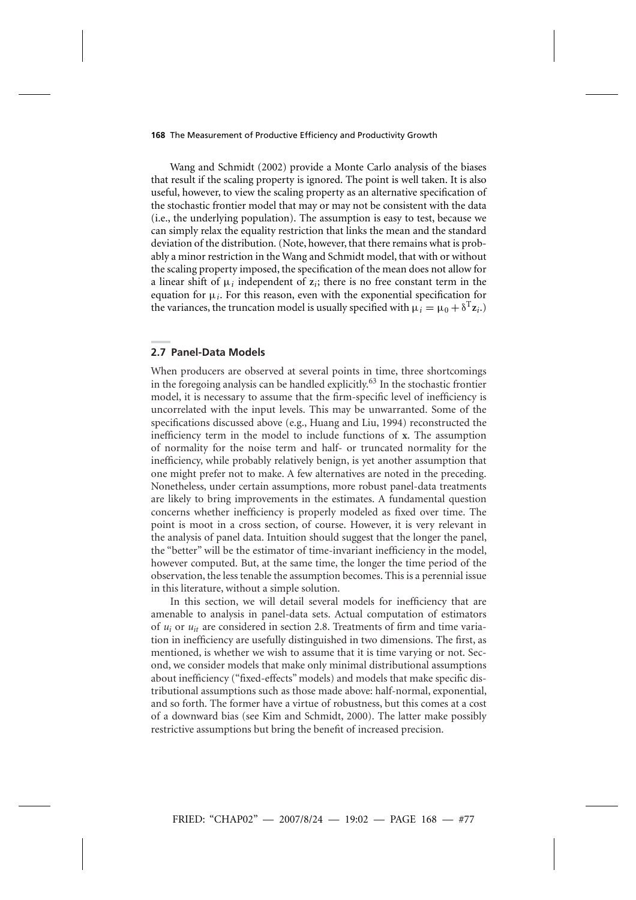Wang and Schmidt (2002) provide a Monte Carlo analysis of the biases that result if the scaling property is ignored. The point is well taken. It is also useful, however, to view the scaling property as an alternative specification of the stochastic frontier model that may or may not be consistent with the data (i.e., the underlying population). The assumption is easy to test, because we can simply relax the equality restriction that links the mean and the standard deviation of the distribution. (Note, however, that there remains what is probably a minor restriction in the Wang and Schmidt model, that with or without the scaling property imposed, the specification of the mean does not allow for a linear shift of  $\mu_i$  independent of  $z_i$ ; there is no free constant term in the equation for  $\mu_i$ . For this reason, even with the exponential specification for the variances, the truncation model is usually specified with  $\mu_i = \mu_0 + \delta^T \mathbf{z}_i$ .)

# **2.7 Panel-Data Models**

When producers are observed at several points in time, three shortcomings in the foregoing analysis can be handled explicitly.<sup>63</sup> In the stochastic frontier model, it is necessary to assume that the firm-specific level of inefficiency is uncorrelated with the input levels. This may be unwarranted. Some of the specifications discussed above (e.g., Huang and Liu, 1994) reconstructed the inefficiency term in the model to include functions of **x**. The assumption of normality for the noise term and half- or truncated normality for the inefficiency, while probably relatively benign, is yet another assumption that one might prefer not to make. A few alternatives are noted in the preceding. Nonetheless, under certain assumptions, more robust panel-data treatments are likely to bring improvements in the estimates. A fundamental question concerns whether inefficiency is properly modeled as fixed over time. The point is moot in a cross section, of course. However, it is very relevant in the analysis of panel data. Intuition should suggest that the longer the panel, the "better" will be the estimator of time-invariant inefficiency in the model, however computed. But, at the same time, the longer the time period of the observation, the less tenable the assumption becomes. This is a perennial issue in this literature, without a simple solution.

In this section, we will detail several models for inefficiency that are amenable to analysis in panel-data sets. Actual computation of estimators of *ui* or *uit* are considered in section 2.8. Treatments of firm and time variation in inefficiency are usefully distinguished in two dimensions. The first, as mentioned, is whether we wish to assume that it is time varying or not. Second, we consider models that make only minimal distributional assumptions about inefficiency ("fixed-effects" models) and models that make specific distributional assumptions such as those made above: half-normal, exponential, and so forth. The former have a virtue of robustness, but this comes at a cost of a downward bias (see Kim and Schmidt, 2000). The latter make possibly restrictive assumptions but bring the benefit of increased precision.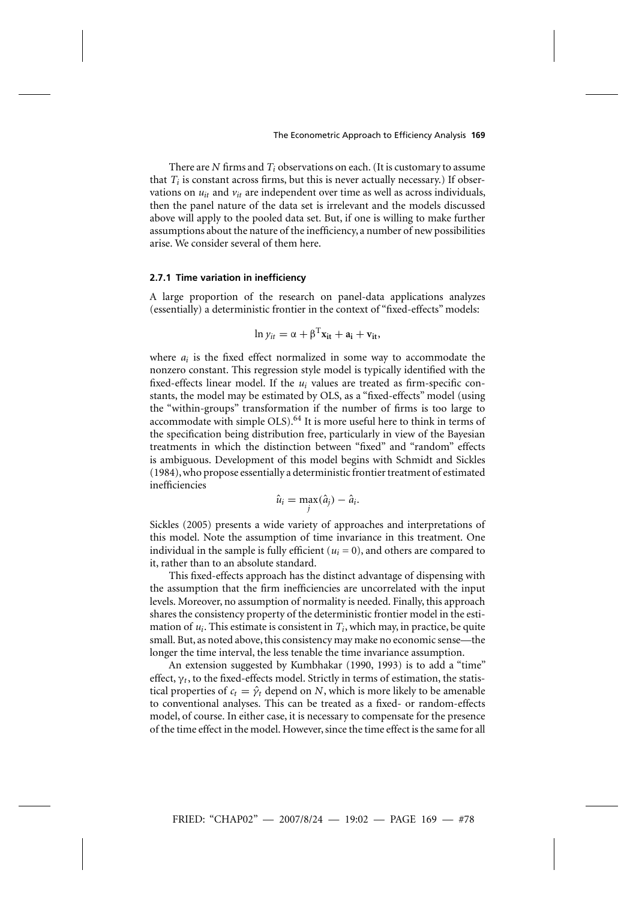There are  $N$  firms and  $T_i$  observations on each. (It is customary to assume that  $T_i$  is constant across firms, but this is never actually necessary.) If observations on  $u_{it}$  and  $v_{it}$  are independent over time as well as across individuals, then the panel nature of the data set is irrelevant and the models discussed above will apply to the pooled data set. But, if one is willing to make further assumptions about the nature of the inefficiency, a number of new possibilities arise. We consider several of them here.

#### **2.7.1 Time variation in inefficiency**

A large proportion of the research on panel-data applications analyzes (essentially) a deterministic frontier in the context of "fixed-effects" models:

$$
\ln y_{it} = \alpha + \beta^T x_{it} + a_i + v_{it},
$$

where *ai* is the fixed effect normalized in some way to accommodate the nonzero constant. This regression style model is typically identified with the fixed-effects linear model. If the  $u_i$  values are treated as firm-specific constants, the model may be estimated by OLS, as a "fixed-effects" model (using the "within-groups" transformation if the number of firms is too large to accommodate with simple OLS).64 It is more useful here to think in terms of the specification being distribution free, particularly in view of the Bayesian treatments in which the distinction between "fixed" and "random" effects is ambiguous. Development of this model begins with Schmidt and Sickles (1984),who propose essentially a deterministic frontier treatment of estimated inefficiencies

$$
\hat{u}_i = \max_j (\hat{a}_j) - \hat{a}_i.
$$

Sickles (2005) presents a wide variety of approaches and interpretations of this model. Note the assumption of time invariance in this treatment. One individual in the sample is fully efficient  $(u<sub>i</sub> = 0)$ , and others are compared to it, rather than to an absolute standard.

This fixed-effects approach has the distinct advantage of dispensing with the assumption that the firm inefficiencies are uncorrelated with the input levels. Moreover, no assumption of normality is needed. Finally, this approach shares the consistency property of the deterministic frontier model in the estimation of  $u_i$ . This estimate is consistent in  $T_i$ , which may, in practice, be quite small. But, as noted above, this consistency may make no economic sense—the longer the time interval, the less tenable the time invariance assumption.

An extension suggested by Kumbhakar (1990, 1993) is to add a "time" effect,  $\gamma_t$ , to the fixed-effects model. Strictly in terms of estimation, the statistical properties of  $c_t = \hat{\gamma}_t$  depend on *N*, which is more likely to be amenable to conventional analyses. This can be treated as a fixed- or random-effects model, of course. In either case, it is necessary to compensate for the presence of the time effect in the model. However, since the time effect is the same for all

FRIED: "CHAP02" — 2007/8/24 — 19:02 — PAGE 169 — #78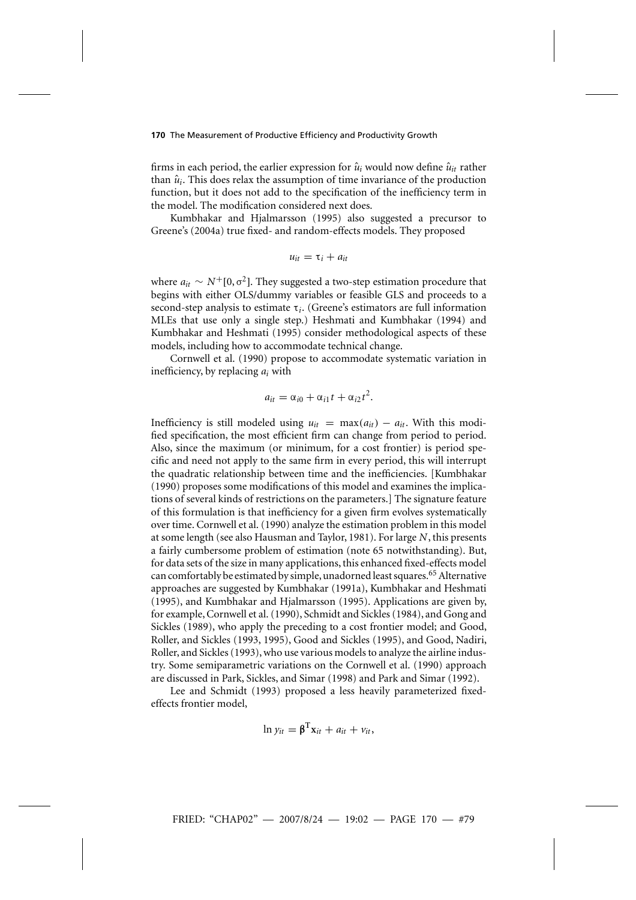firms in each period, the earlier expression for  $\hat{u}_i$  would now define  $\hat{u}_{it}$  rather than  $\hat{u}_i$ . This does relax the assumption of time invariance of the production function, but it does not add to the specification of the inefficiency term in the model. The modification considered next does.

Kumbhakar and Hjalmarsson (1995) also suggested a precursor to Greene's (2004a) true fixed- and random-effects models. They proposed

$$
u_{it} = \tau_i + a_{it}
$$

where  $a_{it}$  ∼ *N*<sup>+</sup>[0,  $\sigma^2$ ]. They suggested a two-step estimation procedure that begins with either OLS/dummy variables or feasible GLS and proceeds to a second-step analysis to estimate τ*i*. (Greene's estimators are full information MLEs that use only a single step.) Heshmati and Kumbhakar (1994) and Kumbhakar and Heshmati (1995) consider methodological aspects of these models, including how to accommodate technical change.

Cornwell et al. (1990) propose to accommodate systematic variation in inefficiency, by replacing *ai* with

$$
a_{it} = \alpha_{i0} + \alpha_{i1}t + \alpha_{i2}t^2.
$$

Inefficiency is still modeled using  $u_{it} = \max(a_{it}) - a_{it}$ . With this modified specification, the most efficient firm can change from period to period. Also, since the maximum (or minimum, for a cost frontier) is period specific and need not apply to the same firm in every period, this will interrupt the quadratic relationship between time and the inefficiencies. [Kumbhakar (1990) proposes some modifications of this model and examines the implications of several kinds of restrictions on the parameters.] The signature feature of this formulation is that inefficiency for a given firm evolves systematically over time. Cornwell et al. (1990) analyze the estimation problem in this model at some length (see also Hausman and Taylor, 1981). For large *N*, this presents a fairly cumbersome problem of estimation (note 65 notwithstanding). But, for data sets of the size in many applications, this enhanced fixed-effects model can comfortably be estimated by simple, unadorned least squares.65 Alternative approaches are suggested by Kumbhakar (1991a), Kumbhakar and Heshmati (1995), and Kumbhakar and Hjalmarsson (1995). Applications are given by, for example, Cornwell et al. (1990), Schmidt and Sickles (1984), and Gong and Sickles (1989), who apply the preceding to a cost frontier model; and Good, Roller, and Sickles (1993, 1995), Good and Sickles (1995), and Good, Nadiri, Roller, and Sickles (1993), who use various models to analyze the airline industry. Some semiparametric variations on the Cornwell et al. (1990) approach are discussed in Park, Sickles, and Simar (1998) and Park and Simar (1992).

Lee and Schmidt (1993) proposed a less heavily parameterized fixedeffects frontier model,

$$
\ln y_{it} = \beta^{\mathrm{T}} \mathbf{x}_{it} + a_{it} + v_{it},
$$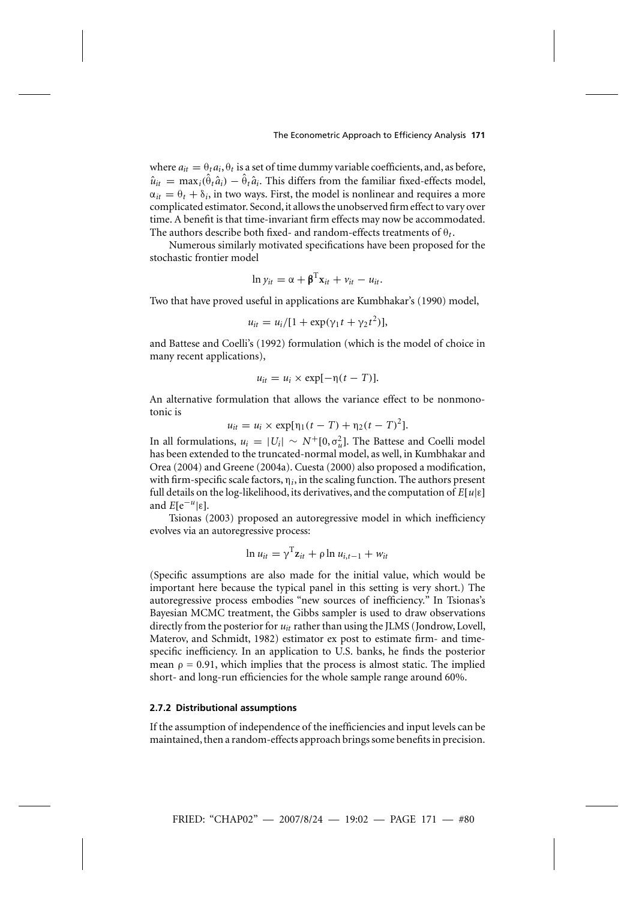where  $a_{it} = \theta_t a_i, \theta_t$  is a set of time dummy variable coefficients, and, as before,  $\hat{u}_{it} = \max_i(\hat{\theta}_t \hat{a}_i) - \hat{\theta}_t \hat{a}_i$ . This differs from the familiar fixed-effects model,  $\alpha_{it} = \theta_t + \delta_i$ , in two ways. First, the model is nonlinear and requires a more complicated estimator. Second, it allows the unobserved firm effect to vary over time. A benefit is that time-invariant firm effects may now be accommodated. The authors describe both fixed- and random-effects treatments of  $\theta_t$ .

Numerous similarly motivated specifications have been proposed for the stochastic frontier model

$$
\ln y_{it} = \alpha + \beta^{T} x_{it} + v_{it} - u_{it}.
$$

Two that have proved useful in applications are Kumbhakar's (1990) model,

$$
u_{it} = u_i/[1 + \exp(\gamma_1 t + \gamma_2 t^2)],
$$

and Battese and Coelli's (1992) formulation (which is the model of choice in many recent applications),

$$
u_{it} = u_i \times \exp[-\eta(t-T)].
$$

An alternative formulation that allows the variance effect to be nonmonotonic is

$$
u_{it} = u_i \times \exp[\eta_1(t - T) + \eta_2(t - T)^2].
$$

In all formulations,  $u_i = |U_i| \sim N^+[0, \sigma_u^2]$ . The Battese and Coelli model has been extended to the truncated-normal model, as well, in Kumbhakar and Orea (2004) and Greene (2004a). Cuesta (2000) also proposed a modification, with firm-specific scale factors,  $\eta_i$ , in the scaling function. The authors present full details on the log-likelihood, its derivatives, and the computation of *E*[*u*|ε] and *E*[ $e^{-u}$ |ε].

Tsionas (2003) proposed an autoregressive model in which inefficiency evolves via an autoregressive process:

$$
\ln u_{it} = \gamma^{\mathrm{T}} \mathbf{z}_{it} + \rho \ln u_{i,t-1} + w_{it}
$$

(Specific assumptions are also made for the initial value, which would be important here because the typical panel in this setting is very short.) The autoregressive process embodies "new sources of inefficiency." In Tsionas's Bayesian MCMC treatment, the Gibbs sampler is used to draw observations directly from the posterior for *uit* rather than using the JLMS (Jondrow, Lovell, Materov, and Schmidt, 1982) estimator ex post to estimate firm- and timespecific inefficiency. In an application to U.S. banks, he finds the posterior mean  $\rho = 0.91$ , which implies that the process is almost static. The implied short- and long-run efficiencies for the whole sample range around 60%.

# **2.7.2 Distributional assumptions**

If the assumption of independence of the inefficiencies and input levels can be maintained, then a random-effects approach brings some benefits in precision.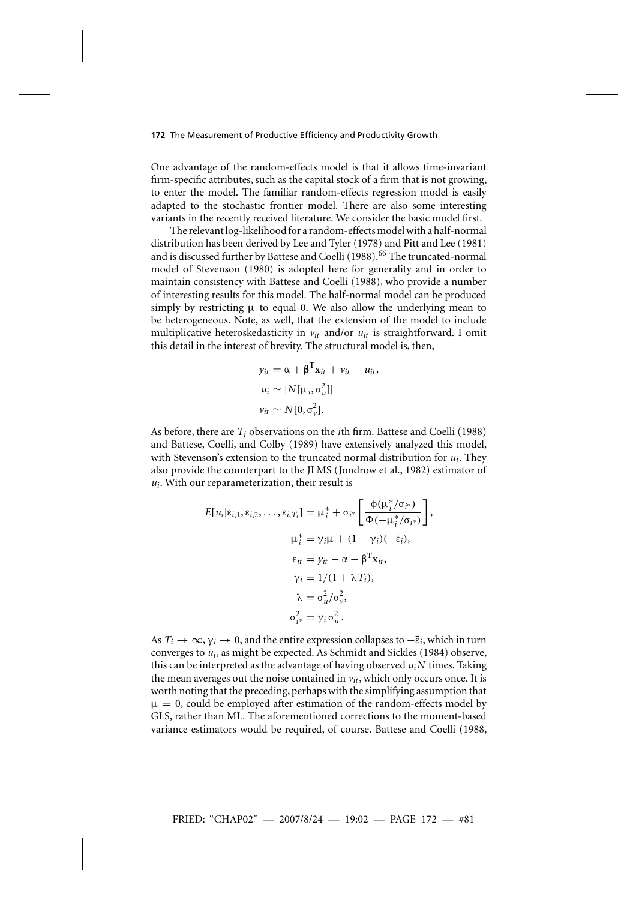One advantage of the random-effects model is that it allows time-invariant firm-specific attributes, such as the capital stock of a firm that is not growing, to enter the model. The familiar random-effects regression model is easily adapted to the stochastic frontier model. There are also some interesting variants in the recently received literature. We consider the basic model first.

The relevant log-likelihoodfor a random-effects model with a half-normal distribution has been derived by Lee and Tyler (1978) and Pitt and Lee (1981) and is discussed further by Battese and Coelli (1988).<sup>66</sup> The truncated-normal model of Stevenson (1980) is adopted here for generality and in order to maintain consistency with Battese and Coelli (1988), who provide a number of interesting results for this model. The half-normal model can be produced simply by restricting  $\mu$  to equal 0. We also allow the underlying mean to be heterogeneous. Note, as well, that the extension of the model to include multiplicative heteroskedasticity in *vit* and/or *uit* is straightforward. I omit this detail in the interest of brevity. The structural model is, then,

$$
y_{it} = \alpha + \beta^{\mathrm{T}} x_{it} + v_{it} - u_{it},
$$
  
\n
$$
u_{i} \sim |N[\mu_{i}, \sigma_{u}^{2}]|
$$
  
\n
$$
v_{it} \sim N[0, \sigma_{v}^{2}].
$$

As before, there are *Ti* observations on the *i*th firm. Battese and Coelli (1988) and Battese, Coelli, and Colby (1989) have extensively analyzed this model, with Stevenson's extension to the truncated normal distribution for  $u_i$ . They also provide the counterpart to the JLMS (Jondrow et al., 1982) estimator of *ui*. With our reparameterization, their result is

$$
E[u_i|\varepsilon_{i,1},\varepsilon_{i,2},\ldots,\varepsilon_{i,T_i}] = \mu_i^* + \sigma_{i^*} \left[ \frac{\phi(\mu_i^*/\sigma_{i^*})}{\Phi(-\mu_i^*/\sigma_{i^*})} \right],
$$
  
\n
$$
\mu_i^* = \gamma_i \mu + (1 - \gamma_i)(-\bar{\varepsilon}_i),
$$
  
\n
$$
\varepsilon_{it} = y_{it} - \alpha - \beta^T x_{it},
$$
  
\n
$$
\gamma_i = 1/(1 + \lambda T_i),
$$
  
\n
$$
\lambda = \sigma_u^2/\sigma_v^2,
$$
  
\n
$$
\sigma_{i^*}^2 = \gamma_i \sigma_u^2.
$$

As  $T_i \to \infty$ ,  $\gamma_i \to 0$ , and the entire expression collapses to  $-\bar{\varepsilon}_i$ , which in turn converges to *ui*, as might be expected. As Schmidt and Sickles (1984) observe, this can be interpreted as the advantage of having observed  $u_iN$  times. Taking the mean averages out the noise contained in  $v_{it}$ , which only occurs once. It is worth noting that the preceding, perhaps with the simplifying assumption that  $\mu = 0$ , could be employed after estimation of the random-effects model by GLS, rather than ML. The aforementioned corrections to the moment-based variance estimators would be required, of course. Battese and Coelli (1988,

FRIED: "CHAP02" — 2007/8/24 — 19:02 — PAGE 172 — #81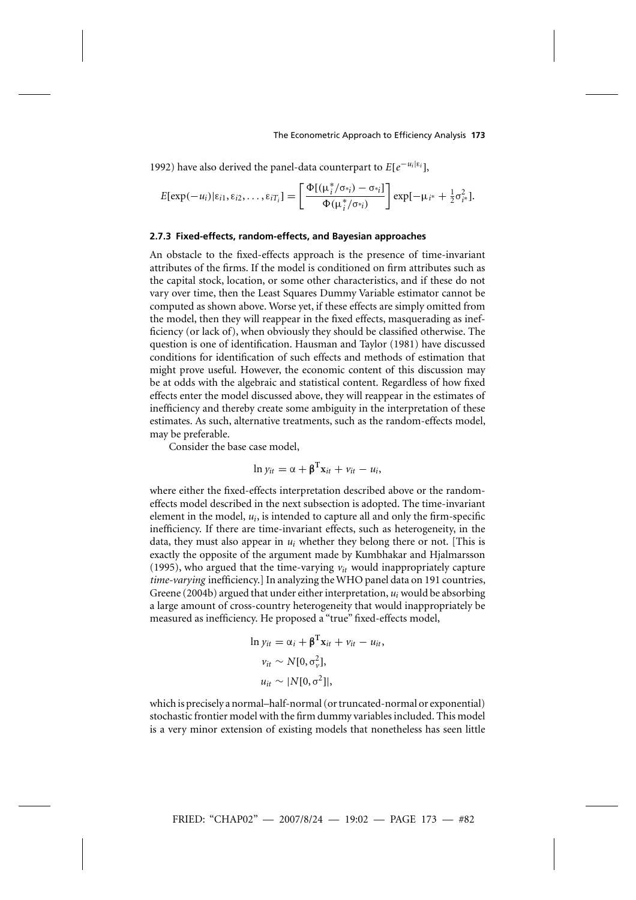1992) have also derived the panel-data counterpart to  $E[e^{-u_i|\epsilon_i}]$ ,

$$
E[\exp(-u_i)|\varepsilon_{i1},\varepsilon_{i2},\ldots,\varepsilon_{iT_i}]=\left[\frac{\Phi[(\mu_i^*/\sigma_{*i})-\sigma_{*i}]}{\Phi(\mu_i^*/\sigma_{*i})}\right]\exp[-\mu_{i^*}+\frac{1}{2}\sigma_{i^*}^2].
$$

### **2.7.3 Fixed-effects, random-effects, and Bayesian approaches**

An obstacle to the fixed-effects approach is the presence of time-invariant attributes of the firms. If the model is conditioned on firm attributes such as the capital stock, location, or some other characteristics, and if these do not vary over time, then the Least Squares Dummy Variable estimator cannot be computed as shown above. Worse yet, if these effects are simply omitted from the model, then they will reappear in the fixed effects, masquerading as inefficiency (or lack of), when obviously they should be classified otherwise. The question is one of identification. Hausman and Taylor (1981) have discussed conditions for identification of such effects and methods of estimation that might prove useful. However, the economic content of this discussion may be at odds with the algebraic and statistical content. Regardless of how fixed effects enter the model discussed above, they will reappear in the estimates of inefficiency and thereby create some ambiguity in the interpretation of these estimates. As such, alternative treatments, such as the random-effects model, may be preferable.

Consider the base case model,

$$
\ln y_{it} = \alpha + \beta^{T} x_{it} + v_{it} - u_{i},
$$

where either the fixed-effects interpretation described above or the randomeffects model described in the next subsection is adopted. The time-invariant element in the model, *ui*, is intended to capture all and only the firm-specific inefficiency. If there are time-invariant effects, such as heterogeneity, in the data, they must also appear in *ui* whether they belong there or not. [This is exactly the opposite of the argument made by Kumbhakar and Hjalmarsson (1995), who argued that the time-varying  $v_{it}$  would inappropriately capture *time-varying* inefficiency.] In analyzing theWHO panel data on 191 countries, Greene (2004b) argued that under either interpretation, *ui* would be absorbing a large amount of cross-country heterogeneity that would inappropriately be measured as inefficiency. He proposed a "true" fixed-effects model,

$$
\ln y_{it} = \alpha_i + \beta^{\mathrm{T}} x_{it} + v_{it} - u_{it},
$$
  

$$
v_{it} \sim N[0, \sigma_v^2],
$$
  

$$
u_{it} \sim |N[0, \sigma^2]|,
$$

which is precisely a normal–half-normal (or truncated-normal or exponential) stochastic frontier model with the firm dummy variables included. This model is a very minor extension of existing models that nonetheless has seen little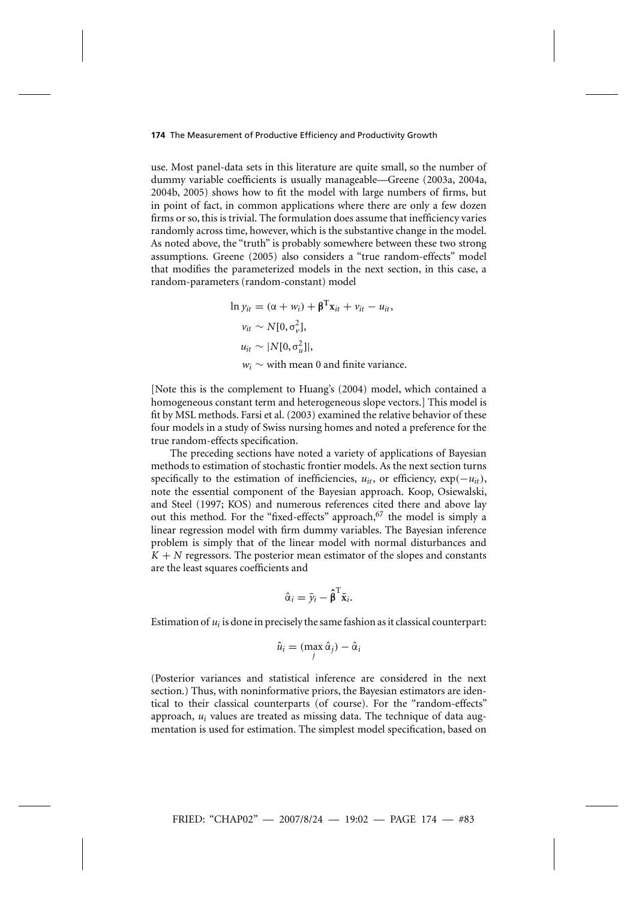use. Most panel-data sets in this literature are quite small, so the number of dummy variable coefficients is usually manageable—Greene (2003a, 2004a, 2004b, 2005) shows how to fit the model with large numbers of firms, but in point of fact, in common applications where there are only a few dozen firms or so, this is trivial. The formulation does assume that inefficiency varies randomly across time, however, which is the substantive change in the model. As noted above, the "truth" is probably somewhere between these two strong assumptions. Greene (2005) also considers a "true random-effects" model that modifies the parameterized models in the next section, in this case, a random-parameters (random-constant) model

$$
\ln y_{it} = (\alpha + w_i) + \beta^{\mathrm{T}} x_{it} + v_{it} - u_{it},
$$
  
\n
$$
v_{it} \sim N[0, \sigma_v^2],
$$
  
\n
$$
u_{it} \sim |N[0, \sigma_u^2]|,
$$
  
\n
$$
w_i \sim \text{with mean 0 and finite variance.}
$$

[Note this is the complement to Huang's (2004) model, which contained a homogeneous constant term and heterogeneous slope vectors.] This model is fit by MSL methods. Farsi et al. (2003) examined the relative behavior of these four models in a study of Swiss nursing homes and noted a preference for the true random-effects specification.

The preceding sections have noted a variety of applications of Bayesian methods to estimation of stochastic frontier models. As the next section turns specifically to the estimation of inefficiencies,  $u_{it}$ , or efficiency,  $\exp(-u_{it})$ , note the essential component of the Bayesian approach. Koop, Osiewalski, and Steel (1997; KOS) and numerous references cited there and above lay out this method. For the "fixed-effects" approach,<sup>67</sup> the model is simply a linear regression model with firm dummy variables. The Bayesian inference problem is simply that of the linear model with normal disturbances and  $K + N$  regressors. The posterior mean estimator of the slopes and constants are the least squares coefficients and

$$
\hat{\alpha}_i = \bar{y}_i - \hat{\beta}^{\mathrm{T}} \bar{\mathbf{x}}_i.
$$

Estimation of *ui* is done in precisely the same fashion as it classical counterpart:

$$
\hat{u}_i = (\max_j \hat{\alpha}_j) - \hat{\alpha}_i
$$

(Posterior variances and statistical inference are considered in the next section.) Thus, with noninformative priors, the Bayesian estimators are identical to their classical counterparts (of course). For the "random-effects" approach, *ui* values are treated as missing data. The technique of data augmentation is used for estimation. The simplest model specification, based on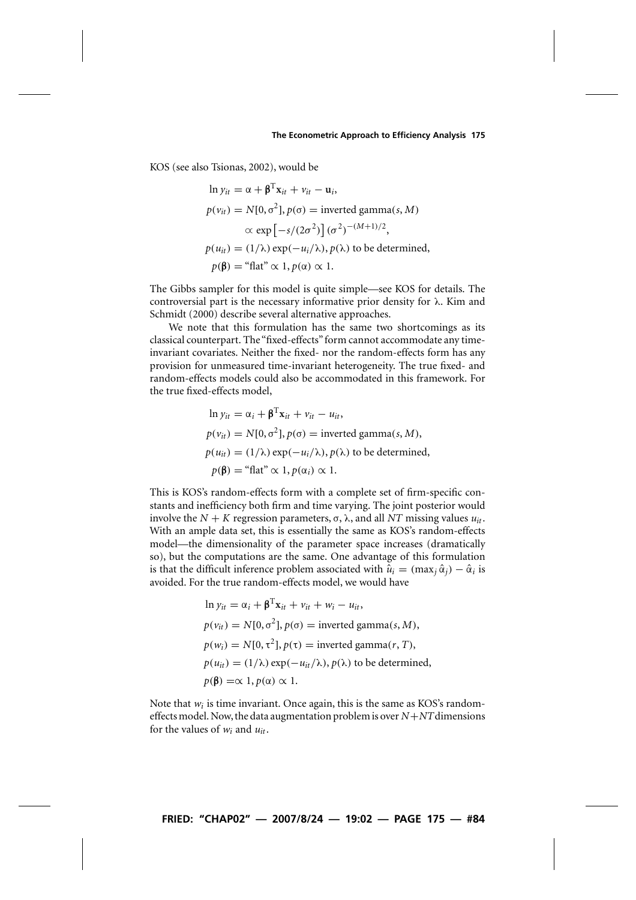KOS (see also Tsionas, 2002), would be

ln *y<sub>it</sub>* = α + β<sup>T</sup>x<sub>it</sub> + *v<sub>it</sub>* – u<sub>i</sub>,  
\n
$$
p(vit) = N[0, σ2], p(σ) = inverted gamma(s, M)
$$
\n
$$
\propto \exp [-s/(2σ2)] (σ2)-(M+1)/2,
$$
\n
$$
p(uit) = (1/λ) \exp(-ui/λ), p(λ) to be determined,\n
$$
p(β) = "flat" \propto 1, p(α) \propto 1.
$$
$$

The Gibbs sampler for this model is quite simple—see KOS for details. The controversial part is the necessary informative prior density for  $\lambda$ . Kim and Schmidt (2000) describe several alternative approaches.

We note that this formulation has the same two shortcomings as its classical counterpart. The "fixed-effects"form cannot accommodate any timeinvariant covariates. Neither the fixed- nor the random-effects form has any provision for unmeasured time-invariant heterogeneity. The true fixed- and random-effects models could also be accommodated in this framework. For the true fixed-effects model,

ln 
$$
y_{it} = \alpha_i + \beta^T x_{it} + v_{it} - u_{it}
$$
,  
\n $p(v_{it}) = N[0, \sigma^2], p(\sigma) = \text{inverted gamma}(s, M),$   
\n $p(u_{it}) = (1/\lambda) \exp(-u_i/\lambda), p(\lambda)$  to be determined,  
\n $p(\beta) = \text{``flat''} \propto 1, p(\alpha_i) \propto 1.$ 

This is KOS's random-effects form with a complete set of firm-specific constants and inefficiency both firm and time varying. The joint posterior would involve the *N* + *K* regression parameters, σ, λ, and all *NT* missing values *uit* . With an ample data set, this is essentially the same as KOS's random-effects model—the dimensionality of the parameter space increases (dramatically so), but the computations are the same. One advantage of this formulation is that the difficult inference problem associated with  $\hat{u}_i = (\max_j \hat{\alpha}_j) - \hat{\alpha}_i$  is avoided. For the true random-effects model, we would have

ln *y<sub>it</sub>* = α<sub>i</sub> + β<sup>T</sup>x<sub>it</sub> + *v<sub>it</sub>* + *w<sub>i</sub>* − *u<sub>it</sub>*,  
\n
$$
p(vit) = N[0, σ2], p(σ) = inverted gamma(s, M),
$$
\n
$$
p(wi) = N[0, τ2], p(τ) = inverted gamma(r, T),
$$
\n
$$
p(uit) = (1/λ) exp(-uit/λ), p(λ) to be determined,
$$
\n
$$
p(β) = α 1, p(α) α 1.
$$

Note that  $w_i$  is time invariant. Once again, this is the same as KOS's randomeffects model. Now, the data augmentation problem is over  $N+NT$  dimensions for the values of *wi* and *uit* .

**FRIED: "CHAP02" — 2007/8/24 — 19:02 — PAGE 175 — #84**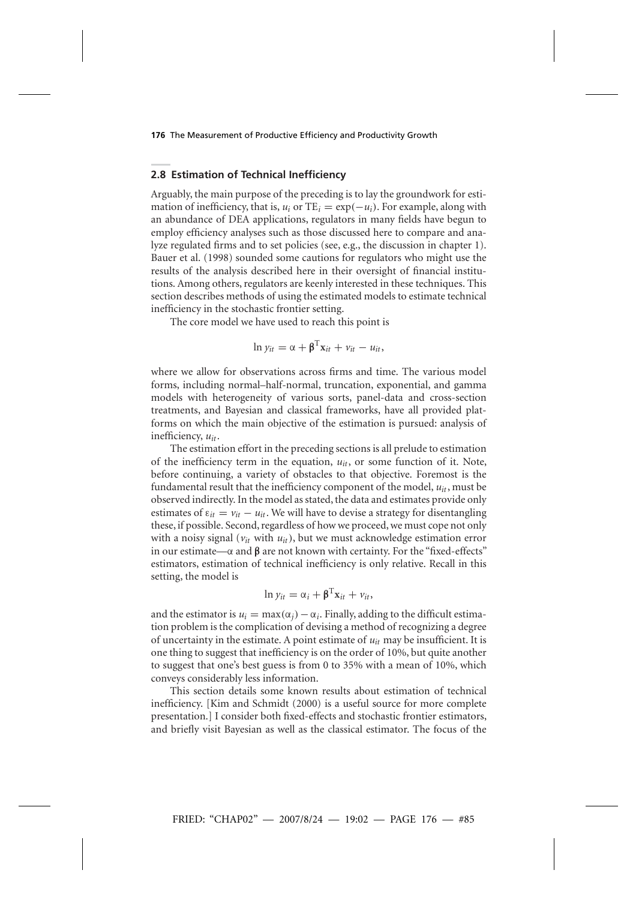# **2.8 Estimation of Technical Inefficiency**

Arguably, the main purpose of the preceding is to lay the groundwork for estimation of inefficiency, that is,  $u_i$  or  $TE_i = \exp(-u_i)$ . For example, along with an abundance of DEA applications, regulators in many fields have begun to employ efficiency analyses such as those discussed here to compare and analyze regulated firms and to set policies (see, e.g., the discussion in chapter 1). Bauer et al. (1998) sounded some cautions for regulators who might use the results of the analysis described here in their oversight of financial institutions. Among others, regulators are keenly interested in these techniques. This section describes methods of using the estimated models to estimate technical inefficiency in the stochastic frontier setting.

The core model we have used to reach this point is

$$
\ln y_{it} = \alpha + \beta^{T} x_{it} + v_{it} - u_{it},
$$

where we allow for observations across firms and time. The various model forms, including normal–half-normal, truncation, exponential, and gamma models with heterogeneity of various sorts, panel-data and cross-section treatments, and Bayesian and classical frameworks, have all provided platforms on which the main objective of the estimation is pursued: analysis of inefficiency, *uit* .

The estimation effort in the preceding sections is all prelude to estimation of the inefficiency term in the equation,  $u_{it}$ , or some function of it. Note, before continuing, a variety of obstacles to that objective. Foremost is the fundamental result that the inefficiency component of the model,  $u_{it}$ , must be observed indirectly. In the model as stated, the data and estimates provide only estimates of  $\varepsilon_{it} = v_{it} - u_{it}$ . We will have to devise a strategy for disentangling these, if possible. Second, regardless of how we proceed, we must cope not only with a noisy signal  $(v_{it}$  with  $u_{it}$ ), but we must acknowledge estimation error in our estimate—α and **β** are not known with certainty. For the "fixed-effects" estimators, estimation of technical inefficiency is only relative. Recall in this setting, the model is

$$
\ln y_{it} = \alpha_i + \beta^{\mathrm{T}} x_{it} + v_{it},
$$

and the estimator is  $u_i = \max(\alpha_i) - \alpha_i$ . Finally, adding to the difficult estimation problem is the complication of devising a method of recognizing a degree of uncertainty in the estimate. A point estimate of  $u_{it}$  may be insufficient. It is one thing to suggest that inefficiency is on the order of 10%, but quite another to suggest that one's best guess is from 0 to 35% with a mean of 10%, which conveys considerably less information.

This section details some known results about estimation of technical inefficiency. [Kim and Schmidt (2000) is a useful source for more complete presentation.] I consider both fixed-effects and stochastic frontier estimators, and briefly visit Bayesian as well as the classical estimator. The focus of the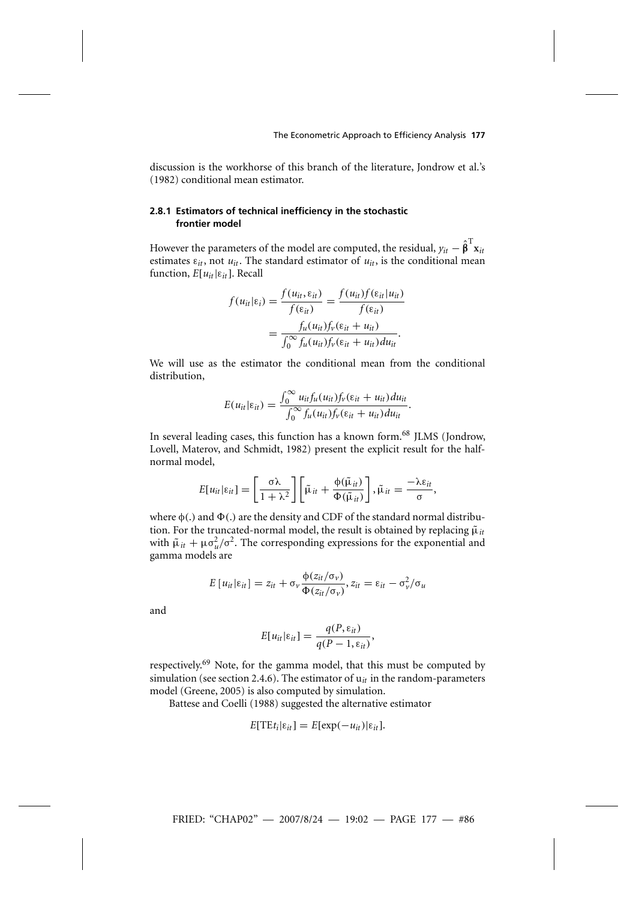discussion is the workhorse of this branch of the literature, Jondrow et al.'s (1982) conditional mean estimator.

# **2.8.1 Estimators of technical inefficiency in the stochastic frontier model**

However the parameters of the model are computed, the residual,  $y_{it} - \hat{\boldsymbol{\beta}}^{\mathrm{T}} \boldsymbol{x}_{it}$ estimates  $\varepsilon_{it}$ , not  $u_{it}$ . The standard estimator of  $u_{it}$ , is the conditional mean function, *E*[*uit* |ε*it*]. Recall

$$
f(u_{it}|\varepsilon_i) = \frac{f(u_{it}, \varepsilon_{it})}{f(\varepsilon_{it})} = \frac{f(u_{it})f(\varepsilon_{it}|u_{it})}{f(\varepsilon_{it})}
$$

$$
= \frac{f_u(u_{it})f_v(\varepsilon_{it} + u_{it})}{\int_0^\infty f_u(u_{it})f_v(\varepsilon_{it} + u_{it})du_{it}}.
$$

We will use as the estimator the conditional mean from the conditional distribution,

$$
E(u_{it}|\varepsilon_{it}) = \frac{\int_0^\infty u_{it}f_u(u_{it})f_v(\varepsilon_{it} + u_{it})du_{it}}{\int_0^\infty f_u(u_{it})f_v(\varepsilon_{it} + u_{it})du_{it}}.
$$

In several leading cases, this function has a known form.<sup>68</sup> JLMS (Jondrow, Lovell, Materov, and Schmidt, 1982) present the explicit result for the halfnormal model,

$$
E[u_{it}|\varepsilon_{it}] = \left[\frac{\sigma\lambda}{1+\lambda^2}\right] \left[\tilde{\mu}_{it} + \frac{\phi(\tilde{\mu}_{it})}{\Phi(\tilde{\mu}_{it})}\right], \tilde{\mu}_{it} = \frac{-\lambda\varepsilon_{it}}{\sigma},
$$

where  $\phi(.)$  and  $\Phi(.)$  are the density and CDF of the standard normal distribution. For the truncated-normal model, the result is obtained by replacing  $\tilde{\mu}_{it}$ with  $\tilde{\mu}_{it} + \mu \sigma_u^2 / \sigma^2$ . The corresponding expressions for the exponential and gamma models are

$$
E[u_{it}|\varepsilon_{it}] = z_{it} + \sigma_v \frac{\phi(z_{it}/\sigma_v)}{\Phi(z_{it}/\sigma_v)}, z_{it} = \varepsilon_{it} - \sigma_v^2/\sigma_u
$$

and

$$
E[u_{it}|\varepsilon_{it}] = \frac{q(P, \varepsilon_{it})}{q(P-1, \varepsilon_{it})},
$$

respectively.<sup>69</sup> Note, for the gamma model, that this must be computed by simulation (see section 2.4.6). The estimator of u*it* in the random-parameters model (Greene, 2005) is also computed by simulation.

Battese and Coelli (1988) suggested the alternative estimator

$$
E[TEt_i|\varepsilon_{it}] = E[\exp(-u_{it})|\varepsilon_{it}].
$$

FRIED: "CHAP02" — 2007/8/24 — 19:02 — PAGE 177 — #86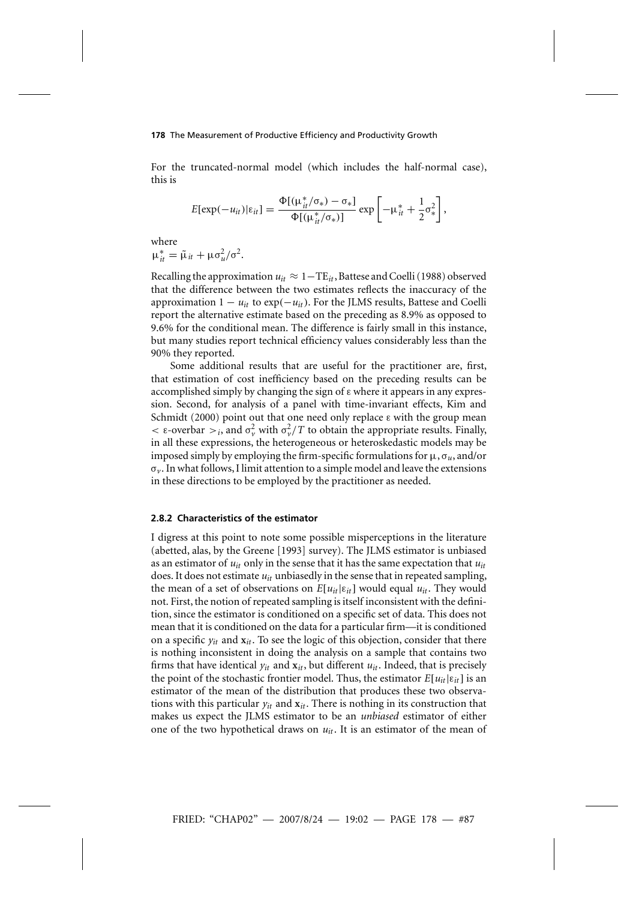For the truncated-normal model (which includes the half-normal case), this is

$$
E[\exp(-u_{it})|\varepsilon_{it}] = \frac{\Phi[(\mu_{it}^*/\sigma_*) - \sigma_*]}{\Phi[(\mu_{it}^*/\sigma_*)]}
$$
  $\exp\left[-\mu_{it}^* + \frac{1}{2}\sigma_*^2\right],$ 

where

 $\mu_{it}^* = \tilde{\mu}_{it} + \mu \sigma_u^2 / \sigma^2.$ 

Recalling the approximation  $u_{it} \approx 1-\text{TE}_{it}$ , Battese and Coelli (1988) observed that the difference between the two estimates reflects the inaccuracy of the approximation  $1 - u_{it}$  to  $exp(-u_{it})$ . For the JLMS results, Battese and Coelli report the alternative estimate based on the preceding as 8.9% as opposed to 9.6% for the conditional mean. The difference is fairly small in this instance, but many studies report technical efficiency values considerably less than the 90% they reported.

Some additional results that are useful for the practitioner are, first, that estimation of cost inefficiency based on the preceding results can be accomplished simply by changing the sign of ε where it appears in any expression. Second, for analysis of a panel with time-invariant effects, Kim and Schmidt (2000) point out that one need only replace  $\varepsilon$  with the group mean  $\epsilon$  ε-overbar  $>$ <sub>*i*</sub>, and  $\sigma_v^2$  with  $\sigma_v^2/T$  to obtain the appropriate results. Finally, in all these expressions, the heterogeneous or heteroskedastic models may be imposed simply by employing the firm-specific formulations for  $\mu$ ,  $\sigma_u$ , and/or  $\sigma_{\nu}$ . In what follows, I limit attention to a simple model and leave the extensions in these directions to be employed by the practitioner as needed.

#### **2.8.2 Characteristics of the estimator**

I digress at this point to note some possible misperceptions in the literature (abetted, alas, by the Greene [1993] survey). The JLMS estimator is unbiased as an estimator of *uit* only in the sense that it has the same expectation that *uit* does. It does not estimate *uit* unbiasedly in the sense that in repeated sampling, the mean of a set of observations on  $E[u_{it} | \varepsilon_{it}]$  would equal  $u_{it}$ . They would not. First, the notion of repeated sampling is itself inconsistent with the definition, since the estimator is conditioned on a specific set of data. This does not mean that it is conditioned on the data for a particular firm—it is conditioned on a specific  $y_{it}$  and  $\mathbf{x}_{it}$ . To see the logic of this objection, consider that there is nothing inconsistent in doing the analysis on a sample that contains two firms that have identical  $y_{it}$  and  $\mathbf{x}_{it}$ , but different  $u_{it}$ . Indeed, that is precisely the point of the stochastic frontier model. Thus, the estimator  $E[u_{it}|\varepsilon_{it}]$  is an estimator of the mean of the distribution that produces these two observations with this particular  $y_{it}$  and  $\mathbf{x}_{it}$ . There is nothing in its construction that makes us expect the JLMS estimator to be an *unbiased* estimator of either one of the two hypothetical draws on  $u_{it}$ . It is an estimator of the mean of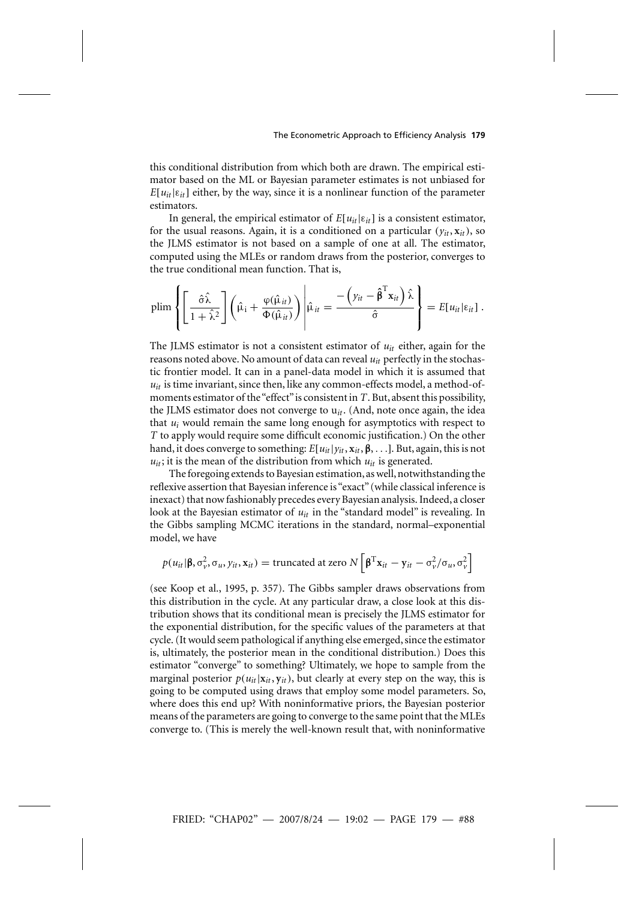this conditional distribution from which both are drawn. The empirical estimator based on the ML or Bayesian parameter estimates is not unbiased for  $E[u_{it}|\varepsilon_{it}]$  either, by the way, since it is a nonlinear function of the parameter estimators.

In general, the empirical estimator of  $E[u_{it} | \varepsilon_{it}]$  is a consistent estimator, for the usual reasons. Again, it is a conditioned on a particular  $(y_{it}, \mathbf{x}_{it})$ , so the JLMS estimator is not based on a sample of one at all. The estimator, computed using the MLEs or random draws from the posterior, converges to the true conditional mean function. That is,

$$
\text{plim}\left\{\left[\frac{\hat{\sigma}\hat{\lambda}}{1+\hat{\lambda}^2}\right]\left(\hat{\mu}_i+\frac{\varphi(\hat{\mu}_{it})}{\Phi(\hat{\mu}_{it})}\right)\middle|\hat{\mu}_{it}=\frac{-\left(y_{it}-\hat{\beta}^{\mathrm{T}}\mathbf{x}_{it}\right)\hat{\lambda}}{\hat{\sigma}}\right\}=E[u_{it}|\varepsilon_{it}].
$$

The JLMS estimator is not a consistent estimator of *uit* either, again for the reasons noted above. No amount of data can reveal *uit* perfectly in the stochastic frontier model. It can in a panel-data model in which it is assumed that  $u_{it}$  is time invariant, since then, like any common-effects model, a method-ofmoments estimator of the"effect"is consistent in *T*. But, absent this possibility, the JLMS estimator does not converge to u*it* . (And, note once again, the idea that *ui* would remain the same long enough for asymptotics with respect to *T* to apply would require some difficult economic justification.) On the other hand, it does converge to something:  $E[u_{it} | y_{it}, x_{it}, \beta, \ldots]$ . But, again, this is not  $u_{it}$ ; it is the mean of the distribution from which  $u_{it}$  is generated.

The foregoing extends to Bayesian estimation, as well, notwithstanding the reflexive assertion that Bayesian inference is "exact" (while classical inference is inexact) that now fashionably precedes every Bayesian analysis. Indeed, a closer look at the Bayesian estimator of  $u_{it}$  in the "standard model" is revealing. In the Gibbs sampling MCMC iterations in the standard, normal–exponential model, we have

$$
p(u_{it}|\boldsymbol{\beta}, \sigma_v^2, \sigma_u, y_{it}, \mathbf{x}_{it}) = \text{truncated at zero } N \left[ \boldsymbol{\beta}^{\mathrm{T}} \mathbf{x}_{it} - y_{it} - \sigma_v^2 / \sigma_u, \sigma_v^2 \right]
$$

(see Koop et al., 1995, p. 357). The Gibbs sampler draws observations from this distribution in the cycle. At any particular draw, a close look at this distribution shows that its conditional mean is precisely the JLMS estimator for the exponential distribution, for the specific values of the parameters at that cycle. (It would seem pathological if anything else emerged, since the estimator is, ultimately, the posterior mean in the conditional distribution.) Does this estimator "converge" to something? Ultimately, we hope to sample from the marginal posterior  $p(u_{it} | \mathbf{x}_{it}, \mathbf{y}_{it})$ , but clearly at every step on the way, this is going to be computed using draws that employ some model parameters. So, where does this end up? With noninformative priors, the Bayesian posterior means of the parameters are going to converge to the same point that the MLEs converge to. (This is merely the well-known result that, with noninformative

FRIED: "CHAP02" — 2007/8/24 — 19:02 — PAGE 179 — #88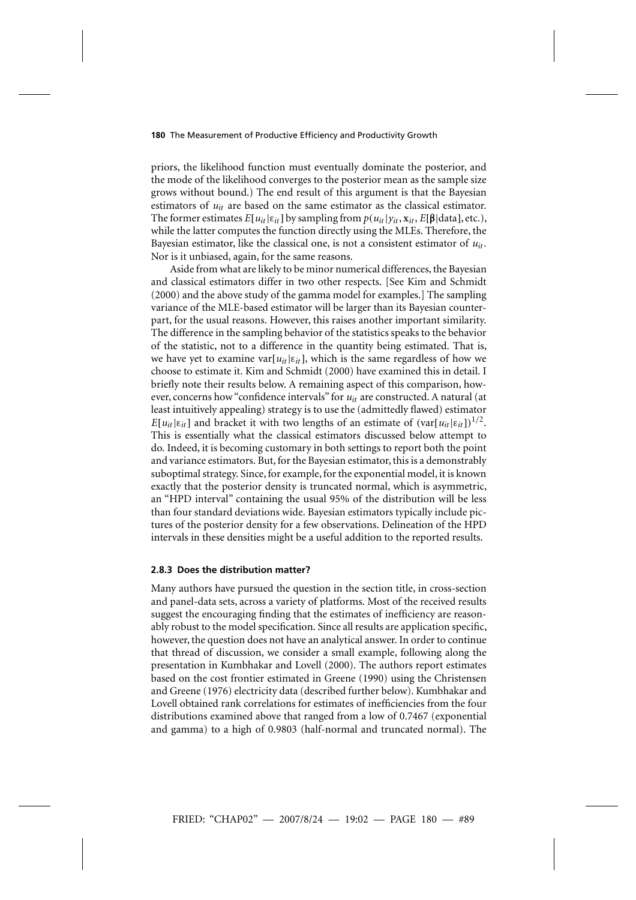priors, the likelihood function must eventually dominate the posterior, and the mode of the likelihood converges to the posterior mean as the sample size grows without bound.) The end result of this argument is that the Bayesian estimators of *uit* are based on the same estimator as the classical estimator. The former estimates  $E[u_{it} | \varepsilon_{it}]$  by sampling from  $p(u_{it} | y_{it}, x_{it}, E[\beta| \text{data}], \text{etc.}),$ while the latter computes the function directly using the MLEs. Therefore, the Bayesian estimator, like the classical one, is not a consistent estimator of *uit* . Nor is it unbiased, again, for the same reasons.

Aside from what are likely to be minor numerical differences, the Bayesian and classical estimators differ in two other respects. [See Kim and Schmidt (2000) and the above study of the gamma model for examples.] The sampling variance of the MLE-based estimator will be larger than its Bayesian counterpart, for the usual reasons. However, this raises another important similarity. The difference in the sampling behavior of the statistics speaks to the behavior of the statistic, not to a difference in the quantity being estimated. That is, we have yet to examine var[ $u_{it}$ | $\varepsilon_{it}$ ], which is the same regardless of how we choose to estimate it. Kim and Schmidt (2000) have examined this in detail. I briefly note their results below. A remaining aspect of this comparison, however, concerns how "confidence intervals"for *uit* are constructed. A natural (at least intuitively appealing) strategy is to use the (admittedly flawed) estimator *E*[ $u_{it}$ | $\varepsilon_{it}$ ] and bracket it with two lengths of an estimate of  $(\text{var}[u_{it} | \varepsilon_{it}])^{1/2}$ . This is essentially what the classical estimators discussed below attempt to do. Indeed, it is becoming customary in both settings to report both the point and variance estimators. But, for the Bayesian estimator, this is a demonstrably suboptimal strategy. Since, for example, for the exponential model, it is known exactly that the posterior density is truncated normal, which is asymmetric, an "HPD interval" containing the usual 95% of the distribution will be less than four standard deviations wide. Bayesian estimators typically include pictures of the posterior density for a few observations. Delineation of the HPD intervals in these densities might be a useful addition to the reported results.

# **2.8.3 Does the distribution matter?**

Many authors have pursued the question in the section title, in cross-section and panel-data sets, across a variety of platforms. Most of the received results suggest the encouraging finding that the estimates of inefficiency are reasonably robust to the model specification. Since all results are application specific, however, the question does not have an analytical answer. In order to continue that thread of discussion, we consider a small example, following along the presentation in Kumbhakar and Lovell (2000). The authors report estimates based on the cost frontier estimated in Greene (1990) using the Christensen and Greene (1976) electricity data (described further below). Kumbhakar and Lovell obtained rank correlations for estimates of inefficiencies from the four distributions examined above that ranged from a low of 0.7467 (exponential and gamma) to a high of 0.9803 (half-normal and truncated normal). The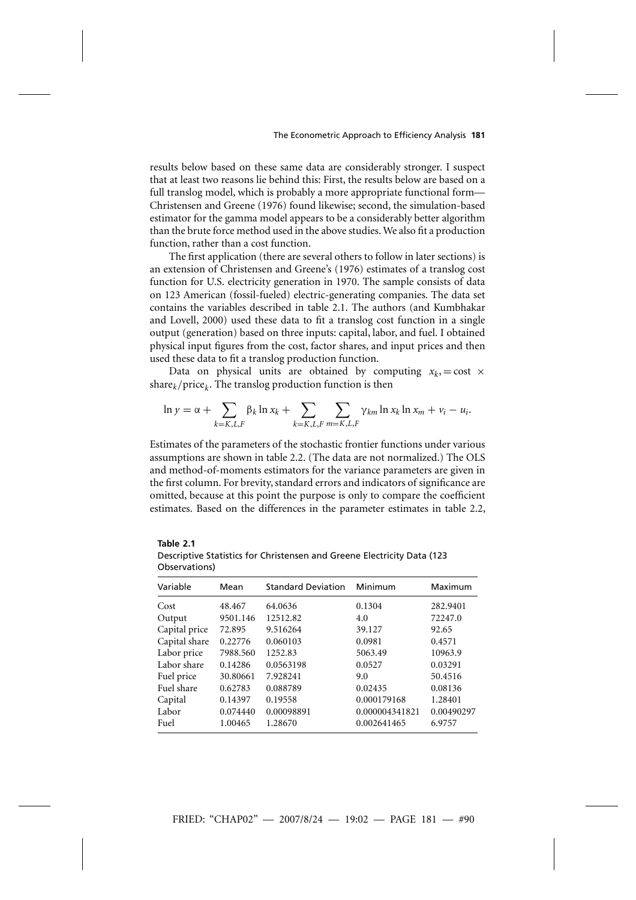results below based on these same data are considerably stronger. I suspect that at least two reasons lie behind this: First, the results below are based on a full translog model, which is probably a more appropriate functional form— Christensen and Greene (1976) found likewise; second, the simulation-based estimator for the gamma model appears to be a considerably better algorithm than the brute force method used in the above studies. We also fit a production function, rather than a cost function.

The first application (there are several others to follow in later sections) is an extension of Christensen and Greene's (1976) estimates of a translog cost function for U.S. electricity generation in 1970. The sample consists of data on 123 American (fossil-fueled) electric-generating companies. The data set contains the variables described in table 2.1. The authors (and Kumbhakar and Lovell, 2000) used these data to fit a translog cost function in a single output (generation) based on three inputs: capital, labor, and fuel. I obtained physical input figures from the cost, factor shares, and input prices and then used these data to fit a translog production function.

Data on physical units are obtained by computing  $x_k$ , = cost  $\times$ share $k$ /price $k$ . The translog production function is then

$$
\ln y = \alpha + \sum_{k=K,L,F} \beta_k \ln x_k + \sum_{k=K,L,F} \sum_{m=K,L,F} \gamma_{km} \ln x_k \ln x_m + v_i - u_i.
$$

Estimates of the parameters of the stochastic frontier functions under various assumptions are shown in table 2.2. (The data are not normalized.) The OLS and method-of-moments estimators for the variance parameters are given in the first column. For brevity, standard errors and indicators of significance are omitted, because at this point the purpose is only to compare the coefficient estimates. Based on the differences in the parameter estimates in table 2.2,

**Table 2.1** Descriptive Statistics for Christensen and Greene Electricity Data (123 Observations)

| Variable      | Mean     | <b>Standard Deviation</b> | Minimum        | Maximum    |
|---------------|----------|---------------------------|----------------|------------|
| Cost          | 48.467   | 64.0636                   | 0.1304         | 282.9401   |
| Output        | 9501.146 | 12512.82                  | 4.0            | 72247.0    |
| Capital price | 72.895   | 9.516264                  | 39.127         | 92.65      |
| Capital share | 0.22776  | 0.060103                  | 0.0981         | 0.4571     |
| Labor price   | 7988.560 | 1252.83                   | 5063.49        | 10963.9    |
| Labor share   | 0.14286  | 0.0563198                 | 0.0527         | 0.03291    |
| Fuel price    | 30.80661 | 7.928241                  | 9.0            | 50.4516    |
| Fuel share    | 0.62783  | 0.088789                  | 0.02435        | 0.08136    |
| Capital       | 0.14397  | 0.19558                   | 0.000179168    | 1.28401    |
| Labor         | 0.074440 | 0.00098891                | 0.000004341821 | 0.00490297 |
| Fuel          | 1.00465  | 1.28670                   | 0.002641465    | 6.9757     |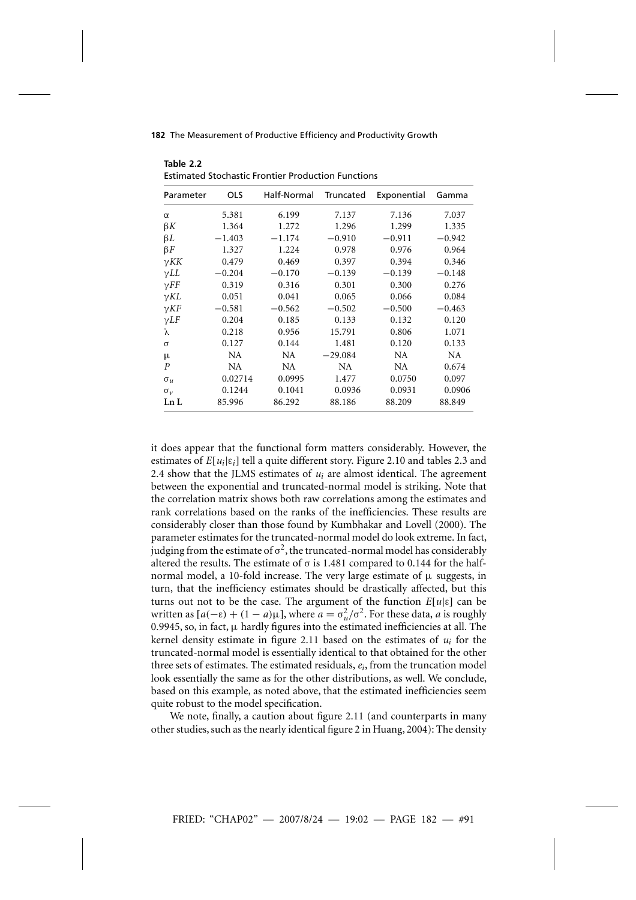| Parameter      | <b>OLS</b> | Half-Normal | Truncated | Exponential | Gamma     |
|----------------|------------|-------------|-----------|-------------|-----------|
| $\alpha$       | 5.381      | 6.199       | 7.137     | 7.136       | 7.037     |
| $\beta K$      | 1.364      | 1.272       | 1.296     | 1.299       | 1.335     |
| βL             | $-1.403$   | $-1.174$    | $-0.910$  | $-0.911$    | $-0.942$  |
| $\beta F$      | 1.327      | 1.224       | 0.978     | 0.976       | 0.964     |
| $\gamma K K$   | 0.479      | 0.469       | 0.397     | 0.394       | 0.346     |
| γLL            | $-0.204$   | $-0.170$    | $-0.139$  | $-0.139$    | $-0.148$  |
| $\gamma FF$    | 0.319      | 0.316       | 0.301     | 0.300       | 0.276     |
| $\gamma KL$    | 0.051      | 0.041       | 0.065     | 0.066       | 0.084     |
| $\gamma K F$   | $-0.581$   | $-0.562$    | $-0.502$  | $-0.500$    | $-0.463$  |
| $\gamma L F$   | 0.204      | 0.185       | 0.133     | 0.132       | 0.120     |
| λ              | 0.218      | 0.956       | 15.791    | 0.806       | 1.071     |
| $\sigma$       | 0.127      | 0.144       | 1.481     | 0.120       | 0.133     |
| μ              | <b>NA</b>  | NA          | $-29.084$ | NA          | <b>NA</b> |
| P              | <b>NA</b>  | NA          | NA        | NA.         | 0.674     |
| $\sigma_u$     | 0.02714    | 0.0995      | 1.477     | 0.0750      | 0.097     |
| $\sigma_{\nu}$ | 0.1244     | 0.1041      | 0.0936    | 0.0931      | 0.0906    |
| Ln L           | 85.996     | 86.292      | 88.186    | 88.209      | 88.849    |

Estimated Stochastic Frontier Production Functions

**Table 2.2**

it does appear that the functional form matters considerably. However, the estimates of *E*[*ui*|ε*i*] tell a quite different story. Figure 2.10 and tables 2.3 and 2.4 show that the JLMS estimates of  $u_i$  are almost identical. The agreement between the exponential and truncated-normal model is striking. Note that the correlation matrix shows both raw correlations among the estimates and rank correlations based on the ranks of the inefficiencies. These results are considerably closer than those found by Kumbhakar and Lovell (2000). The parameter estimates for the truncated-normal model do look extreme. In fact, judging from the estimate of  $\sigma^2$ , the truncated-normal model has considerably altered the results. The estimate of  $\sigma$  is 1.481 compared to 0.144 for the halfnormal model, a 10-fold increase. The very large estimate of  $\mu$  suggests, in turn, that the inefficiency estimates should be drastically affected, but this turns out not to be the case. The argument of the function *E*[*u*|ε] can be written as  $[a(-\varepsilon) + (1 - a)\mu]$ , where  $a = \sigma_u^2/\sigma^2$ . For these data, *a* is roughly 0.9945, so, in fact,  $\mu$  hardly figures into the estimated inefficiencies at all. The kernel density estimate in figure 2.11 based on the estimates of *ui* for the truncated-normal model is essentially identical to that obtained for the other three sets of estimates. The estimated residuals,*ei*, from the truncation model look essentially the same as for the other distributions, as well. We conclude, based on this example, as noted above, that the estimated inefficiencies seem quite robust to the model specification.

We note, finally, a caution about figure 2.11 (and counterparts in many other studies, such as the nearly identical figure 2 in Huang, 2004): The density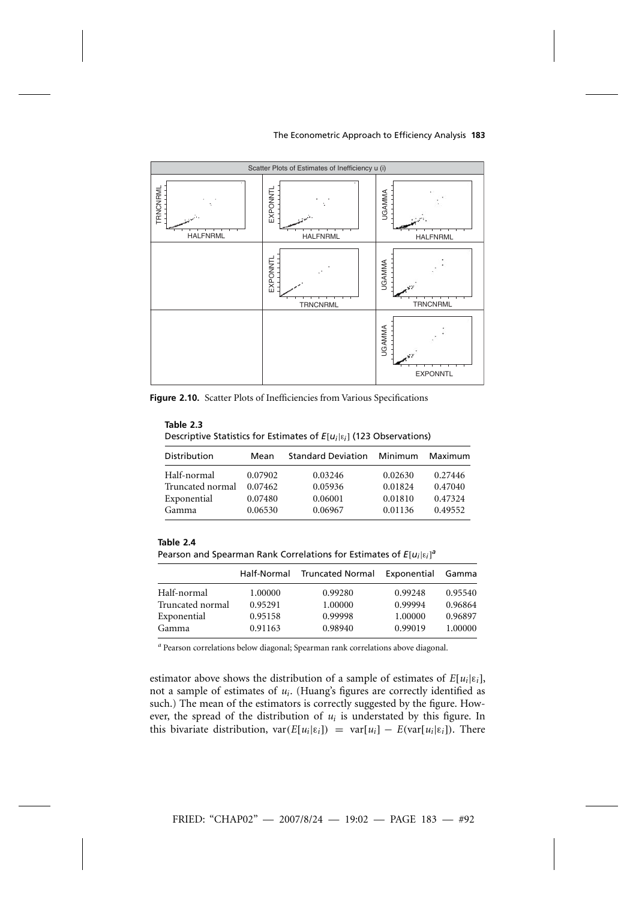

**Figure 2.10.** Scatter Plots of Inefficiencies from Various Specifications

| Descriptive Statistics for Estimates of $E[u_i \varepsilon_i]$ (123 Observations) |         |                           |         |         |  |  |
|-----------------------------------------------------------------------------------|---------|---------------------------|---------|---------|--|--|
| <b>Distribution</b>                                                               | Mean    | <b>Standard Deviation</b> | Minimum | Maximum |  |  |
| Half-normal                                                                       | 0.07902 | 0.03246                   | 0.02630 | 0.27446 |  |  |
| Truncated normal                                                                  | 0.07462 | 0.05936                   | 0.01824 | 0.47040 |  |  |
| Exponential                                                                       | 0.07480 | 0.06001                   | 0.01810 | 0.47324 |  |  |
| Gamma                                                                             | 0.06530 | 0.06967                   | 0.01136 | 0.49552 |  |  |

#### **Table 2.4**

**Table 2.3**

**Pearson and Spearman Rank Correlations for Estimates of**  $E[u_i|\varepsilon_i]$ **<sup>a</sup>** 

|                  | Half-Normal | Truncated Normal | Exponential | Gamma   |
|------------------|-------------|------------------|-------------|---------|
| Half-normal      | 1.00000     | 0.99280          | 0.99248     | 0.95540 |
| Truncated normal | 0.95291     | 1.00000          | 0.99994     | 0.96864 |
| Exponential      | 0.95158     | 0.99998          | 1.00000     | 0.96897 |
| Gamma            | 0.91163     | 0.98940          | 0.99019     | 1.00000 |

*<sup>a</sup>* Pearson correlations below diagonal; Spearman rank correlations above diagonal.

estimator above shows the distribution of a sample of estimates of  $E[u_i|\varepsilon_i]$ , not a sample of estimates of *ui*. (Huang's figures are correctly identified as such.) The mean of the estimators is correctly suggested by the figure. However, the spread of the distribution of *ui* is understated by this figure. In this bivariate distribution,  $var(E[u_i|\varepsilon_i]) = var[u_i] - E(var[u_i|\varepsilon_i])$ . There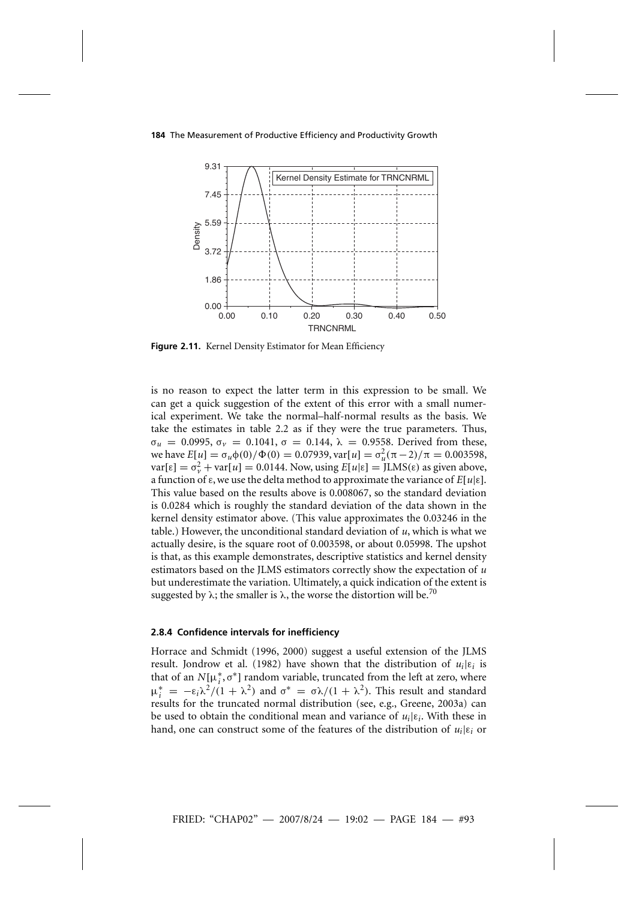

**Figure 2.11.** Kernel Density Estimator for Mean Efficiency

is no reason to expect the latter term in this expression to be small. We can get a quick suggestion of the extent of this error with a small numerical experiment. We take the normal–half-normal results as the basis. We take the estimates in table 2.2 as if they were the true parameters. Thus, σ*<sup>u</sup>* = 0.0995, σ*<sup>v</sup>* = 0.1041, σ = 0.144, λ = 0.9558. Derived from these, we have  $E[u] = σ<sub>u</sub>φ(0)/Φ(0) = 0.07939$ , var[*u*] =  $σ<sub>u</sub><sup>2</sup>(π − 2)/π = 0.003598$ ,  $var[\varepsilon] = \sigma_v^2 + var[u] = 0.0144$ . Now, using  $E[u|\varepsilon] = JLMS(\varepsilon)$  as given above, a function of ε, we use the delta method to approximate the variance of *E*[*u*|ε]. This value based on the results above is 0.008067, so the standard deviation is 0.0284 which is roughly the standard deviation of the data shown in the kernel density estimator above. (This value approximates the 0.03246 in the table.) However, the unconditional standard deviation of *u*, which is what we actually desire, is the square root of 0.003598, or about 0.05998. The upshot is that, as this example demonstrates, descriptive statistics and kernel density estimators based on the JLMS estimators correctly show the expectation of *u* but underestimate the variation. Ultimately, a quick indication of the extent is suggested by  $\lambda$ ; the smaller is  $\lambda$ , the worse the distortion will be.<sup>70</sup>

#### **2.8.4 Confidence intervals for inefficiency**

Horrace and Schmidt (1996, 2000) suggest a useful extension of the JLMS result. Jondrow et al. (1982) have shown that the distribution of  $u_i|\varepsilon_i$  is that of an  $N[\mu_i^*, \sigma^*]$  random variable, truncated from the left at zero, where  $\mu_i^* = -\varepsilon_i \lambda^2/(1 + \lambda^2)$  and  $\sigma^* = \sigma \lambda/(1 + \lambda^2)$ . This result and standard results for the truncated normal distribution (see, e.g., Greene, 2003a) can be used to obtain the conditional mean and variance of *ui*|ε*i*. With these in hand, one can construct some of the features of the distribution of *ui*|ε*<sup>i</sup>* or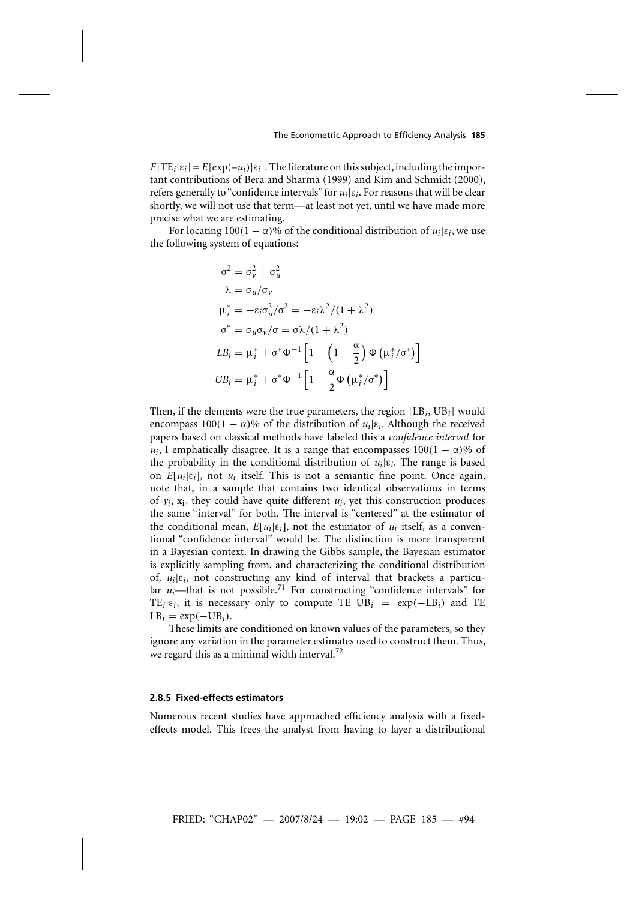$E[TE_i|\varepsilon_i] = E[\exp(-u_i)|\varepsilon_i]$ . The literature on this subject, including the important contributions of Bera and Sharma (1999) and Kim and Schmidt (2000), refers generally to "confidence intervals"for *ui*|ε*i*. For reasons that will be clear shortly, we will not use that term—at least not yet, until we have made more precise what we are estimating.

For locating  $100(1 - \alpha)$ % of the conditional distribution of  $u_i|\varepsilon_i$ , we use the following system of equations:

$$
\sigma^2 = \sigma_v^2 + \sigma_u^2
$$
  
\n
$$
\lambda = \sigma_u/\sigma_v
$$
  
\n
$$
\mu_i^* = -\varepsilon_i \sigma_u^2/\sigma^2 = -\varepsilon_i \lambda^2/(1 + \lambda^2)
$$
  
\n
$$
\sigma^* = \sigma_u \sigma_v/\sigma = \sigma \lambda/(1 + \lambda^2)
$$
  
\n
$$
LB_i = \mu_i^* + \sigma^* \Phi^{-1} \left[1 - \left(1 - \frac{\alpha}{2}\right) \Phi\left(\mu_i^* / \sigma^*\right)\right]
$$
  
\n
$$
UB_i = \mu_i^* + \sigma^* \Phi^{-1} \left[1 - \frac{\alpha}{2} \Phi\left(\mu_i^* / \sigma^*\right)\right]
$$

Then, if the elements were the true parameters, the region [LB*i*, UB*i*] would encompass  $100(1 - \alpha)$ % of the distribution of  $u_i|\varepsilon_i$ . Although the received papers based on classical methods have labeled this a *confidence interval* for  $u_i$ , I emphatically disagree. It is a range that encompasses  $100(1 - \alpha)$ % of the probability in the conditional distribution of  $u_i|\varepsilon_i$ . The range is based on  $E[u_i|\varepsilon_i]$ , not  $u_i$  itself. This is not a semantic fine point. Once again, note that, in a sample that contains two identical observations in terms of  $y_i$ ,  $\mathbf{x}_i$ , they could have quite different  $u_i$ , yet this construction produces the same "interval" for both. The interval is "centered" at the estimator of the conditional mean,  $E[u_i|\varepsilon_i]$ , not the estimator of  $u_i$  itself, as a conventional "confidence interval" would be. The distinction is more transparent in a Bayesian context. In drawing the Gibbs sample, the Bayesian estimator is explicitly sampling from, and characterizing the conditional distribution of, *ui*|ε*i*, not constructing any kind of interval that brackets a particular  $u_i$ —that is not possible.<sup>71</sup> For constructing "confidence intervals" for TE<sub>*i*</sub>| $\varepsilon_i$ , it is necessary only to compute TE UB<sub>*i*</sub> = exp(-LB<sub>*i*</sub>) and TE  $LB_i = \exp(-UB_i).$ 

These limits are conditioned on known values of the parameters, so they ignore any variation in the parameter estimates used to construct them. Thus, we regard this as a minimal width interval.<sup>72</sup>

## **2.8.5 Fixed-effects estimators**

Numerous recent studies have approached efficiency analysis with a fixedeffects model. This frees the analyst from having to layer a distributional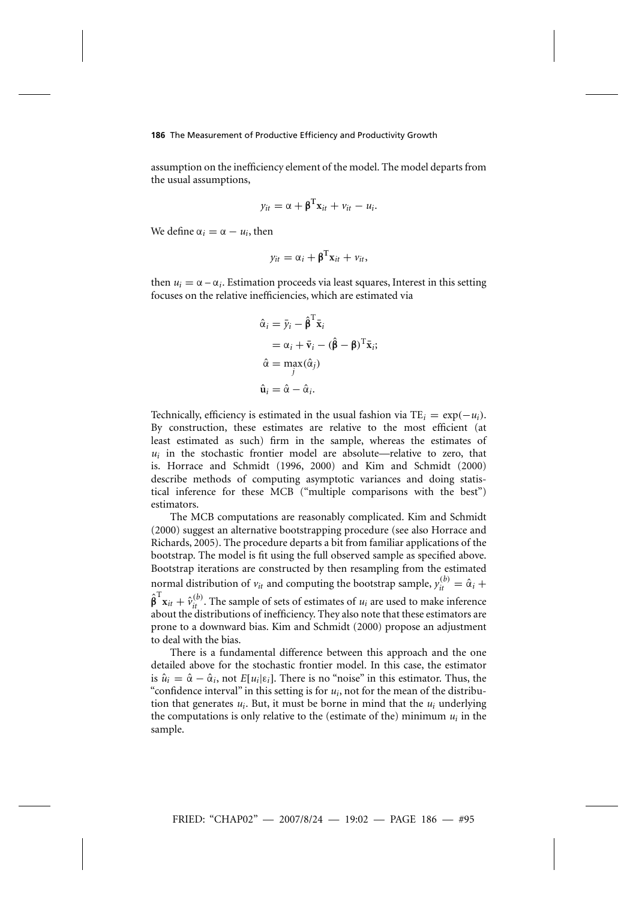assumption on the inefficiency element of the model. The model departs from the usual assumptions,

$$
y_{it} = \alpha + \beta^{T} x_{it} + v_{it} - u_{i}.
$$

We define  $\alpha_i = \alpha - u_i$ , then

$$
y_{it} = \alpha_i + \beta^{\mathrm{T}} x_{it} + v_{it},
$$

then  $u_i = \alpha - \alpha_i$ . Estimation proceeds via least squares, Interest in this setting focuses on the relative inefficiencies, which are estimated via

$$
\hat{\alpha}_i = \bar{y}_i - \hat{\beta}^\mathrm{T} \bar{\mathbf{x}}_i \n= \alpha_i + \bar{\mathbf{v}}_i - (\hat{\beta} - \beta)^\mathrm{T} \bar{\mathbf{x}}_i; \n\hat{\alpha} = \max_j (\hat{\alpha}_j) \n\hat{\mathbf{u}}_i = \hat{\alpha} - \hat{\alpha}_i.
$$

Technically, efficiency is estimated in the usual fashion via  $TE_i = \exp(-u_i)$ . By construction, these estimates are relative to the most efficient (at least estimated as such) firm in the sample, whereas the estimates of  $u_i$  in the stochastic frontier model are absolute—relative to zero, that is. Horrace and Schmidt (1996, 2000) and Kim and Schmidt (2000) describe methods of computing asymptotic variances and doing statistical inference for these MCB ("multiple comparisons with the best") estimators.

The MCB computations are reasonably complicated. Kim and Schmidt (2000) suggest an alternative bootstrapping procedure (see also Horrace and Richards, 2005). The procedure departs a bit from familiar applications of the bootstrap. The model is fit using the full observed sample as specified above. Bootstrap iterations are constructed by then resampling from the estimated normal distribution of  $v_{it}$  and computing the bootstrap sample,  $y_{it}^{(b)} = \hat{\alpha}_i + \hat{\beta}_i$  $\hat{\beta}^{\text{T}}\textbf{x}_{it} + \hat{\nu}^{\textit{(b)}}_{it}$ . The sample of sets of estimates of *u<sub>i</sub>* are used to make inference about the distributions of inefficiency. They also note that these estimators are prone to a downward bias. Kim and Schmidt (2000) propose an adjustment to deal with the bias.

There is a fundamental difference between this approach and the one detailed above for the stochastic frontier model. In this case, the estimator is  $\hat{u}_i = \hat{\alpha} - \hat{\alpha}_i$ , not *E*[ $u_i$ | $\varepsilon_i$ ]. There is no "noise" in this estimator. Thus, the "confidence interval" in this setting is for  $u_i$ , not for the mean of the distribution that generates  $u_i$ . But, it must be borne in mind that the  $u_i$  underlying the computations is only relative to the (estimate of the) minimum  $u_i$  in the sample.

FRIED: "CHAP02" — 2007/8/24 — 19:02 — PAGE 186 — #95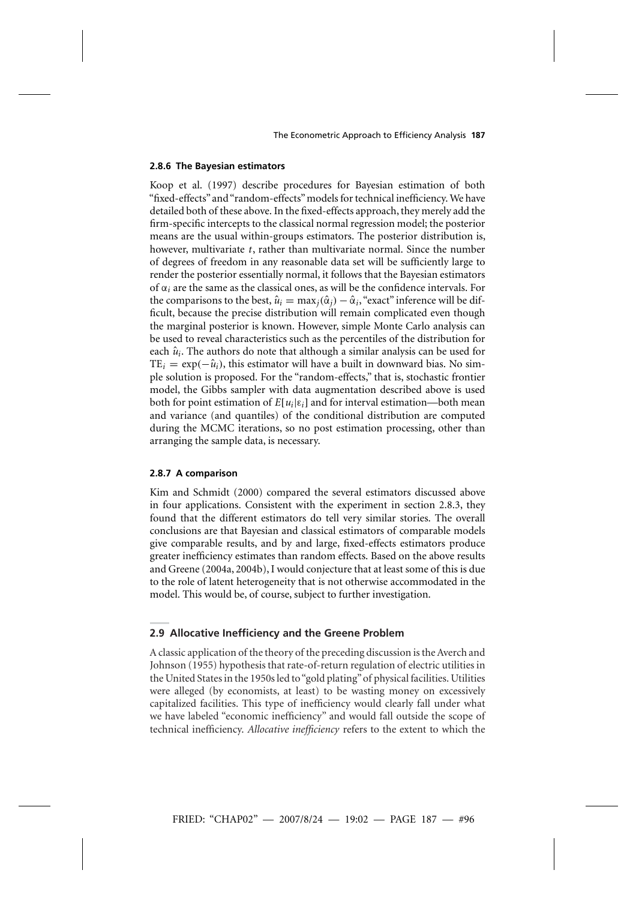### **2.8.6 The Bayesian estimators**

Koop et al. (1997) describe procedures for Bayesian estimation of both "fixed-effects" and "random-effects"models for technical inefficiency. We have detailed both of these above. In the fixed-effects approach, they merely add the firm-specific intercepts to the classical normal regression model; the posterior means are the usual within-groups estimators. The posterior distribution is, however, multivariate *t*, rather than multivariate normal. Since the number of degrees of freedom in any reasonable data set will be sufficiently large to render the posterior essentially normal, it follows that the Bayesian estimators of  $\alpha_i$  are the same as the classical ones, as will be the confidence intervals. For the comparisons to the best,  $\hat{u}_i = \max_j(\hat{\alpha}_j) - \hat{\alpha}_i$ , "exact" inference will be difficult, because the precise distribution will remain complicated even though the marginal posterior is known. However, simple Monte Carlo analysis can be used to reveal characteristics such as the percentiles of the distribution for each  $\hat{u}_i$ . The authors do note that although a similar analysis can be used for TE<sub>*i*</sub> =  $\exp(-\hat{u}_i)$ , this estimator will have a built in downward bias. No simple solution is proposed. For the "random-effects," that is, stochastic frontier model, the Gibbs sampler with data augmentation described above is used both for point estimation of  $E[u_i|\varepsilon_i]$  and for interval estimation—both mean and variance (and quantiles) of the conditional distribution are computed during the MCMC iterations, so no post estimation processing, other than arranging the sample data, is necessary.

### **2.8.7 A comparison**

Kim and Schmidt (2000) compared the several estimators discussed above in four applications. Consistent with the experiment in section 2.8.3, they found that the different estimators do tell very similar stories. The overall conclusions are that Bayesian and classical estimators of comparable models give comparable results, and by and large, fixed-effects estimators produce greater inefficiency estimates than random effects. Based on the above results and Greene (2004a, 2004b), I would conjecture that at least some of this is due to the role of latent heterogeneity that is not otherwise accommodated in the model. This would be, of course, subject to further investigation.

### **2.9 Allocative Inefficiency and the Greene Problem**

A classic application of the theory of the preceding discussion is the Averch and Johnson (1955) hypothesis that rate-of-return regulation of electric utilities in the United States in the 1950s led to"gold plating"of physical facilities. Utilities were alleged (by economists, at least) to be wasting money on excessively capitalized facilities. This type of inefficiency would clearly fall under what we have labeled "economic inefficiency" and would fall outside the scope of technical inefficiency. *Allocative inefficiency* refers to the extent to which the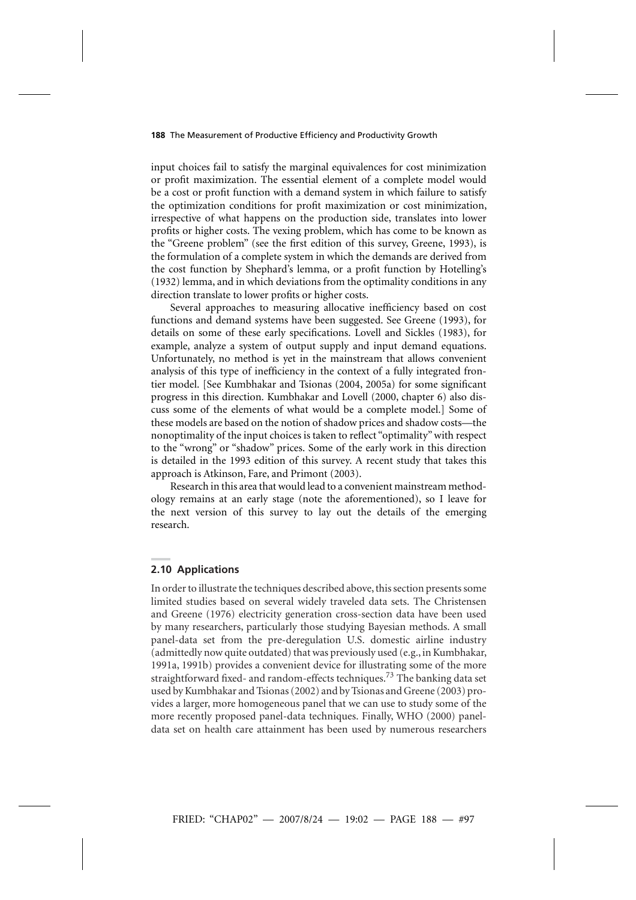input choices fail to satisfy the marginal equivalences for cost minimization or profit maximization. The essential element of a complete model would be a cost or profit function with a demand system in which failure to satisfy the optimization conditions for profit maximization or cost minimization, irrespective of what happens on the production side, translates into lower profits or higher costs. The vexing problem, which has come to be known as the "Greene problem" (see the first edition of this survey, Greene, 1993), is the formulation of a complete system in which the demands are derived from the cost function by Shephard's lemma, or a profit function by Hotelling's (1932) lemma, and in which deviations from the optimality conditions in any direction translate to lower profits or higher costs.

Several approaches to measuring allocative inefficiency based on cost functions and demand systems have been suggested. See Greene (1993), for details on some of these early specifications. Lovell and Sickles (1983), for example, analyze a system of output supply and input demand equations. Unfortunately, no method is yet in the mainstream that allows convenient analysis of this type of inefficiency in the context of a fully integrated frontier model. [See Kumbhakar and Tsionas (2004, 2005a) for some significant progress in this direction. Kumbhakar and Lovell (2000, chapter 6) also discuss some of the elements of what would be a complete model.] Some of these models are based on the notion of shadow prices and shadow costs—the nonoptimality of the input choices is taken to reflect "optimality" with respect to the "wrong" or "shadow" prices. Some of the early work in this direction is detailed in the 1993 edition of this survey. A recent study that takes this approach is Atkinson, Fare, and Primont (2003).

Research in this area that would lead to a convenient mainstream methodology remains at an early stage (note the aforementioned), so I leave for the next version of this survey to lay out the details of the emerging research.

# **2.10 Applications**

In order to illustrate the techniques described above, this section presents some limited studies based on several widely traveled data sets. The Christensen and Greene (1976) electricity generation cross-section data have been used by many researchers, particularly those studying Bayesian methods. A small panel-data set from the pre-deregulation U.S. domestic airline industry (admittedly now quite outdated) that was previously used (e.g., in Kumbhakar, 1991a, 1991b) provides a convenient device for illustrating some of the more straightforward fixed- and random-effects techniques.<sup>73</sup> The banking data set used by Kumbhakar and Tsionas (2002) and by Tsionas and Greene (2003) provides a larger, more homogeneous panel that we can use to study some of the more recently proposed panel-data techniques. Finally, WHO (2000) paneldata set on health care attainment has been used by numerous researchers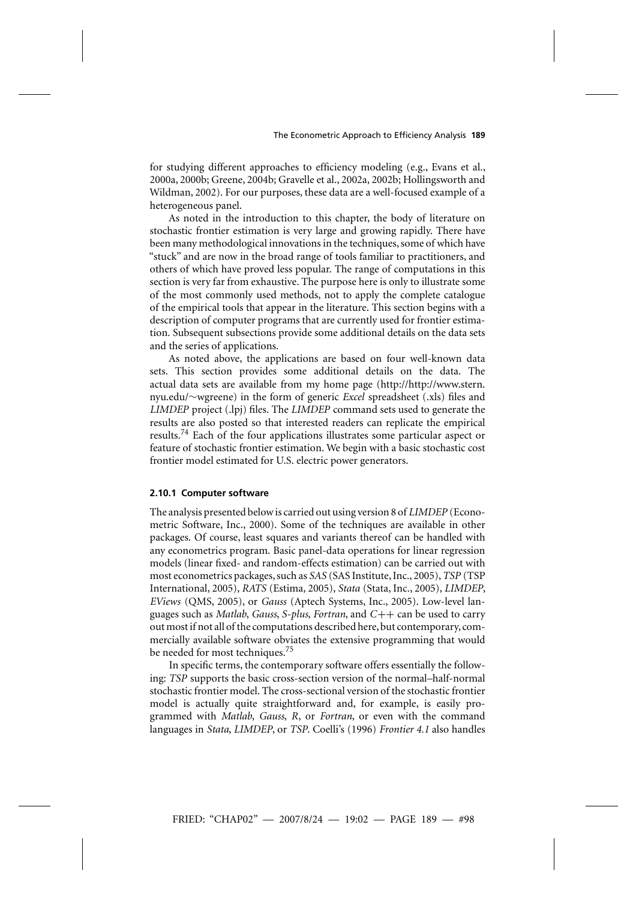for studying different approaches to efficiency modeling (e.g., Evans et al., 2000a, 2000b; Greene, 2004b; Gravelle et al., 2002a, 2002b; Hollingsworth and Wildman, 2002). For our purposes, these data are a well-focused example of a heterogeneous panel.

As noted in the introduction to this chapter, the body of literature on stochastic frontier estimation is very large and growing rapidly. There have been many methodological innovations in the techniques, some of which have "stuck" and are now in the broad range of tools familiar to practitioners, and others of which have proved less popular. The range of computations in this section is very far from exhaustive. The purpose here is only to illustrate some of the most commonly used methods, not to apply the complete catalogue of the empirical tools that appear in the literature. This section begins with a description of computer programs that are currently used for frontier estimation. Subsequent subsections provide some additional details on the data sets and the series of applications.

As noted above, the applications are based on four well-known data sets. This section provides some additional details on the data. The actual data sets are available from my home page (http://http://www.stern. nyu.edu/∼wgreene) in the form of generic *Excel* spreadsheet (.xls) files and *LIMDEP* project (.lpj) files. The *LIMDEP* command sets used to generate the results are also posted so that interested readers can replicate the empirical results.74 Each of the four applications illustrates some particular aspect or feature of stochastic frontier estimation. We begin with a basic stochastic cost frontier model estimated for U.S. electric power generators.

# **2.10.1 Computer software**

The analysis presented below is carried out using version 8 of *LIMDEP* (Econometric Software, Inc., 2000). Some of the techniques are available in other packages. Of course, least squares and variants thereof can be handled with any econometrics program. Basic panel-data operations for linear regression models (linear fixed- and random-effects estimation) can be carried out with most econometrics packages, such as *SAS* (SAS Institute, Inc., 2005),*TSP* (TSP International, 2005), *RATS* (Estima, 2005), *Stata* (Stata, Inc., 2005), *LIMDEP*, *EViews* (QMS, 2005), or *Gauss* (Aptech Systems, Inc., 2005). Low-level languages such as *Matlab*, *Gauss*, *S-plus*, *Fortran*, and *C*++ can be used to carry out most if not all of the computations described here, but contemporary, commercially available software obviates the extensive programming that would be needed for most techniques.75

In specific terms, the contemporary software offers essentially the following: *TSP* supports the basic cross-section version of the normal–half-normal stochastic frontier model. The cross-sectional version of the stochastic frontier model is actually quite straightforward and, for example, is easily programmed with *Matlab*, *Gauss*, *R*, or *Fortran*, or even with the command languages in *Stata*, *LIMDEP*, or *TSP*. Coelli's (1996) *Frontier 4.1* also handles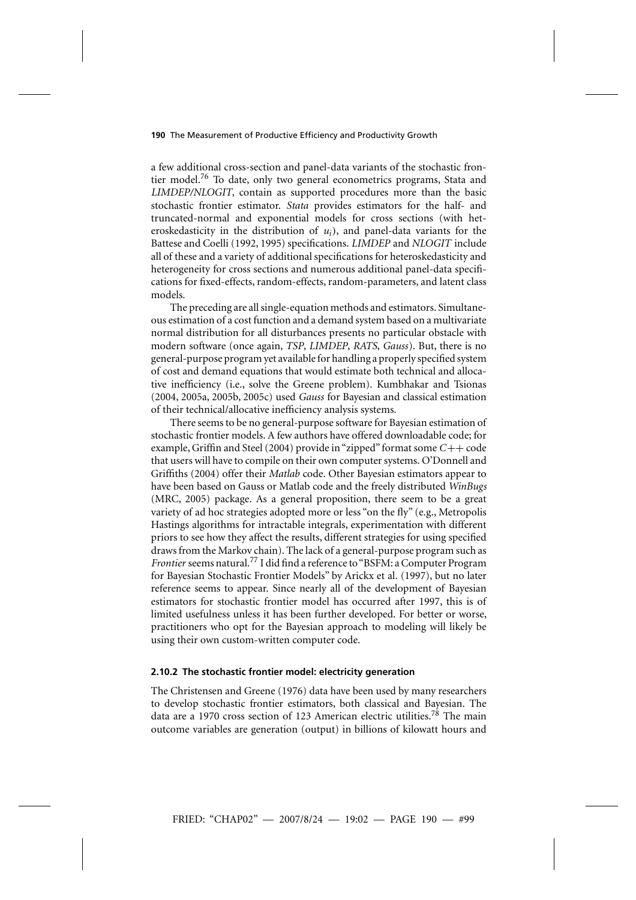a few additional cross-section and panel-data variants of the stochastic frontier model.<sup>76</sup> To date, only two general econometrics programs, Stata and *LIMDEP/NLOGIT*, contain as supported procedures more than the basic stochastic frontier estimator. *Stata* provides estimators for the half- and truncated-normal and exponential models for cross sections (with heteroskedasticity in the distribution of *ui*), and panel-data variants for the Battese and Coelli (1992, 1995) specifications. *LIMDEP* and *NLOGIT* include all of these and a variety of additional specifications for heteroskedasticity and heterogeneity for cross sections and numerous additional panel-data specifications for fixed-effects, random-effects, random-parameters, and latent class models.

The preceding are all single-equation methods and estimators. Simultaneous estimation of a cost function and a demand system based on a multivariate normal distribution for all disturbances presents no particular obstacle with modern software (once again, *TSP*, *LIMDEP*, *RATS*, *Gauss*). But, there is no general-purpose program yet availablefor handling a properly specified system of cost and demand equations that would estimate both technical and allocative inefficiency (i.e., solve the Greene problem). Kumbhakar and Tsionas (2004, 2005a, 2005b, 2005c) used *Gauss* for Bayesian and classical estimation of their technical/allocative inefficiency analysis systems.

There seems to be no general-purpose software for Bayesian estimation of stochastic frontier models. A few authors have offered downloadable code; for example, Griffin and Steel (2004) provide in "zipped"format some *C*++ code that users will have to compile on their own computer systems. O'Donnell and Griffiths (2004) offer their *Matlab* code. Other Bayesian estimators appear to have been based on Gauss or Matlab code and the freely distributed *WinBugs* (MRC, 2005) package. As a general proposition, there seem to be a great variety of ad hoc strategies adopted more or less "on the fly" (e.g., Metropolis Hastings algorithms for intractable integrals, experimentation with different priors to see how they affect the results, different strategies for using specified draws from the Markov chain). The lack of a general-purpose program such as *Frontier* seems natural.<sup>77</sup> I did find a reference to "BSFM: a Computer Program for Bayesian Stochastic Frontier Models" by Arickx et al. (1997), but no later reference seems to appear. Since nearly all of the development of Bayesian estimators for stochastic frontier model has occurred after 1997, this is of limited usefulness unless it has been further developed. For better or worse, practitioners who opt for the Bayesian approach to modeling will likely be using their own custom-written computer code.

#### **2.10.2 The stochastic frontier model: electricity generation**

The Christensen and Greene (1976) data have been used by many researchers to develop stochastic frontier estimators, both classical and Bayesian. The data are a 1970 cross section of 123 American electric utilities.<sup>78</sup> The main outcome variables are generation (output) in billions of kilowatt hours and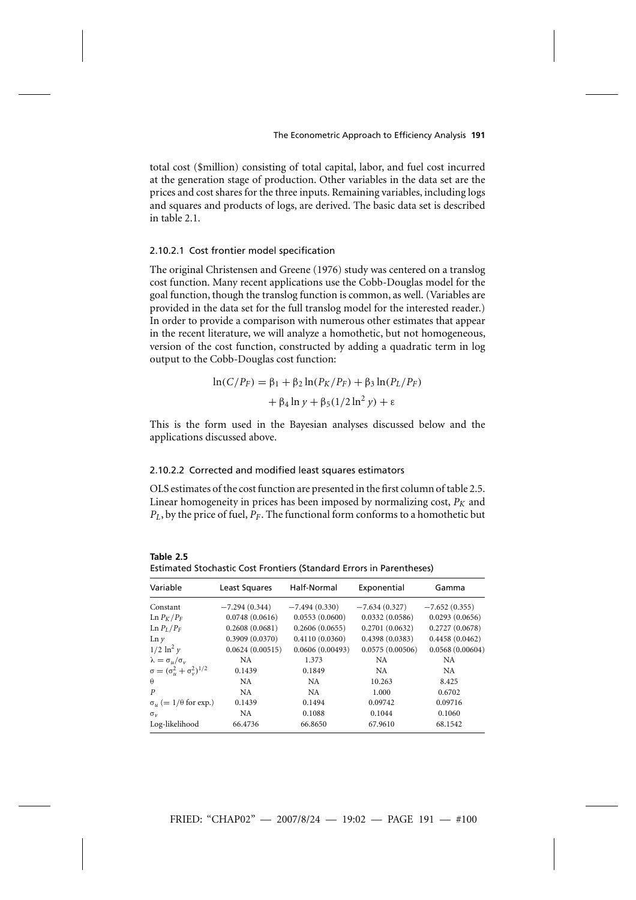total cost (\$million) consisting of total capital, labor, and fuel cost incurred at the generation stage of production. Other variables in the data set are the prices and cost shares for the three inputs. Remaining variables, including logs and squares and products of logs, are derived. The basic data set is described in table 2.1.

### 2.10.2.1 Cost frontier model specification

The original Christensen and Greene (1976) study was centered on a translog cost function. Many recent applications use the Cobb-Douglas model for the goal function, though the translog function is common, as well. (Variables are provided in the data set for the full translog model for the interested reader.) In order to provide a comparison with numerous other estimates that appear in the recent literature, we will analyze a homothetic, but not homogeneous, version of the cost function, constructed by adding a quadratic term in log output to the Cobb-Douglas cost function:

$$
\ln(C/P_F) = \beta_1 + \beta_2 \ln(P_K/P_F) + \beta_3 \ln(P_L/P_F)
$$

$$
+ \beta_4 \ln y + \beta_5 (1/2 \ln^2 y) + \varepsilon
$$

This is the form used in the Bayesian analyses discussed below and the applications discussed above.

### 2.10.2.2 Corrected and modified least squares estimators

OLS estimates of the cost function are presented in the first column of table 2.5. Linear homogeneity in prices has been imposed by normalizing cost,  $P_K$  and *PL*, by the price of fuel, *PF* . The functional form conforms to a homothetic but

**Table 2.5** Estimated Stochastic Cost Frontiers (Standard Errors in Parentheses)

| Variable                                   | Least Squares   | Half-Normal     | Exponential     | Gamma           |
|--------------------------------------------|-----------------|-----------------|-----------------|-----------------|
| Constant                                   | $-7.294(0.344)$ | $-7.494(0.330)$ | $-7.634(0.327)$ | $-7.652(0.355)$ |
| $\ln P_K/P_F$                              | 0.0748(0.0616)  | 0.0553(0.0600)  | 0.0332(0.0586)  | 0.0293(0.0656)  |
| $\ln P_L/P_F$                              | 0.2608(0.0681)  | 0.2606(0.0655)  | 0.2701(0.0632)  | 0.2727(0.0678)  |
| $\ln y$                                    | 0.3909(0.0370)  | 0.4110(0.0360)  | 0.4398(0.0383)  | 0.4458(0.0462)  |
| $1/2 \ln^2 y$                              | 0.0624(0.00515) | 0.0606(0.00493) | 0.0575(0.00506) | 0.0568(0.00604) |
| $\lambda = \sigma_u / \sigma_v$            | <b>NA</b>       | 1.373           | <b>NA</b>       | <b>NA</b>       |
| $\sigma = (\sigma_w^2 + \sigma_w^2)^{1/2}$ | 0.1439          | 0.1849          | <b>NA</b>       | <b>NA</b>       |
| $\theta$                                   | <b>NA</b>       | <b>NA</b>       | 10.263          | 8.425           |
| P                                          | <b>NA</b>       | NA.             | 1.000           | 0.6702          |
| $\sigma_u$ (= 1/ $\theta$ for exp.)        | 0.1439          | 0.1494          | 0.09742         | 0.09716         |
| $\sigma_{\nu}$                             | <b>NA</b>       | 0.1088          | 0.1044          | 0.1060          |
| Log-likelihood                             | 66.4736         | 66.8650         | 67.9610         | 68.1542         |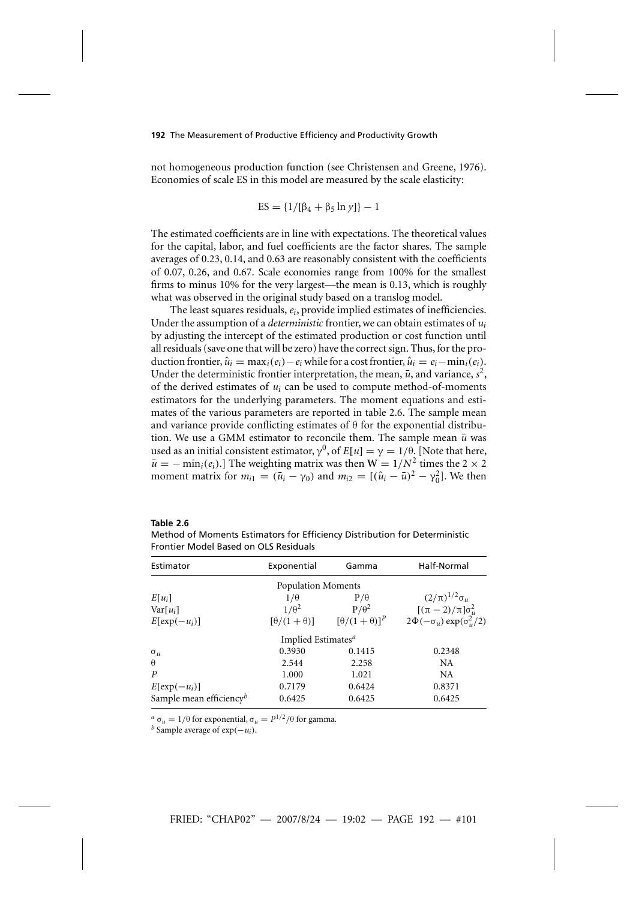not homogeneous production function (see Christensen and Greene, 1976). Economies of scale ES in this model are measured by the scale elasticity:

$$
ES = \{1/[\beta_4 + \beta_5 \ln y]\} - 1
$$

The estimated coefficients are in line with expectations. The theoretical values for the capital, labor, and fuel coefficients are the factor shares. The sample averages of 0.23, 0.14, and 0.63 are reasonably consistent with the coefficients of 0.07, 0.26, and 0.67. Scale economies range from 100% for the smallest firms to minus 10% for the very largest—the mean is 0.13, which is roughly what was observed in the original study based on a translog model.

The least squares residuals,*ei*, provide implied estimates of inefficiencies. Under the assumption of a *deterministic* frontier, we can obtain estimates of *ui* by adjusting the intercept of the estimated production or cost function until all residuals (save one that will be zero) have the correct sign. Thus, for the production frontier,  $\hat{u}_i = \max_i(e_i) - e_i$  while for a cost frontier,  $\hat{u}_i = e_i - \min_i(e_i)$ . Under the deterministic frontier interpretation, the mean,  $\bar{u}$ , and variance,  $s^2$ , of the derived estimates of *ui* can be used to compute method-of-moments estimators for the underlying parameters. The moment equations and estimates of the various parameters are reported in table 2.6. The sample mean and variance provide conflicting estimates of  $\theta$  for the exponential distribution. We use a GMM estimator to reconcile them. The sample mean  $\bar{u}$  was used as an initial consistent estimator,  $\gamma^0$ , of  $E[u] = \gamma = 1/\theta$ . [Note that here,  $\bar{u} = -\min_i(e_i)$ .] The weighting matrix was then **W** =  $1/N^2$  times the 2 × 2 moment matrix for  $m_{i1} = (\bar{u}_i - \gamma_0)$  and  $m_{i2} = [(\hat{u}_i - \bar{u})^2 - \gamma_0^2]$ . We then

#### **Table 2.6**

Method of Moments Estimators for Efficiency Distribution for Deterministic Frontier Model Based on OLS Residuals

| Estimator                           | Exponential                           | Gamma                                         | Half-Normal                           |
|-------------------------------------|---------------------------------------|-----------------------------------------------|---------------------------------------|
|                                     | <b>Population Moments</b>             |                                               |                                       |
| $E[u_i]$                            | $1/\theta$                            | $P/\theta$                                    | $(2/\pi)^{1/2}\sigma_u$               |
| $Var[u_i]$                          | $1/\theta^2$                          | $P/\theta^2$                                  | $[(\pi - 2)/\pi] \sigma_u^2$          |
| $E[\exp(-u_i)]$                     |                                       | $[\theta/(1+\theta)]$ $[\theta/(1+\theta)]^P$ | $2\Phi(-\sigma_u) \exp(\sigma_u^2/2)$ |
|                                     | Implied Estimates <sup><i>a</i></sup> |                                               |                                       |
| $\sigma_u$                          | 0.3930                                | 0.1415                                        | 0.2348                                |
| $\theta$                            | 2.544                                 | 2.258                                         | NA                                    |
| P                                   | 1.000                                 | 1.021                                         | NA                                    |
| $E[\exp(-u_i)]$                     | 0.7179                                | 0.6424                                        | 0.8371                                |
| Sample mean efficiency <sup>b</sup> | 0.6425                                | 0.6425                                        | 0.6425                                |

*<sup>a</sup>* σ*<sup>u</sup>* = 1/θ for exponential, σ*<sup>u</sup>* = *P*1/2/θ for gamma.

*b* Sample average of exp(−*u<sub>i</sub>*).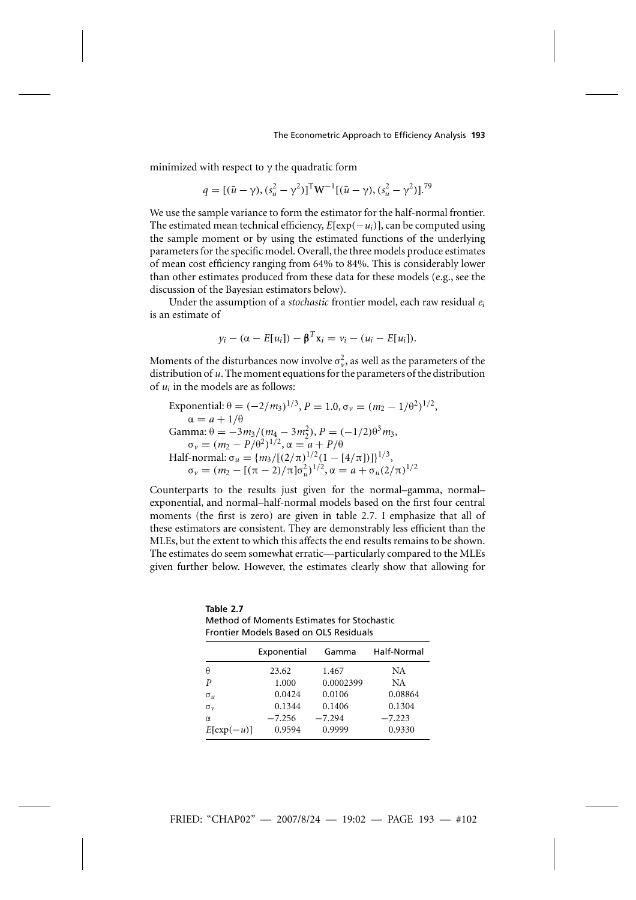minimized with respect to  $\gamma$  the quadratic form

$$
q = [(\bar{u} - \gamma), (s_u^2 - \gamma^2)]^T W^{-1} [(\bar{u} - \gamma), (s_u^2 - \gamma^2)]^{79}
$$

We use the sample variance to form the estimator for the half-normal frontier. The estimated mean technical efficiency,  $E[\exp(-u_i)]$ , can be computed using the sample moment or by using the estimated functions of the underlying parameters for the specific model. Overall, the three models produce estimates of mean cost efficiency ranging from 64% to 84%. This is considerably lower than other estimates produced from these data for these models (e.g., see the discussion of the Bayesian estimators below).

Under the assumption of a *stochastic* frontier model, each raw residual *ei* is an estimate of

$$
y_i - (\alpha - E[u_i]) - \beta^T \mathbf{x}_i = v_i - (u_i - E[u_i]).
$$

Moments of the disturbances now involve  $\sigma_{\nu}^2$ , as well as the parameters of the distribution of *u*. The moment equationsfor the parameters of the distribution of *ui* in the models are as follows:

Exponential: 
$$
\theta = (-2/m_3)^{1/3}
$$
,  $P = 1.0$ ,  $\sigma_v = (m_2 - 1/\theta^2)^{1/2}$ ,  
\n $\alpha = a + 1/\theta$   
\nGamma:  $\theta = -3m_3/(m_4 - 3m_2^2)$ ,  $P = (-1/2)\theta^3 m_3$ ,  
\n $\sigma_v = (m_2 - P/\theta^2)^{1/2}$ ,  $\alpha = a + P/\theta$   
\nHalf-normal:  $\sigma_u = \{m_3/[ (2/\pi)^{1/2} (1 - [4/\pi]) ]\}^{1/3}$ ,  
\n $\sigma_v = (m_2 - [(\pi - 2)/\pi] \sigma_u^2)^{1/2}$ ,  $\alpha = a + \sigma_u (2/\pi)^{1/2}$ 

Counterparts to the results just given for the normal–gamma, normal– exponential, and normal–half-normal models based on the first four central moments (the first is zero) are given in table 2.7. I emphasize that all of these estimators are consistent. They are demonstrably less efficient than the MLEs, but the extent to which this affects the end results remains to be shown. The estimates do seem somewhat erratic—particularly compared to the MLEs given further below. However, the estimates clearly show that allowing for

**Table 2.7** Method of Moments Estimates for Stochastic Frontier Models Based on OLS Residuals

|                | Exponential | Gamma     | Half-Normal |
|----------------|-------------|-----------|-------------|
| $\theta$       | 23.62       | 1.467     | NA          |
| P              | 1.000       | 0.0002399 | NA          |
| $\sigma_u$     | 0.0424      | 0.0106    | 0.08864     |
| $\sigma_{\nu}$ | 0.1344      | 0.1406    | 0.1304      |
| $\alpha$       | $-7.256$    | $-7.294$  | $-7.223$    |
| $E[\exp(-u)]$  | 0.9594      | 0.9999    | 0.9330      |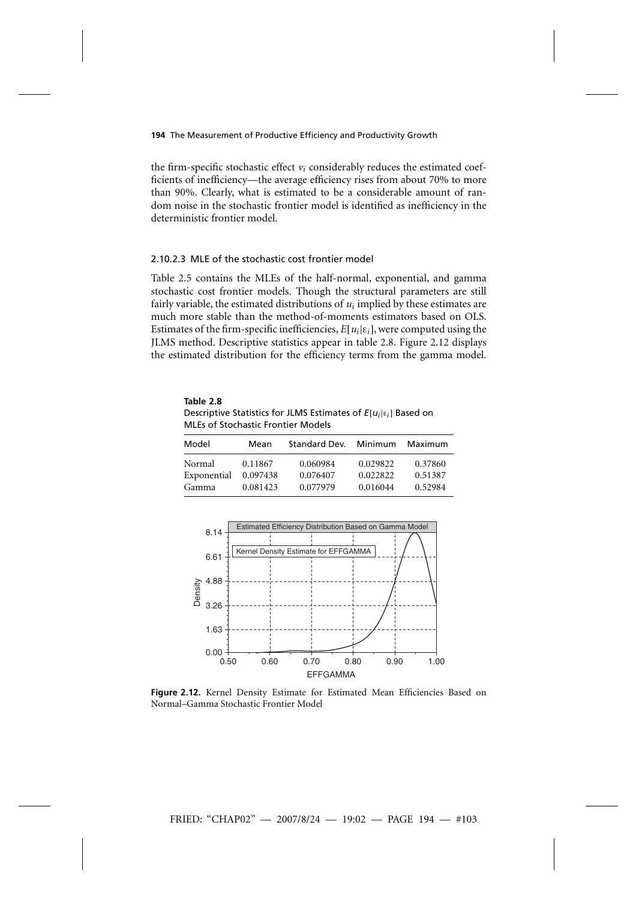the firm-specific stochastic effect  $v_i$  considerably reduces the estimated coefficients of inefficiency—the average efficiency rises from about 70% to more than 90%. Clearly, what is estimated to be a considerable amount of random noise in the stochastic frontier model is identified as inefficiency in the deterministic frontier model.

# 2.10.2.3 MLE of the stochastic cost frontier model

Table 2.5 contains the MLEs of the half-normal, exponential, and gamma stochastic cost frontier models. Though the structural parameters are still fairly variable, the estimated distributions of *ui* implied by these estimates are much more stable than the method-of-moments estimators based on OLS. Estimates of the firm-specific inefficiencies, *E*[*ui*|ε*i*], were computed using the JLMS method. Descriptive statistics appear in table 2.8. Figure 2.12 displays the estimated distribution for the efficiency terms from the gamma model.

**Table 2.8** Descriptive Statistics for JLMS Estimates of *E*[*ui*|ε*i*] Based on MLEs of Stochastic Frontier Models

| Model       | Mean     | Standard Dev. | Minimum  | Maximum |
|-------------|----------|---------------|----------|---------|
| Normal      | 0.11867  | 0.060984      | 0.029822 | 0.37860 |
| Exponential | 0.097438 | 0.076407      | 0.022822 | 0.51387 |
| Gamma       | 0.081423 | 0.077979      | 0.016044 | 0.52984 |



**Figure 2.12.** Kernel Density Estimate for Estimated Mean Efficiencies Based on Normal–Gamma Stochastic Frontier Model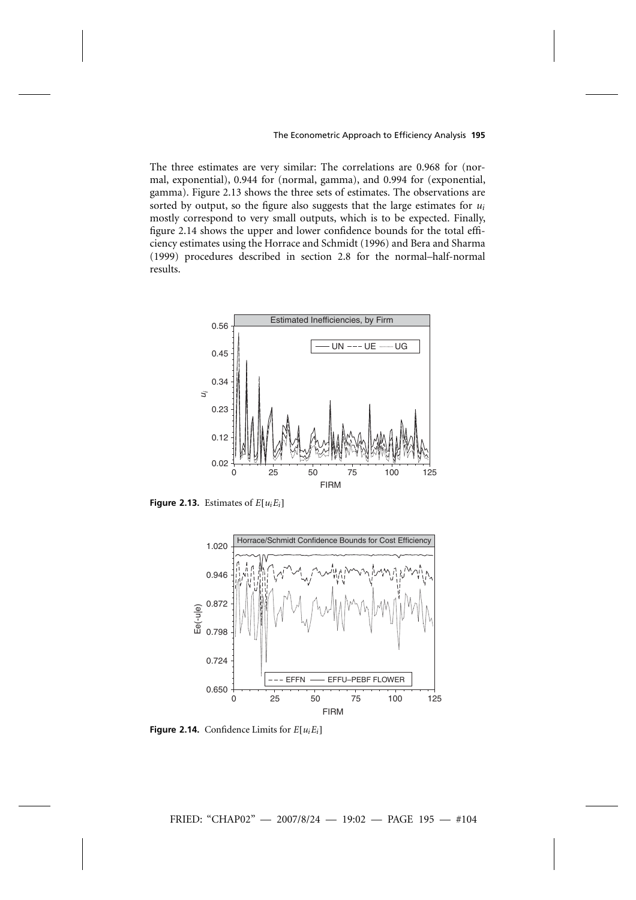The three estimates are very similar: The correlations are 0.968 for (normal, exponential), 0.944 for (normal, gamma), and 0.994 for (exponential, gamma). Figure 2.13 shows the three sets of estimates. The observations are sorted by output, so the figure also suggests that the large estimates for *ui* mostly correspond to very small outputs, which is to be expected. Finally, figure 2.14 shows the upper and lower confidence bounds for the total efficiency estimates using the Horrace and Schmidt (1996) and Bera and Sharma (1999) procedures described in section 2.8 for the normal–half-normal results.



**Figure 2.13.** Estimates of  $E[u_iE_i]$ 



**Figure 2.14.** Confidence Limits for  $E[u_iE_i]$ 

FRIED: "CHAP02" — 2007/8/24 — 19:02 — PAGE 195 — #104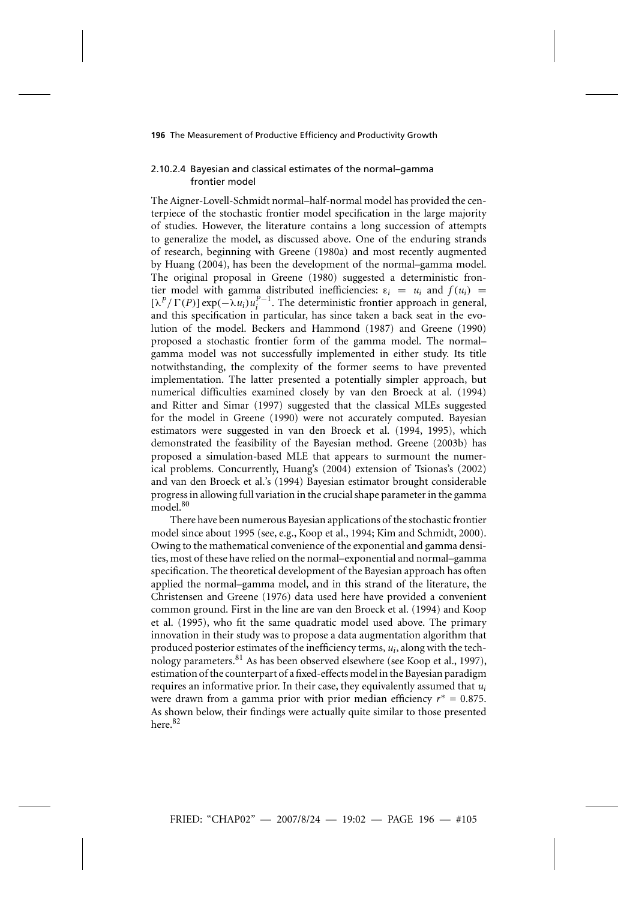# 2.10.2.4 Bayesian and classical estimates of the normal–gamma frontier model

The Aigner-Lovell-Schmidt normal–half-normal model has provided the centerpiece of the stochastic frontier model specification in the large majority of studies. However, the literature contains a long succession of attempts to generalize the model, as discussed above. One of the enduring strands of research, beginning with Greene (1980a) and most recently augmented by Huang (2004), has been the development of the normal–gamma model. The original proposal in Greene (1980) suggested a deterministic frontier model with gamma distributed inefficiencies:  $\varepsilon_i = u_i$  and  $f(u_i) =$  $[\lambda^P/\Gamma(P)] \exp(-\lambda u_i) u_i^{P-1}$ . The deterministic frontier approach in general, and this specification in particular, has since taken a back seat in the evolution of the model. Beckers and Hammond (1987) and Greene (1990) proposed a stochastic frontier form of the gamma model. The normal– gamma model was not successfully implemented in either study. Its title notwithstanding, the complexity of the former seems to have prevented implementation. The latter presented a potentially simpler approach, but numerical difficulties examined closely by van den Broeck at al. (1994) and Ritter and Simar (1997) suggested that the classical MLEs suggested for the model in Greene (1990) were not accurately computed. Bayesian estimators were suggested in van den Broeck et al. (1994, 1995), which demonstrated the feasibility of the Bayesian method. Greene (2003b) has proposed a simulation-based MLE that appears to surmount the numerical problems. Concurrently, Huang's (2004) extension of Tsionas's (2002) and van den Broeck et al.'s (1994) Bayesian estimator brought considerable progress in allowing full variation in the crucial shape parameter in the gamma model.<sup>80</sup>

There have been numerous Bayesian applications of the stochastic frontier model since about 1995 (see, e.g., Koop et al., 1994; Kim and Schmidt, 2000). Owing to the mathematical convenience of the exponential and gamma densities, most of these have relied on the normal–exponential and normal–gamma specification. The theoretical development of the Bayesian approach has often applied the normal–gamma model, and in this strand of the literature, the Christensen and Greene (1976) data used here have provided a convenient common ground. First in the line are van den Broeck et al. (1994) and Koop et al. (1995), who fit the same quadratic model used above. The primary innovation in their study was to propose a data augmentation algorithm that produced posterior estimates of the inefficiency terms, *ui*, along with the technology parameters.<sup>81</sup> As has been observed elsewhere (see Koop et al., 1997), estimation of the counterpart of a fixed-effects model in the Bayesian paradigm requires an informative prior. In their case, they equivalently assumed that *ui* were drawn from a gamma prior with prior median efficiency *r*<sup>∗</sup> = 0.875. As shown below, their findings were actually quite similar to those presented here<sup>82</sup>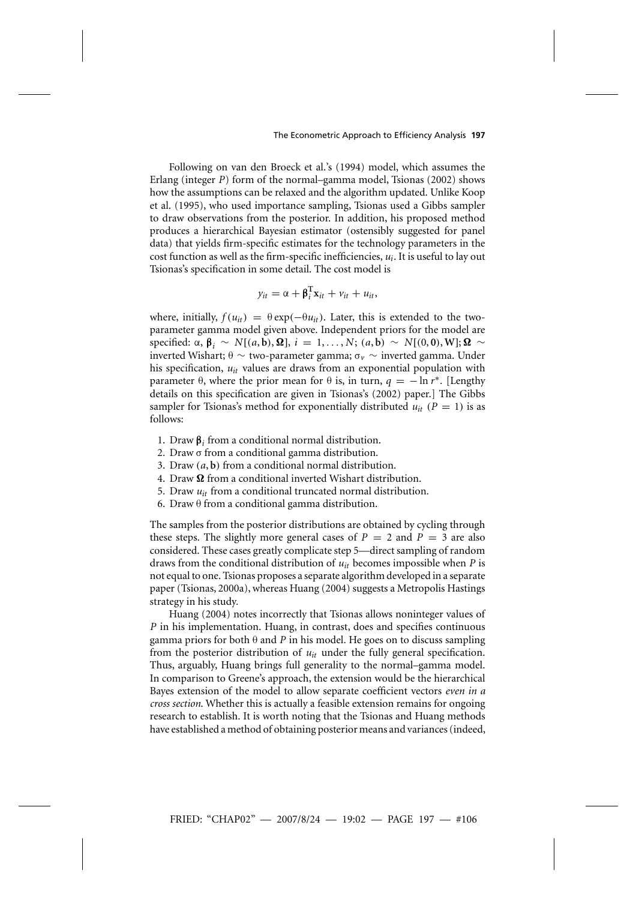Following on van den Broeck et al.'s (1994) model, which assumes the Erlang (integer *P*) form of the normal–gamma model, Tsionas (2002) shows how the assumptions can be relaxed and the algorithm updated. Unlike Koop et al. (1995), who used importance sampling, Tsionas used a Gibbs sampler to draw observations from the posterior. In addition, his proposed method produces a hierarchical Bayesian estimator (ostensibly suggested for panel data) that yields firm-specific estimates for the technology parameters in the cost function as well as the firm-specific inefficiencies, *ui*. It is useful to lay out Tsionas's specification in some detail. The cost model is

$$
y_{it} = \alpha + \beta_i^{\mathrm{T}} x_{it} + v_{it} + u_{it},
$$

where, initially,  $f(u_{it}) = \theta \exp(-\theta u_{it})$ . Later, this is extended to the twoparameter gamma model given above. Independent priors for the model are specified: α,  $\beta$ <sup>*i*</sup> ∼ *N*[(*a*, **b**), **Ω**], *i* = 1, ..., *N*; (*a*, **b**) ∼ *N*[(0, 0), *W*]; **Ω** ∼ inverted Wishart; θ ∼ two-parameter gamma; σ*<sup>v</sup>* ∼ inverted gamma. Under his specification, *uit* values are draws from an exponential population with parameter θ, where the prior mean for θ is, in turn,  $q = -\ln r^*$ . [Lengthy details on this specification are given in Tsionas's (2002) paper.] The Gibbs sampler for Tsionas's method for exponentially distributed  $u_{it}$  ( $P = 1$ ) is as follows:

- 1. Draw **β***<sup>i</sup>* from a conditional normal distribution.
- 2. Draw σ from a conditional gamma distribution.
- 3. Draw (*a*, **b**) from a conditional normal distribution.
- 4. Draw  $\Omega$  from a conditional inverted Wishart distribution.
- 5. Draw *uit* from a conditional truncated normal distribution.
- 6. Draw θ from a conditional gamma distribution.

The samples from the posterior distributions are obtained by cycling through these steps. The slightly more general cases of  $P = 2$  and  $P = 3$  are also considered. These cases greatly complicate step 5—direct sampling of random draws from the conditional distribution of *uit* becomes impossible when *P* is not equal to one. Tsionas proposes a separate algorithm developed in a separate paper (Tsionas, 2000a), whereas Huang (2004) suggests a Metropolis Hastings strategy in his study.

Huang (2004) notes incorrectly that Tsionas allows noninteger values of *P* in his implementation. Huang, in contrast, does and specifies continuous gamma priors for both θ and *P* in his model. He goes on to discuss sampling from the posterior distribution of *uit* under the fully general specification. Thus, arguably, Huang brings full generality to the normal–gamma model. In comparison to Greene's approach, the extension would be the hierarchical Bayes extension of the model to allow separate coefficient vectors *even in a cross section*. Whether this is actually a feasible extension remains for ongoing research to establish. It is worth noting that the Tsionas and Huang methods have established a method of obtaining posterior means and variances (indeed,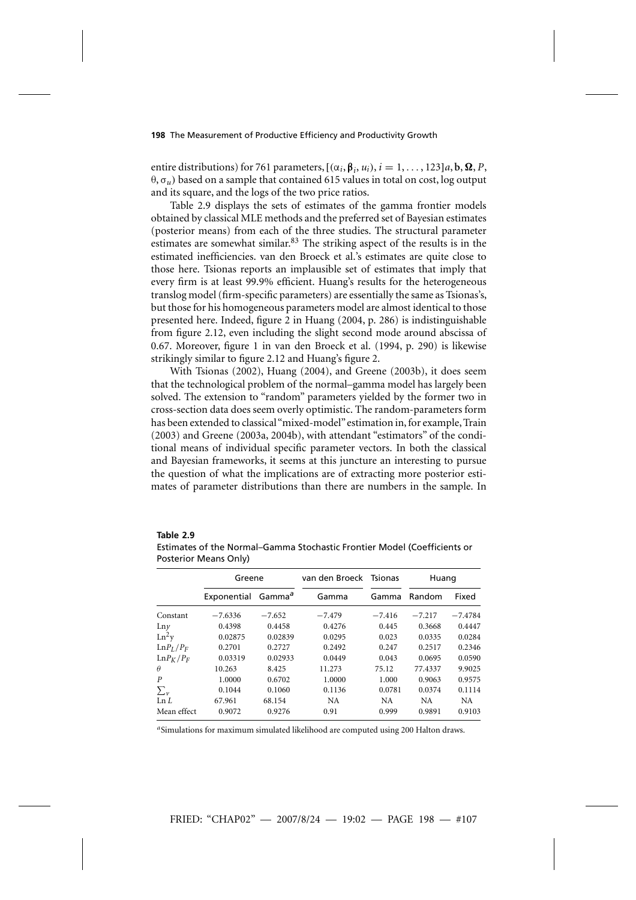entire distributions) for 761 parameters,  $[(\alpha_i, \beta_i, u_i), i = 1, \ldots, 123]a, b, \Omega, P$ , θ, σ*u*) based on a sample that contained 615 values in total on cost, log output and its square, and the logs of the two price ratios.

Table 2.9 displays the sets of estimates of the gamma frontier models obtained by classical MLE methods and the preferred set of Bayesian estimates (posterior means) from each of the three studies. The structural parameter estimates are somewhat similar.<sup>83</sup> The striking aspect of the results is in the estimated inefficiencies. van den Broeck et al.'s estimates are quite close to those here. Tsionas reports an implausible set of estimates that imply that every firm is at least 99.9% efficient. Huang's results for the heterogeneous translog model (firm-specific parameters) are essentially the same as Tsionas's, but those for his homogeneous parameters model are almost identical to those presented here. Indeed, figure 2 in Huang (2004, p. 286) is indistinguishable from figure 2.12, even including the slight second mode around abscissa of 0.67. Moreover, figure 1 in van den Broeck et al. (1994, p. 290) is likewise strikingly similar to figure 2.12 and Huang's figure 2.

With Tsionas (2002), Huang (2004), and Greene (2003b), it does seem that the technological problem of the normal–gamma model has largely been solved. The extension to "random" parameters yielded by the former two in cross-section data does seem overly optimistic. The random-parameters form has been extended to classical "mixed-model" estimation in, for example, Train (2003) and Greene (2003a, 2004b), with attendant "estimators" of the conditional means of individual specific parameter vectors. In both the classical and Bayesian frameworks, it seems at this juncture an interesting to pursue the question of what the implications are of extracting more posterior estimates of parameter distributions than there are numbers in the sample. In

#### **Table 2.9**

|                   | Greene                         |          | van den Broeck Tsionas |          | Huang     |           |
|-------------------|--------------------------------|----------|------------------------|----------|-----------|-----------|
|                   | Exponential Gamma <sup>a</sup> |          | Gamma                  | Gamma    | Random    | Fixed     |
| Constant          | $-7.6336$                      | $-7.652$ | $-7.479$               | $-7.416$ | $-7.217$  | $-7.4784$ |
| Lny               | 0.4398                         | 0.4458   | 0.4276                 | 0.445    | 0.3668    | 0.4447    |
| Ln <sup>2</sup> y | 0.02875                        | 0.02839  | 0.0295                 | 0.023    | 0.0335    | 0.0284    |
| $LnP_L/P_F$       | 0.2701                         | 0.2727   | 0.2492                 | 0.247    | 0.2517    | 0.2346    |
| $Ln P_K/P_F$      | 0.03319                        | 0.02933  | 0.0449                 | 0.043    | 0.0695    | 0.0590    |
| θ                 | 10.263                         | 8.425    | 11.273                 | 75.12    | 77.4337   | 9.9025    |
| P                 | 1.0000                         | 0.6702   | 1.0000                 | 1.000    | 0.9063    | 0.9575    |
| $\sum_{\nu}$      | 0.1044                         | 0.1060   | 0.1136                 | 0.0781   | 0.0374    | 0.1114    |
| Ln L              | 67.961                         | 68.154   | NA                     | NA       | <b>NA</b> | NA        |
| Mean effect       | 0.9072                         | 0.9276   | 0.91                   | 0.999    | 0.9891    | 0.9103    |

Estimates of the Normal–Gamma Stochastic Frontier Model (Coefficients or Posterior Means Only)

*<sup>a</sup>*Simulations for maximum simulated likelihood are computed using 200 Halton draws.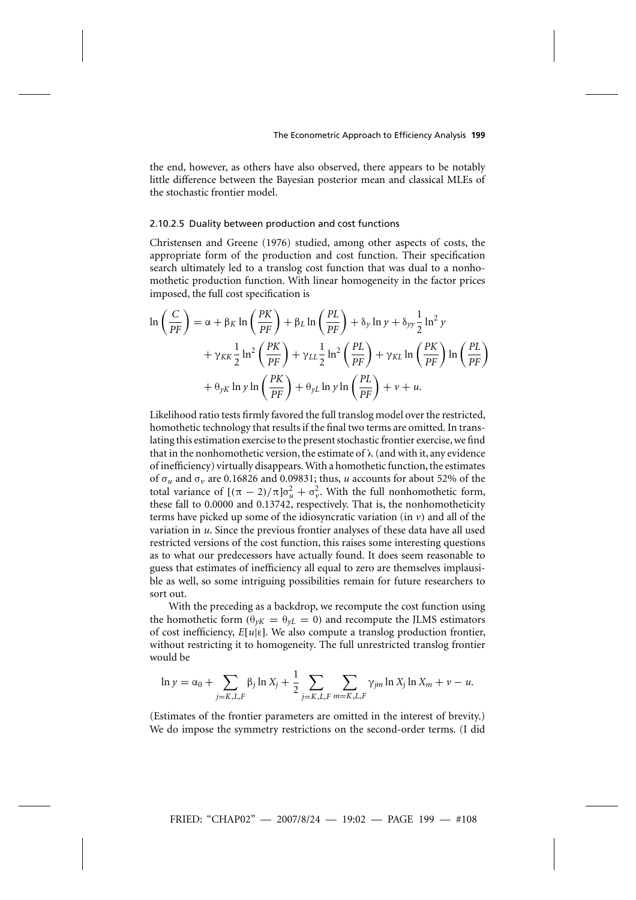the end, however, as others have also observed, there appears to be notably little difference between the Bayesian posterior mean and classical MLEs of the stochastic frontier model.

#### 2.10.2.5 Duality between production and cost functions

Christensen and Greene (1976) studied, among other aspects of costs, the appropriate form of the production and cost function. Their specification search ultimately led to a translog cost function that was dual to a nonhomothetic production function. With linear homogeneity in the factor prices imposed, the full cost specification is

$$
\ln\left(\frac{C}{PF}\right) = \alpha + \beta_K \ln\left(\frac{PK}{PF}\right) + \beta_L \ln\left(\frac{PL}{PF}\right) + \delta_y \ln y + \delta_{yy} \frac{1}{2} \ln^2 y
$$
  
+  $\gamma_{KK} \frac{1}{2} \ln^2 \left(\frac{PK}{PF}\right) + \gamma_{LL} \frac{1}{2} \ln^2 \left(\frac{PL}{PF}\right) + \gamma_{KL} \ln\left(\frac{PK}{PF}\right) \ln\left(\frac{PL}{PF}\right)$   
+  $\theta_{yK} \ln y \ln\left(\frac{PK}{PF}\right) + \theta_{yL} \ln y \ln\left(\frac{PL}{PF}\right) + v + u.$ 

Likelihood ratio tests firmly favored the full translog model over the restricted, homothetic technology that results if the final two terms are omitted. In translating this estimation exercise to the present stochastic frontier exercise, we find that in the nonhomothetic version, the estimate of  $\lambda$  (and with it, any evidence of inefficiency) virtually disappears.With a homothetic function, the estimates of σ*<sup>u</sup>* and σ*<sup>v</sup>* are 0.16826 and 0.09831; thus, *u* accounts for about 52% of the total variance of  $[(\pi - 2)/\pi] \sigma_u^2 + \sigma_v^2$ . With the full nonhomothetic form, these fall to 0.0000 and 0.13742, respectively. That is, the nonhomotheticity terms have picked up some of the idiosyncratic variation (in *v*) and all of the variation in *u*. Since the previous frontier analyses of these data have all used restricted versions of the cost function, this raises some interesting questions as to what our predecessors have actually found. It does seem reasonable to guess that estimates of inefficiency all equal to zero are themselves implausible as well, so some intriguing possibilities remain for future researchers to sort out.

With the preceding as a backdrop, we recompute the cost function using the homothetic form ( $\theta_{\gamma K} = \theta_{\gamma L} = 0$ ) and recompute the JLMS estimators of cost inefficiency, *E*[*u*|ε]. We also compute a translog production frontier, without restricting it to homogeneity. The full unrestricted translog frontier would be

$$
\ln y = \alpha_0 + \sum_{j=K,L,F} \beta_j \ln X_j + \frac{1}{2} \sum_{j=K,L,F} \sum_{m=K,L,F} \gamma_{jm} \ln X_j \ln X_m + \nu - u.
$$

(Estimates of the frontier parameters are omitted in the interest of brevity.) We do impose the symmetry restrictions on the second-order terms. (I did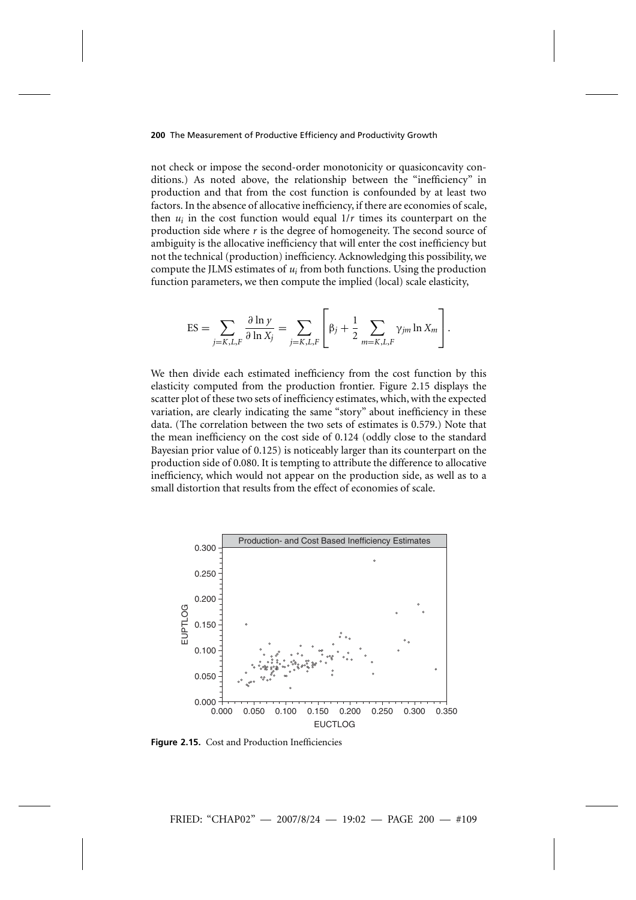not check or impose the second-order monotonicity or quasiconcavity conditions.) As noted above, the relationship between the "inefficiency" in production and that from the cost function is confounded by at least two factors. In the absence of allocative inefficiency, if there are economies of scale, then  $u_i$  in the cost function would equal  $1/r$  times its counterpart on the production side where *r* is the degree of homogeneity. The second source of ambiguity is the allocative inefficiency that will enter the cost inefficiency but not the technical (production) inefficiency. Acknowledging this possibility, we compute the JLMS estimates of *ui* from both functions. Using the production function parameters, we then compute the implied (local) scale elasticity,

$$
ES = \sum_{j=K,L,F} \frac{\partial \ln \gamma}{\partial \ln X_j} = \sum_{j=K,L,F} \left[ \beta_j + \frac{1}{2} \sum_{m=K,L,F} \gamma_{jm} \ln X_m \right].
$$

We then divide each estimated inefficiency from the cost function by this elasticity computed from the production frontier. Figure 2.15 displays the scatter plot of these two sets of inefficiency estimates, which, with the expected variation, are clearly indicating the same "story" about inefficiency in these data. (The correlation between the two sets of estimates is 0.579.) Note that the mean inefficiency on the cost side of 0.124 (oddly close to the standard Bayesian prior value of 0.125) is noticeably larger than its counterpart on the production side of 0.080. It is tempting to attribute the difference to allocative inefficiency, which would not appear on the production side, as well as to a small distortion that results from the effect of economies of scale.



**Figure 2.15.** Cost and Production Inefficiencies

FRIED: "CHAP02" — 2007/8/24 — 19:02 — PAGE 200 — #109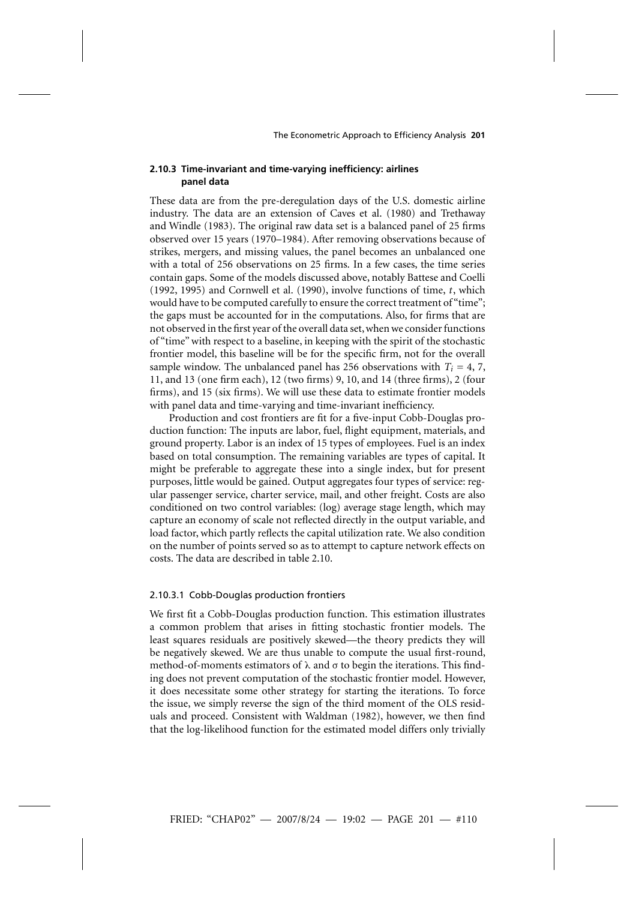## **2.10.3 Time-invariant and time-varying inefficiency: airlines panel data**

These data are from the pre-deregulation days of the U.S. domestic airline industry. The data are an extension of Caves et al. (1980) and Trethaway and Windle (1983). The original raw data set is a balanced panel of 25 firms observed over 15 years (1970–1984). After removing observations because of strikes, mergers, and missing values, the panel becomes an unbalanced one with a total of 256 observations on 25 firms. In a few cases, the time series contain gaps. Some of the models discussed above, notably Battese and Coelli (1992, 1995) and Cornwell et al. (1990), involve functions of time, *t*, which would have to be computed carefully to ensure the correct treatment of "time"; the gaps must be accounted for in the computations. Also, for firms that are not observed in the first year of the overall data set,when we consider functions of "time" with respect to a baseline, in keeping with the spirit of the stochastic frontier model, this baseline will be for the specific firm, not for the overall sample window. The unbalanced panel has 256 observations with  $T_i = 4, 7$ , 11, and 13 (one firm each), 12 (two firms) 9, 10, and 14 (three firms), 2 (four firms), and 15 (six firms). We will use these data to estimate frontier models with panel data and time-varying and time-invariant inefficiency.

Production and cost frontiers are fit for a five-input Cobb-Douglas production function: The inputs are labor, fuel, flight equipment, materials, and ground property. Labor is an index of 15 types of employees. Fuel is an index based on total consumption. The remaining variables are types of capital. It might be preferable to aggregate these into a single index, but for present purposes, little would be gained. Output aggregates four types of service: regular passenger service, charter service, mail, and other freight. Costs are also conditioned on two control variables: (log) average stage length, which may capture an economy of scale not reflected directly in the output variable, and load factor, which partly reflects the capital utilization rate. We also condition on the number of points served so as to attempt to capture network effects on costs. The data are described in table 2.10.

## 2.10.3.1 Cobb-Douglas production frontiers

We first fit a Cobb-Douglas production function. This estimation illustrates a common problem that arises in fitting stochastic frontier models. The least squares residuals are positively skewed—the theory predicts they will be negatively skewed. We are thus unable to compute the usual first-round, method-of-moments estimators of  $\lambda$  and  $\sigma$  to begin the iterations. This finding does not prevent computation of the stochastic frontier model. However, it does necessitate some other strategy for starting the iterations. To force the issue, we simply reverse the sign of the third moment of the OLS residuals and proceed. Consistent with Waldman (1982), however, we then find that the log-likelihood function for the estimated model differs only trivially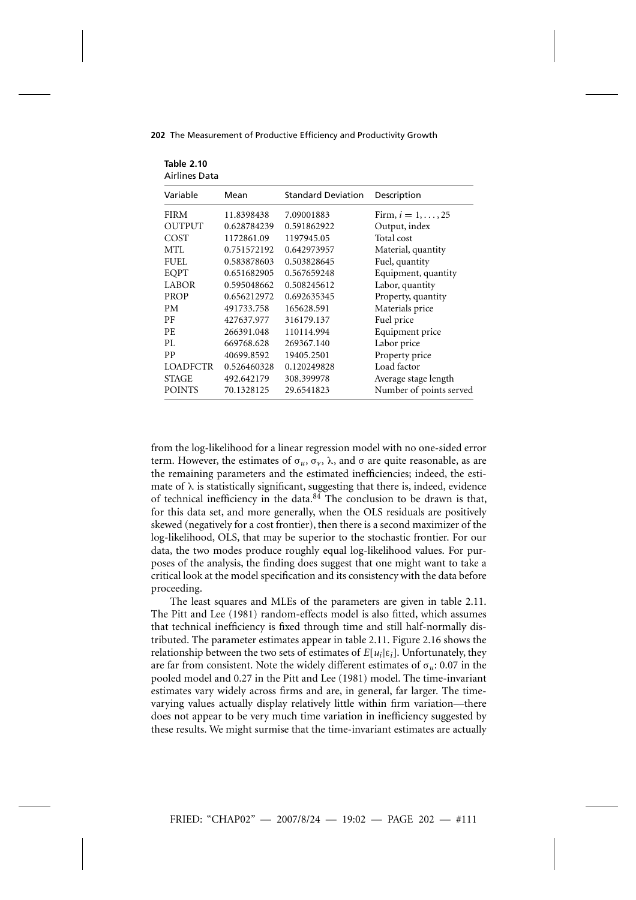| Airlines Data   |             |                           |                           |  |
|-----------------|-------------|---------------------------|---------------------------|--|
| Variable        | Mean        | <b>Standard Deviation</b> | Description               |  |
| <b>FIRM</b>     | 11.8398438  | 7.09001883                | Firm, $i = 1, \ldots, 25$ |  |
| <b>OUTPUT</b>   | 0.628784239 | 0.591862922               | Output, index             |  |
| COST            | 1172861.09  | 1197945.05                | Total cost                |  |
| MTL             | 0.751572192 | 0.642973957               | Material, quantity        |  |
| FUEL            | 0.583878603 | 0.503828645               | Fuel, quantity            |  |
| EOPT            | 0.651682905 | 0.567659248               | Equipment, quantity       |  |
| <b>LABOR</b>    | 0.595048662 | 0.508245612               | Labor, quantity           |  |
| <b>PROP</b>     | 0.656212972 | 0.692635345               | Property, quantity        |  |
| PM.             | 491733.758  | 165628.591                | Materials price           |  |
| РF              | 427637.977  | 316179.137                | Fuel price                |  |
| <b>PE</b>       | 266391.048  | 110114.994                | Equipment price           |  |
| PL              | 669768.628  | 269367.140                | Labor price               |  |
| PP              | 40699.8592  | 19405.2501                | Property price            |  |
| <b>LOADFCTR</b> | 0.526460328 | 0.120249828               | Load factor               |  |
| STAGE           | 492.642179  | 308.399978                | Average stage length      |  |
| <b>POINTS</b>   | 70.1328125  | 29.6541823                | Number of points served   |  |

**Table 2.10**

from the log-likelihood for a linear regression model with no one-sided error term. However, the estimates of  $σ<sub>u</sub>, σ<sub>v</sub>, λ$ , and  $σ$  are quite reasonable, as are the remaining parameters and the estimated inefficiencies; indeed, the estimate of  $\lambda$  is statistically significant, suggesting that there is, indeed, evidence of technical inefficiency in the data. $84$  The conclusion to be drawn is that, for this data set, and more generally, when the OLS residuals are positively skewed (negatively for a cost frontier), then there is a second maximizer of the log-likelihood, OLS, that may be superior to the stochastic frontier. For our data, the two modes produce roughly equal log-likelihood values. For purposes of the analysis, the finding does suggest that one might want to take a critical look at the model specification and its consistency with the data before proceeding.

The least squares and MLEs of the parameters are given in table 2.11. The Pitt and Lee (1981) random-effects model is also fitted, which assumes that technical inefficiency is fixed through time and still half-normally distributed. The parameter estimates appear in table 2.11. Figure 2.16 shows the relationship between the two sets of estimates of  $E[u_i|\varepsilon_i]$ . Unfortunately, they are far from consistent. Note the widely different estimates of σ*u*: 0.07 in the pooled model and 0.27 in the Pitt and Lee (1981) model. The time-invariant estimates vary widely across firms and are, in general, far larger. The timevarying values actually display relatively little within firm variation—there does not appear to be very much time variation in inefficiency suggested by these results. We might surmise that the time-invariant estimates are actually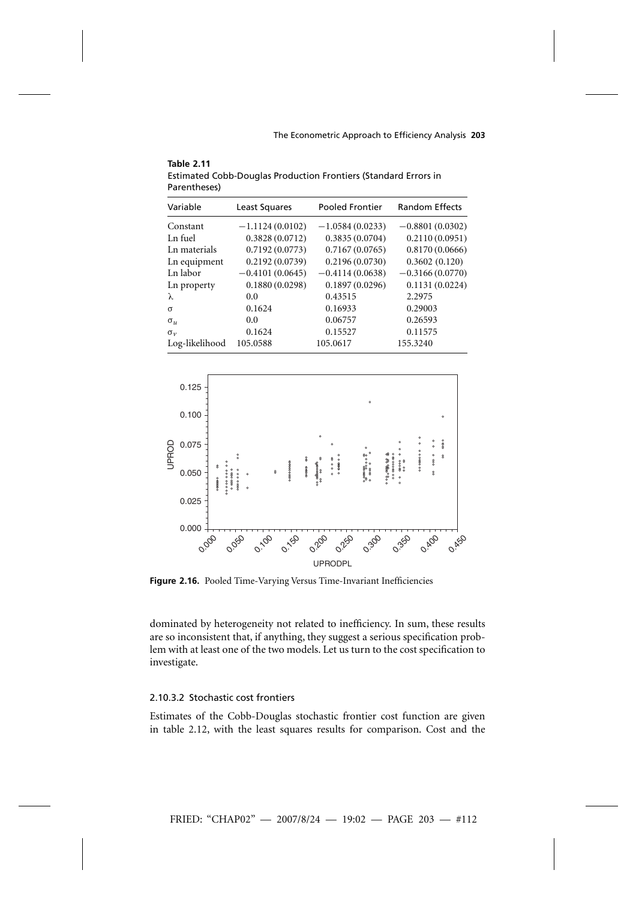| Parentheses) |                   |                        |                       |  |  |
|--------------|-------------------|------------------------|-----------------------|--|--|
| Variable     | Least Squares     | <b>Pooled Frontier</b> | <b>Random Effects</b> |  |  |
| Constant     | $-1.1124(0.0102)$ | $-1.0584(0.0233)$      | $-0.8801(0.0302)$     |  |  |
| Ln fuel      | 0.3828(0.0712)    | 0.3835(0.0704)         | 0.2110(0.0951)        |  |  |
| Ln materials | 0.7192(0.0773)    | 0.7167(0.0765)         | 0.8170(0.0666)        |  |  |
| Ln equipment | 0.2192(0.0739)    | 0.2196(0.0730)         | 0.3602(0.120)         |  |  |
| Ln labor     | $-0.4101(0.0645)$ | $-0.4114(0.0638)$      | $-0.3166(0.0770)$     |  |  |
| Ln property  | 0.1880(0.0298)    | 0.1897(0.0296)         | 0.1131(0.0224)        |  |  |
| λ            | 0.0               | 0.43515                | 2.2975                |  |  |
| $\sigma$     | 0.1624            | 0.16933                | 0.29003               |  |  |
| $\sigma_u$   | 0.0               | 0.06757                | 0.26593               |  |  |

σ*<sup>v</sup>* 0.1624 0.15527 0.11575 Log-likelihood 105.0588 105.0617 155.3240

**Table 2.11** Estimated Cobb-Douglas Production Frontiers (Standard Errors in



**Figure 2.16.** Pooled Time-Varying Versus Time-Invariant Inefficiencies

dominated by heterogeneity not related to inefficiency. In sum, these results are so inconsistent that, if anything, they suggest a serious specification problem with at least one of the two models. Let us turn to the cost specification to investigate.

## 2.10.3.2 Stochastic cost frontiers

Estimates of the Cobb-Douglas stochastic frontier cost function are given in table 2.12, with the least squares results for comparison. Cost and the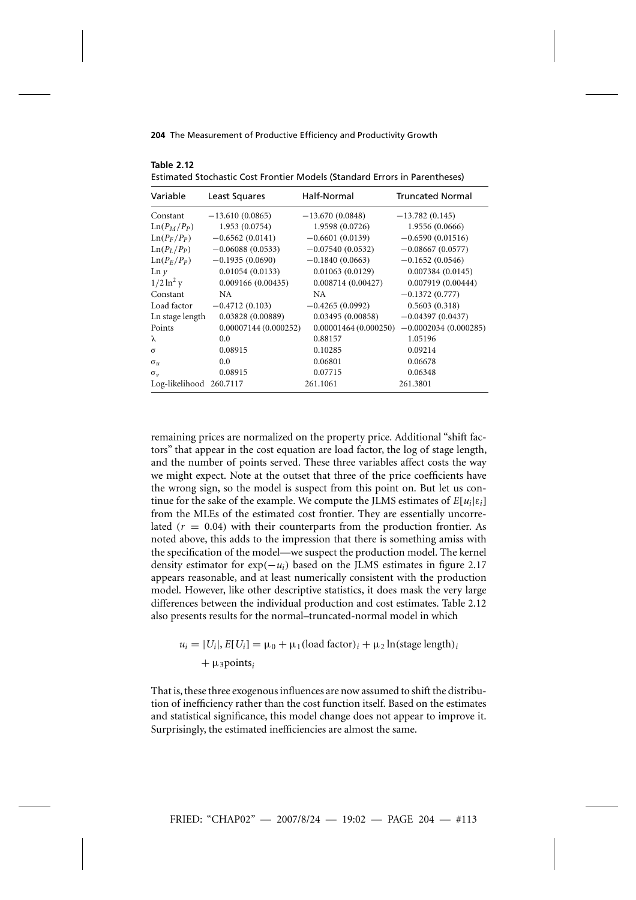| Estimated Stochastic Cost Frontier Models (Standard Errors in Parentheses) |                      |                      |                         |  |  |
|----------------------------------------------------------------------------|----------------------|----------------------|-------------------------|--|--|
| Variable                                                                   | Least Squares        | Half-Normal          | <b>Truncated Normal</b> |  |  |
| Constant                                                                   | $-13.610(0.0865)$    | $-13.670(0.0848)$    | $-13.782(0.145)$        |  |  |
| $Ln(P_M/P_P)$                                                              | 1.953(0.0754)        | 1.9598 (0.0726)      | 1.9556 (0.0666)         |  |  |
| $Ln(P_F/P_P)$                                                              | $-0.6562(0.0141)$    | $-0.6601(0.0139)$    | $-0.6590(0.01516)$      |  |  |
| $\text{Ln}(P_L/P_P)$                                                       | $-0.06088(0.0533)$   | $-0.07540(0.0532)$   | $-0.08667(0.0577)$      |  |  |
| $Ln(P_E/P_P)$                                                              | $-0.1935(0.0690)$    | $-0.1840(0.0663)$    | $-0.1652(0.0546)$       |  |  |
| $\ln y$                                                                    | 0.01054(0.0133)      | 0.01063(0.0129)      | 0.007384(0.0145)        |  |  |
| $1/2 \ln^2 y$                                                              | 0.009166(0.00435)    | 0.008714(0.00427)    | 0.007919(0.00444)       |  |  |
| Constant                                                                   | NA.                  | NA.                  | $-0.1372(0.777)$        |  |  |
| Load factor                                                                | $-0.4712(0.103)$     | $-0.4265(0.0992)$    | 0.5603(0.318)           |  |  |
| Ln stage length                                                            | 0.03828(0.00889)     | 0.03495(0.00858)     | $-0.04397(0.0437)$      |  |  |
| Points                                                                     | 0.00007144(0.000252) | 0.00001464(0.000250) | $-0.0002034(0.000285)$  |  |  |
| λ                                                                          | 0.0                  | 0.88157              | 1.05196                 |  |  |
| $\sigma$                                                                   | 0.08915              | 0.10285              | 0.09214                 |  |  |
| $\sigma_u$                                                                 | 0.0                  | 0.06801              | 0.06678                 |  |  |
| $\sigma_{\nu}$                                                             | 0.08915              | 0.07715              | 0.06348                 |  |  |
| Log-likelihood 260.7117                                                    |                      | 261.1061             | 261.3801                |  |  |
|                                                                            |                      |                      |                         |  |  |

**Table 2.12** Estimated Stochastic Cost Frontier Models (Standard Errors in Parentheses)

remaining prices are normalized on the property price. Additional "shift factors" that appear in the cost equation are load factor, the log of stage length, and the number of points served. These three variables affect costs the way we might expect. Note at the outset that three of the price coefficients have the wrong sign, so the model is suspect from this point on. But let us continue for the sake of the example. We compute the JLMS estimates of  $E[u_i|\varepsilon_i]$ from the MLEs of the estimated cost frontier. They are essentially uncorrelated  $(r = 0.04)$  with their counterparts from the production frontier. As noted above, this adds to the impression that there is something amiss with the specification of the model—we suspect the production model. The kernel density estimator for exp(−*ui*) based on the JLMS estimates in figure 2.17 appears reasonable, and at least numerically consistent with the production model. However, like other descriptive statistics, it does mask the very large differences between the individual production and cost estimates. Table 2.12 also presents results for the normal–truncated-normal model in which

 $u_i = |U_i|$ ,  $E[U_i] = \mu_0 + \mu_1$  (load factor)<sub>i</sub> +  $\mu_2$  ln (stage length)<sub>*i*</sub>  $+ \mu_3$  points<sub>*i*</sub>

That is, these three exogenous influences are now assumed to shift the distribution of inefficiency rather than the cost function itself. Based on the estimates and statistical significance, this model change does not appear to improve it. Surprisingly, the estimated inefficiencies are almost the same.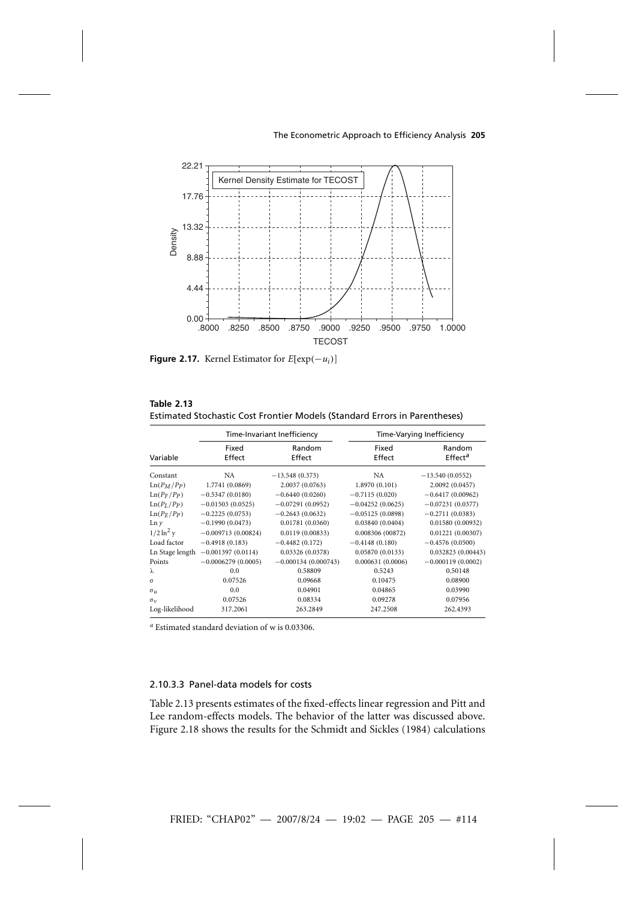

**Figure 2.17.** Kernel Estimator for  $E[\exp(-u_i)]$ 

| <b>Table 2.13</b>                                                          |  |
|----------------------------------------------------------------------------|--|
| Estimated Stochastic Cost Frontier Models (Standard Errors in Parentheses) |  |

|                 |                      | Time-Invariant Inefficiency | Time-Varying Inefficiency |                               |  |
|-----------------|----------------------|-----------------------------|---------------------------|-------------------------------|--|
| Variable        | Fixed<br>Effect      | Random<br>Effect            | Fixed<br>Effect           | Random<br>Effect <sup>a</sup> |  |
| Constant        | NA                   | $-13.548(0.373)$            | NA.                       | $-13.540(0.0552)$             |  |
| $Ln(P_M/P_P)$   | 1.7741 (0.0869)      | 2.0037 (0.0763)             | 1.8970 (0.101)            | 2.0092 (0.0457)               |  |
| $Ln(P_F/P_P)$   | $-0.5347(0.0180)$    | $-0.6440(0.0260)$           | $-0.7115(0.020)$          | $-0.6417(0.00962)$            |  |
| $Ln(P_I/P_P)$   | $-0.01503(0.0525)$   | $-0.07291(0.0952)$          | $-0.04252(0.0625)$        | $-0.07231(0.0377)$            |  |
| $Ln(P_F/P_P)$   | $-0.2225(0.0753)$    | $-0.2643(0.0632)$           | $-0.05125(0.0898)$        | $-0.2711(0.0383)$             |  |
| $\ln y$         | $-0.1990(0.0473)$    | 0.01781(0.0360)             | 0.03840(0.0404)           | 0.01580(0.00932)              |  |
| $1/2 \ln^2 y$   | $-0.009713(0.00824)$ | 0.0119(0.00833)             | 0.008306 (00872)          | 0.01221(0.00307)              |  |
| Load factor     | $-0.4918(0.183)$     | $-0.4482(0.172)$            | $-0.4148(0.180)$          | $-0.4576(0.0500)$             |  |
| Ln Stage length | $-0.001397(0.0114)$  | 0.03326(0.0378)             | 0.05870(0.0133)           | 0.032823 (0.00443)            |  |
| Points          | $-0.0006279(0.0005)$ | $-0.000134(0.000743)$       | 0.000631(0.0006)          | $-0.000119(0.0002)$           |  |
| λ               | 0.0                  | 0.58809                     | 0.5243                    | 0.50148                       |  |
| $\sigma$        | 0.07526              | 0.09668                     | 0.10475                   | 0.08900                       |  |
| $\sigma_u$      | 0.0                  | 0.04901                     | 0.04865                   | 0.03990                       |  |
| $\sigma_{\nu}$  | 0.07526              | 0.08334                     | 0.09278                   | 0.07956                       |  |
| Log-likelihood  | 317.2061             | 263.2849                    | 247.2508                  | 262.4393                      |  |

*<sup>a</sup>* Estimated standard deviation of w is 0.03306.

## 2.10.3.3 Panel-data models for costs

Table 2.13 presents estimates of the fixed-effects linear regression and Pitt and Lee random-effects models. The behavior of the latter was discussed above. Figure 2.18 shows the results for the Schmidt and Sickles (1984) calculations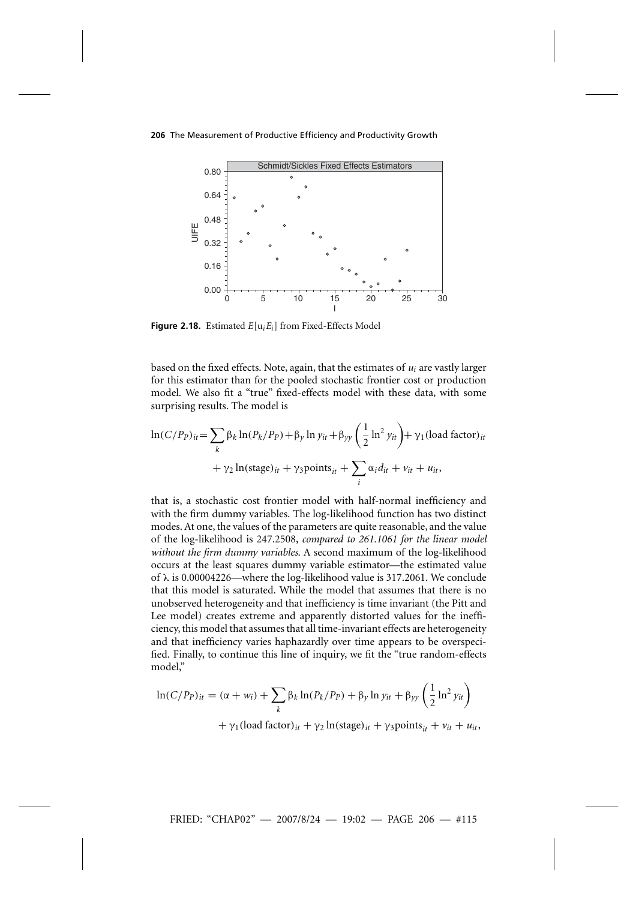

**Figure 2.18.** Estimated *E*[u*iEi*] from Fixed-Effects Model

based on the fixed effects. Note, again, that the estimates of *ui* are vastly larger for this estimator than for the pooled stochastic frontier cost or production model. We also fit a "true" fixed-effects model with these data, with some surprising results. The model is

$$
\ln(C/P_P)_{it} = \sum_{k} \beta_k \ln(P_k/P_P) + \beta_y \ln y_{it} + \beta_{yy} \left(\frac{1}{2} \ln^2 y_{it}\right) + \gamma_1 (\text{load factor})_{it}
$$

$$
+ \gamma_2 \ln(\text{stage})_{it} + \gamma_3 \text{points}_{it} + \sum_i \alpha_i d_{it} + v_{it} + u_{it},
$$

that is, a stochastic cost frontier model with half-normal inefficiency and with the firm dummy variables. The log-likelihood function has two distinct modes. At one, the values of the parameters are quite reasonable, and the value of the log-likelihood is 247.2508, *compared to 261.1061 for the linear model without the firm dummy variables*. A second maximum of the log-likelihood occurs at the least squares dummy variable estimator—the estimated value of λ is 0.00004226—where the log-likelihood value is 317.2061. We conclude that this model is saturated. While the model that assumes that there is no unobserved heterogeneity and that inefficiency is time invariant (the Pitt and Lee model) creates extreme and apparently distorted values for the inefficiency, this model that assumes that all time-invariant effects are heterogeneity and that inefficiency varies haphazardly over time appears to be overspecified. Finally, to continue this line of inquiry, we fit the "true random-effects model,"

$$
\ln(C/P_P)_{it} = (\alpha + w_i) + \sum_{k} \beta_k \ln(P_k/P_P) + \beta_y \ln y_{it} + \beta_{yy} \left(\frac{1}{2} \ln^2 y_{it}\right)
$$

$$
+ \gamma_1 (\text{load factor})_{it} + \gamma_2 \ln(\text{stage})_{it} + \gamma_3 \text{points}_{it} + v_{it} + u_{it},
$$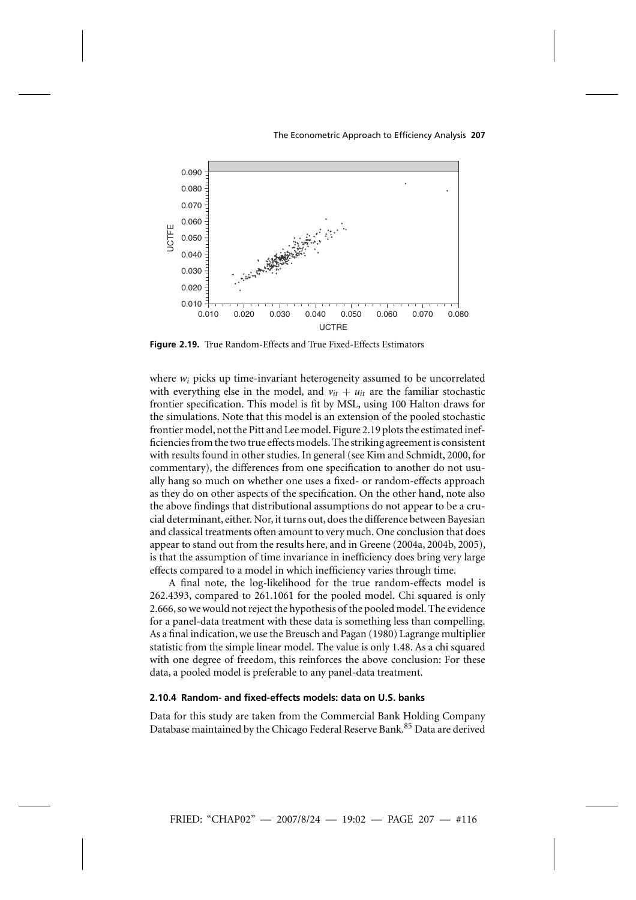

**Figure 2.19.** True Random-Effects and True Fixed-Effects Estimators

where  $w_i$  picks up time-invariant heterogeneity assumed to be uncorrelated with everything else in the model, and  $v_{it} + u_{it}$  are the familiar stochastic frontier specification. This model is fit by MSL, using 100 Halton draws for the simulations. Note that this model is an extension of the pooled stochastic frontier model, not the Pitt and Lee model. Figure 2.19 plots the estimated inefficiencies from the two true effects models. The striking agreement is consistent with results found in other studies. In general (see Kim and Schmidt, 2000, for commentary), the differences from one specification to another do not usually hang so much on whether one uses a fixed- or random-effects approach as they do on other aspects of the specification. On the other hand, note also the above findings that distributional assumptions do not appear to be a crucial determinant, either. Nor, it turns out, does the difference between Bayesian and classical treatments often amount to very much. One conclusion that does appear to stand out from the results here, and in Greene (2004a, 2004b, 2005), is that the assumption of time invariance in inefficiency does bring very large effects compared to a model in which inefficiency varies through time.

A final note, the log-likelihood for the true random-effects model is 262.4393, compared to 261.1061 for the pooled model. Chi squared is only 2.666, so we would not reject the hypothesis of the pooled model. The evidence for a panel-data treatment with these data is something less than compelling. As a final indication, we use the Breusch and Pagan (1980) Lagrange multiplier statistic from the simple linear model. The value is only 1.48. As a chi squared with one degree of freedom, this reinforces the above conclusion: For these data, a pooled model is preferable to any panel-data treatment.

## **2.10.4 Random- and fixed-effects models: data on U.S. banks**

Data for this study are taken from the Commercial Bank Holding Company Database maintained by the Chicago Federal Reserve Bank.<sup>85</sup> Data are derived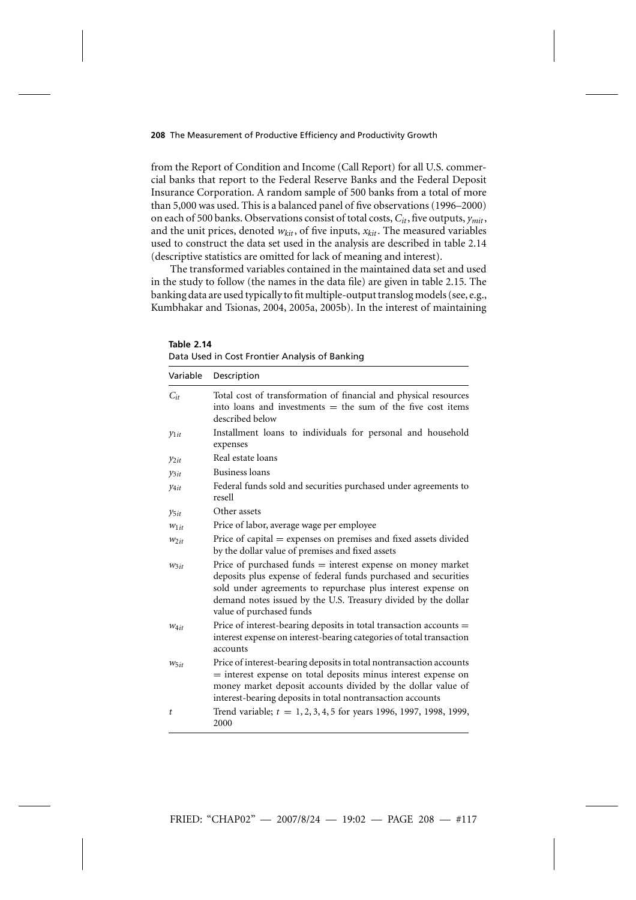from the Report of Condition and Income (Call Report) for all U.S. commercial banks that report to the Federal Reserve Banks and the Federal Deposit Insurance Corporation. A random sample of 500 banks from a total of more than 5,000 was used. This is a balanced panel of five observations (1996–2000) on each of 500 banks. Observations consist of total costs,*Cit* , five outputs, *ymit* , and the unit prices, denoted  $w_{kit}$ , of five inputs,  $x_{kit}$ . The measured variables used to construct the data set used in the analysis are described in table 2.14 (descriptive statistics are omitted for lack of meaning and interest).

The transformed variables contained in the maintained data set and used in the study to follow (the names in the data file) are given in table 2.15. The banking data are used typically to fit multiple-output translog models (see, e.g., Kumbhakar and Tsionas, 2004, 2005a, 2005b). In the interest of maintaining

| <b>Table 2.14</b>                              |  |
|------------------------------------------------|--|
| Data Used in Cost Frontier Analysis of Banking |  |

| Variable     | Description                                                                                                                                                                                                                                                                                    |
|--------------|------------------------------------------------------------------------------------------------------------------------------------------------------------------------------------------------------------------------------------------------------------------------------------------------|
| $C_{it}$     | Total cost of transformation of financial and physical resources<br>into loans and investments $=$ the sum of the five cost items<br>described below                                                                                                                                           |
| $y_{1it}$    | Installment loans to individuals for personal and household<br>expenses                                                                                                                                                                                                                        |
| $y_{2it}$    | Real estate loans                                                                                                                                                                                                                                                                              |
| $y_{3it}$    | Business loans                                                                                                                                                                                                                                                                                 |
| <i>Y</i> 4it | Federal funds sold and securities purchased under agreements to<br>resell                                                                                                                                                                                                                      |
| $y_{5it}$    | Other assets                                                                                                                                                                                                                                                                                   |
| $W_{1it}$    | Price of labor, average wage per employee                                                                                                                                                                                                                                                      |
| W2it         | Price of capital = expenses on premises and fixed assets divided<br>by the dollar value of premises and fixed assets                                                                                                                                                                           |
| $W_3$ it     | Price of purchased funds $=$ interest expense on money market<br>deposits plus expense of federal funds purchased and securities<br>sold under agreements to repurchase plus interest expense on<br>demand notes issued by the U.S. Treasury divided by the dollar<br>value of purchased funds |
| $W_4$ it     | Price of interest-bearing deposits in total transaction accounts $=$<br>interest expense on interest-bearing categories of total transaction<br>accounts                                                                                                                                       |
| W5it         | Price of interest-bearing deposits in total nontransaction accounts<br>= interest expense on total deposits minus interest expense on<br>money market deposit accounts divided by the dollar value of<br>interest-bearing deposits in total nontransaction accounts                            |
| t            | Trend variable; $t = 1, 2, 3, 4, 5$ for years 1996, 1997, 1998, 1999,<br>2000                                                                                                                                                                                                                  |

FRIED: "CHAP02" — 2007/8/24 — 19:02 — PAGE 208 — #117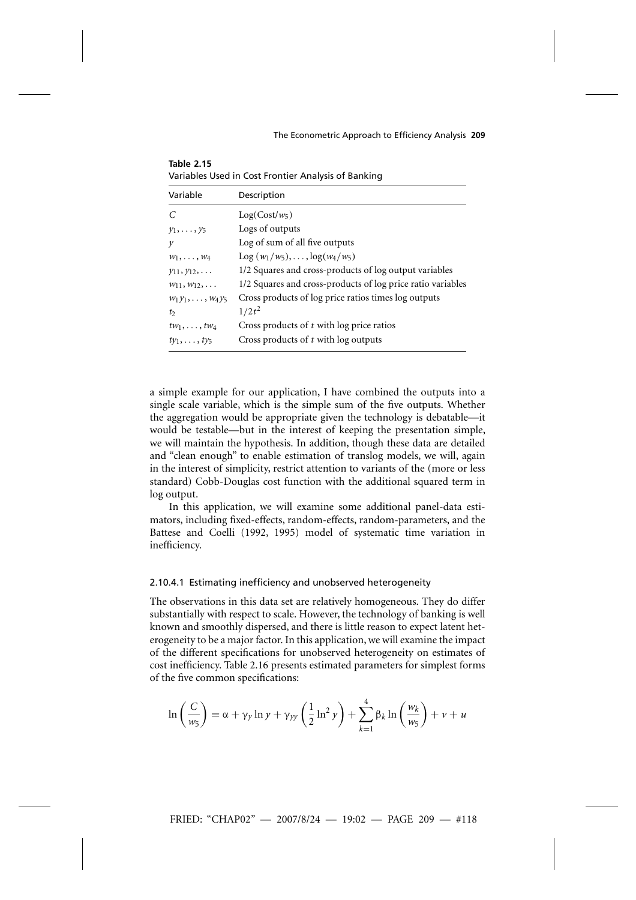| Variables Used in Cost Frontier Analysis of Banking |                                                             |  |  |
|-----------------------------------------------------|-------------------------------------------------------------|--|--|
| Variable                                            | Description                                                 |  |  |
| C                                                   | $Log(Cost/w_5)$                                             |  |  |
| $y_1,\ldots,y_5$                                    | Logs of outputs                                             |  |  |
| $\mathcal V$                                        | Log of sum of all five outputs                              |  |  |
| $W_1, \ldots, W_4$                                  | $Log(w_1/w_5), \ldots, log(w_4/w_5)$                        |  |  |
| $y_{11}, y_{12}, \ldots$                            | 1/2 Squares and cross-products of log output variables      |  |  |
| $W_{11}, W_{12}, \ldots$                            | 1/2 Squares and cross-products of log price ratio variables |  |  |
| $W_1V_1,\ldots,W_4V_5$                              | Cross products of log price ratios times log outputs        |  |  |
| t                                                   | $1/2t^2$                                                    |  |  |
| $tw_1, \ldots, tw_4$                                | Cross products of t with log price ratios                   |  |  |
| $ty_1, \ldots, ty_5$                                | Cross products of t with log outputs                        |  |  |

**Table 2.15**

a simple example for our application, I have combined the outputs into a single scale variable, which is the simple sum of the five outputs. Whether the aggregation would be appropriate given the technology is debatable—it would be testable—but in the interest of keeping the presentation simple, we will maintain the hypothesis. In addition, though these data are detailed and "clean enough" to enable estimation of translog models, we will, again in the interest of simplicity, restrict attention to variants of the (more or less standard) Cobb-Douglas cost function with the additional squared term in log output.

In this application, we will examine some additional panel-data estimators, including fixed-effects, random-effects, random-parameters, and the Battese and Coelli (1992, 1995) model of systematic time variation in inefficiency.

## 2.10.4.1 Estimating inefficiency and unobserved heterogeneity

The observations in this data set are relatively homogeneous. They do differ substantially with respect to scale. However, the technology of banking is well known and smoothly dispersed, and there is little reason to expect latent heterogeneity to be a major factor. In this application, we will examine the impact of the different specifications for unobserved heterogeneity on estimates of cost inefficiency. Table 2.16 presents estimated parameters for simplest forms of the five common specifications:

$$
\ln\left(\frac{C}{w_5}\right) = \alpha + \gamma_y \ln y + \gamma_{yy} \left(\frac{1}{2}\ln^2 y\right) + \sum_{k=1}^4 \beta_k \ln\left(\frac{w_k}{w_5}\right) + v + u
$$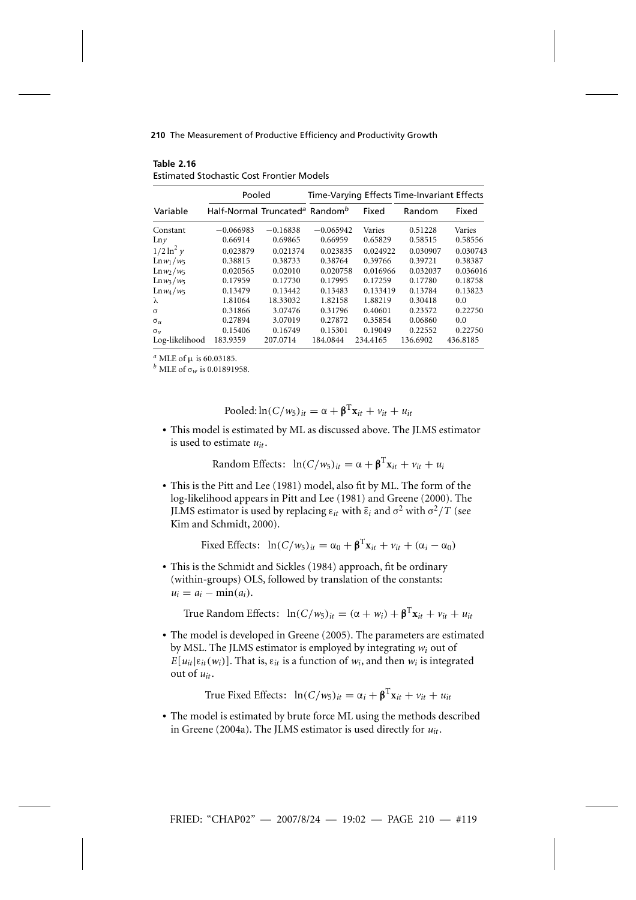| <b>Table 2.16</b>                                |  |
|--------------------------------------------------|--|
| <b>Estimated Stochastic Cost Frontier Models</b> |  |

|                    |                                                        | Pooled     |             | Time-Varying Effects Time-Invariant Effects |          |          |
|--------------------|--------------------------------------------------------|------------|-------------|---------------------------------------------|----------|----------|
| Variable           | Half-Normal Truncated <sup>a</sup> Random <sup>b</sup> |            |             | Fixed                                       | Random   | Fixed    |
| Constant           | $-0.066983$                                            | $-0.16838$ | $-0.065942$ | Varies                                      | 0.51228  | Varies   |
| Ln <sub>y</sub>    | 0.66914                                                | 0.69865    | 0.66959     | 0.65829                                     | 0.58515  | 0.58556  |
| $1/2 \ln^2 y$      | 0.023879                                               | 0.021374   | 0.023835    | 0.024922                                    | 0.030907 | 0.030743 |
| $\text{Ln}w_1/w_5$ | 0.38815                                                | 0.38733    | 0.38764     | 0.39766                                     | 0.39721  | 0.38387  |
| $\text{Ln}w_2/w_5$ | 0.020565                                               | 0.02010    | 0.020758    | 0.016966                                    | 0.032037 | 0.036016 |
| $\text{Ln}w_3/w_5$ | 0.17959                                                | 0.17730    | 0.17995     | 0.17259                                     | 0.17780  | 0.18758  |
| $\text{Ln}w_4/w_5$ | 0.13479                                                | 0.13442    | 0.13483     | 0.133419                                    | 0.13784  | 0.13823  |
| λ                  | 1.81064                                                | 18.33032   | 1.82158     | 1.88219                                     | 0.30418  | 0.0      |
| $\sigma$           | 0.31866                                                | 3.07476    | 0.31796     | 0.40601                                     | 0.23572  | 0.22750  |
| $\sigma_u$         | 0.27894                                                | 3.07019    | 0.27872     | 0.35854                                     | 0.06860  | 0.0      |
| $\sigma_{\nu}$     | 0.15406                                                | 0.16749    | 0.15301     | 0.19049                                     | 0.22552  | 0.22750  |
| Log-likelihood     | 183.9359                                               | 207.0714   | 184.0844    | 234.4165                                    | 136.6902 | 436.8185 |

 $a$  MLE of  $\mu$  is 60.03185.

*<sup>b</sup>* MLE of σ*<sup>w</sup>* is 0.01891958.

Pooled:  $\ln(C/w_5)_{it} = \alpha + \beta^T x_{it} + v_{it} + u_{it}$ 

• This model is estimated by ML as discussed above. The JLMS estimator is used to estimate *uit* .

Random Effects: 
$$
\ln(C/w_5)_{it} = \alpha + \beta^{T}x_{it} + v_{it} + u_i
$$

• This is the Pitt and Lee (1981) model, also fit by ML. The form of the log-likelihood appears in Pitt and Lee (1981) and Greene (2000). The JLMS estimator is used by replacing  $\varepsilon_{it}$  with  $\bar{\varepsilon}_i$  and  $\sigma^2$  with  $\sigma^2/T$  (see Kim and Schmidt, 2000).

Fixed Effects:  $\ln(C/w_5)_{it} = \alpha_0 + \beta^T x_{it} + v_{it} + (\alpha_i - \alpha_0)$ 

• This is the Schmidt and Sickles (1984) approach, fit be ordinary (within-groups) OLS, followed by translation of the constants:  $u_i = a_i - \min(a_i).$ 

True Random Effects:  $\ln(C/w_5)_{it} = (\alpha + w_i) + \beta^T x_{it} + v_{it} + u_{it}$ 

• The model is developed in Greene (2005). The parameters are estimated by MSL. The JLMS estimator is employed by integrating *wi* out of  $E[u_{it}|\varepsilon_{it}(w_i)]$ . That is,  $\varepsilon_{it}$  is a function of  $w_i$ , and then  $w_i$  is integrated out of *uit* .

True Fixed Effects:  $\ln(C/w_5)_{it} = \alpha_i + \beta_i^T x_{it} + v_{it} + u_{it}$ 

• The model is estimated by brute force ML using the methods described in Greene (2004a). The JLMS estimator is used directly for *uit* .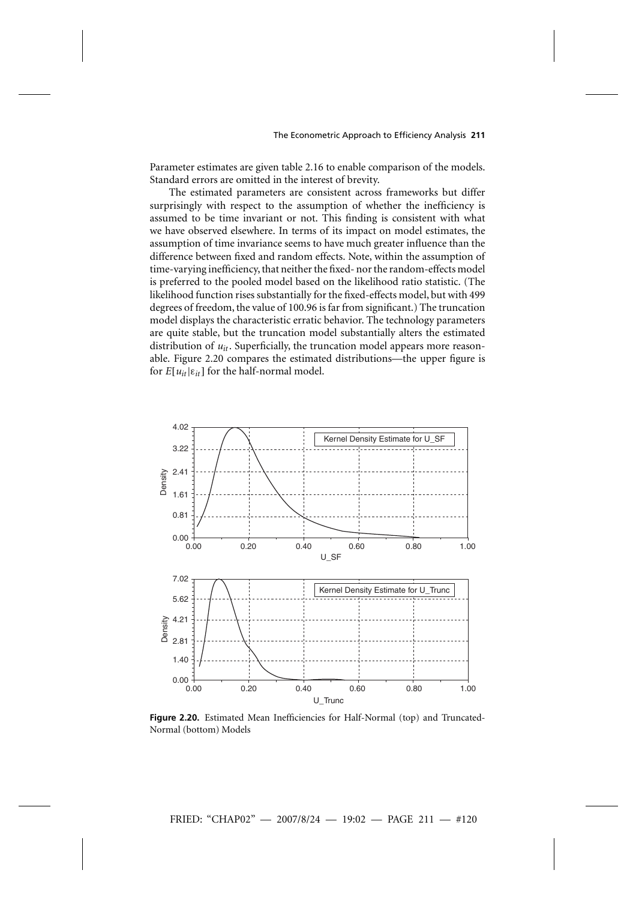Parameter estimates are given table 2.16 to enable comparison of the models. Standard errors are omitted in the interest of brevity.

The estimated parameters are consistent across frameworks but differ surprisingly with respect to the assumption of whether the inefficiency is assumed to be time invariant or not. This finding is consistent with what we have observed elsewhere. In terms of its impact on model estimates, the assumption of time invariance seems to have much greater influence than the difference between fixed and random effects. Note, within the assumption of time-varying inefficiency, that neither the fixed- nor the random-effects model is preferred to the pooled model based on the likelihood ratio statistic. (The likelihood function rises substantially for the fixed-effects model, but with 499 degrees of freedom, the value of 100.96 is far from significant.) The truncation model displays the characteristic erratic behavior. The technology parameters are quite stable, but the truncation model substantially alters the estimated distribution of  $u_{it}$ . Superficially, the truncation model appears more reasonable. Figure 2.20 compares the estimated distributions—the upper figure is for  $E[u_{it}|\varepsilon_{it}]$  for the half-normal model.



**Figure 2.20.** Estimated Mean Inefficiencies for Half-Normal (top) and Truncated-Normal (bottom) Models

FRIED: "CHAP02" — 2007/8/24 — 19:02 — PAGE 211 — #120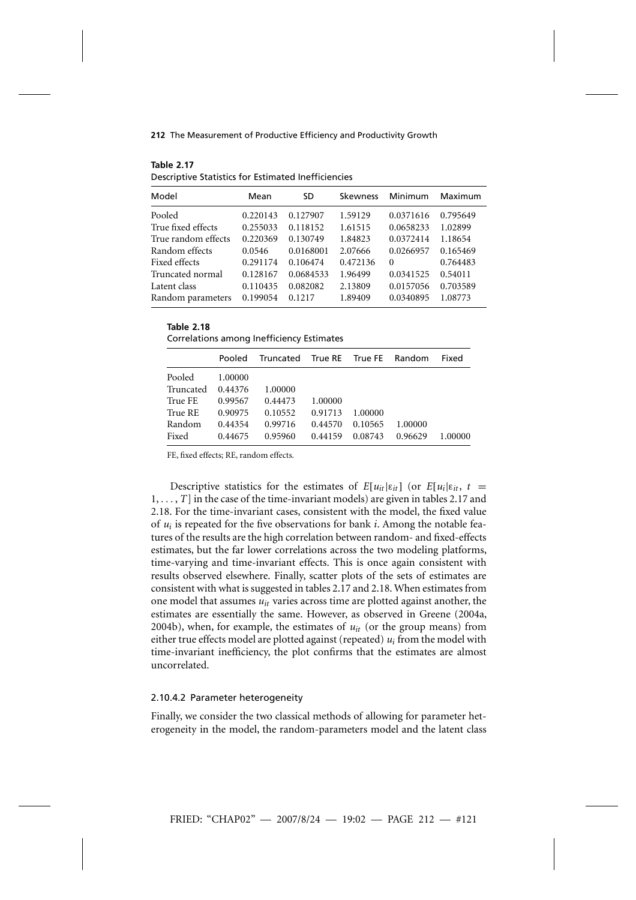**Table 2.17** Descriptive Statistics for Estimated Inefficiencies

| Model               | Mean     | SD        | <b>Skewness</b> | Minimum   | Maximum  |
|---------------------|----------|-----------|-----------------|-----------|----------|
| Pooled              | 0.220143 | 0.127907  | 1.59129         | 0.0371616 | 0.795649 |
| True fixed effects  | 0.255033 | 0.118152  | 1.61515         | 0.0658233 | 1.02899  |
| True random effects | 0.220369 | 0.130749  | 1.84823         | 0.0372414 | 1.18654  |
| Random effects      | 0.0546   | 0.0168001 | 2.07666         | 0.0266957 | 0.165469 |
| Fixed effects       | 0.291174 | 0.106474  | 0.472136        | $\Omega$  | 0.764483 |
| Truncated normal    | 0.128167 | 0.0684533 | 1.96499         | 0.0341525 | 0.54011  |
| Latent class        | 0.110435 | 0.082082  | 2.13809         | 0.0157056 | 0.703589 |
| Random parameters   | 0.199054 | 0.1217    | 1.89409         | 0.0340895 | 1.08773  |

| <b>Table 2.18</b>                         |  |
|-------------------------------------------|--|
| Correlations among Inefficiency Estimates |  |

|           | Pooled  | Truncated True RE True FE |         |         | Random  | Fixed   |
|-----------|---------|---------------------------|---------|---------|---------|---------|
| Pooled    | 1.00000 |                           |         |         |         |         |
| Truncated | 0.44376 | 1.00000                   |         |         |         |         |
| True FE   | 0.99567 | 0.44473                   | 1.00000 |         |         |         |
| True RE   | 0.90975 | 0.10552                   | 0.91713 | 1.00000 |         |         |
| Random    | 0.44354 | 0.99716                   | 0.44570 | 0.10565 | 1.00000 |         |
| Fixed     | 0.44675 | 0.95960                   | 0.44159 | 0.08743 | 0.96629 | 1.00000 |

FE, fixed effects; RE, random effects.

Descriptive statistics for the estimates of  $E[u_{it} | \varepsilon_{it}]$  (or  $E[u_i | \varepsilon_{it}, t]$ 1, ... , *T*] in the case of the time-invariant models) are given in tables 2.17 and 2.18. For the time-invariant cases, consistent with the model, the fixed value of *ui* is repeated for the five observations for bank *i*. Among the notable features of the results are the high correlation between random- and fixed-effects estimates, but the far lower correlations across the two modeling platforms, time-varying and time-invariant effects. This is once again consistent with results observed elsewhere. Finally, scatter plots of the sets of estimates are consistent with what is suggested in tables 2.17 and 2.18. When estimates from one model that assumes *uit* varies across time are plotted against another, the estimates are essentially the same. However, as observed in Greene (2004a, 2004b), when, for example, the estimates of  $u_{it}$  (or the group means) from either true effects model are plotted against (repeated) *ui* from the model with time-invariant inefficiency, the plot confirms that the estimates are almost uncorrelated.

## 2.10.4.2 Parameter heterogeneity

Finally, we consider the two classical methods of allowing for parameter heterogeneity in the model, the random-parameters model and the latent class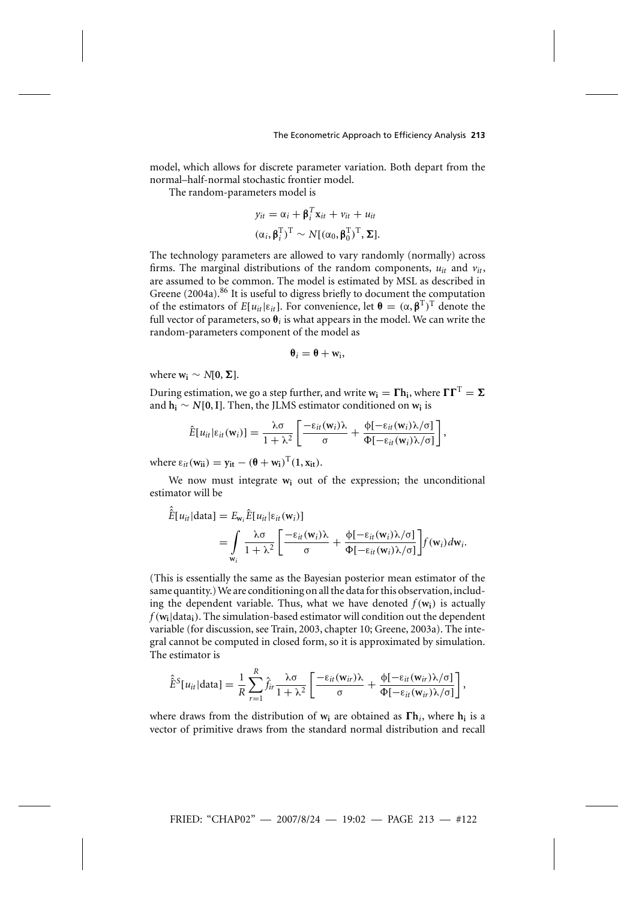model, which allows for discrete parameter variation. Both depart from the normal–half-normal stochastic frontier model.

The random-parameters model is

$$
y_{it} = \alpha_i + \boldsymbol{\beta}_i^T \mathbf{x}_{it} + v_{it} + u_{it}
$$

$$
(\alpha_i, \boldsymbol{\beta}_i^T)^T \sim N[(\alpha_0, \boldsymbol{\beta}_0^T)^T, \boldsymbol{\Sigma}].
$$

The technology parameters are allowed to vary randomly (normally) across firms. The marginal distributions of the random components,  $u_{it}$  and  $v_{it}$ , are assumed to be common. The model is estimated by MSL as described in Greene (2004a).<sup>86</sup> It is useful to digress briefly to document the computation of the estimators of  $E[u_{it}|\varepsilon_{it}]$ . For convenience, let  $\mathbf{\theta} = (\alpha, \beta^T)^T$  denote the full vector of parameters, so  $\theta_i$  is what appears in the model. We can write the random-parameters component of the model as

$$
\theta_i = \theta + w_i,
$$

where  $w_i$  ∼  $N[0, Σ]$ .

During estimation, we go a step further, and write  $w_i = \Gamma h_i$ , where  $\Gamma \Gamma^T = \Sigma$ and **hi** ∼ *N*[**0**,**I**]. Then, the JLMS estimator conditioned on **wi** is

$$
\hat{E}[u_{it}|\varepsilon_{it}(\mathbf{w}_i)] = \frac{\lambda \sigma}{1 + \lambda^2} \left[ \frac{-\varepsilon_{it}(\mathbf{w}_i)\lambda}{\sigma} + \frac{\phi[-\varepsilon_{it}(\mathbf{w}_i)\lambda/\sigma]}{\Phi[-\varepsilon_{it}(\mathbf{w}_i)\lambda/\sigma]} \right],
$$

where  $\varepsilon_{it}(\mathbf{w}_{ii}) = \mathbf{y}_{it} - (\mathbf{\theta} + \mathbf{w}_i)^T(\mathbf{1}, \mathbf{x}_{it}).$ 

We now must integrate  $w_i$  out of the expression; the unconditional estimator will be

$$
\hat{\hat{E}}[u_{it}|\text{data}] = E_{w_i} \hat{E}[u_{it}|\epsilon_{it}(w_i)]
$$
\n
$$
= \int_{w_i} \frac{\lambda \sigma}{1 + \lambda^2} \left[ \frac{-\epsilon_{it}(w_i)\lambda}{\sigma} + \frac{\phi[-\epsilon_{it}(w_i)\lambda/\sigma]}{\Phi[-\epsilon_{it}(w_i)\lambda/\sigma]} \right] f(w_i) dw_i.
$$

(This is essentially the same as the Bayesian posterior mean estimator of the same quantity.) We are conditioning on all the data for this observation, including the dependent variable. Thus, what we have denoted  $f(w_i)$  is actually  $f(w_i|data_i)$ . The simulation-based estimator will condition out the dependent variable (for discussion, see Train, 2003, chapter 10; Greene, 2003a). The integral cannot be computed in closed form, so it is approximated by simulation. The estimator is

$$
\hat{\hat{E}}^{S}[u_{it}|\text{data}] = \frac{1}{R}\sum_{r=1}^{R}\hat{f}_{ir}\frac{\lambda\sigma}{1+\lambda^{2}}\left[\frac{-\varepsilon_{it}(\mathbf{w}_{ir})\lambda}{\sigma} + \frac{\phi[-\varepsilon_{it}(\mathbf{w}_{ir})\lambda/\sigma]}{\Phi[-\varepsilon_{it}(\mathbf{w}_{ir})\lambda/\sigma]}\right],
$$

where draws from the distribution of  $w_i$  are obtained as  $\Gamma h_i$ , where  $h_i$  is a vector of primitive draws from the standard normal distribution and recall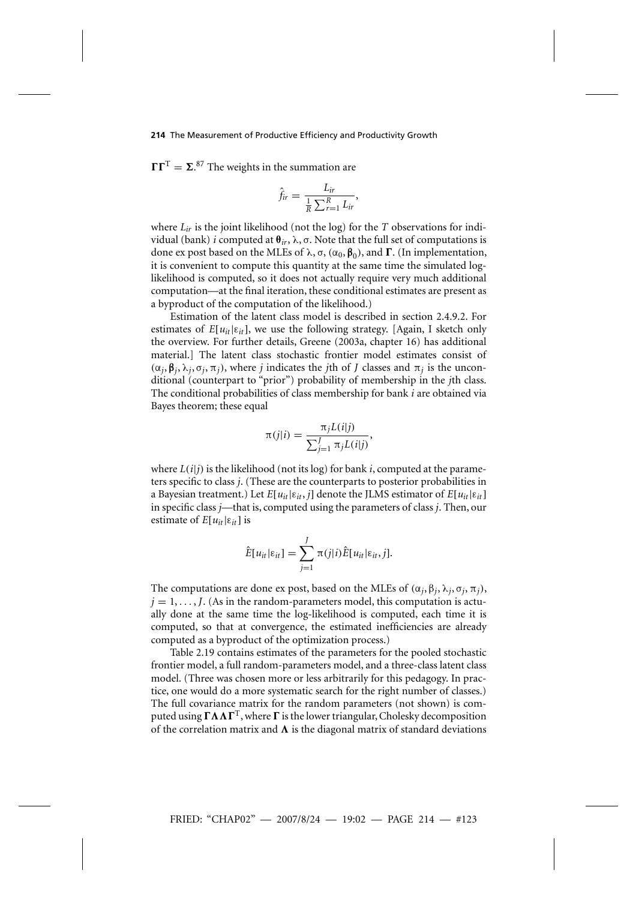$\boldsymbol{\Gamma}\boldsymbol{\Gamma}^{\mathrm{T}} = \boldsymbol{\Sigma}^{.87}$  The weights in the summation are

$$
\hat{f}_{ir} = \frac{L_{ir}}{\frac{1}{R}\sum_{r=1}^{R}L_{ir}},
$$

where  $L_{ir}$  is the joint likelihood (not the log) for the  $T$  observations for individual (bank) *i* computed at **θ***ir*, λ, σ. Note that the full set of computations is done ex post based on the MLEs of  $\lambda$ , σ, ( $\alpha_0$ ,  $\beta_0$ ), and **Γ**. (In implementation, it is convenient to compute this quantity at the same time the simulated loglikelihood is computed, so it does not actually require very much additional computation—at the final iteration, these conditional estimates are present as a byproduct of the computation of the likelihood.)

Estimation of the latent class model is described in section 2.4.9.2. For estimates of  $E[u_{it}|\varepsilon_{it}]$ , we use the following strategy. [Again, I sketch only the overview. For further details, Greene (2003a, chapter 16) has additional material.] The latent class stochastic frontier model estimates consist of  $(\alpha_i, \beta_i, \lambda_i, \sigma_i, \pi_i)$ , where *j* indicates the *j*th of *J* classes and  $\pi_i$  is the unconditional (counterpart to "prior") probability of membership in the *j*th class. The conditional probabilities of class membership for bank *i* are obtained via Bayes theorem; these equal

$$
\pi(j|i) = \frac{\pi_j L(i|j)}{\sum_{j=1}^J \pi_j L(i|j)},
$$

where  $L(i|j)$  is the likelihood (not its log) for bank *i*, computed at the parameters specific to class *j*. (These are the counterparts to posterior probabilities in a Bayesian treatment.) Let  $E[u_{it} | \varepsilon_{it}, j]$  denote the JLMS estimator of  $E[u_{it} | \varepsilon_{it}]$ in specific class *j*—that is, computed using the parameters of class *j*. Then, our estimate of  $E[u_{it}|\varepsilon_{it}]$  is

$$
\hat{E}[u_{it}|\varepsilon_{it}] = \sum_{j=1}^{J} \pi(j|i)\hat{E}[u_{it}|\varepsilon_{it},j].
$$

The computations are done ex post, based on the MLEs of  $(\alpha_j, \beta_j, \lambda_j, \sigma_j, \pi_j)$ ,  $j = 1, \ldots, J$ . (As in the random-parameters model, this computation is actually done at the same time the log-likelihood is computed, each time it is computed, so that at convergence, the estimated inefficiencies are already computed as a byproduct of the optimization process.)

Table 2.19 contains estimates of the parameters for the pooled stochastic frontier model, a full random-parameters model, and a three-class latent class model. (Three was chosen more or less arbitrarily for this pedagogy. In practice, one would do a more systematic search for the right number of classes.) The full covariance matrix for the random parameters (not shown) is computed using  $\Gamma \Lambda \Lambda \Gamma^{T}$ , where  $\Gamma$  is the lower triangular, Cholesky decomposition of the correlation matrix and  $\Lambda$  is the diagonal matrix of standard deviations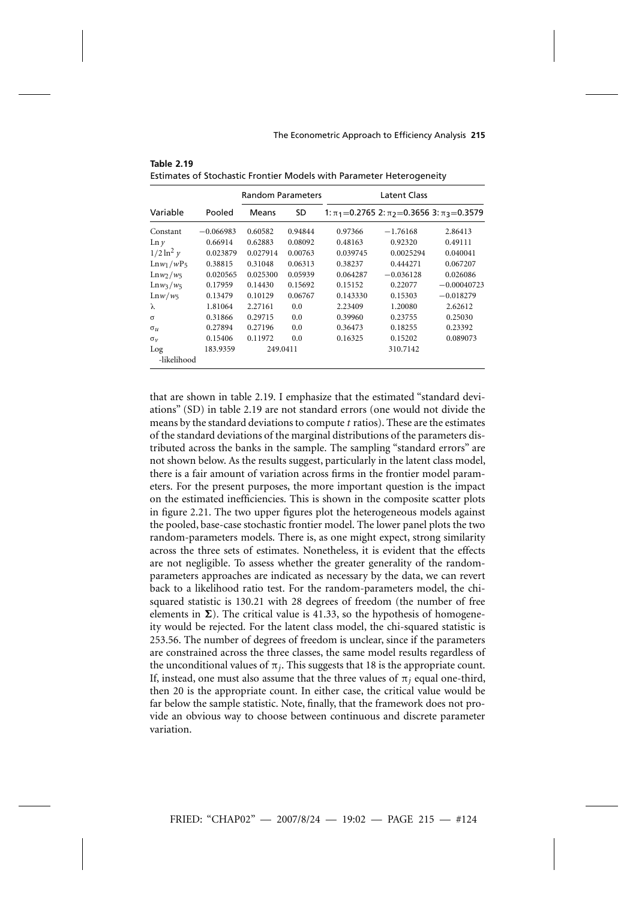|                     |             | <b>Random Parameters</b> |          |          | Latent Class                                         |               |
|---------------------|-------------|--------------------------|----------|----------|------------------------------------------------------|---------------|
| Variable            | Pooled      | Means                    | SD       |          | $1:\pi_1=0.2765$ 2: $\pi_2=0.3656$ 3: $\pi_3=0.3579$ |               |
| Constant            | $-0.066983$ | 0.60582                  | 0.94844  | 0.97366  | $-1.76168$                                           | 2.86413       |
| $\ln y$             | 0.66914     | 0.62883                  | 0.08092  | 0.48163  | 0.92320                                              | 0.49111       |
| $1/2 \ln^2 y$       | 0.023879    | 0.027914                 | 0.00763  | 0.039745 | 0.0025294                                            | 0.040041      |
| $\text{Ln}w_1/wP_5$ | 0.38815     | 0.31048                  | 0.06313  | 0.38237  | 0.444271                                             | 0.067207      |
| $\text{Ln}w_2/w_5$  | 0.020565    | 0.025300                 | 0.05939  | 0.064287 | $-0.036128$                                          | 0.026086      |
| $\text{Ln}w_3/w_5$  | 0.17959     | 0.14430                  | 0.15692  | 0.15152  | 0.22077                                              | $-0.00040723$ |
| $\text{Ln}w/w_5$    | 0.13479     | 0.10129                  | 0.06767  | 0.143330 | 0.15303                                              | $-0.018279$   |
| λ                   | 1.81064     | 2.27161                  | 0.0      | 2.23409  | 1.20080                                              | 2.62612       |
| $\sigma$            | 0.31866     | 0.29715                  | 0.0      | 0.39960  | 0.23755                                              | 0.25030       |
| $\sigma_u$          | 0.27894     | 0.27196                  | 0.0      | 0.36473  | 0.18255                                              | 0.23392       |
| $\sigma_{\nu}$      | 0.15406     | 0.11972                  | 0.0      | 0.16325  | 0.15202                                              | 0.089073      |
| Log<br>-likelihood  | 183.9359    |                          | 249.0411 |          | 310.7142                                             |               |

**Table 2.19** Estimates of Stochastic Frontier Models with Parameter Heterogeneity

that are shown in table 2.19. I emphasize that the estimated "standard deviations" (SD) in table 2.19 are not standard errors (one would not divide the means by the standard deviations to compute *t* ratios). These are the estimates of the standard deviations of the marginal distributions of the parameters distributed across the banks in the sample. The sampling "standard errors" are not shown below. As the results suggest, particularly in the latent class model, there is a fair amount of variation across firms in the frontier model parameters. For the present purposes, the more important question is the impact on the estimated inefficiencies. This is shown in the composite scatter plots in figure 2.21. The two upper figures plot the heterogeneous models against the pooled, base-case stochastic frontier model. The lower panel plots the two random-parameters models. There is, as one might expect, strong similarity across the three sets of estimates. Nonetheless, it is evident that the effects are not negligible. To assess whether the greater generality of the randomparameters approaches are indicated as necessary by the data, we can revert back to a likelihood ratio test. For the random-parameters model, the chisquared statistic is 130.21 with 28 degrees of freedom (the number of free elements in  $\Sigma$ ). The critical value is 41.33, so the hypothesis of homogeneity would be rejected. For the latent class model, the chi-squared statistic is 253.56. The number of degrees of freedom is unclear, since if the parameters are constrained across the three classes, the same model results regardless of the unconditional values of  $\pi_j$ . This suggests that 18 is the appropriate count. If, instead, one must also assume that the three values of  $\pi_i$  equal one-third, then 20 is the appropriate count. In either case, the critical value would be far below the sample statistic. Note, finally, that the framework does not provide an obvious way to choose between continuous and discrete parameter variation.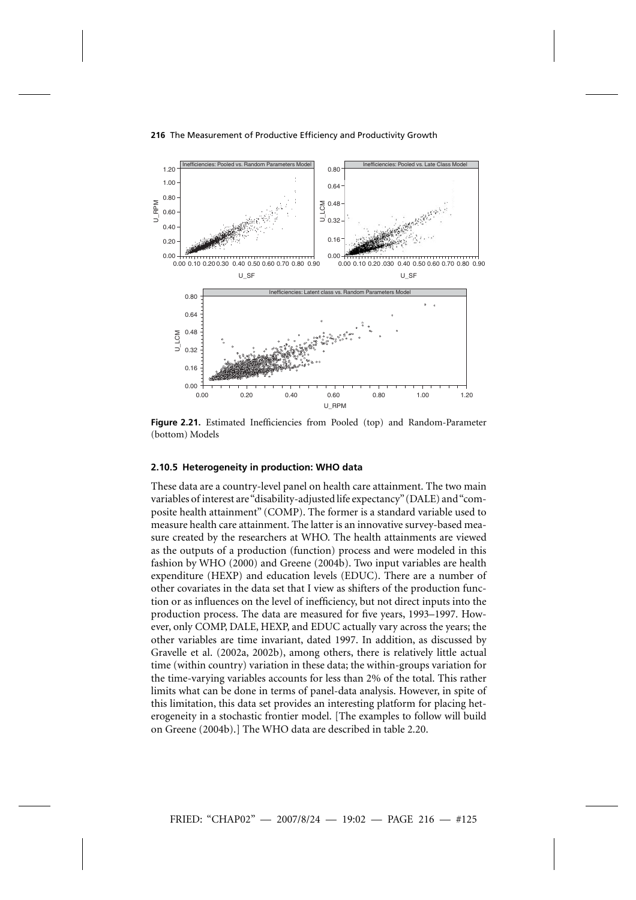

**Figure 2.21.** Estimated Inefficiencies from Pooled (top) and Random-Parameter (bottom) Models

## **2.10.5 Heterogeneity in production: WHO data**

These data are a country-level panel on health care attainment. The two main variables of interest are"disability-adjusted life expectancy" (DALE) and"composite health attainment" (COMP). The former is a standard variable used to measure health care attainment. The latter is an innovative survey-based measure created by the researchers at WHO. The health attainments are viewed as the outputs of a production (function) process and were modeled in this fashion by WHO (2000) and Greene (2004b). Two input variables are health expenditure (HEXP) and education levels (EDUC). There are a number of other covariates in the data set that I view as shifters of the production function or as influences on the level of inefficiency, but not direct inputs into the production process. The data are measured for five years, 1993–1997. However, only COMP, DALE, HEXP, and EDUC actually vary across the years; the other variables are time invariant, dated 1997. In addition, as discussed by Gravelle et al. (2002a, 2002b), among others, there is relatively little actual time (within country) variation in these data; the within-groups variation for the time-varying variables accounts for less than 2% of the total. This rather limits what can be done in terms of panel-data analysis. However, in spite of this limitation, this data set provides an interesting platform for placing heterogeneity in a stochastic frontier model. [The examples to follow will build on Greene (2004b).] The WHO data are described in table 2.20.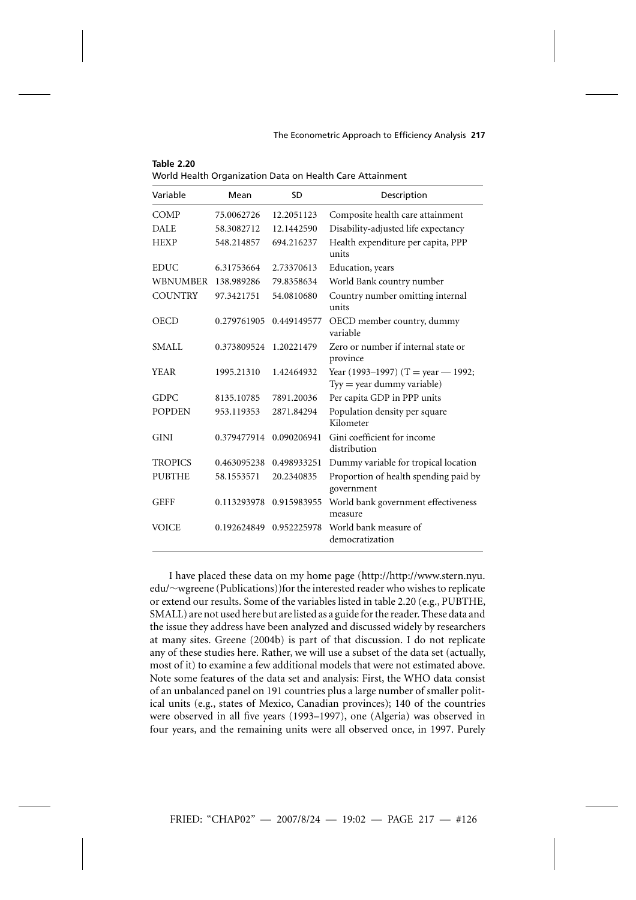| Table 2.20                                               |
|----------------------------------------------------------|
| World Health Organization Data on Health Care Attainment |

| Variable       | Mean        | <b>SD</b>   | Description                                                        |
|----------------|-------------|-------------|--------------------------------------------------------------------|
| COMP           | 75.0062726  | 12.2051123  | Composite health care attainment                                   |
| <b>DALE</b>    | 58.3082712  | 12.1442590  | Disability-adjusted life expectancy                                |
| <b>HEXP</b>    | 548.214857  | 694.216237  | Health expenditure per capita, PPP<br>units                        |
| <b>EDUC</b>    | 6.31753664  | 2.73370613  | Education, years                                                   |
| WBNUMBER       | 138.989286  | 79.8358634  | World Bank country number                                          |
| <b>COUNTRY</b> | 97.3421751  | 54.0810680  | Country number omitting internal<br>units                          |
| OECD           | 0.279761905 | 0.449149577 | OECD member country, dummy<br>variable                             |
| SMALL          | 0.373809524 | 1.20221479  | Zero or number if internal state or<br>province                    |
| <b>YEAR</b>    | 1995.21310  | 1.42464932  | Year (1993–1997) (T = year - 1992;<br>$Tyy = year$ dummy variable) |
| <b>GDPC</b>    | 8135.10785  | 7891.20036  | Per capita GDP in PPP units                                        |
| <b>POPDEN</b>  | 953.119353  | 2871.84294  | Population density per square<br>Kilometer                         |
| <b>GINI</b>    | 0.379477914 | 0.090206941 | Gini coefficient for income<br>distribution                        |
| <b>TROPICS</b> | 0.463095238 | 0.498933251 | Dummy variable for tropical location                               |
| <b>PUBTHE</b>  | 58.1553571  | 20.2340835  | Proportion of health spending paid by<br>government                |
| <b>GEFF</b>    | 0.113293978 | 0.915983955 | World bank government effectiveness<br>measure                     |
| <b>VOICE</b>   | 0.192624849 | 0.952225978 | World bank measure of<br>democratization                           |

I have placed these data on my home page (http://http://www.stern.nyu. edu/∼wgreene (Publications))for the interested reader who wishes to replicate or extend our results. Some of the variables listed in table 2.20 (e.g., PUBTHE, SMALL) are not used here but are listed as a guide for the reader. These data and the issue they address have been analyzed and discussed widely by researchers at many sites. Greene (2004b) is part of that discussion. I do not replicate any of these studies here. Rather, we will use a subset of the data set (actually, most of it) to examine a few additional models that were not estimated above. Note some features of the data set and analysis: First, the WHO data consist of an unbalanced panel on 191 countries plus a large number of smaller political units (e.g., states of Mexico, Canadian provinces); 140 of the countries were observed in all five years (1993–1997), one (Algeria) was observed in four years, and the remaining units were all observed once, in 1997. Purely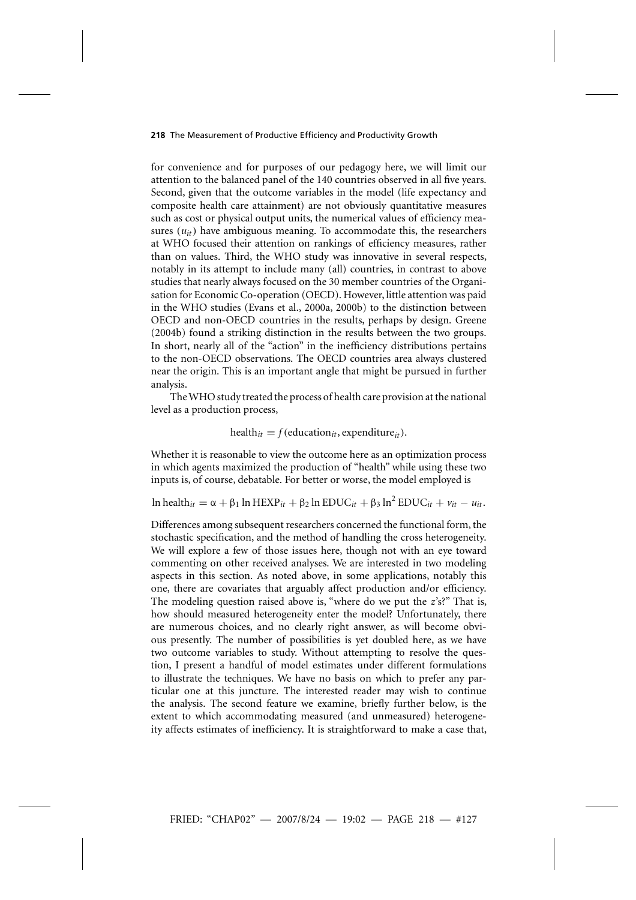for convenience and for purposes of our pedagogy here, we will limit our attention to the balanced panel of the 140 countries observed in all five years. Second, given that the outcome variables in the model (life expectancy and composite health care attainment) are not obviously quantitative measures such as cost or physical output units, the numerical values of efficiency measures (*uit*) have ambiguous meaning. To accommodate this, the researchers at WHO focused their attention on rankings of efficiency measures, rather than on values. Third, the WHO study was innovative in several respects, notably in its attempt to include many (all) countries, in contrast to above studies that nearly always focused on the 30 member countries of the Organisation for Economic Co-operation (OECD). However, little attention was paid in the WHO studies (Evans et al., 2000a, 2000b) to the distinction between OECD and non-OECD countries in the results, perhaps by design. Greene (2004b) found a striking distinction in the results between the two groups. In short, nearly all of the "action" in the inefficiency distributions pertains to the non-OECD observations. The OECD countries area always clustered near the origin. This is an important angle that might be pursued in further analysis.

TheWHO study treated the process of health care provision at the national level as a production process,

# health<sub>*it*</sub> =  $f$ (education<sub>*it*</sub>, expenditure<sub>*it*</sub>).

Whether it is reasonable to view the outcome here as an optimization process in which agents maximized the production of "health" while using these two inputs is, of course, debatable. For better or worse, the model employed is

# ln health*it* = α + β<sup>1</sup> ln HEXP*it* + β<sup>2</sup> ln EDUC*it* + β<sup>3</sup> ln<sup>2</sup> EDUC*it* + *vit* − *uit* .

Differences among subsequent researchers concerned the functional form, the stochastic specification, and the method of handling the cross heterogeneity. We will explore a few of those issues here, though not with an eye toward commenting on other received analyses. We are interested in two modeling aspects in this section. As noted above, in some applications, notably this one, there are covariates that arguably affect production and/or efficiency. The modeling question raised above is, "where do we put the *z*'s?" That is, how should measured heterogeneity enter the model? Unfortunately, there are numerous choices, and no clearly right answer, as will become obvious presently. The number of possibilities is yet doubled here, as we have two outcome variables to study. Without attempting to resolve the question, I present a handful of model estimates under different formulations to illustrate the techniques. We have no basis on which to prefer any particular one at this juncture. The interested reader may wish to continue the analysis. The second feature we examine, briefly further below, is the extent to which accommodating measured (and unmeasured) heterogeneity affects estimates of inefficiency. It is straightforward to make a case that,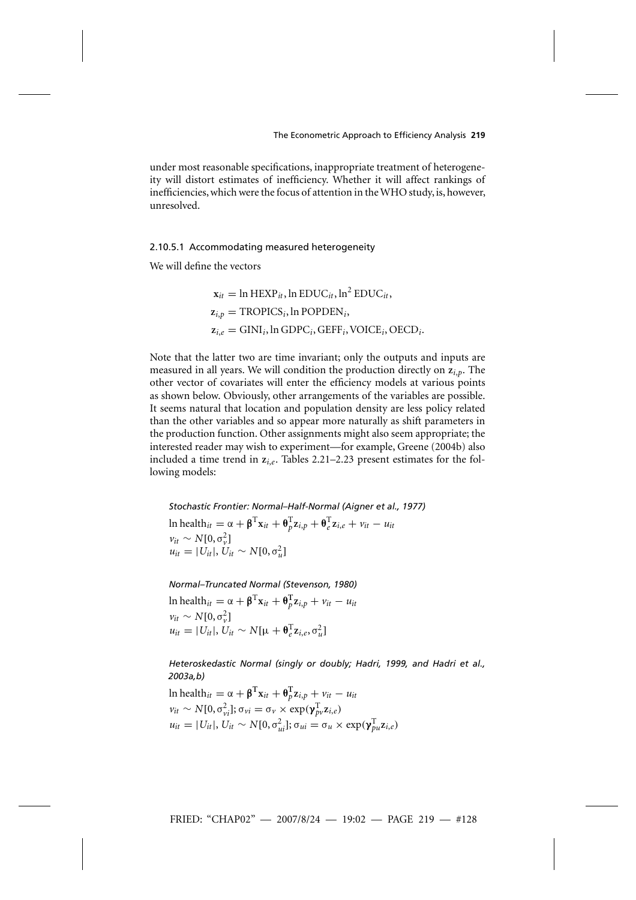under most reasonable specifications, inappropriate treatment of heterogeneity will distort estimates of inefficiency. Whether it will affect rankings of inefficiencies, which were the focus of attention in theWHO study, is, however, unresolved.

## 2.10.5.1 Accommodating measured heterogeneity

We will define the vectors

$$
\mathbf{x}_{it} = \ln \text{HERP}_{it}, \ln \text{EDUC}_{it}, \ln^2 \text{EDUC}_{it},
$$
  

$$
\mathbf{z}_{i,p} = \text{TROPICS}_{i}, \ln \text{POPDEN}_{i},
$$
  

$$
\mathbf{z}_{i,e} = \text{GINI}_{i}, \ln \text{GDPC}_{i}, \text{GEFF}_{i}, \text{VOICE}_{i}, \text{OECD}_{i}.
$$

Note that the latter two are time invariant; only the outputs and inputs are measured in all years. We will condition the production directly on **z***i*,*p*. The other vector of covariates will enter the efficiency models at various points as shown below. Obviously, other arrangements of the variables are possible. It seems natural that location and population density are less policy related than the other variables and so appear more naturally as shift parameters in the production function. Other assignments might also seem appropriate; the interested reader may wish to experiment—for example, Greene (2004b) also included a time trend in **z***i*,*e*. Tables 2.21–2.23 present estimates for the following models:

*Stochastic Frontier: Normal–Half-Normal (Aigner et al., 1977)*

 $\ln \text{health}_{it} = \alpha + \beta^{\text{T}} \mathbf{x}_{it} + \theta^{\text{T}}_{p} \mathbf{z}_{i,p} + \theta^{\text{T}}_{e} \mathbf{z}_{i,e} + v_{it} - u_{it}$  $v_{it} \sim N[0, \sigma_v^2]$  $u_{it} = |U_{it}|, U_{it} \sim N[0, \sigma_u^2]$ 

*Normal–Truncated Normal (Stevenson, 1980)*

 $\ln \text{health}_{it} = \alpha + \pmb{\beta}^{\text{T}} \textbf{x}_{it} + \pmb{\theta}^{\text{T}}_{p} \textbf{z}_{i, p} + \nu_{it} - \nu_{it}$  $v_{it} \sim N[0, \sigma_v^2]$  $u_{it} = |U_{it}|$ ,  $U_{it} \sim N[\mu + \theta_e^T \mathbf{z}_{i,e}, \sigma_u^2]$ 

*Heteroskedastic Normal (singly or doubly; Hadri, 1999, and Hadri et al., 2003a,b)*

 $\ln \text{health}_{it} = \alpha + \pmb{\beta}^{\text{T}} \textbf{x}_{it} + \pmb{\theta}^{\text{T}}_{p} \textbf{z}_{i, p} + \nu_{it} - \nu_{it}$  $v_{it} \sim N[0, \sigma_{vi}^2]; \sigma_{vi} = \sigma_v \times \exp(\mathbf{\gamma}_{pv}^T \mathbf{z}_{i,e})$  $u_{it} = |U_{it}|$ ,  $U_{it} \sim N[0, \sigma_{ui}^2]; \sigma_{ui} = \sigma_u \times \exp(\gamma_{pu}^T z_{i,e})$ 

FRIED: "CHAP02" — 2007/8/24 — 19:02 — PAGE 219 — #128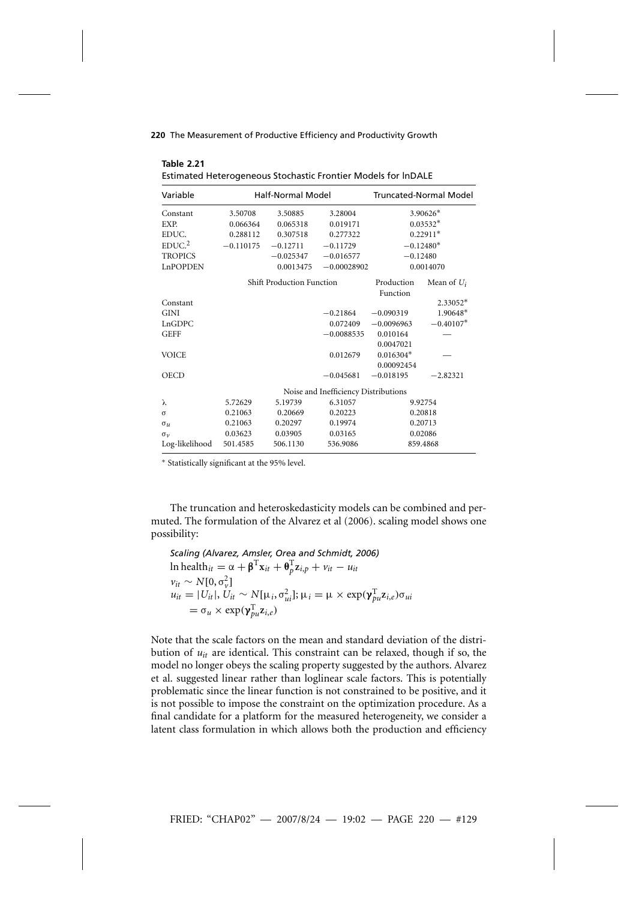| <b>LSUINATED TIETER OGENEOUS STOCHASTIC FRONTIER INTOGETS FOR INDEXILL</b> |             |                                  |                                      |                               |               |  |
|----------------------------------------------------------------------------|-------------|----------------------------------|--------------------------------------|-------------------------------|---------------|--|
| Variable                                                                   |             | Half-Normal Model                |                                      | <b>Truncated-Normal Model</b> |               |  |
| Constant                                                                   | 3.50708     | 3.50885                          | 3.28004                              |                               | 3.90626*      |  |
| EXP.                                                                       | 0.066364    | 0.065318                         | 0.019171                             |                               | $0.03532*$    |  |
| EDUC.                                                                      | 0.288112    | 0.307518                         | 0.277322                             |                               | $0.22911*$    |  |
| EDUC. <sup>2</sup>                                                         | $-0.110175$ | $-0.12711$                       | $-0.11729$                           |                               | $-0.12480*$   |  |
| <b>TROPICS</b>                                                             |             | $-0.025347$                      | $-0.016577$                          | $-0.12480$                    |               |  |
| LnPOPDEN                                                                   |             | 0.0013475                        | $-0.00028902$                        | 0.0014070                     |               |  |
|                                                                            |             | <b>Shift Production Function</b> |                                      | Production<br>Function        | Mean of $U_i$ |  |
| Constant                                                                   |             |                                  |                                      |                               | 2.33052*      |  |
| <b>GINI</b>                                                                |             |                                  | $-0.21864$                           | $-0.090319$                   | 1.90648*      |  |
| LnGDPC                                                                     |             |                                  | 0.072409                             | $-0.0096963$                  | $-0.40107*$   |  |
| <b>GEFF</b>                                                                |             |                                  | $-0.0088535$                         | 0.010164                      |               |  |
|                                                                            |             |                                  |                                      | 0.0047021                     |               |  |
| <b>VOICE</b>                                                               |             |                                  | 0.012679                             | $0.016304*$                   |               |  |
|                                                                            |             |                                  |                                      | 0.00092454                    |               |  |
| <b>OECD</b>                                                                |             |                                  | $-0.045681$                          | $-0.018195$                   | $-2.82321$    |  |
|                                                                            |             |                                  | Noise and Inefficiency Distributions |                               |               |  |
| λ                                                                          | 5.72629     | 5.19739                          | 6.31057                              |                               | 9.92754       |  |
| $\sigma$                                                                   | 0.21063     | 0.20669                          | 0.20223                              |                               | 0.20818       |  |
| $\sigma_u$                                                                 | 0.21063     | 0.20297                          | 0.19974                              |                               | 0.20713       |  |
| $\sigma_{\nu}$                                                             | 0.03623     | 0.03905                          | 0.03165                              |                               | 0.02086       |  |
| Log-likelihood                                                             | 501.4585    | 506.1130                         | 536.9086                             |                               | 859.4868      |  |

**Table 2.21** Estimated Heterogeneous Stochastic Frontier Models for lnDALE

<sup>∗</sup> Statistically significant at the 95% level.

The truncation and heteroskedasticity models can be combined and permuted. The formulation of the Alvarez et al (2006). scaling model shows one possibility:

*Scaling (Alvarez, Amsler, Orea and Schmidt, 2006)*  $\ln \text{health}_{it} = \alpha + \pmb{\beta}^{\text{T}} \textbf{x}_{it} + \pmb{\theta}^{\text{T}}_{p} \textbf{z}_{i, p} + \nu_{it} - \nu_{it}$  $v_{it} \sim N[0, \sigma_v^2]$  $u_{it} = |U_{it}|$ ,  $U_{it} \sim N[\mu_i, \sigma_{ui}^2]; \mu_i = \mu \times \exp(\mathbf{\gamma}_{pu}^T \mathbf{z}_{i,e}) \sigma_{ui}$  $= \sigma_u \times \exp(\mathbf{\gamma}_{pu}^T \mathbf{z}_{i,e})$ 

Note that the scale factors on the mean and standard deviation of the distribution of *uit* are identical. This constraint can be relaxed, though if so, the model no longer obeys the scaling property suggested by the authors. Alvarez et al. suggested linear rather than loglinear scale factors. This is potentially problematic since the linear function is not constrained to be positive, and it is not possible to impose the constraint on the optimization procedure. As a final candidate for a platform for the measured heterogeneity, we consider a latent class formulation in which allows both the production and efficiency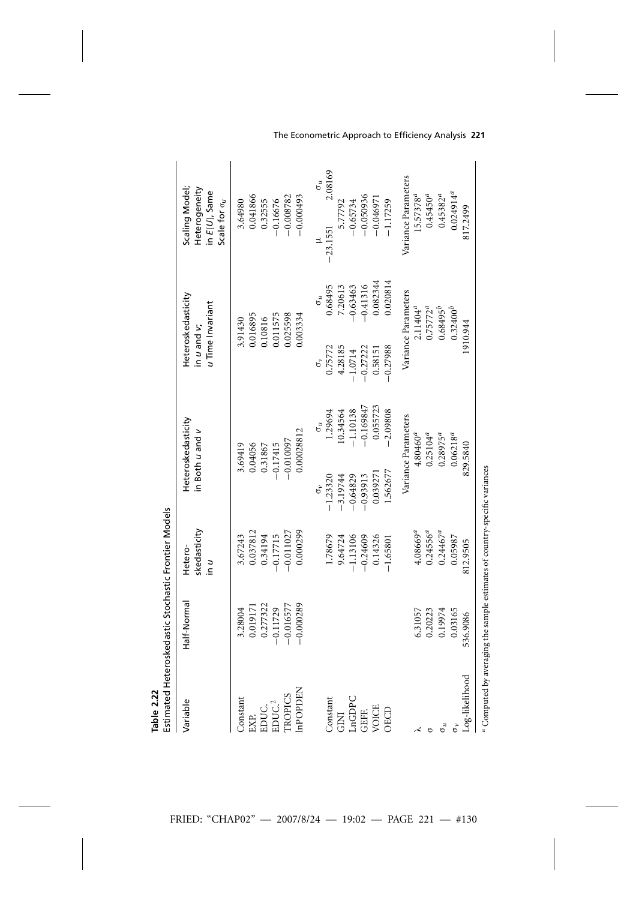| Table 2.22                                                                                                                                            | Estimated Heteroskedastic Stochastic Frontier Models                        |                                                                         |                                                                                            |                                                                                                     |                                                                        |                                                                                         |                                                                                                              |                           |
|-------------------------------------------------------------------------------------------------------------------------------------------------------|-----------------------------------------------------------------------------|-------------------------------------------------------------------------|--------------------------------------------------------------------------------------------|-----------------------------------------------------------------------------------------------------|------------------------------------------------------------------------|-----------------------------------------------------------------------------------------|--------------------------------------------------------------------------------------------------------------|---------------------------|
| Variable                                                                                                                                              | lf-Normal<br>훈                                                              | skedasticity<br>Hetero-<br>n u                                          | in Both u and v                                                                            | Heteroskedasticity                                                                                  | u Time Invariant<br>in u and v;                                        | Heteroskedasticity                                                                      | Scaling Model;<br>Heterogeneity<br>in E[U], Same<br>Scale for $\sigma_{U}$                                   |                           |
| <b>nPOPDEN</b><br><b>ROPICS</b><br>Constant<br>EDUC.<br>EDUC. <sup>2</sup><br>EXP.                                                                    | $-0.000289$<br>0.277322<br>$-0.016577$<br>0.019171<br>$-0.11729$<br>3.28004 | 0.037812<br>$-0.011027$<br>0.000299<br>$-0.17715$<br>3.67243<br>0.34194 | $-0.17415$                                                                                 | 0.00028812<br>$-0.010097$<br>3.69419<br>0.04056<br>0.31867                                          |                                                                        | 0.016895<br>0.011575<br>0.025598<br>0.003334<br>0.10816<br>3.91430                      | 0.041866<br>$-0.000493$<br>$-0.008782$<br>$-0.16676$<br>0.32555<br>3.64980                                   |                           |
| $\begin{array}{c} {\rm LnGDPC} \\ {\rm GEF} \\ {\rm VOICE} \\ {\rm OECD} \end{array}$<br>$\begin{array}{c} \text{Constant} \\ \text{GNU} \end{array}$ |                                                                             | 1.78679<br>0.14326<br>$-1.13106$<br>$-0.24609$<br>9.64724<br>$-1.65801$ | 1.562677<br>0.039271<br>$-0.64829$<br>$-0.93913$<br>$-1.23320$<br>$-3.19744$<br>$\sigma^2$ | $-0.169847$<br>0.055723<br>$-1.10138$<br>2.09808<br>10.34564<br>1.29694                             | $-0.27988$<br>4.28185<br>0.75772<br>$-0.27222$<br>0.58151<br>$-1.0714$ | 0.082344<br>0.020814<br>$-0.41316$<br>0.68495<br>7.20613<br>$-0.63463$                  | $-0.65734$<br>$-0.050936$<br>$-0.04697$<br>$-1.17259$<br>5.77792<br>$-23.1551$                               | 2.08169<br>$\sigma_{\mu}$ |
| .og-likelihood                                                                                                                                        | 0.03165<br>6.31057<br>0.19974<br>0.20223<br>6.9086<br>53                    | $0.24556^{a}$<br>$0.24467^a$<br>$4.08669^{a}$<br>0.05987<br>812.9505    |                                                                                            | Variance Parameters<br>$0.28975^{a}$<br>$0.25104^{a}$<br>$0.06218^{a}$<br>$4.80460^{a}$<br>829.5840 | 1910.944                                                               | Variance Parameters<br>$0.32400^{b}$<br>$0.75772^{a}$<br>$0.68495^{b}$<br>$2.11404^{a}$ | Variance Parameters<br>$0.024914^{a}$<br>$0.45382^{a}$<br>$0.45450^{a}$<br>15.57378 <sup>a</sup><br>817.2499 |                           |
|                                                                                                                                                       | Computed by averaging the sample estimates of country-specific variances    |                                                                         |                                                                                            |                                                                                                     |                                                                        |                                                                                         |                                                                                                              |                           |

# The Econometric Approach to Efficiency Analysis **221**

FRIED: "CHAP02" — 2007/8/24 — 19:02 — PAGE 221 — #130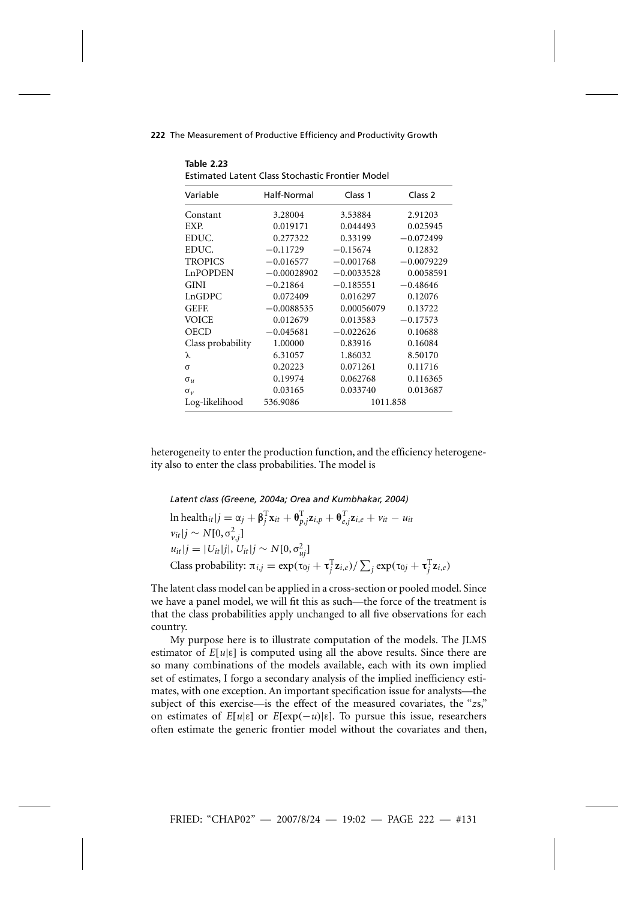| Estimated Latent Class Stochastic Frontier Model |               |              |                    |  |  |  |  |
|--------------------------------------------------|---------------|--------------|--------------------|--|--|--|--|
| Variable                                         | Half-Normal   | Class 1      | Class <sub>2</sub> |  |  |  |  |
| Constant                                         | 3.28004       | 3.53884      | 2.91203            |  |  |  |  |
| EXP.                                             | 0.019171      | 0.044493     | 0.025945           |  |  |  |  |
| EDUC.                                            | 0.277322      | 0.33199      | $-0.072499$        |  |  |  |  |
| EDUC.                                            | $-0.11729$    | $-0.15674$   | 0.12832            |  |  |  |  |
| <b>TROPICS</b>                                   | $-0.016577$   | $-0.001768$  | $-0.0079229$       |  |  |  |  |
| LnPOPDEN                                         | $-0.00028902$ | $-0.0033528$ | 0.0058591          |  |  |  |  |
| <b>GINI</b>                                      | $-0.21864$    | $-0.185551$  | $-0.48646$         |  |  |  |  |
| LnGDPC                                           | 0.072409      | 0.016297     | 0.12076            |  |  |  |  |
| GEFF.                                            | $-0.0088535$  | 0.00056079   | 0.13722            |  |  |  |  |
| VOICE                                            | 0.012679      | 0.013583     | $-0.17573$         |  |  |  |  |
| <b>OECD</b>                                      | $-0.045681$   | $-0.022626$  | 0.10688            |  |  |  |  |
| Class probability                                | 1.00000       | 0.83916      | 0.16084            |  |  |  |  |
| λ                                                | 6.31057       | 1.86032      | 8.50170            |  |  |  |  |
| $\sigma$                                         | 0.20223       | 0.071261     | 0.11716            |  |  |  |  |
| $\sigma_u$                                       | 0.19974       | 0.062768     | 0.116365           |  |  |  |  |
| $\sigma_{\nu}$                                   | 0.03165       | 0.033740     | 0.013687           |  |  |  |  |
| Log-likelihood                                   | 536.9086      | 1011.858     |                    |  |  |  |  |

**Table 2.23**

heterogeneity to enter the production function, and the efficiency heterogeneity also to enter the class probabilities. The model is

*Latent class (Greene, 2004a; Orea and Kumbhakar, 2004)*

 $\ln \text{health}_{it} | j = \alpha_j + \boldsymbol{\beta}_j^{\text{T}} \mathbf{x}_{it} + \boldsymbol{\theta}_{p,j}^{\text{T}} \mathbf{z}_{i,p} + \boldsymbol{\theta}_{e,j}^{\text{T}} \mathbf{z}_{i,e} + v_{it} - u_{it}$  $v_{it}$  | $j \sim N[0, \sigma_{v,j}^2]$  $u_{it}$ | $j = |U_{it}|j|, U_{it}|j \sim N[0, \sigma_{uj}^2]$ Class probability:  $\pi_{i,j} = \exp(\tau_{0j} + \tau_j^T \mathbf{z}_{i,e}) / \sum_j \exp(\tau_{0j} + \tau_j^T \mathbf{z}_{i,e})$ 

The latent class model can be applied in a cross-section or pooled model. Since we have a panel model, we will fit this as such—the force of the treatment is that the class probabilities apply unchanged to all five observations for each country.

My purpose here is to illustrate computation of the models. The JLMS estimator of *E*[*u*|ε] is computed using all the above results. Since there are so many combinations of the models available, each with its own implied set of estimates, I forgo a secondary analysis of the implied inefficiency estimates, with one exception. An important specification issue for analysts—the subject of this exercise—is the effect of the measured covariates, the "*z*s," on estimates of  $E[u|\varepsilon]$  or  $E[\exp(-u)|\varepsilon]$ . To pursue this issue, researchers often estimate the generic frontier model without the covariates and then,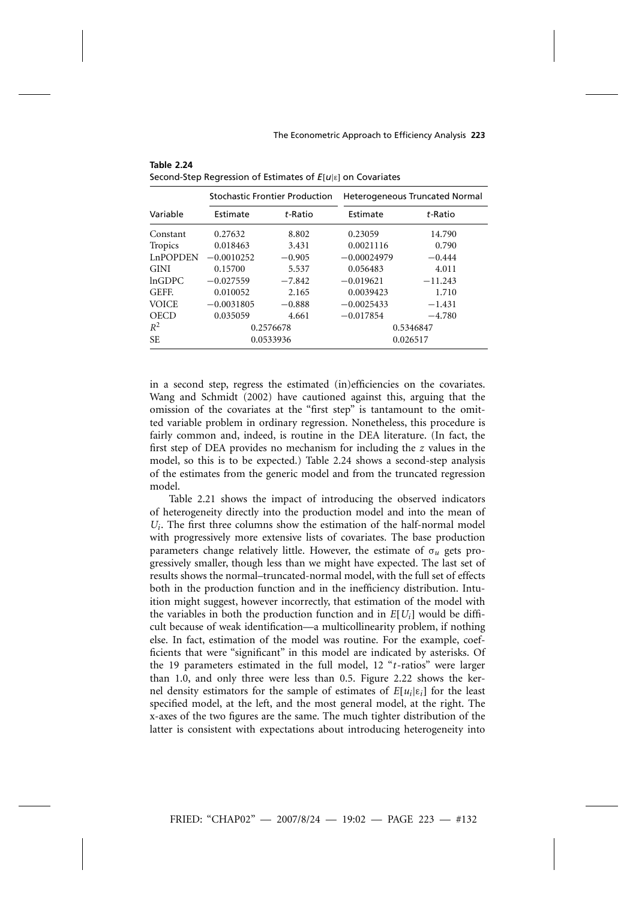|              | <b>Stochastic Frontier Production</b> |            | Heterogeneous Truncated Normal |           |  |
|--------------|---------------------------------------|------------|--------------------------------|-----------|--|
| Variable     | Estimate                              | $t$ -Ratio | Estimate                       | t-Ratio   |  |
| Constant     | 0.27632                               | 8.802      | 0.23059                        | 14.790    |  |
| Tropics      | 0.018463                              | 3.431      | 0.0021116                      | 0.790     |  |
| LnPOPDEN     | $-0.0010252$                          | $-0.905$   | $-0.00024979$                  | $-0.444$  |  |
| <b>GINI</b>  | 0.15700                               | 5.537      | 0.056483                       | 4.011     |  |
| lnGDPC       | $-0.027559$                           | $-7.842$   | $-0.019621$                    | $-11.243$ |  |
| GEFF.        | 0.010052                              | 2.165      | 0.0039423                      | 1.710     |  |
| <b>VOICE</b> | $-0.0031805$                          | $-0.888$   | $-0.0025433$                   | $-1.431$  |  |
| <b>OECD</b>  | 0.035059                              | 4.661      | $-0.017854$                    | $-4.780$  |  |
| $R^2$        |                                       | 0.2576678  | 0.5346847                      |           |  |
| <b>SE</b>    |                                       | 0.0533936  |                                | 0.026517  |  |

| <b>Table 2.24</b>                                                       |  |  |
|-------------------------------------------------------------------------|--|--|
| Second-Step Regression of Estimates of $E[u \varepsilon]$ on Covariates |  |  |

in a second step, regress the estimated (in)efficiencies on the covariates. Wang and Schmidt (2002) have cautioned against this, arguing that the omission of the covariates at the "first step" is tantamount to the omitted variable problem in ordinary regression. Nonetheless, this procedure is fairly common and, indeed, is routine in the DEA literature. (In fact, the first step of DEA provides no mechanism for including the *z* values in the model, so this is to be expected.) Table 2.24 shows a second-step analysis of the estimates from the generic model and from the truncated regression model.

Table 2.21 shows the impact of introducing the observed indicators of heterogeneity directly into the production model and into the mean of *Ui*. The first three columns show the estimation of the half-normal model with progressively more extensive lists of covariates. The base production parameters change relatively little. However, the estimate of σ*<sup>u</sup>* gets progressively smaller, though less than we might have expected. The last set of results shows the normal–truncated-normal model, with the full set of effects both in the production function and in the inefficiency distribution. Intuition might suggest, however incorrectly, that estimation of the model with the variables in both the production function and in  $E[U_i]$  would be difficult because of weak identification—a multicollinearity problem, if nothing else. In fact, estimation of the model was routine. For the example, coefficients that were "significant" in this model are indicated by asterisks. Of the 19 parameters estimated in the full model, 12 "*t*-ratios" were larger than 1.0, and only three were less than 0.5. Figure 2.22 shows the kernel density estimators for the sample of estimates of  $E[u_i|\varepsilon_i]$  for the least specified model, at the left, and the most general model, at the right. The x-axes of the two figures are the same. The much tighter distribution of the latter is consistent with expectations about introducing heterogeneity into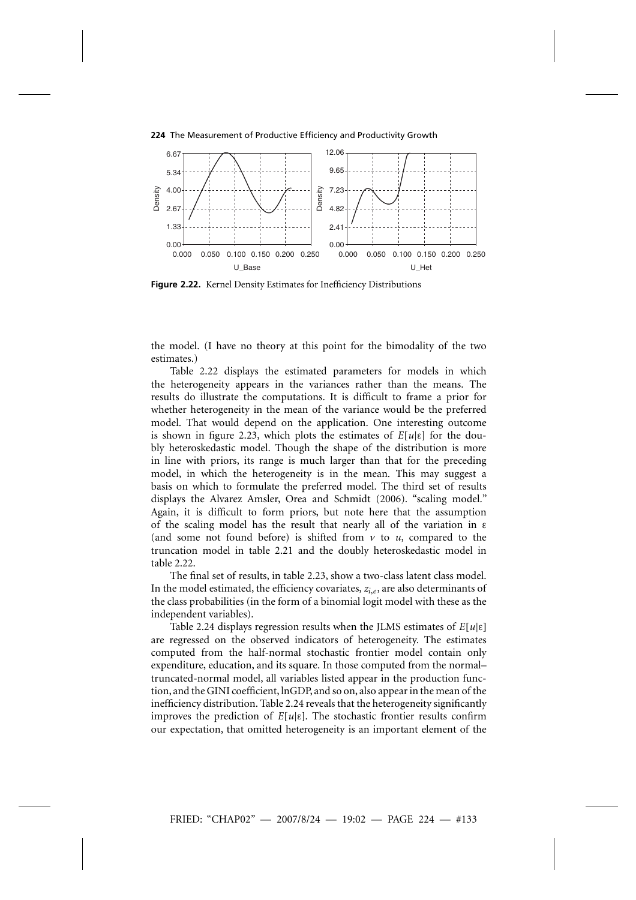

**Figure 2.22.** Kernel Density Estimates for Inefficiency Distributions

the model. (I have no theory at this point for the bimodality of the two estimates.)

Table 2.22 displays the estimated parameters for models in which the heterogeneity appears in the variances rather than the means. The results do illustrate the computations. It is difficult to frame a prior for whether heterogeneity in the mean of the variance would be the preferred model. That would depend on the application. One interesting outcome is shown in figure 2.23, which plots the estimates of *E*[*u*|ε] for the doubly heteroskedastic model. Though the shape of the distribution is more in line with priors, its range is much larger than that for the preceding model, in which the heterogeneity is in the mean. This may suggest a basis on which to formulate the preferred model. The third set of results displays the Alvarez Amsler, Orea and Schmidt (2006). "scaling model." Again, it is difficult to form priors, but note here that the assumption of the scaling model has the result that nearly all of the variation in ε (and some not found before) is shifted from *v* to *u*, compared to the truncation model in table 2.21 and the doubly heteroskedastic model in table 2.22.

The final set of results, in table 2.23, show a two-class latent class model. In the model estimated, the efficiency covariates,*zi*,*e*, are also determinants of the class probabilities (in the form of a binomial logit model with these as the independent variables).

Table 2.24 displays regression results when the JLMS estimates of *E*[*u*|ε] are regressed on the observed indicators of heterogeneity. The estimates computed from the half-normal stochastic frontier model contain only expenditure, education, and its square. In those computed from the normal– truncated-normal model, all variables listed appear in the production function, and the GINI coefficient, lnGDP, and so on, also appear in the mean of the inefficiency distribution. Table 2.24 reveals that the heterogeneity significantly improves the prediction of *E*[*u*|ε]. The stochastic frontier results confirm our expectation, that omitted heterogeneity is an important element of the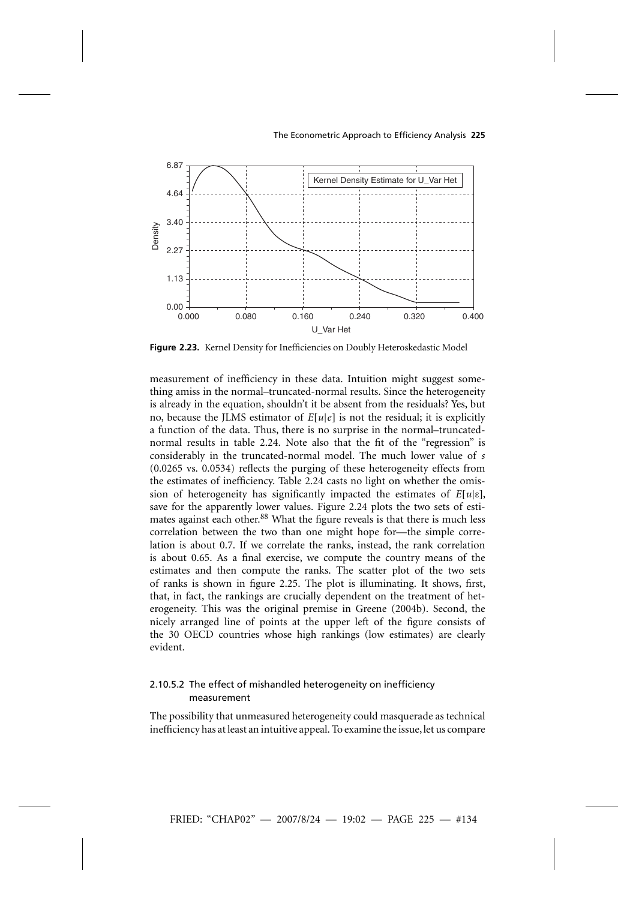

**Figure 2.23.** Kernel Density for Inefficiencies on Doubly Heteroskedastic Model

measurement of inefficiency in these data. Intuition might suggest something amiss in the normal–truncated-normal results. Since the heterogeneity is already in the equation, shouldn't it be absent from the residuals? Yes, but no, because the JLMS estimator of  $E[u|e]$  is not the residual; it is explicitly a function of the data. Thus, there is no surprise in the normal–truncatednormal results in table 2.24. Note also that the fit of the "regression" is considerably in the truncated-normal model. The much lower value of *s* (0.0265 vs. 0.0534) reflects the purging of these heterogeneity effects from the estimates of inefficiency. Table 2.24 casts no light on whether the omission of heterogeneity has significantly impacted the estimates of *E*[*u*|ε], save for the apparently lower values. Figure 2.24 plots the two sets of estimates against each other.<sup>88</sup> What the figure reveals is that there is much less correlation between the two than one might hope for—the simple correlation is about 0.7. If we correlate the ranks, instead, the rank correlation is about 0.65. As a final exercise, we compute the country means of the estimates and then compute the ranks. The scatter plot of the two sets of ranks is shown in figure 2.25. The plot is illuminating. It shows, first, that, in fact, the rankings are crucially dependent on the treatment of heterogeneity. This was the original premise in Greene (2004b). Second, the nicely arranged line of points at the upper left of the figure consists of the 30 OECD countries whose high rankings (low estimates) are clearly evident.

# 2.10.5.2 The effect of mishandled heterogeneity on inefficiency measurement

The possibility that unmeasured heterogeneity could masquerade as technical inefficiency has at least an intuitive appeal. To examine the issue,let us compare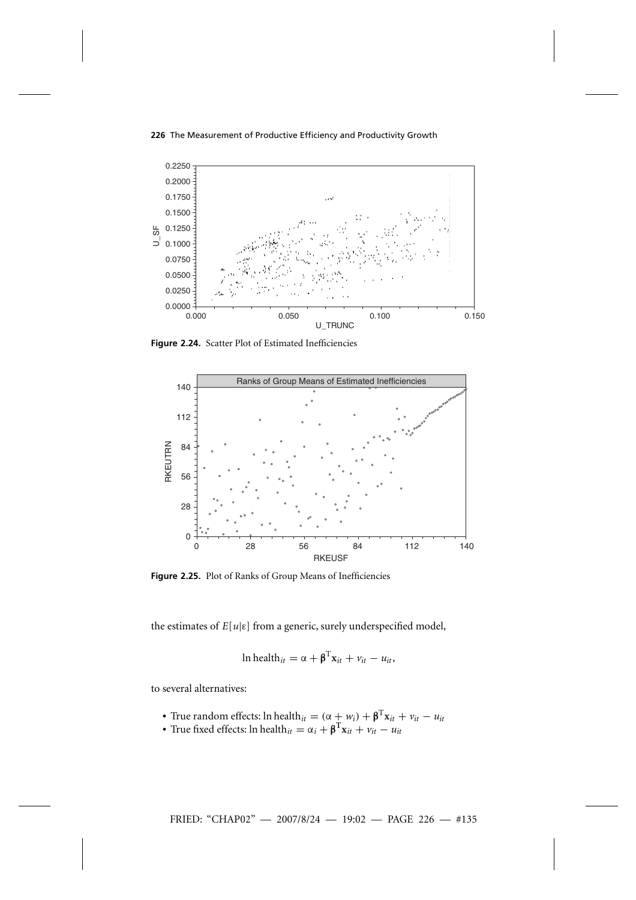



Figure 2.24. Scatter Plot of Estimated Inefficiencies



**Figure 2.25.** Plot of Ranks of Group Means of Inefficiencies

the estimates of *E*[*u*|ε] from a generic, surely underspecified model,

$$
\ln \text{health}_{it} = \alpha + \beta^{\mathrm{T}} \mathbf{x}_{it} + v_{it} - u_{it},
$$

to several alternatives:

- True random effects: ln health<sub>it</sub> = ( $\alpha \pm w_i$ ) +  $\beta$ <sup>T</sup>**x**<sub>*it*</sub> + *v*<sub>*it*</sub> *u*<sub>*it*</sub>
- True fixed effects: ln health<sub>it</sub> =  $\alpha_i + \beta^T x_{it} + v_{it} u_{it}$

FRIED: "CHAP02" — 2007/8/24 — 19:02 — PAGE 226 — #135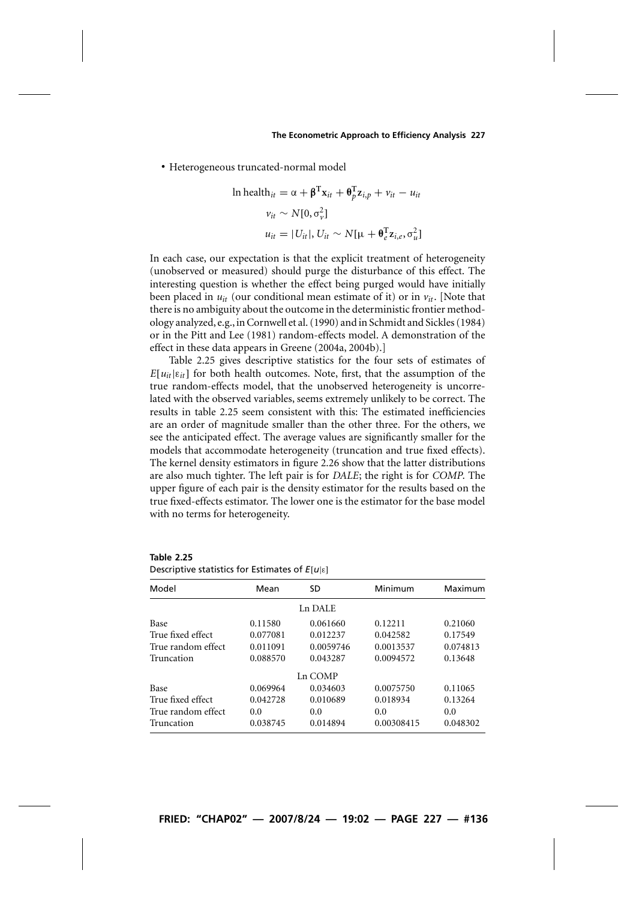• Heterogeneous truncated-normal model

$$
\ln \text{ health}_{it} = \alpha + \beta^{\text{T}} \mathbf{x}_{it} + \theta^{\text{T}}_{p} \mathbf{z}_{i,p} + v_{it} - u_{it}
$$
\n
$$
v_{it} \sim N[0, \sigma_{v}^{2}]
$$
\n
$$
u_{it} = |U_{it}|, U_{it} \sim N[\mu + \theta_{e}^{\text{T}} \mathbf{z}_{i,e}, \sigma_{u}^{2}]
$$

In each case, our expectation is that the explicit treatment of heterogeneity (unobserved or measured) should purge the disturbance of this effect. The interesting question is whether the effect being purged would have initially been placed in  $u_{it}$  (our conditional mean estimate of it) or in  $v_{it}$ . [Note that there is no ambiguity about the outcome in the deterministic frontier methodology analyzed, e.g.,in Cornwell et al. (1990) and in Schmidt and Sickles (1984) or in the Pitt and Lee (1981) random-effects model. A demonstration of the effect in these data appears in Greene (2004a, 2004b).]

Table 2.25 gives descriptive statistics for the four sets of estimates of  $E[u_{it}|\varepsilon_{it}]$  for both health outcomes. Note, first, that the assumption of the true random-effects model, that the unobserved heterogeneity is uncorrelated with the observed variables, seems extremely unlikely to be correct. The results in table 2.25 seem consistent with this: The estimated inefficiencies are an order of magnitude smaller than the other three. For the others, we see the anticipated effect. The average values are significantly smaller for the models that accommodate heterogeneity (truncation and true fixed effects). The kernel density estimators in figure 2.26 show that the latter distributions are also much tighter. The left pair is for *DALE*; the right is for *COMP*. The upper figure of each pair is the density estimator for the results based on the true fixed-effects estimator. The lower one is the estimator for the base model with no terms for heterogeneity.

| <b>Descriptive statistics for Estimates of E</b> TURT |          |               |            |          |
|-------------------------------------------------------|----------|---------------|------------|----------|
| Model                                                 | Mean     | SD            | Minimum    | Maximum  |
|                                                       |          | Ln DALE       |            |          |
| Base                                                  | 0.11580  | 0.061660      | 0.12211    | 0.21060  |
| True fixed effect                                     | 0.077081 | 0.012237      | 0.042582   | 0.17549  |
| True random effect                                    | 0.011091 | 0.0059746     | 0.0013537  | 0.074813 |
| Truncation                                            | 0.088570 | 0.043287      | 0.0094572  | 0.13648  |
|                                                       |          | Ln COMP       |            |          |
| Base                                                  | 0.069964 | 0.034603      | 0.0075750  | 0.11065  |
| True fixed effect                                     | 0.042728 | 0.010689      | 0.018934   | 0.13264  |
| True random effect                                    | 0.0      | $0.0^{\circ}$ | 0.0        | 0.0      |
| Truncation                                            | 0.038745 | 0.014894      | 0.00308415 | 0.048302 |

Descriptive statistics for Estimates of *E*[*u*|ε]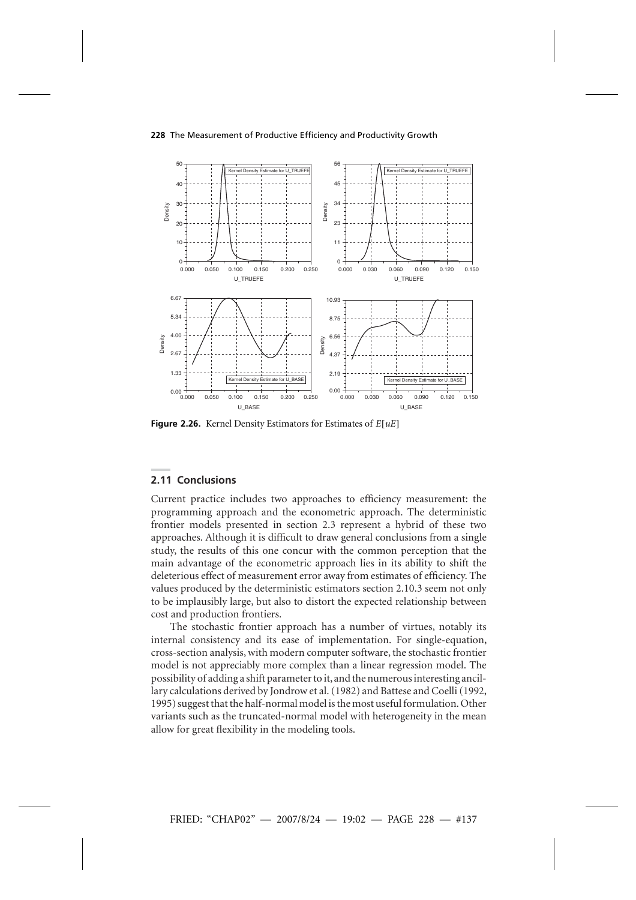

**Figure 2.26.** Kernel Density Estimators for Estimates of *E*[*uE*]

# **2.11 Conclusions**

Current practice includes two approaches to efficiency measurement: the programming approach and the econometric approach. The deterministic frontier models presented in section 2.3 represent a hybrid of these two approaches. Although it is difficult to draw general conclusions from a single study, the results of this one concur with the common perception that the main advantage of the econometric approach lies in its ability to shift the deleterious effect of measurement error away from estimates of efficiency. The values produced by the deterministic estimators section 2.10.3 seem not only to be implausibly large, but also to distort the expected relationship between cost and production frontiers.

The stochastic frontier approach has a number of virtues, notably its internal consistency and its ease of implementation. For single-equation, cross-section analysis, with modern computer software, the stochastic frontier model is not appreciably more complex than a linear regression model. The possibility of adding a shift parameter to it, and the numerous interesting ancillary calculations derived by Jondrow et al. (1982) and Battese and Coelli (1992, 1995) suggest that the half-normal model is the most useful formulation. Other variants such as the truncated-normal model with heterogeneity in the mean allow for great flexibility in the modeling tools.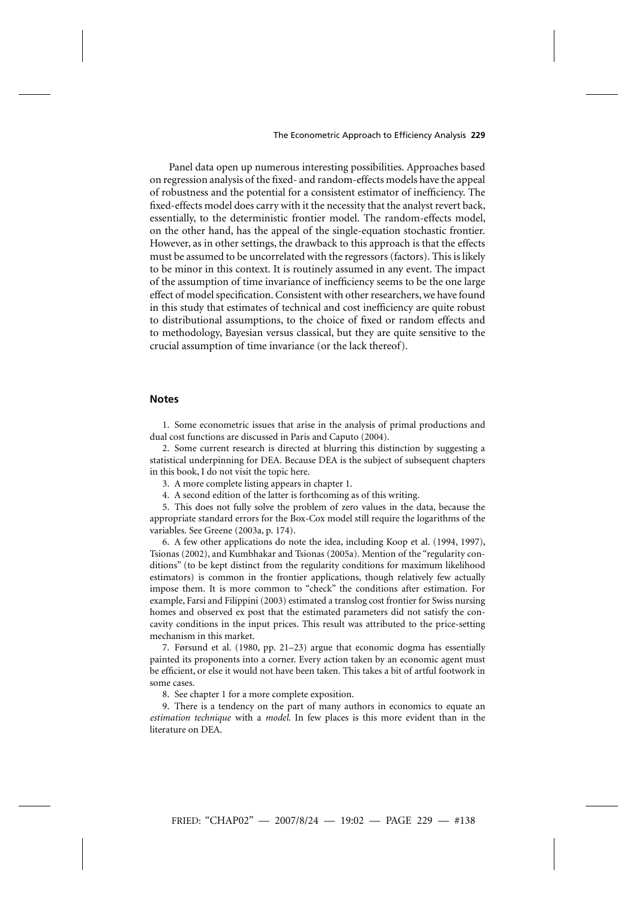Panel data open up numerous interesting possibilities. Approaches based on regression analysis of the fixed- and random-effects models have the appeal of robustness and the potential for a consistent estimator of inefficiency. The fixed-effects model does carry with it the necessity that the analyst revert back, essentially, to the deterministic frontier model. The random-effects model, on the other hand, has the appeal of the single-equation stochastic frontier. However, as in other settings, the drawback to this approach is that the effects must be assumed to be uncorrelated with the regressors (factors). This is likely to be minor in this context. It is routinely assumed in any event. The impact of the assumption of time invariance of inefficiency seems to be the one large effect of model specification. Consistent with other researchers, we have found in this study that estimates of technical and cost inefficiency are quite robust to distributional assumptions, to the choice of fixed or random effects and to methodology, Bayesian versus classical, but they are quite sensitive to the crucial assumption of time invariance (or the lack thereof).

## **Notes**

1. Some econometric issues that arise in the analysis of primal productions and dual cost functions are discussed in Paris and Caputo (2004).

2. Some current research is directed at blurring this distinction by suggesting a statistical underpinning for DEA. Because DEA is the subject of subsequent chapters in this book, I do not visit the topic here.

3. A more complete listing appears in chapter 1.

4. A second edition of the latter is forthcoming as of this writing.

5. This does not fully solve the problem of zero values in the data, because the appropriate standard errors for the Box-Cox model still require the logarithms of the variables. See Greene (2003a, p. 174).

6. A few other applications do note the idea, including Koop et al. (1994, 1997), Tsionas (2002), and Kumbhakar and Tsionas (2005a). Mention of the "regularity conditions" (to be kept distinct from the regularity conditions for maximum likelihood estimators) is common in the frontier applications, though relatively few actually impose them. It is more common to "check" the conditions after estimation. For example, Farsi and Filippini (2003) estimated a translog cost frontier for Swiss nursing homes and observed ex post that the estimated parameters did not satisfy the concavity conditions in the input prices. This result was attributed to the price-setting mechanism in this market.

7. Førsund et al. (1980, pp. 21–23) argue that economic dogma has essentially painted its proponents into a corner. Every action taken by an economic agent must be efficient, or else it would not have been taken. This takes a bit of artful footwork in some cases.

8. See chapter 1 for a more complete exposition.

9. There is a tendency on the part of many authors in economics to equate an *estimation technique* with a *model*. In few places is this more evident than in the literature on DEA.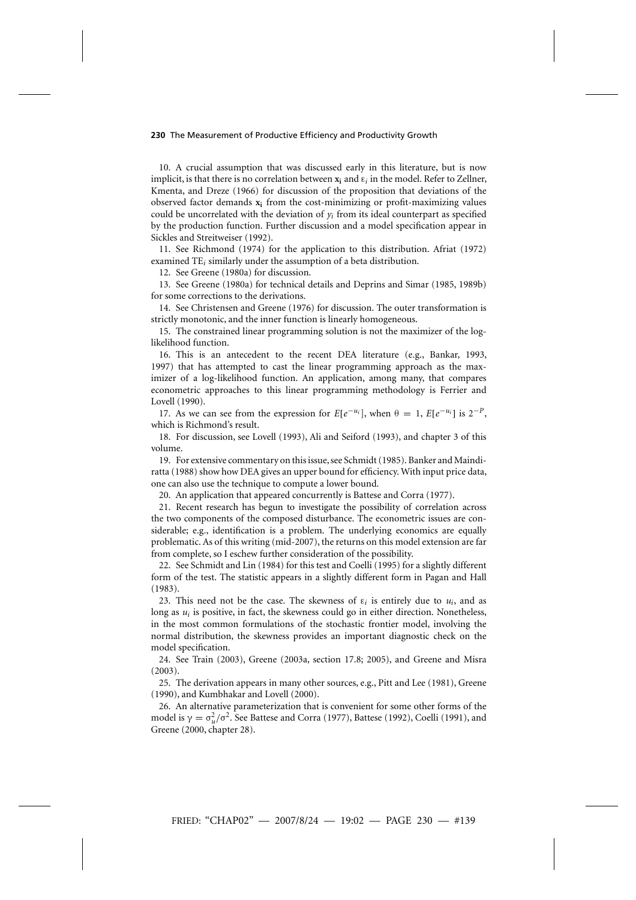10. A crucial assumption that was discussed early in this literature, but is now implicit, is that there is no correlation between **xi** and ε*<sup>i</sup>* in the model. Refer to Zellner, Kmenta, and Dreze (1966) for discussion of the proposition that deviations of the observed factor demands **xi** from the cost-minimizing or profit-maximizing values could be uncorrelated with the deviation of  $y_i$  from its ideal counterpart as specified by the production function. Further discussion and a model specification appear in Sickles and Streitweiser (1992).

11. See Richmond (1974) for the application to this distribution. Afriat (1972) examined TE*<sup>i</sup>* similarly under the assumption of a beta distribution.

12. See Greene (1980a) for discussion.

13. See Greene (1980a) for technical details and Deprins and Simar (1985, 1989b) for some corrections to the derivations.

14. See Christensen and Greene (1976) for discussion. The outer transformation is strictly monotonic, and the inner function is linearly homogeneous.

15. The constrained linear programming solution is not the maximizer of the loglikelihood function.

16. This is an antecedent to the recent DEA literature (e.g., Bankar, 1993, 1997) that has attempted to cast the linear programming approach as the maximizer of a log-likelihood function. An application, among many, that compares econometric approaches to this linear programming methodology is Ferrier and Lovell (1990).

17. As we can see from the expression for  $E[e^{-u_i}]$ , when  $\theta = 1$ ,  $E[e^{-u_i}]$  is  $2^{-p}$ , which is Richmond's result.

18. For discussion, see Lovell (1993), Ali and Seiford (1993), and chapter 3 of this volume.

19. For extensive commentary on this issue, see Schmidt (1985). Banker and Maindiratta (1988) show how DEA gives an upper bound for efficiency. With input price data, one can also use the technique to compute a lower bound.

20. An application that appeared concurrently is Battese and Corra (1977).

21. Recent research has begun to investigate the possibility of correlation across the two components of the composed disturbance. The econometric issues are considerable; e.g., identification is a problem. The underlying economics are equally problematic. As of this writing (mid-2007), the returns on this model extension are far from complete, so I eschew further consideration of the possibility.

22. See Schmidt and Lin (1984) for this test and Coelli (1995) for a slightly different form of the test. The statistic appears in a slightly different form in Pagan and Hall (1983).

23. This need not be the case. The skewness of  $\varepsilon_i$  is entirely due to  $u_i$ , and as long as  $u_i$  is positive, in fact, the skewness could go in either direction. Nonetheless, in the most common formulations of the stochastic frontier model, involving the normal distribution, the skewness provides an important diagnostic check on the model specification.

24. See Train (2003), Greene (2003a, section 17.8; 2005), and Greene and Misra (2003).

25. The derivation appears in many other sources, e.g., Pitt and Lee (1981), Greene (1990), and Kumbhakar and Lovell (2000).

26. An alternative parameterization that is convenient for some other forms of the model is  $\gamma = \sigma_u^2/\sigma^2$ . See Battese and Corra (1977), Battese (1992), Coelli (1991), and Greene (2000, chapter 28).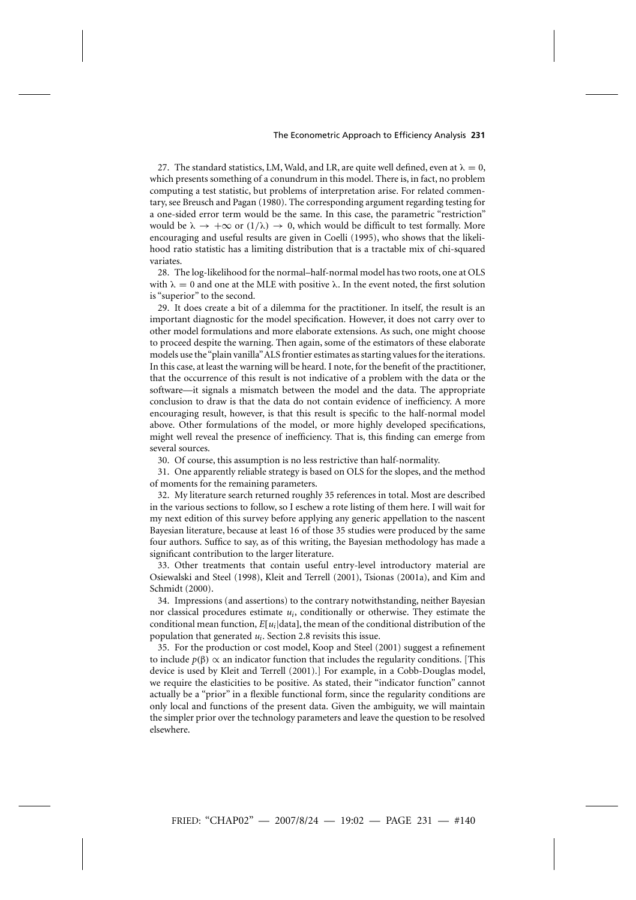27. The standard statistics, LM, Wald, and LR, are quite well defined, even at  $\lambda = 0$ , which presents something of a conundrum in this model. There is, in fact, no problem computing a test statistic, but problems of interpretation arise. For related commentary, see Breusch and Pagan (1980). The corresponding argument regarding testing for a one-sided error term would be the same. In this case, the parametric "restriction" would be  $\lambda \to +\infty$  or  $(1/\lambda) \to 0$ , which would be difficult to test formally. More encouraging and useful results are given in Coelli (1995), who shows that the likelihood ratio statistic has a limiting distribution that is a tractable mix of chi-squared variates.

28. The log-likelihood for the normal–half-normal model has two roots, one at OLS with  $\lambda = 0$  and one at the MLE with positive  $\lambda$ . In the event noted, the first solution is "superior" to the second.

29. It does create a bit of a dilemma for the practitioner. In itself, the result is an important diagnostic for the model specification. However, it does not carry over to other model formulations and more elaborate extensions. As such, one might choose to proceed despite the warning. Then again, some of the estimators of these elaborate models use the"plain vanilla"ALS frontier estimates as starting values for the iterations. In this case, at least the warning will be heard. I note, for the benefit of the practitioner, that the occurrence of this result is not indicative of a problem with the data or the software—it signals a mismatch between the model and the data. The appropriate conclusion to draw is that the data do not contain evidence of inefficiency. A more encouraging result, however, is that this result is specific to the half-normal model above. Other formulations of the model, or more highly developed specifications, might well reveal the presence of inefficiency. That is, this finding can emerge from several sources.

30. Of course, this assumption is no less restrictive than half-normality.

31. One apparently reliable strategy is based on OLS for the slopes, and the method of moments for the remaining parameters.

32. My literature search returned roughly 35 references in total. Most are described in the various sections to follow, so I eschew a rote listing of them here. I will wait for my next edition of this survey before applying any generic appellation to the nascent Bayesian literature, because at least 16 of those 35 studies were produced by the same four authors. Suffice to say, as of this writing, the Bayesian methodology has made a significant contribution to the larger literature.

33. Other treatments that contain useful entry-level introductory material are Osiewalski and Steel (1998), Kleit and Terrell (2001), Tsionas (2001a), and Kim and Schmidt (2000).

34. Impressions (and assertions) to the contrary notwithstanding, neither Bayesian nor classical procedures estimate *ui*, conditionally or otherwise. They estimate the conditional mean function,  $E[u_i]$  data], the mean of the conditional distribution of the population that generated *ui*. Section 2.8 revisits this issue.

35. For the production or cost model, Koop and Steel (2001) suggest a refinement to include  $p(β)$   $\propto$  an indicator function that includes the regularity conditions. [This device is used by Kleit and Terrell (2001).] For example, in a Cobb-Douglas model, we require the elasticities to be positive. As stated, their "indicator function" cannot actually be a "prior" in a flexible functional form, since the regularity conditions are only local and functions of the present data. Given the ambiguity, we will maintain the simpler prior over the technology parameters and leave the question to be resolved elsewhere.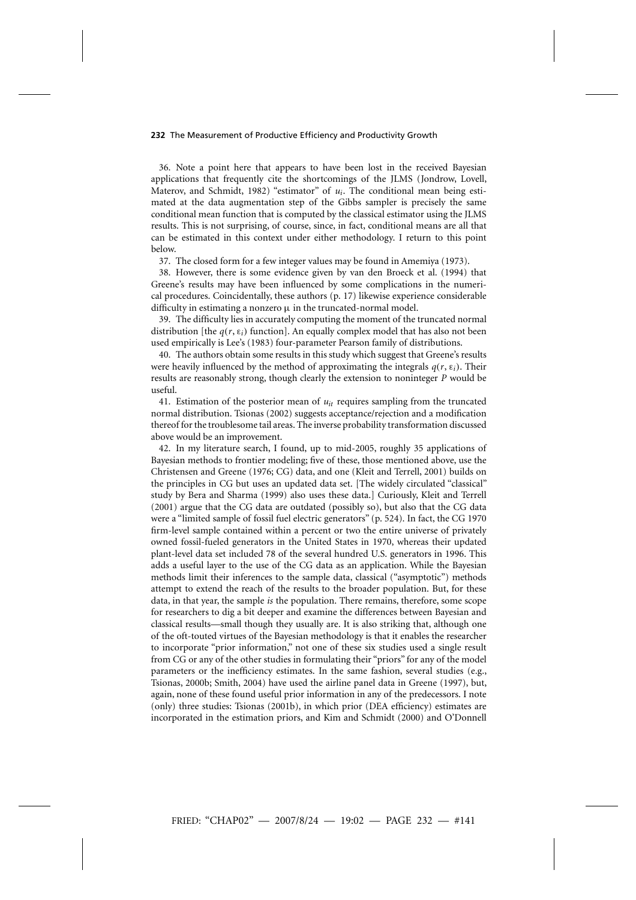36. Note a point here that appears to have been lost in the received Bayesian applications that frequently cite the shortcomings of the JLMS (Jondrow, Lovell, Materov, and Schmidt, 1982) "estimator" of  $u_i$ . The conditional mean being estimated at the data augmentation step of the Gibbs sampler is precisely the same conditional mean function that is computed by the classical estimator using the JLMS results. This is not surprising, of course, since, in fact, conditional means are all that can be estimated in this context under either methodology. I return to this point below.

37. The closed form for a few integer values may be found in Amemiya (1973).

38. However, there is some evidence given by van den Broeck et al. (1994) that Greene's results may have been influenced by some complications in the numerical procedures. Coincidentally, these authors (p. 17) likewise experience considerable difficulty in estimating a nonzero  $\mu$  in the truncated-normal model.

39. The difficulty lies in accurately computing the moment of the truncated normal distribution [the  $q(r, \varepsilon_i)$  function]. An equally complex model that has also not been used empirically is Lee's (1983) four-parameter Pearson family of distributions.

40. The authors obtain some results in this study which suggest that Greene's results were heavily influenced by the method of approximating the integrals  $q(r, \varepsilon_i)$ . Their results are reasonably strong, though clearly the extension to noninteger *P* would be useful.

41. Estimation of the posterior mean of  $u_{it}$  requires sampling from the truncated normal distribution. Tsionas (2002) suggests acceptance/rejection and a modification thereof for the troublesome tail areas. The inverse probability transformation discussed above would be an improvement.

42. In my literature search, I found, up to mid-2005, roughly 35 applications of Bayesian methods to frontier modeling; five of these, those mentioned above, use the Christensen and Greene (1976; CG) data, and one (Kleit and Terrell, 2001) builds on the principles in CG but uses an updated data set. [The widely circulated "classical" study by Bera and Sharma (1999) also uses these data.] Curiously, Kleit and Terrell (2001) argue that the CG data are outdated (possibly so), but also that the CG data were a "limited sample of fossil fuel electric generators" (p. 524). In fact, the CG 1970 firm-level sample contained within a percent or two the entire universe of privately owned fossil-fueled generators in the United States in 1970, whereas their updated plant-level data set included 78 of the several hundred U.S. generators in 1996. This adds a useful layer to the use of the CG data as an application. While the Bayesian methods limit their inferences to the sample data, classical ("asymptotic") methods attempt to extend the reach of the results to the broader population. But, for these data, in that year, the sample *is* the population. There remains, therefore, some scope for researchers to dig a bit deeper and examine the differences between Bayesian and classical results—small though they usually are. It is also striking that, although one of the oft-touted virtues of the Bayesian methodology is that it enables the researcher to incorporate "prior information," not one of these six studies used a single result from CG or any of the other studies in formulating their "priors" for any of the model parameters or the inefficiency estimates. In the same fashion, several studies (e.g., Tsionas, 2000b; Smith, 2004) have used the airline panel data in Greene (1997), but, again, none of these found useful prior information in any of the predecessors. I note (only) three studies: Tsionas (2001b), in which prior (DEA efficiency) estimates are incorporated in the estimation priors, and Kim and Schmidt (2000) and O'Donnell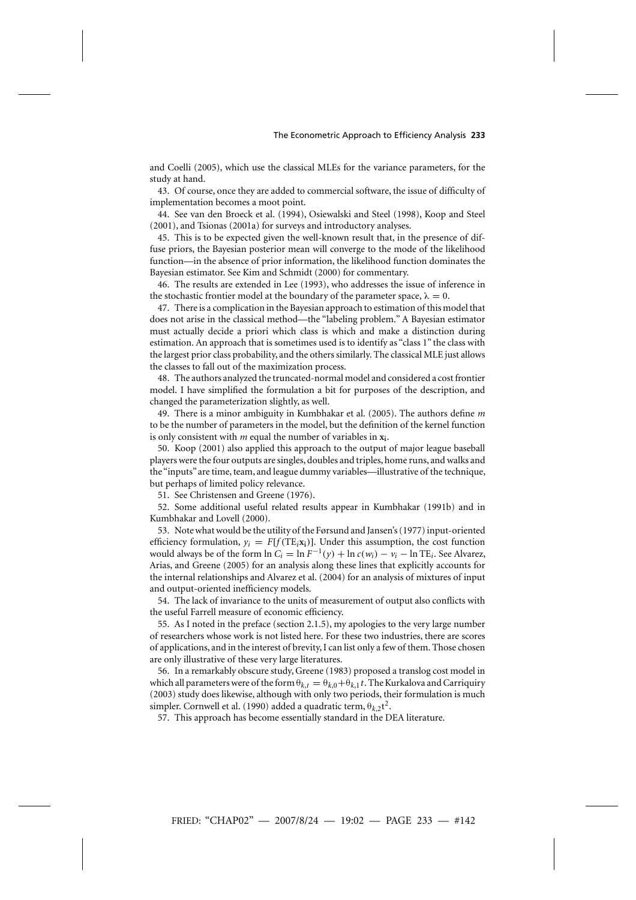and Coelli (2005), which use the classical MLEs for the variance parameters, for the study at hand.

43. Of course, once they are added to commercial software, the issue of difficulty of implementation becomes a moot point.

44. See van den Broeck et al. (1994), Osiewalski and Steel (1998), Koop and Steel (2001), and Tsionas (2001a) for surveys and introductory analyses.

45. This is to be expected given the well-known result that, in the presence of diffuse priors, the Bayesian posterior mean will converge to the mode of the likelihood function—in the absence of prior information, the likelihood function dominates the Bayesian estimator. See Kim and Schmidt (2000) for commentary.

46. The results are extended in Lee (1993), who addresses the issue of inference in the stochastic frontier model at the boundary of the parameter space,  $\lambda = 0$ .

47. There is a complication in the Bayesian approach to estimation of this model that does not arise in the classical method—the "labeling problem." A Bayesian estimator must actually decide a priori which class is which and make a distinction during estimation. An approach that is sometimes used is to identify as "class 1" the class with the largest prior class probability, and the others similarly. The classical MLE just allows the classes to fall out of the maximization process.

48. The authors analyzed the truncated-normal model and considered a cost frontier model. I have simplified the formulation a bit for purposes of the description, and changed the parameterization slightly, as well.

49. There is a minor ambiguity in Kumbhakar et al. (2005). The authors define *m* to be the number of parameters in the model, but the definition of the kernel function is only consistent with  $m$  equal the number of variables in  $x_i$ .

50. Koop (2001) also applied this approach to the output of major league baseball players were the four outputs are singles, doubles and triples, home runs, and walks and the "inputs" are time, team, and league dummy variables—illustrative of the technique, but perhaps of limited policy relevance.

51. See Christensen and Greene (1976).

52. Some additional useful related results appear in Kumbhakar (1991b) and in Kumbhakar and Lovell (2000).

53. Note what would be the utility of the Førsund and Jansen's (1977) input-oriented efficiency formulation,  $y_i = F[f(TE_i\mathbf{x}_i)]$ . Under this assumption, the cost function would always be of the form  $\ln C_i = \ln F^{-1}(y) + \ln c(w_i) - v_i - \ln TE_i$ . See Alvarez, Arias, and Greene (2005) for an analysis along these lines that explicitly accounts for the internal relationships and Alvarez et al. (2004) for an analysis of mixtures of input and output-oriented inefficiency models.

54. The lack of invariance to the units of measurement of output also conflicts with the useful Farrell measure of economic efficiency.

55. As I noted in the preface (section 2.1.5), my apologies to the very large number of researchers whose work is not listed here. For these two industries, there are scores of applications, and in the interest of brevity, I can list only a few of them. Those chosen are only illustrative of these very large literatures.

56. In a remarkably obscure study, Greene (1983) proposed a translog cost model in which all parameters were of the form  $\theta_{k,t} = \theta_{k,0} + \theta_{k,1}t$ . The Kurkalova and Carriquiry (2003) study does likewise, although with only two periods, their formulation is much simpler. Cornwell et al. (1990) added a quadratic term,  $\theta_{k,2}t^2$ .

57. This approach has become essentially standard in the DEA literature.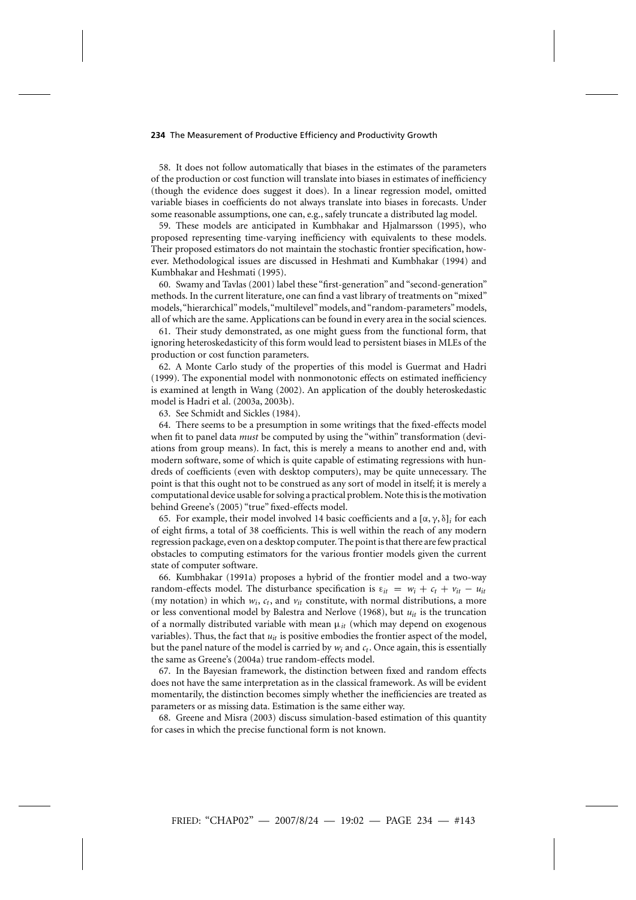58. It does not follow automatically that biases in the estimates of the parameters of the production or cost function will translate into biases in estimates of inefficiency (though the evidence does suggest it does). In a linear regression model, omitted variable biases in coefficients do not always translate into biases in forecasts. Under some reasonable assumptions, one can, e.g., safely truncate a distributed lag model.

59. These models are anticipated in Kumbhakar and Hjalmarsson (1995), who proposed representing time-varying inefficiency with equivalents to these models. Their proposed estimators do not maintain the stochastic frontier specification, however. Methodological issues are discussed in Heshmati and Kumbhakar (1994) and Kumbhakar and Heshmati (1995).

60. Swamy and Tavlas (2001) label these "first-generation" and "second-generation" methods. In the current literature, one can find a vast library of treatments on "mixed" models,"hierarchical"models,"multilevel"models, and "random-parameters"models, all of which are the same. Applications can be found in every area in the social sciences.

61. Their study demonstrated, as one might guess from the functional form, that ignoring heteroskedasticity of this form would lead to persistent biases in MLEs of the production or cost function parameters.

62. A Monte Carlo study of the properties of this model is Guermat and Hadri (1999). The exponential model with nonmonotonic effects on estimated inefficiency is examined at length in Wang (2002). An application of the doubly heteroskedastic model is Hadri et al. (2003a, 2003b).

63. See Schmidt and Sickles (1984).

64. There seems to be a presumption in some writings that the fixed-effects model when fit to panel data *must* be computed by using the "within" transformation (deviations from group means). In fact, this is merely a means to another end and, with modern software, some of which is quite capable of estimating regressions with hundreds of coefficients (even with desktop computers), may be quite unnecessary. The point is that this ought not to be construed as any sort of model in itself; it is merely a computational device usable for solving a practical problem. Note this is the motivation behind Greene's (2005) "true" fixed-effects model.

65. For example, their model involved 14 basic coefficients and a [α, γ, δ]*<sup>i</sup>* for each of eight firms, a total of 38 coefficients. This is well within the reach of any modern regression package, even on a desktop computer. The point is that there are few practical obstacles to computing estimators for the various frontier models given the current state of computer software.

66. Kumbhakar (1991a) proposes a hybrid of the frontier model and a two-way random-effects model. The disturbance specification is  $\varepsilon_{it} = w_i + c_t + v_{it} - u_{it}$ (my notation) in which  $w_i$ ,  $c_t$ , and  $v_{it}$  constitute, with normal distributions, a more or less conventional model by Balestra and Nerlove (1968), but *uit* is the truncation of a normally distributed variable with mean  $\mu_{it}$  (which may depend on exogenous variables). Thus, the fact that  $u_{it}$  is positive embodies the frontier aspect of the model, but the panel nature of the model is carried by  $w_i$  and  $c_t$ . Once again, this is essentially the same as Greene's (2004a) true random-effects model.

67. In the Bayesian framework, the distinction between fixed and random effects does not have the same interpretation as in the classical framework. As will be evident momentarily, the distinction becomes simply whether the inefficiencies are treated as parameters or as missing data. Estimation is the same either way.

68. Greene and Misra (2003) discuss simulation-based estimation of this quantity for cases in which the precise functional form is not known.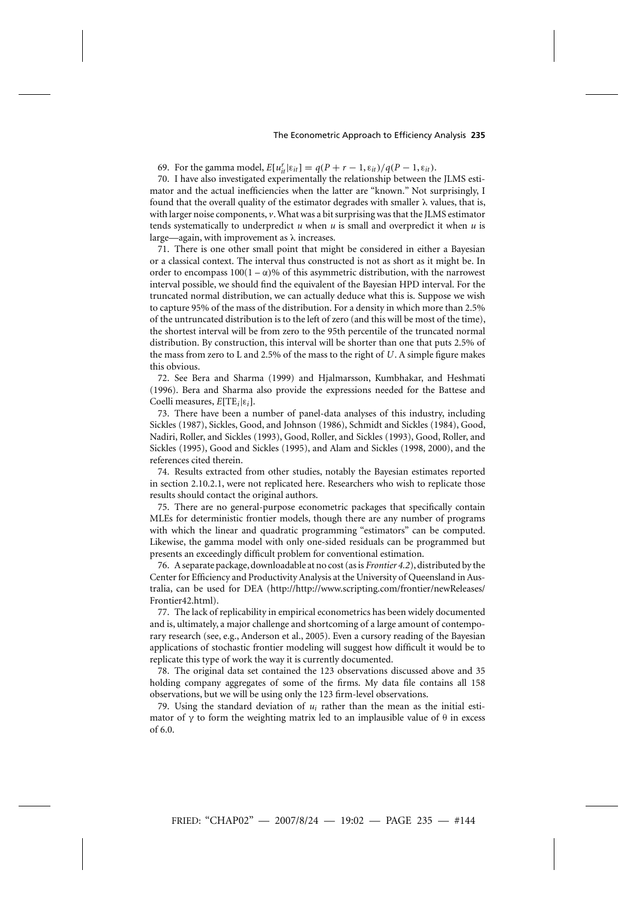69. For the gamma model,  $E[u_{it}^r | \varepsilon_{it}] = q(P + r - 1, \varepsilon_{it})/q(P - 1, \varepsilon_{it}).$ 

70. I have also investigated experimentally the relationship between the JLMS estimator and the actual inefficiencies when the latter are "known." Not surprisingly, I found that the overall quality of the estimator degrades with smaller  $\lambda$  values, that is, with larger noise components, *v*.What was a bit surprising was that the JLMS estimator tends systematically to underpredict *u* when *u* is small and overpredict it when *u* is large—again, with improvement as  $\lambda$  increases.

71. There is one other small point that might be considered in either a Bayesian or a classical context. The interval thus constructed is not as short as it might be. In order to encompass  $100(1 - \alpha)$ % of this asymmetric distribution, with the narrowest interval possible, we should find the equivalent of the Bayesian HPD interval. For the truncated normal distribution, we can actually deduce what this is. Suppose we wish to capture 95% of the mass of the distribution. For a density in which more than 2.5% of the untruncated distribution is to the left of zero (and this will be most of the time), the shortest interval will be from zero to the 95th percentile of the truncated normal distribution. By construction, this interval will be shorter than one that puts 2.5% of the mass from zero to L and 2.5% of the mass to the right of *U*. A simple figure makes this obvious.

72. See Bera and Sharma (1999) and Hjalmarsson, Kumbhakar, and Heshmati (1996). Bera and Sharma also provide the expressions needed for the Battese and Coelli measures, *E*[TE*i*|ε*i*].

73. There have been a number of panel-data analyses of this industry, including Sickles (1987), Sickles, Good, and Johnson (1986), Schmidt and Sickles (1984), Good, Nadiri, Roller, and Sickles (1993), Good, Roller, and Sickles (1993), Good, Roller, and Sickles (1995), Good and Sickles (1995), and Alam and Sickles (1998, 2000), and the references cited therein.

74. Results extracted from other studies, notably the Bayesian estimates reported in section 2.10.2.1, were not replicated here. Researchers who wish to replicate those results should contact the original authors.

75. There are no general-purpose econometric packages that specifically contain MLEs for deterministic frontier models, though there are any number of programs with which the linear and quadratic programming "estimators" can be computed. Likewise, the gamma model with only one-sided residuals can be programmed but presents an exceedingly difficult problem for conventional estimation.

76. A separate package, downloadable at no cost (as is *Frontier 4.2*), distributed by the Center for Efficiency and Productivity Analysis at the University of Queensland in Australia, can be used for DEA (http://http://www.scripting.com/frontier/newReleases/ Frontier42.html).

77. The lack of replicability in empirical econometrics has been widely documented and is, ultimately, a major challenge and shortcoming of a large amount of contemporary research (see, e.g., Anderson et al., 2005). Even a cursory reading of the Bayesian applications of stochastic frontier modeling will suggest how difficult it would be to replicate this type of work the way it is currently documented.

78. The original data set contained the 123 observations discussed above and 35 holding company aggregates of some of the firms. My data file contains all 158 observations, but we will be using only the 123 firm-level observations.

79. Using the standard deviation of  $u_i$  rather than the mean as the initial estimator of  $\gamma$  to form the weighting matrix led to an implausible value of  $\theta$  in excess of 6.0.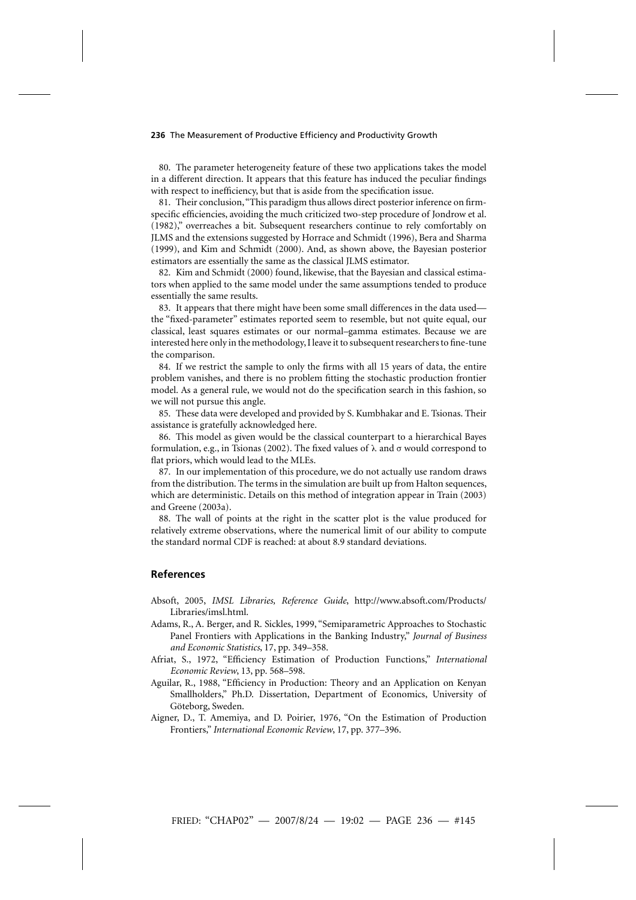80. The parameter heterogeneity feature of these two applications takes the model in a different direction. It appears that this feature has induced the peculiar findings with respect to inefficiency, but that is aside from the specification issue.

81. Their conclusion,"This paradigm thus allows direct posterior inference on firmspecific efficiencies, avoiding the much criticized two-step procedure of Jondrow et al. (1982)," overreaches a bit. Subsequent researchers continue to rely comfortably on JLMS and the extensions suggested by Horrace and Schmidt (1996), Bera and Sharma (1999), and Kim and Schmidt (2000). And, as shown above, the Bayesian posterior estimators are essentially the same as the classical JLMS estimator.

82. Kim and Schmidt (2000) found, likewise, that the Bayesian and classical estimators when applied to the same model under the same assumptions tended to produce essentially the same results.

83. It appears that there might have been some small differences in the data used the "fixed-parameter" estimates reported seem to resemble, but not quite equal, our classical, least squares estimates or our normal–gamma estimates. Because we are interested here only in the methodology, I leave it to subsequent researchers to fine-tune the comparison.

84. If we restrict the sample to only the firms with all 15 years of data, the entire problem vanishes, and there is no problem fitting the stochastic production frontier model. As a general rule, we would not do the specification search in this fashion, so we will not pursue this angle.

85. These data were developed and provided by S. Kumbhakar and E. Tsionas. Their assistance is gratefully acknowledged here.

86. This model as given would be the classical counterpart to a hierarchical Bayes formulation, e.g., in Tsionas (2002). The fixed values of  $\lambda$  and  $\sigma$  would correspond to flat priors, which would lead to the MLEs.

87. In our implementation of this procedure, we do not actually use random draws from the distribution. The terms in the simulation are built up from Halton sequences, which are deterministic. Details on this method of integration appear in Train (2003) and Greene (2003a).

88. The wall of points at the right in the scatter plot is the value produced for relatively extreme observations, where the numerical limit of our ability to compute the standard normal CDF is reached: at about 8.9 standard deviations.

## **References**

Absoft, 2005, *IMSL Libraries, Reference Guide*, http://www.absoft.com/Products/ Libraries/imsl.html.

- Adams, R., A. Berger, and R. Sickles, 1999, "Semiparametric Approaches to Stochastic Panel Frontiers with Applications in the Banking Industry," *Journal of Business and Economic Statistics*, 17, pp. 349–358.
- Afriat, S., 1972, "Efficiency Estimation of Production Functions," *International Economic Review*, 13, pp. 568–598.
- Aguilar, R., 1988, "Efficiency in Production: Theory and an Application on Kenyan Smallholders," Ph.D. Dissertation, Department of Economics, University of Göteborg, Sweden.
- Aigner, D., T. Amemiya, and D. Poirier, 1976, "On the Estimation of Production Frontiers," *International Economic Review*, 17, pp. 377–396.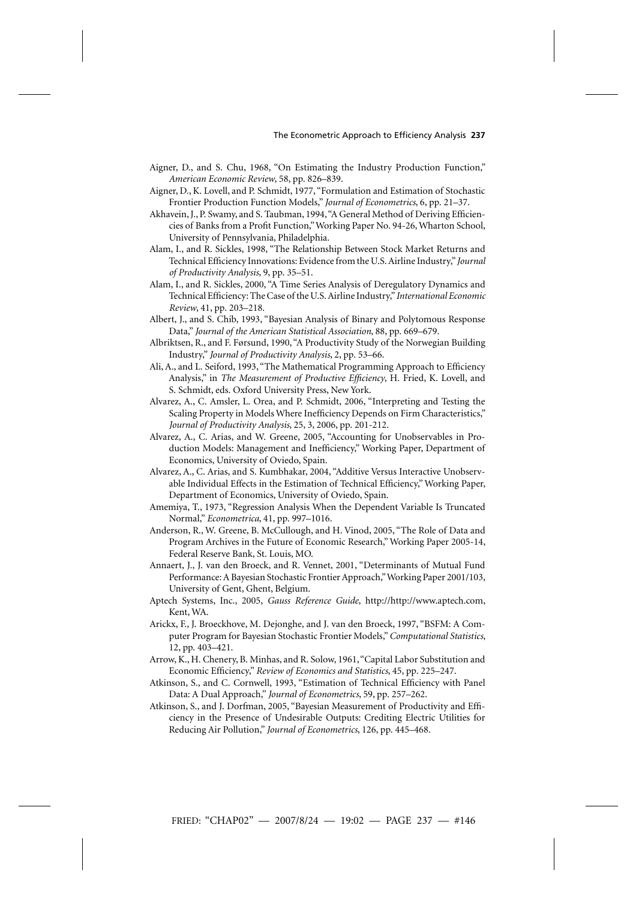- Aigner, D., and S. Chu, 1968, "On Estimating the Industry Production Function," *American Economic Review*, 58, pp. 826–839.
- Aigner, D., K. Lovell, and P. Schmidt, 1977, "Formulation and Estimation of Stochastic Frontier Production Function Models," *Journal of Econometrics*, 6, pp. 21–37.
- Akhavein, J., P. Swamy, and S. Taubman, 1994,"A General Method of Deriving Efficiencies of Banks from a Profit Function,"Working Paper No. 94-26,Wharton School, University of Pennsylvania, Philadelphia.
- Alam, I., and R. Sickles, 1998, "The Relationship Between Stock Market Returns and Technical Efficiency Innovations: Evidence from the U.S. Airline Industry,"*Journal of Productivity Analysis*, 9, pp. 35–51.
- Alam, I., and R. Sickles, 2000, "A Time Series Analysis of Deregulatory Dynamics and Technical Efficiency: The Case of the U.S.Airline Industry,"*International Economic Review*, 41, pp. 203–218.
- Albert, J., and S. Chib, 1993, "Bayesian Analysis of Binary and Polytomous Response Data," *Journal of the American Statistical Association*, 88, pp. 669–679.
- Albriktsen, R., and F. Førsund, 1990, "A Productivity Study of the Norwegian Building Industry," *Journal of Productivity Analysis*, 2, pp. 53–66.
- Ali, A., and L. Seiford, 1993, "The Mathematical Programming Approach to Efficiency Analysis," in *The Measurement of Productive Efficiency*, H. Fried, K. Lovell, and S. Schmidt, eds. Oxford University Press, New York.
- Alvarez, A., C. Amsler, L. Orea, and P. Schmidt, 2006, "Interpreting and Testing the Scaling Property in Models Where Inefficiency Depends on Firm Characteristics," *Journal of Productivity Analysis*, 25, 3, 2006, pp. 201-212.
- Alvarez, A., C. Arias, and W. Greene, 2005, "Accounting for Unobservables in Production Models: Management and Inefficiency," Working Paper, Department of Economics, University of Oviedo, Spain.
- Alvarez, A., C. Arias, and S. Kumbhakar, 2004, "Additive Versus Interactive Unobservable Individual Effects in the Estimation of Technical Efficiency," Working Paper, Department of Economics, University of Oviedo, Spain.
- Amemiya, T., 1973, "Regression Analysis When the Dependent Variable Is Truncated Normal," *Econometrica*, 41, pp. 997–1016.
- Anderson, R., W. Greene, B. McCullough, and H. Vinod, 2005, "The Role of Data and Program Archives in the Future of Economic Research," Working Paper 2005-14, Federal Reserve Bank, St. Louis, MO.
- Annaert, J., J. van den Broeck, and R. Vennet, 2001, "Determinants of Mutual Fund Performance: A Bayesian Stochastic Frontier Approach,"Working Paper 2001/103, University of Gent, Ghent, Belgium.
- Aptech Systems, Inc., 2005, *Gauss Reference Guide*, http://http://www.aptech.com, Kent, WA.
- Arickx, F., J. Broeckhove, M. Dejonghe, and J. van den Broeck, 1997, "BSFM: A Computer Program for Bayesian Stochastic Frontier Models,"*Computational Statistics*, 12, pp. 403–421.
- Arrow, K., H. Chenery, B. Minhas, and R. Solow, 1961,"Capital Labor Substitution and Economic Efficiency," *Review of Economics and Statistics*, 45, pp. 225–247.
- Atkinson, S., and C. Cornwell, 1993, "Estimation of Technical Efficiency with Panel Data: A Dual Approach," *Journal of Econometrics*, 59, pp. 257–262.
- Atkinson, S., and J. Dorfman, 2005, "Bayesian Measurement of Productivity and Efficiency in the Presence of Undesirable Outputs: Crediting Electric Utilities for Reducing Air Pollution," *Journal of Econometrics*, 126, pp. 445–468.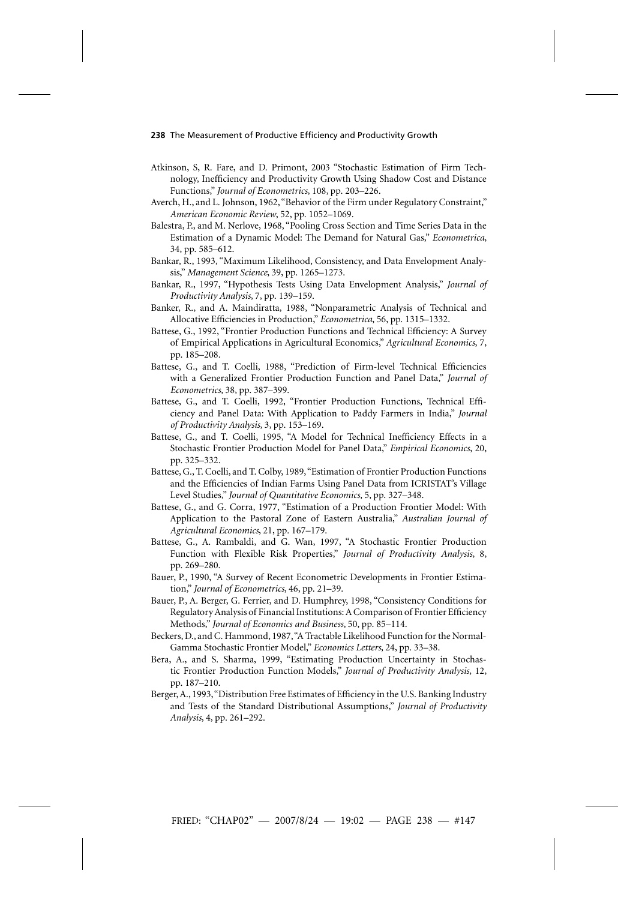- Atkinson, S, R. Fare, and D. Primont, 2003 "Stochastic Estimation of Firm Technology, Inefficiency and Productivity Growth Using Shadow Cost and Distance Functions," *Journal of Econometrics*, 108, pp. 203–226.
- Averch, H., and L. Johnson, 1962,"Behavior of the Firm under Regulatory Constraint," *American Economic Review*, 52, pp. 1052–1069.
- Balestra, P., and M. Nerlove, 1968, "Pooling Cross Section and Time Series Data in the Estimation of a Dynamic Model: The Demand for Natural Gas," *Econometrica*, 34, pp. 585–612.
- Bankar, R., 1993, "Maximum Likelihood, Consistency, and Data Envelopment Analysis," *Management Science*, 39, pp. 1265–1273.
- Bankar, R., 1997, "Hypothesis Tests Using Data Envelopment Analysis," *Journal of Productivity Analysis*, 7, pp. 139–159.
- Banker, R., and A. Maindiratta, 1988, "Nonparametric Analysis of Technical and Allocative Efficiencies in Production," *Econometrica*, 56, pp. 1315–1332.
- Battese, G., 1992, "Frontier Production Functions and Technical Efficiency: A Survey of Empirical Applications in Agricultural Economics," *Agricultural Economics*, 7, pp. 185–208.
- Battese, G., and T. Coelli, 1988, "Prediction of Firm-level Technical Efficiencies with a Generalized Frontier Production Function and Panel Data," *Journal of Econometrics*, 38, pp. 387–399.
- Battese, G., and T. Coelli, 1992, "Frontier Production Functions, Technical Efficiency and Panel Data: With Application to Paddy Farmers in India," *Journal of Productivity Analysis*, 3, pp. 153–169.
- Battese, G., and T. Coelli, 1995, "A Model for Technical Inefficiency Effects in a Stochastic Frontier Production Model for Panel Data," *Empirical Economics*, 20, pp. 325–332.
- Battese, G., T. Coelli, and T. Colby, 1989,"Estimation of Frontier Production Functions and the Efficiencies of Indian Farms Using Panel Data from ICRISTAT's Village Level Studies," *Journal of Quantitative Economics*, 5, pp. 327–348.
- Battese, G., and G. Corra, 1977, "Estimation of a Production Frontier Model: With Application to the Pastoral Zone of Eastern Australia," *Australian Journal of Agricultural Economics*, 21, pp. 167–179.
- Battese, G., A. Rambaldi, and G. Wan, 1997, "A Stochastic Frontier Production Function with Flexible Risk Properties," *Journal of Productivity Analysis*, 8, pp. 269–280.
- Bauer, P., 1990, "A Survey of Recent Econometric Developments in Frontier Estimation," *Journal of Econometrics*, 46, pp. 21–39.
- Bauer, P., A. Berger, G. Ferrier, and D. Humphrey, 1998, "Consistency Conditions for Regulatory Analysis of Financial Institutions: A Comparison of Frontier Efficiency Methods," *Journal of Economics and Business*, 50, pp. 85–114.
- Beckers, D., and C. Hammond, 1987,"A Tractable Likelihood Function for the Normal-Gamma Stochastic Frontier Model," *Economics Letters*, 24, pp. 33–38.
- Bera, A., and S. Sharma, 1999, "Estimating Production Uncertainty in Stochastic Frontier Production Function Models," *Journal of Productivity Analysis*, 12, pp. 187–210.
- Berger,A., 1993,"Distribution Free Estimates of Efficiency in the U.S. Banking Industry and Tests of the Standard Distributional Assumptions," *Journal of Productivity Analysis*, 4, pp. 261–292.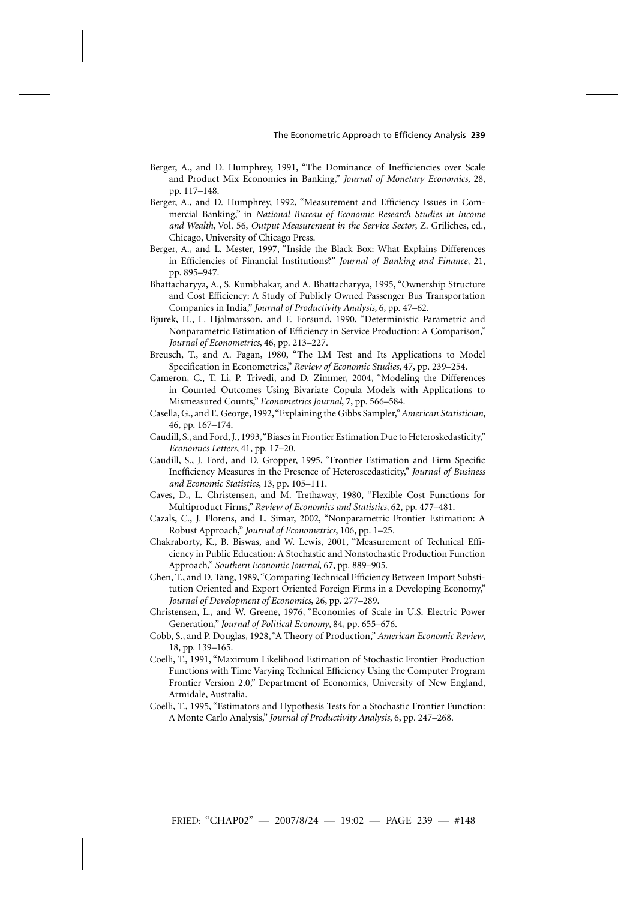- Berger, A., and D. Humphrey, 1991, "The Dominance of Inefficiencies over Scale and Product Mix Economies in Banking," *Journal of Monetary Economics*, 28, pp. 117–148.
- Berger, A., and D. Humphrey, 1992, "Measurement and Efficiency Issues in Commercial Banking," in *National Bureau of Economic Research Studies in Income and Wealth*, Vol. 56, *Output Measurement in the Service Sector*, Z. Griliches, ed., Chicago, University of Chicago Press.
- Berger, A., and L. Mester, 1997, "Inside the Black Box: What Explains Differences in Efficiencies of Financial Institutions?" *Journal of Banking and Finance*, 21, pp. 895–947.
- Bhattacharyya, A., S. Kumbhakar, and A. Bhattacharyya, 1995, "Ownership Structure and Cost Efficiency: A Study of Publicly Owned Passenger Bus Transportation Companies in India," *Journal of Productivity Analysis*, 6, pp. 47–62.
- Bjurek, H., L. Hjalmarsson, and F. Forsund, 1990, "Deterministic Parametric and Nonparametric Estimation of Efficiency in Service Production: A Comparison," *Journal of Econometrics*, 46, pp. 213–227.
- Breusch, T., and A. Pagan, 1980, "The LM Test and Its Applications to Model Specification in Econometrics," *Review of Economic Studies*, 47, pp. 239–254.
- Cameron, C., T. Li, P. Trivedi, and D. Zimmer, 2004, "Modeling the Differences in Counted Outcomes Using Bivariate Copula Models with Applications to Mismeasured Counts," *Econometrics Journal*, 7, pp. 566–584.
- Casella, G., and E. George, 1992,"Explaining the Gibbs Sampler,"*American Statistician*, 46, pp. 167–174.
- Caudill, S., and Ford, J., 1993,"Biases in Frontier Estimation Due to Heteroskedasticity," *Economics Letters*, 41, pp. 17–20.
- Caudill, S., J. Ford, and D. Gropper, 1995, "Frontier Estimation and Firm Specific Inefficiency Measures in the Presence of Heteroscedasticity," *Journal of Business and Economic Statistics*, 13, pp. 105–111.
- Caves, D., L. Christensen, and M. Trethaway, 1980, "Flexible Cost Functions for Multiproduct Firms," *Review of Economics and Statistics*, 62, pp. 477–481.
- Cazals, C., J. Florens, and L. Simar, 2002, "Nonparametric Frontier Estimation: A Robust Approach," *Journal of Econometrics*, 106, pp. 1–25.
- Chakraborty, K., B. Biswas, and W. Lewis, 2001, "Measurement of Technical Efficiency in Public Education: A Stochastic and Nonstochastic Production Function Approach," *Southern Economic Journal*, 67, pp. 889–905.
- Chen, T., and D. Tang, 1989, "Comparing Technical Efficiency Between Import Substitution Oriented and Export Oriented Foreign Firms in a Developing Economy," *Journal of Development of Economics*, 26, pp. 277–289.
- Christensen, L., and W. Greene, 1976, "Economies of Scale in U.S. Electric Power Generation," *Journal of Political Economy*, 84, pp. 655–676.
- Cobb, S., and P. Douglas, 1928, "A Theory of Production," *American Economic Review*, 18, pp. 139–165.
- Coelli, T., 1991, "Maximum Likelihood Estimation of Stochastic Frontier Production Functions with Time Varying Technical Efficiency Using the Computer Program Frontier Version 2.0," Department of Economics, University of New England, Armidale, Australia.
- Coelli, T., 1995, "Estimators and Hypothesis Tests for a Stochastic Frontier Function: A Monte Carlo Analysis," *Journal of Productivity Analysis*, 6, pp. 247–268.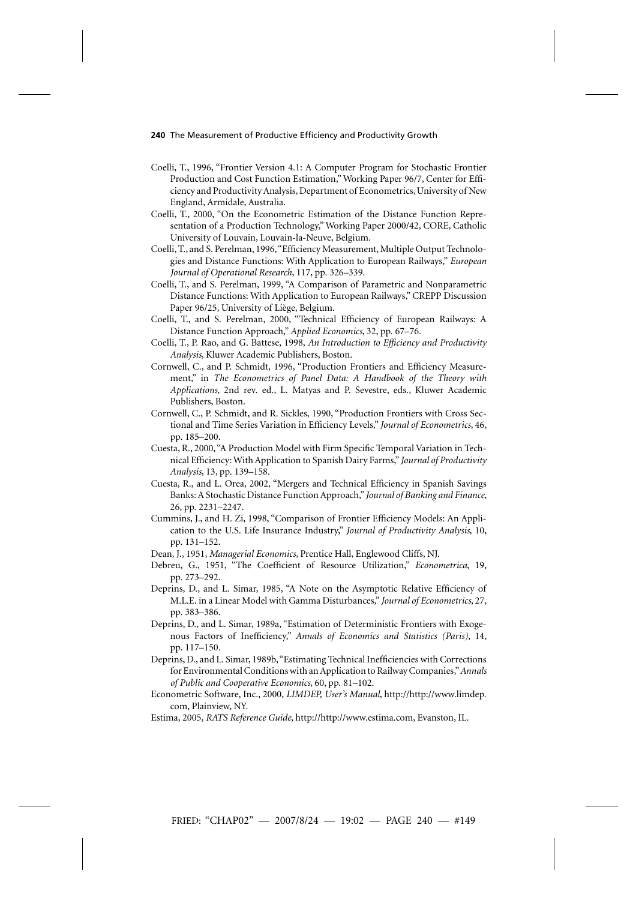- Coelli, T., 1996, "Frontier Version 4.1: A Computer Program for Stochastic Frontier Production and Cost Function Estimation,"Working Paper 96/7, Center for Efficiency and Productivity Analysis, Department of Econometrics, University of New England, Armidale, Australia.
- Coelli, T., 2000, "On the Econometric Estimation of the Distance Function Representation of a Production Technology," Working Paper 2000/42, CORE, Catholic University of Louvain, Louvain-la-Neuve, Belgium.
- Coelli, T., and S. Perelman, 1996, "Efficiency Measurement, Multiple Output Technologies and Distance Functions: With Application to European Railways," *European Journal of Operational Research*, 117, pp. 326–339.
- Coelli, T., and S. Perelman, 1999, "A Comparison of Parametric and Nonparametric Distance Functions: With Application to European Railways," CREPP Discussion Paper 96/25, University of Liège, Belgium.
- Coelli, T., and S. Perelman, 2000, "Technical Efficiency of European Railways: A Distance Function Approach," *Applied Economics*, 32, pp. 67–76.
- Coelli, T., P. Rao, and G. Battese, 1998, *An Introduction to Efficiency and Productivity Analysis*, Kluwer Academic Publishers, Boston.
- Cornwell, C., and P. Schmidt, 1996, "Production Frontiers and Efficiency Measurement," in *The Econometrics of Panel Data: A Handbook of the Theory with Applications*, 2nd rev. ed., L. Matyas and P. Sevestre, eds., Kluwer Academic Publishers, Boston.
- Cornwell, C., P. Schmidt, and R. Sickles, 1990, "Production Frontiers with Cross Sectional and Time Series Variation in Efficiency Levels," *Journal of Econometrics*, 46, pp. 185–200.
- Cuesta, R., 2000, "A Production Model with Firm Specific Temporal Variation in Technical Efficiency:With Application to Spanish Dairy Farms," *Journal of Productivity Analysis*, 13, pp. 139–158.
- Cuesta, R., and L. Orea, 2002, "Mergers and Technical Efficiency in Spanish Savings Banks: A Stochastic Distance Function Approach," *Journal of Banking and Finance*, 26, pp. 2231–2247.
- Cummins, J., and H. Zi, 1998, "Comparison of Frontier Efficiency Models: An Application to the U.S. Life Insurance Industry," *Journal of Productivity Analysis*, 10, pp. 131–152.
- Dean, J., 1951, *Managerial Economics*, Prentice Hall, Englewood Cliffs, NJ.
- Debreu, G., 1951, "The Coefficient of Resource Utilization," *Econometrica*, 19, pp. 273–292.
- Deprins, D., and L. Simar, 1985, "A Note on the Asymptotic Relative Efficiency of M.L.E. in a Linear Model with Gamma Disturbances," *Journal of Econometrics*, 27, pp. 383–386.
- Deprins, D., and L. Simar, 1989a, "Estimation of Deterministic Frontiers with Exogenous Factors of Inefficiency," *Annals of Economics and Statistics (Paris)*, 14, pp. 117–150.

Deprins, D., and L. Simar, 1989b,"Estimating Technical Inefficiencies with Corrections for Environmental Conditions with an Application to Railway Companies," Annals *of Public and Cooperative Economics*, 60, pp. 81–102.

Econometric Software, Inc., 2000, *LIMDEP, User's Manual*, http://http://www.limdep. com, Plainview, NY.

Estima, 2005, *RATS Reference Guide*, http://http://www.estima.com, Evanston, IL.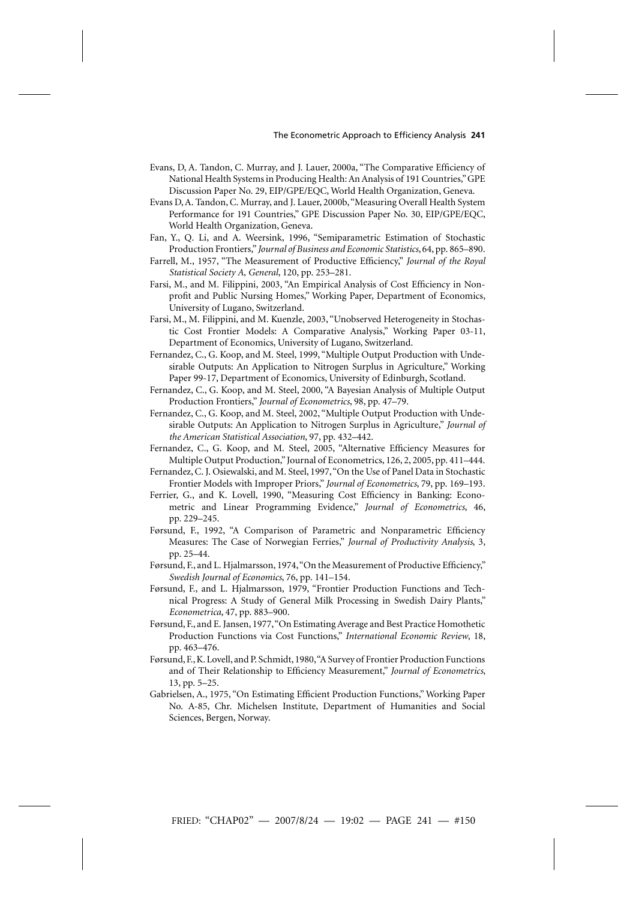## The Econometric Approach to Efficiency Analysis **241**

- Evans, D, A. Tandon, C. Murray, and J. Lauer, 2000a, "The Comparative Efficiency of National Health Systems in Producing Health: An Analysis of 191 Countries,"GPE Discussion Paper No. 29, EIP/GPE/EQC, World Health Organization, Geneva.
- Evans D, A. Tandon, C. Murray, and J. Lauer, 2000b,"Measuring Overall Health System Performance for 191 Countries," GPE Discussion Paper No. 30, EIP/GPE/EQC, World Health Organization, Geneva.
- Fan, Y., Q. Li, and A. Weersink, 1996, "Semiparametric Estimation of Stochastic Production Frontiers," *Journal of Business and Economic Statistics*, 64, pp. 865–890.
- Farrell, M., 1957, "The Measurement of Productive Efficiency," *Journal of the Royal Statistical Society A, General*, 120, pp. 253–281.
- Farsi, M., and M. Filippini, 2003, "An Empirical Analysis of Cost Efficiency in Nonprofit and Public Nursing Homes," Working Paper, Department of Economics, University of Lugano, Switzerland.
- Farsi, M., M. Filippini, and M. Kuenzle, 2003, "Unobserved Heterogeneity in Stochastic Cost Frontier Models: A Comparative Analysis," Working Paper 03-11, Department of Economics, University of Lugano, Switzerland.
- Fernandez, C., G. Koop, and M. Steel, 1999, "Multiple Output Production with Undesirable Outputs: An Application to Nitrogen Surplus in Agriculture," Working Paper 99-17, Department of Economics, University of Edinburgh, Scotland.
- Fernandez, C., G. Koop, and M. Steel, 2000, "A Bayesian Analysis of Multiple Output Production Frontiers," *Journal of Econometrics*, 98, pp. 47–79.
- Fernandez, C., G. Koop, and M. Steel, 2002, "Multiple Output Production with Undesirable Outputs: An Application to Nitrogen Surplus in Agriculture," *Journal of the American Statistical Association*, 97, pp. 432–442.
- Fernandez, C., G. Koop, and M. Steel, 2005, "Alternative Efficiency Measures for Multiple Output Production," Journal of Econometrics, 126, 2, 2005, pp. 411–444.
- Fernandez, C. J. Osiewalski, and M. Steel, 1997,"On the Use of Panel Data in Stochastic Frontier Models with Improper Priors," *Journal of Econometrics*, 79, pp. 169–193.
- Ferrier, G., and K. Lovell, 1990, "Measuring Cost Efficiency in Banking: Econometric and Linear Programming Evidence," *Journal of Econometrics*, 46, pp. 229–245.
- Førsund, F., 1992, "A Comparison of Parametric and Nonparametric Efficiency Measures: The Case of Norwegian Ferries," *Journal of Productivity Analysis*, 3, pp. 25–44.
- Førsund, F., and L. Hjalmarsson, 1974,"On the Measurement of Productive Efficiency," *Swedish Journal of Economics*, 76, pp. 141–154.
- Førsund, F., and L. Hjalmarsson, 1979, "Frontier Production Functions and Technical Progress: A Study of General Milk Processing in Swedish Dairy Plants," *Econometrica*, 47, pp. 883–900.
- Førsund, F., and E. Jansen, 1977,"On Estimating Average and Best Practice Homothetic Production Functions via Cost Functions," *International Economic Review*, 18, pp. 463–476.
- Førsund, F.,K. Lovell, and P. Schmidt, 1980,"A Survey of Frontier Production Functions and of Their Relationship to Efficiency Measurement," *Journal of Econometrics*, 13, pp. 5–25.
- Gabrielsen, A., 1975, "On Estimating Efficient Production Functions," Working Paper No. A-85, Chr. Michelsen Institute, Department of Humanities and Social Sciences, Bergen, Norway.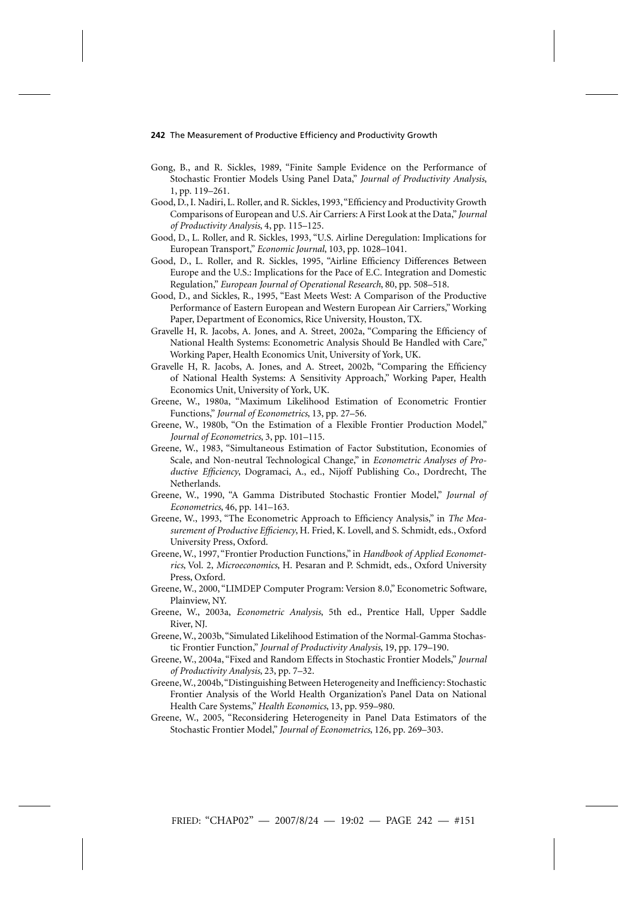- Gong, B., and R. Sickles, 1989, "Finite Sample Evidence on the Performance of Stochastic Frontier Models Using Panel Data," *Journal of Productivity Analysis*, 1, pp. 119–261.
- Good, D., I. Nadiri, L. Roller, and R. Sickles, 1993,"Efficiency and Productivity Growth Comparisons of European and U.S. Air Carriers: A First Look at the Data," *Journal of Productivity Analysis*, 4, pp. 115–125.
- Good, D., L. Roller, and R. Sickles, 1993, "U.S. Airline Deregulation: Implications for European Transport," *Economic Journal*, 103, pp. 1028–1041.
- Good, D., L. Roller, and R. Sickles, 1995, "Airline Efficiency Differences Between Europe and the U.S.: Implications for the Pace of E.C. Integration and Domestic Regulation," *European Journal of Operational Research*, 80, pp. 508–518.
- Good, D., and Sickles, R., 1995, "East Meets West: A Comparison of the Productive Performance of Eastern European and Western European Air Carriers," Working Paper, Department of Economics, Rice University, Houston, TX.
- Gravelle H, R. Jacobs, A. Jones, and A. Street, 2002a, "Comparing the Efficiency of National Health Systems: Econometric Analysis Should Be Handled with Care," Working Paper, Health Economics Unit, University of York, UK.
- Gravelle H, R. Jacobs, A. Jones, and A. Street, 2002b, "Comparing the Efficiency of National Health Systems: A Sensitivity Approach," Working Paper, Health Economics Unit, University of York, UK.
- Greene, W., 1980a, "Maximum Likelihood Estimation of Econometric Frontier Functions," *Journal of Econometrics*, 13, pp. 27–56.
- Greene, W., 1980b, "On the Estimation of a Flexible Frontier Production Model," *Journal of Econometrics*, 3, pp. 101–115.
- Greene, W., 1983, "Simultaneous Estimation of Factor Substitution, Economies of Scale, and Non-neutral Technological Change," in *Econometric Analyses of Productive Efficiency*, Dogramaci, A., ed., Nijoff Publishing Co., Dordrecht, The Netherlands.
- Greene, W., 1990, "A Gamma Distributed Stochastic Frontier Model," *Journal of Econometrics*, 46, pp. 141–163.
- Greene, W., 1993, "The Econometric Approach to Efficiency Analysis," in *The Measurement of Productive Efficiency*, H. Fried, K. Lovell, and S. Schmidt, eds., Oxford University Press, Oxford.
- Greene, W., 1997, "Frontier Production Functions," in *Handbook of Applied Econometrics*, Vol. 2, *Microeconomics*, H. Pesaran and P. Schmidt, eds., Oxford University Press, Oxford.
- Greene, W., 2000, "LIMDEP Computer Program: Version 8.0," Econometric Software, Plainview, NY.
- Greene, W., 2003a, *Econometric Analysis*, 5th ed., Prentice Hall, Upper Saddle River, NJ.
- Greene,W., 2003b, "Simulated Likelihood Estimation of the Normal-Gamma Stochastic Frontier Function," *Journal of Productivity Analysis*, 19, pp. 179–190.
- Greene, W., 2004a, "Fixed and Random Effects in Stochastic Frontier Models," *Journal of Productivity Analysis*, 23, pp. 7–32.
- Greene,W., 2004b,"Distinguishing Between Heterogeneity and Inefficiency: Stochastic Frontier Analysis of the World Health Organization's Panel Data on National Health Care Systems," *Health Economics*, 13, pp. 959–980.
- Greene, W., 2005, "Reconsidering Heterogeneity in Panel Data Estimators of the Stochastic Frontier Model," *Journal of Econometrics*, 126, pp. 269–303.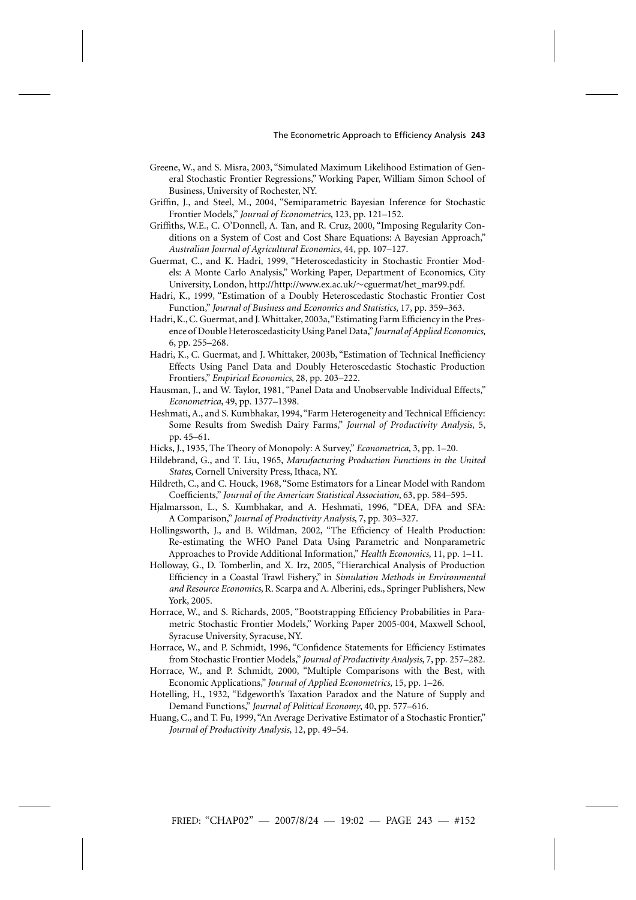## The Econometric Approach to Efficiency Analysis **243**

- Greene, W., and S. Misra, 2003, "Simulated Maximum Likelihood Estimation of General Stochastic Frontier Regressions," Working Paper, William Simon School of Business, University of Rochester, NY.
- Griffin, J., and Steel, M., 2004, "Semiparametric Bayesian Inference for Stochastic Frontier Models," *Journal of Econometrics*, 123, pp. 121–152.
- Griffiths, W.E., C. O'Donnell, A. Tan, and R. Cruz, 2000, "Imposing Regularity Conditions on a System of Cost and Cost Share Equations: A Bayesian Approach," *Australian Journal of Agricultural Economics*, 44, pp. 107–127.
- Guermat, C., and K. Hadri, 1999, "Heteroscedasticity in Stochastic Frontier Models: A Monte Carlo Analysis," Working Paper, Department of Economics, City University, London, http://http://www.ex.ac.uk/∼cguermat/het\_mar99.pdf.
- Hadri, K., 1999, "Estimation of a Doubly Heteroscedastic Stochastic Frontier Cost Function," *Journal of Business and Economics and Statistics*, 17, pp. 359–363.
- Hadri,K.,C. Guermat, and J.Whittaker, 2003a,"Estimating Farm Efficiency in the Presence of Double Heteroscedasticity Using Panel Data,"*Journal of Applied Economics*, 6, pp. 255–268.
- Hadri, K., C. Guermat, and J. Whittaker, 2003b, "Estimation of Technical Inefficiency Effects Using Panel Data and Doubly Heteroscedastic Stochastic Production Frontiers," *Empirical Economics*, 28, pp. 203–222.
- Hausman, J., and W. Taylor, 1981, "Panel Data and Unobservable Individual Effects," *Econometrica*, 49, pp. 1377–1398.
- Heshmati, A., and S. Kumbhakar, 1994, "Farm Heterogeneity and Technical Efficiency: Some Results from Swedish Dairy Farms," *Journal of Productivity Analysis*, 5, pp. 45–61.
- Hicks, J., 1935, The Theory of Monopoly: A Survey," *Econometrica*, 3, pp. 1–20.
- Hildebrand, G., and T. Liu, 1965, *Manufacturing Production Functions in the United States*, Cornell University Press, Ithaca, NY.
- Hildreth, C., and C. Houck, 1968, "Some Estimators for a Linear Model with Random Coefficients," *Journal of the American Statistical Association*, 63, pp. 584–595.
- Hjalmarsson, L., S. Kumbhakar, and A. Heshmati, 1996, "DEA, DFA and SFA: A Comparison," *Journal of Productivity Analysis*, 7, pp. 303–327.
- Hollingsworth, J., and B. Wildman, 2002, "The Efficiency of Health Production: Re-estimating the WHO Panel Data Using Parametric and Nonparametric Approaches to Provide Additional Information," *Health Economics*, 11, pp. 1–11.
- Holloway, G., D. Tomberlin, and X. Irz, 2005, "Hierarchical Analysis of Production Efficiency in a Coastal Trawl Fishery," in *Simulation Methods in Environmental and Resource Economics*, R. Scarpa and A. Alberini, eds., Springer Publishers, New York, 2005.
- Horrace, W., and S. Richards, 2005, "Bootstrapping Efficiency Probabilities in Parametric Stochastic Frontier Models," Working Paper 2005-004, Maxwell School, Syracuse University, Syracuse, NY.
- Horrace, W., and P. Schmidt, 1996, "Confidence Statements for Efficiency Estimates from Stochastic Frontier Models," *Journal of Productivity Analysis*, 7, pp. 257–282.
- Horrace, W., and P. Schmidt, 2000, "Multiple Comparisons with the Best, with Economic Applications," *Journal of Applied Econometrics*, 15, pp. 1–26.
- Hotelling, H., 1932, "Edgeworth's Taxation Paradox and the Nature of Supply and Demand Functions," *Journal of Political Economy*, 40, pp. 577–616.
- Huang, C., and T. Fu, 1999, "An Average Derivative Estimator of a Stochastic Frontier," *Journal of Productivity Analysis*, 12, pp. 49–54.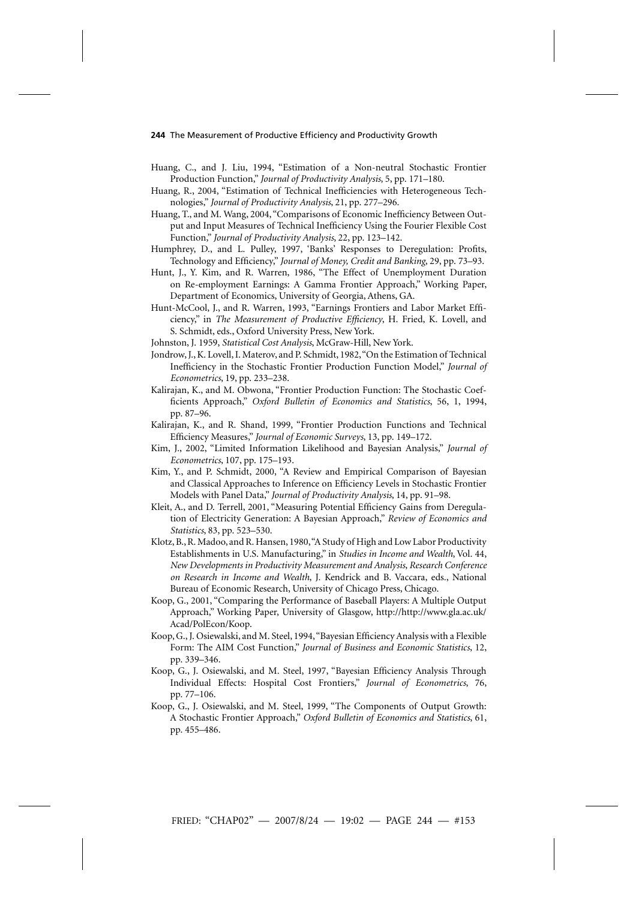- Huang, C., and J. Liu, 1994, "Estimation of a Non-neutral Stochastic Frontier Production Function," *Journal of Productivity Analysis*, 5, pp. 171–180.
- Huang, R., 2004, "Estimation of Technical Inefficiencies with Heterogeneous Technologies," *Journal of Productivity Analysis*, 21, pp. 277–296.
- Huang, T., and M. Wang, 2004, "Comparisons of Economic Inefficiency Between Output and Input Measures of Technical Inefficiency Using the Fourier Flexible Cost Function," *Journal of Productivity Analysis*, 22, pp. 123–142.
- Humphrey, D., and L. Pulley, 1997, 'Banks' Responses to Deregulation: Profits, Technology and Efficiency," *Journal of Money, Credit and Banking*, 29, pp. 73–93.
- Hunt, J., Y. Kim, and R. Warren, 1986, "The Effect of Unemployment Duration on Re-employment Earnings: A Gamma Frontier Approach," Working Paper, Department of Economics, University of Georgia, Athens, GA.
- Hunt-McCool, J., and R. Warren, 1993, "Earnings Frontiers and Labor Market Efficiency," in *The Measurement of Productive Efficiency*, H. Fried, K. Lovell, and S. Schmidt, eds., Oxford University Press, New York.
- Johnston, J. 1959, *Statistical Cost Analysis*, McGraw-Hill, New York.
- Jondrow, J., K. Lovell, I. Materov, and P. Schmidt, 1982,"On the Estimation of Technical Inefficiency in the Stochastic Frontier Production Function Model," *Journal of Econometrics*, 19, pp. 233–238.
- Kalirajan, K., and M. Obwona, "Frontier Production Function: The Stochastic Coefficients Approach," *Oxford Bulletin of Economics and Statistics*, 56, 1, 1994, pp. 87–96.
- Kalirajan, K., and R. Shand, 1999, "Frontier Production Functions and Technical Efficiency Measures," *Journal of Economic Surveys*, 13, pp. 149–172.
- Kim, J., 2002, "Limited Information Likelihood and Bayesian Analysis," *Journal of Econometrics*, 107, pp. 175–193.
- Kim, Y., and P. Schmidt, 2000, "A Review and Empirical Comparison of Bayesian and Classical Approaches to Inference on Efficiency Levels in Stochastic Frontier Models with Panel Data," *Journal of Productivity Analysis*, 14, pp. 91–98.
- Kleit, A., and D. Terrell, 2001, "Measuring Potential Efficiency Gains from Deregulation of Electricity Generation: A Bayesian Approach," *Review of Economics and Statistics*, 83, pp. 523–530.
- Klotz, B., R. Madoo, and R. Hansen, 1980,"A Study of High and Low Labor Productivity Establishments in U.S. Manufacturing," in *Studies in Income and Wealth*, Vol. 44, *New Developments in Productivity Measurement and Analysis*, *Research Conference on Research in Income and Wealth*, J. Kendrick and B. Vaccara, eds., National Bureau of Economic Research, University of Chicago Press, Chicago.
- Koop, G., 2001, "Comparing the Performance of Baseball Players: A Multiple Output Approach," Working Paper, University of Glasgow, http://http://www.gla.ac.uk/ Acad/PolEcon/Koop.
- Koop, G., J. Osiewalski, and M. Steel, 1994,"Bayesian Efficiency Analysis with a Flexible Form: The AIM Cost Function," *Journal of Business and Economic Statistics*, 12, pp. 339–346.
- Koop, G., J. Osiewalski, and M. Steel, 1997, "Bayesian Efficiency Analysis Through Individual Effects: Hospital Cost Frontiers," *Journal of Econometrics*, 76, pp. 77–106.
- Koop, G., J. Osiewalski, and M. Steel, 1999, "The Components of Output Growth: A Stochastic Frontier Approach," *Oxford Bulletin of Economics and Statistics*, 61, pp. 455–486.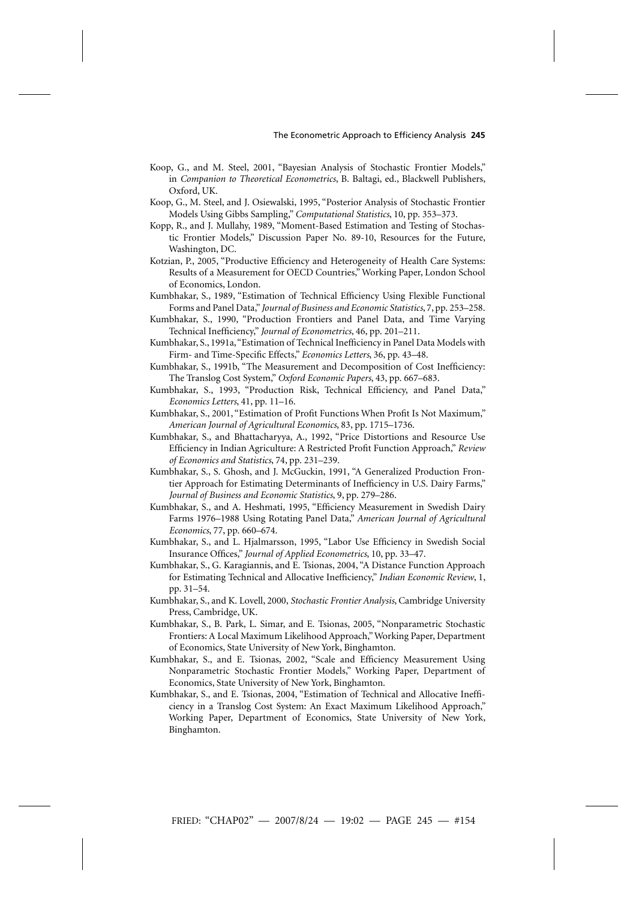- Koop, G., and M. Steel, 2001, "Bayesian Analysis of Stochastic Frontier Models," in *Companion to Theoretical Econometrics*, B. Baltagi, ed., Blackwell Publishers, Oxford, UK.
- Koop, G., M. Steel, and J. Osiewalski, 1995, "Posterior Analysis of Stochastic Frontier Models Using Gibbs Sampling," *Computational Statistics*, 10, pp. 353–373.
- Kopp, R., and J. Mullahy, 1989, "Moment-Based Estimation and Testing of Stochastic Frontier Models," Discussion Paper No. 89-10, Resources for the Future, Washington, DC.
- Kotzian, P., 2005, "Productive Efficiency and Heterogeneity of Health Care Systems: Results of a Measurement for OECD Countries," Working Paper, London School of Economics, London.
- Kumbhakar, S., 1989, "Estimation of Technical Efficiency Using Flexible Functional Forms and Panel Data," *Journal of Business and Economic Statistics*, 7, pp. 253–258.
- Kumbhakar, S., 1990, "Production Frontiers and Panel Data, and Time Varying Technical Inefficiency," *Journal of Econometrics*, 46, pp. 201–211.
- Kumbhakar, S., 1991a,"Estimation of Technical Inefficiency in Panel Data Models with Firm- and Time-Specific Effects," *Economics Letters*, 36, pp. 43–48.
- Kumbhakar, S., 1991b, "The Measurement and Decomposition of Cost Inefficiency: The Translog Cost System," *Oxford Economic Papers*, 43, pp. 667–683.
- Kumbhakar, S., 1993, "Production Risk, Technical Efficiency, and Panel Data," *Economics Letters*, 41, pp. 11–16.
- Kumbhakar, S., 2001, "Estimation of Profit Functions When Profit Is Not Maximum," *American Journal of Agricultural Economics*, 83, pp. 1715–1736.
- Kumbhakar, S., and Bhattacharyya, A., 1992, "Price Distortions and Resource Use Efficiency in Indian Agriculture: A Restricted Profit Function Approach," *Review of Economics and Statistics*, 74, pp. 231–239.
- Kumbhakar, S., S. Ghosh, and J. McGuckin, 1991, "A Generalized Production Frontier Approach for Estimating Determinants of Inefficiency in U.S. Dairy Farms," *Journal of Business and Economic Statistics*, 9, pp. 279–286.
- Kumbhakar, S., and A. Heshmati, 1995, "Efficiency Measurement in Swedish Dairy Farms 1976–1988 Using Rotating Panel Data," *American Journal of Agricultural Economics*, 77, pp. 660–674.
- Kumbhakar, S., and L. Hjalmarsson, 1995, "Labor Use Efficiency in Swedish Social Insurance Offices," *Journal of Applied Econometrics*, 10, pp. 33–47.
- Kumbhakar, S., G. Karagiannis, and E. Tsionas, 2004, "A Distance Function Approach for Estimating Technical and Allocative Inefficiency," *Indian Economic Review*, 1, pp. 31–54.
- Kumbhakar, S., and K. Lovell, 2000, *Stochastic Frontier Analysis*, Cambridge University Press, Cambridge, UK.
- Kumbhakar, S., B. Park, L. Simar, and E. Tsionas, 2005, "Nonparametric Stochastic Frontiers: A Local Maximum Likelihood Approach,"Working Paper, Department of Economics, State University of New York, Binghamton.
- Kumbhakar, S., and E. Tsionas, 2002, "Scale and Efficiency Measurement Using Nonparametric Stochastic Frontier Models," Working Paper, Department of Economics, State University of New York, Binghamton.
- Kumbhakar, S., and E. Tsionas, 2004, "Estimation of Technical and Allocative Inefficiency in a Translog Cost System: An Exact Maximum Likelihood Approach," Working Paper, Department of Economics, State University of New York, Binghamton.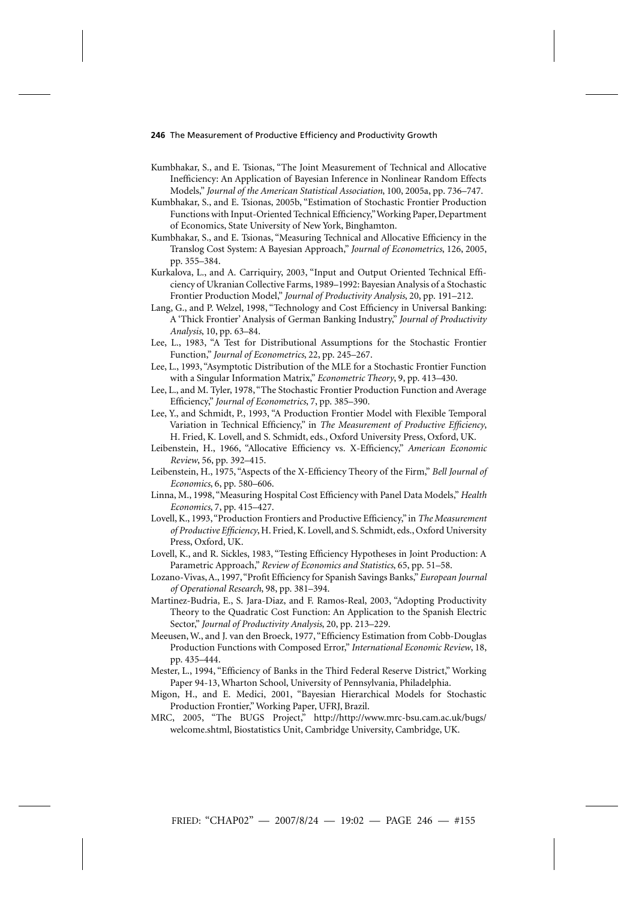- Kumbhakar, S., and E. Tsionas, "The Joint Measurement of Technical and Allocative Inefficiency: An Application of Bayesian Inference in Nonlinear Random Effects Models," *Journal of the American Statistical Association*, 100, 2005a, pp. 736–747.
- Kumbhakar, S., and E. Tsionas, 2005b, "Estimation of Stochastic Frontier Production Functions with Input-Oriented Technical Efficiency,"Working Paper, Department of Economics, State University of New York, Binghamton.
- Kumbhakar, S., and E. Tsionas, "Measuring Technical and Allocative Efficiency in the Translog Cost System: A Bayesian Approach," *Journal of Econometrics*, 126, 2005, pp. 355–384.
- Kurkalova, L., and A. Carriquiry, 2003, "Input and Output Oriented Technical Efficiency of Ukranian Collective Farms, 1989–1992: Bayesian Analysis of a Stochastic Frontier Production Model," *Journal of Productivity Analysis*, 20, pp. 191–212.
- Lang, G., and P. Welzel, 1998, "Technology and Cost Efficiency in Universal Banking: A 'Thick Frontier' Analysis of German Banking Industry," *Journal of Productivity Analysis*, 10, pp. 63–84.
- Lee, L., 1983, "A Test for Distributional Assumptions for the Stochastic Frontier Function," *Journal of Econometrics*, 22, pp. 245–267.
- Lee, L., 1993, "Asymptotic Distribution of the MLE for a Stochastic Frontier Function with a Singular Information Matrix," *Econometric Theory*, 9, pp. 413–430.
- Lee, L., and M. Tyler, 1978, "The Stochastic Frontier Production Function and Average Efficiency," *Journal of Econometrics*, 7, pp. 385–390.
- Lee, Y., and Schmidt, P., 1993, "A Production Frontier Model with Flexible Temporal Variation in Technical Efficiency," in *The Measurement of Productive Efficiency*, H. Fried, K. Lovell, and S. Schmidt, eds., Oxford University Press, Oxford, UK.
- Leibenstein, H., 1966, "Allocative Efficiency vs. X-Efficiency," *American Economic Review*, 56, pp. 392–415.
- Leibenstein, H., 1975, "Aspects of the X-Efficiency Theory of the Firm," *Bell Journal of Economics*, 6, pp. 580–606.
- Linna, M., 1998, "Measuring Hospital Cost Efficiency with Panel Data Models," *Health Economics*, 7, pp. 415–427.
- Lovell, K., 1993,"Production Frontiers and Productive Efficiency,"in *The Measurement of Productive Efficiency*, H. Fried, K. Lovell, and S. Schmidt, eds., Oxford University Press, Oxford, UK.
- Lovell, K., and R. Sickles, 1983, "Testing Efficiency Hypotheses in Joint Production: A Parametric Approach," *Review of Economics and Statistics*, 65, pp. 51–58.
- Lozano-Vivas, A., 1997,"Profit Efficiency for Spanish Savings Banks,"*European Journal of Operational Research*, 98, pp. 381–394.
- Martinez-Budria, E., S. Jara-Diaz, and F. Ramos-Real, 2003, "Adopting Productivity Theory to the Quadratic Cost Function: An Application to the Spanish Electric Sector," *Journal of Productivity Analysis*, 20, pp. 213–229.
- Meeusen, W., and J. van den Broeck, 1977, "Efficiency Estimation from Cobb-Douglas Production Functions with Composed Error," *International Economic Review*, 18, pp. 435–444.
- Mester, L., 1994, "Efficiency of Banks in the Third Federal Reserve District," Working Paper 94-13, Wharton School, University of Pennsylvania, Philadelphia.
- Migon, H., and E. Medici, 2001, "Bayesian Hierarchical Models for Stochastic Production Frontier,"Working Paper, UFRJ, Brazil.
- MRC, 2005, "The BUGS Project," http://http://www.mrc-bsu.cam.ac.uk/bugs/ welcome.shtml, Biostatistics Unit, Cambridge University, Cambridge, UK.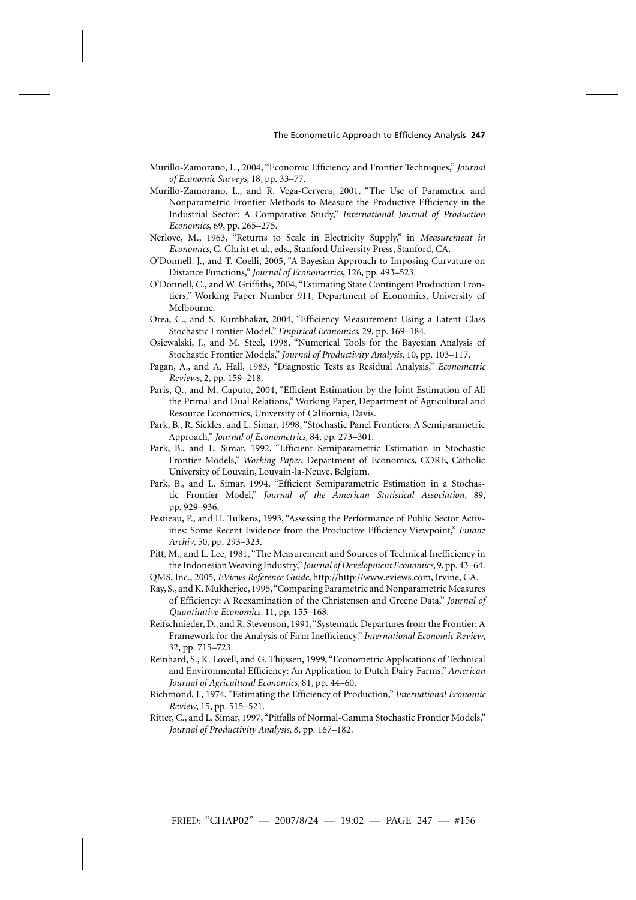- Murillo-Zamorano, L., 2004, "Economic Efficiency and Frontier Techniques," *Journal of Economic Surveys*, 18, pp. 33–77.
- Murillo-Zamorano, L., and R. Vega-Cervera, 2001, "The Use of Parametric and Nonparametric Frontier Methods to Measure the Productive Efficiency in the Industrial Sector: A Comparative Study," *International Journal of Production Economics*, 69, pp. 265–275.
- Nerlove, M., 1963, "Returns to Scale in Electricity Supply," in *Measurement in Economics*, C. Christ et al., eds., Stanford University Press, Stanford, CA.
- O'Donnell, J., and T. Coelli, 2005, "A Bayesian Approach to Imposing Curvature on Distance Functions," *Journal of Econometrics*, 126, pp. 493–523.
- O'Donnell, C., and W. Griffiths, 2004, "Estimating State Contingent Production Frontiers," Working Paper Number 911, Department of Economics, University of Melbourne.
- Orea, C., and S. Kumbhakar, 2004, "Efficiency Measurement Using a Latent Class Stochastic Frontier Model," *Empirical Economics*, 29, pp. 169–184.
- Osiewalski, J., and M. Steel, 1998, "Numerical Tools for the Bayesian Analysis of Stochastic Frontier Models," *Journal of Productivity Analysis*, 10, pp. 103–117.
- Pagan, A., and A. Hall, 1983, "Diagnostic Tests as Residual Analysis," *Econometric Reviews*, 2, pp. 159–218.
- Paris, Q., and M. Caputo, 2004, "Efficient Estimation by the Joint Estimation of All the Primal and Dual Relations," Working Paper, Department of Agricultural and Resource Economics, University of California, Davis.
- Park, B., R. Sickles, and L. Simar, 1998, "Stochastic Panel Frontiers: A Semiparametric Approach," *Journal of Econometrics*, 84, pp. 273–301.
- Park, B., and L. Simar, 1992, "Efficient Semiparametric Estimation in Stochastic Frontier Models," *Working Paper*, Department of Economics, CORE, Catholic University of Louvain, Louvain-la-Neuve, Belgium.
- Park, B., and L. Simar, 1994, "Efficient Semiparametric Estimation in a Stochastic Frontier Model," *Journal of the American Statistical Association*, 89, pp. 929–936.
- Pestieau, P., and H. Tulkens, 1993, "Assessing the Performance of Public Sector Activities: Some Recent Evidence from the Productive Efficiency Viewpoint," *Finanz Archiv*, 50, pp. 293–323.
- Pitt, M., and L. Lee, 1981, "The Measurement and Sources of Technical Inefficiency in the IndonesianWeaving Industry,"*Journal of Development Economics*,9, pp. 43–64.
- QMS, Inc., 2005, *EViews Reference Guide*, http://http://www.eviews.com, Irvine, CA.
- Ray, S., and K. Mukherjee, 1995,"Comparing Parametric and Nonparametric Measures of Efficiency: A Reexamination of the Christensen and Greene Data," *Journal of Quantitative Economics*, 11, pp. 155–168.
- Reifschnieder, D., and R. Stevenson, 1991,"Systematic Departures from the Frontier: A Framework for the Analysis of Firm Inefficiency," *International Economic Review*, 32, pp. 715–723.
- Reinhard, S., K. Lovell, and G. Thijssen, 1999, "Econometric Applications of Technical and Environmental Efficiency: An Application to Dutch Dairy Farms," *American Journal of Agricultural Economics*, 81, pp. 44–60.
- Richmond, J., 1974, "Estimating the Efficiency of Production," *International Economic Review*, 15, pp. 515–521.
- Ritter, C., and L. Simar, 1997, "Pitfalls of Normal-Gamma Stochastic Frontier Models," *Journal of Productivity Analysis*, 8, pp. 167–182.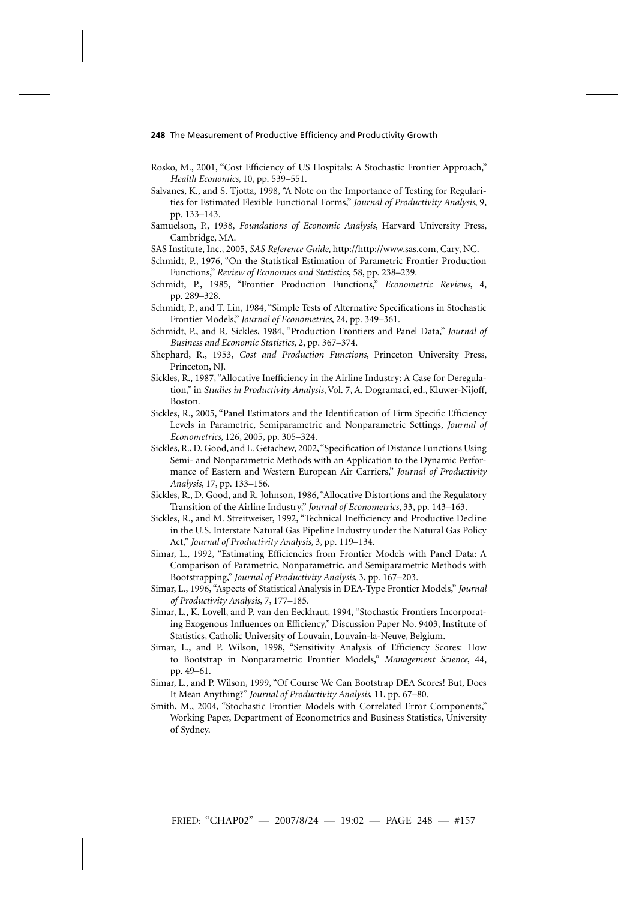- Rosko, M., 2001, "Cost Efficiency of US Hospitals: A Stochastic Frontier Approach," *Health Economics*, 10, pp. 539–551.
- Salvanes, K., and S. Tjotta, 1998, "A Note on the Importance of Testing for Regularities for Estimated Flexible Functional Forms," *Journal of Productivity Analysis*, 9, pp. 133–143.
- Samuelson, P., 1938, *Foundations of Economic Analysis*, Harvard University Press, Cambridge, MA.

SAS Institute, Inc., 2005, *SAS Reference Guide*, http://http://www.sas.com, Cary, NC.

- Schmidt, P., 1976, "On the Statistical Estimation of Parametric Frontier Production Functions," *Review of Economics and Statistics*, 58, pp. 238–239.
- Schmidt, P., 1985, "Frontier Production Functions," *Econometric Reviews*, 4, pp. 289–328.
- Schmidt, P., and T. Lin, 1984, "Simple Tests of Alternative Specifications in Stochastic Frontier Models," *Journal of Econometrics*, 24, pp. 349–361.
- Schmidt, P., and R. Sickles, 1984, "Production Frontiers and Panel Data," *Journal of Business and Economic Statistics*, 2, pp. 367–374.
- Shephard, R., 1953, *Cost and Production Functions*, Princeton University Press, Princeton, NJ.
- Sickles, R., 1987, "Allocative Inefficiency in the Airline Industry: A Case for Deregulation," in *Studies in Productivity Analysis*, Vol. 7, A. Dogramaci, ed., Kluwer-Nijoff, Boston.
- Sickles, R., 2005, "Panel Estimators and the Identification of Firm Specific Efficiency Levels in Parametric, Semiparametric and Nonparametric Settings, *Journal of Econometrics*, 126, 2005, pp. 305–324.
- Sickles, R., D. Good, and L. Getachew, 2002,"Specification of Distance Functions Using Semi- and Nonparametric Methods with an Application to the Dynamic Performance of Eastern and Western European Air Carriers," *Journal of Productivity Analysis*, 17, pp. 133–156.
- Sickles, R., D. Good, and R. Johnson, 1986, "Allocative Distortions and the Regulatory Transition of the Airline Industry," *Journal of Econometrics*, 33, pp. 143–163.
- Sickles, R., and M. Streitweiser, 1992, "Technical Inefficiency and Productive Decline in the U.S. Interstate Natural Gas Pipeline Industry under the Natural Gas Policy Act," *Journal of Productivity Analysis*, 3, pp. 119–134.
- Simar, L., 1992, "Estimating Efficiencies from Frontier Models with Panel Data: A Comparison of Parametric, Nonparametric, and Semiparametric Methods with Bootstrapping," *Journal of Productivity Analysis*, 3, pp. 167–203.
- Simar, L., 1996, "Aspects of Statistical Analysis in DEA-Type Frontier Models," *Journal of Productivity Analysis*, 7, 177–185.
- Simar, L., K. Lovell, and P. van den Eeckhaut, 1994, "Stochastic Frontiers Incorporating Exogenous Influences on Efficiency," Discussion Paper No. 9403, Institute of Statistics, Catholic University of Louvain, Louvain-la-Neuve, Belgium.
- Simar, L., and P. Wilson, 1998, "Sensitivity Analysis of Efficiency Scores: How to Bootstrap in Nonparametric Frontier Models," *Management Science*, 44, pp. 49–61.
- Simar, L., and P. Wilson, 1999, "Of Course We Can Bootstrap DEA Scores! But, Does It Mean Anything?" *Journal of Productivity Analysis*, 11, pp. 67–80.
- Smith, M., 2004, "Stochastic Frontier Models with Correlated Error Components," Working Paper, Department of Econometrics and Business Statistics, University of Sydney.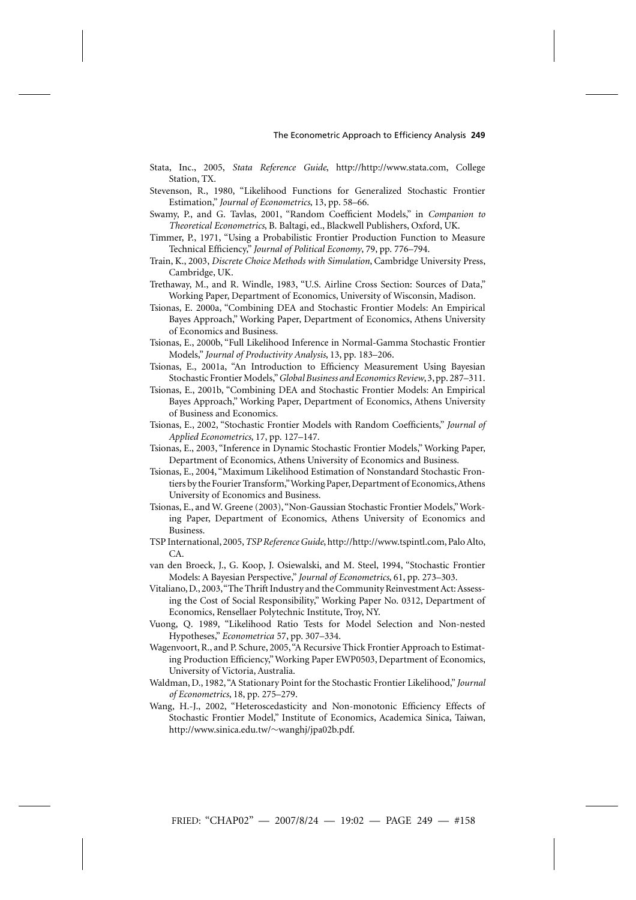- Stata, Inc., 2005, *Stata Reference Guide*, http://http://www.stata.com, College Station, TX.
- Stevenson, R., 1980, "Likelihood Functions for Generalized Stochastic Frontier Estimation," *Journal of Econometrics*, 13, pp. 58–66.
- Swamy, P., and G. Tavlas, 2001, "Random Coefficient Models," in *Companion to Theoretical Econometrics*, B. Baltagi, ed., Blackwell Publishers, Oxford, UK.
- Timmer, P., 1971, "Using a Probabilistic Frontier Production Function to Measure Technical Efficiency," *Journal of Political Economy*, 79, pp. 776–794.
- Train, K., 2003, *Discrete Choice Methods with Simulation*, Cambridge University Press, Cambridge, UK.
- Trethaway, M., and R. Windle, 1983, "U.S. Airline Cross Section: Sources of Data," Working Paper, Department of Economics, University of Wisconsin, Madison.
- Tsionas, E. 2000a, "Combining DEA and Stochastic Frontier Models: An Empirical Bayes Approach," Working Paper, Department of Economics, Athens University of Economics and Business.
- Tsionas, E., 2000b, "Full Likelihood Inference in Normal-Gamma Stochastic Frontier Models," *Journal of Productivity Analysis*, 13, pp. 183–206.
- Tsionas, E., 2001a, "An Introduction to Efficiency Measurement Using Bayesian Stochastic FrontierModels,"*Global Business and Economics Review*,3, pp. 287–311.
- Tsionas, E., 2001b, "Combining DEA and Stochastic Frontier Models: An Empirical Bayes Approach," Working Paper, Department of Economics, Athens University of Business and Economics.
- Tsionas, E., 2002, "Stochastic Frontier Models with Random Coefficients," *Journal of Applied Econometrics*, 17, pp. 127–147.
- Tsionas, E., 2003, "Inference in Dynamic Stochastic Frontier Models," Working Paper, Department of Economics, Athens University of Economics and Business.
- Tsionas, E., 2004, "Maximum Likelihood Estimation of Nonstandard Stochastic Frontiers by the Fourier Transform," Working Paper, Department of Economics, Athens University of Economics and Business.
- Tsionas, E., and W. Greene (2003), "Non-Gaussian Stochastic Frontier Models,"Working Paper, Department of Economics, Athens University of Economics and Business.
- TSP International, 2005,*TSP Reference Guide*, http://http://www.tspintl.com, Palo Alto, CA.
- van den Broeck, J., G. Koop, J. Osiewalski, and M. Steel, 1994, "Stochastic Frontier Models: A Bayesian Perspective," *Journal of Econometrics*, 61, pp. 273–303.
- Vitaliano, D., 2003, "The Thrift Industry and the Community Reinvestment Act: Assessing the Cost of Social Responsibility," Working Paper No. 0312, Department of Economics, Rensellaer Polytechnic Institute, Troy, NY.
- Vuong, Q. 1989, "Likelihood Ratio Tests for Model Selection and Non-nested Hypotheses," *Econometrica* 57, pp. 307–334.
- Wagenvoort, R., and P. Schure, 2005,"A Recursive Thick Frontier Approach to Estimating Production Efficiency,"Working Paper EWP0503, Department of Economics, University of Victoria, Australia.
- Waldman, D., 1982,"A Stationary Point for the Stochastic Frontier Likelihood," *Journal of Econometrics*, 18, pp. 275–279.
- Wang, H.-J., 2002, "Heteroscedasticity and Non-monotonic Efficiency Effects of Stochastic Frontier Model," Institute of Economics, Academica Sinica, Taiwan, http://www.sinica.edu.tw/∼wanghj/jpa02b.pdf.